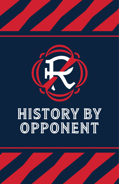

# HISTORY BY<br>OPPONENT

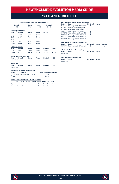# **Vs ATLANTA UNITED FC**

#### **ALL-TIME ALL-COMPETITIONS RECORD**

| Overall<br>$2 - 5 - 2$ |                                         | Home<br>$1 - 1 - 2$ | Away<br>$1 - 4 - 0$ | <b>Neutral</b><br>$0 - 0 - 0$ |               |
|------------------------|-----------------------------------------|---------------------|---------------------|-------------------------------|---------------|
|                        | <b>MLS Regular Season</b>               |                     |                     |                               |               |
| Year                   | Overall                                 | Home                | Away                | <b>SO*/OT</b>                 |               |
| 2017                   | $0 - 1 - 1$                             | $0 - 0 - 1$         | $0 - 1 - 0$         |                               |               |
| 2018                   | $0 - 1 - 1$                             | $0 - 0 - 1$         | $0 - 1 - 0$         |                               |               |
| 2019                   | $0 - 2 - 0$                             | $0 - 1 - 0$         | $0 - 1 - 0$         |                               |               |
| 2020                   | ×.                                      | ٠                   | ٠                   |                               |               |
| 2021                   | $2 - 0 - 0$                             | $1 - 0 - 0$         | $1 - 0 - 0$         |                               |               |
| <b>Totals</b>          | $2 - 4 - 2$                             | $1-1-2$             | $1 - 3 - 0$         |                               |               |
|                        | <b>MLS Cup Playoffs</b>                 |                     |                     |                               |               |
| Year                   | Overall                                 | Home                | Away                | <b>Neutral</b>                | <b>Series</b> |
| 2019                   | $0 - 1 - 0$                             | $0 - 0 - 0$         | $0 - 1 - 0$         | $0 - 0 - 0$                   | L             |
|                        |                                         |                     |                     |                               |               |
| <b>Totals</b>          | $0 - 1 - 0$                             | $0 - 0 - 0$         | $0 - 1 - 0$         | $0 - 0 - 0$                   | $0 - 1 - 0$   |
|                        | Lamar Hunt U.S. Open Cup                |                     |                     |                               |               |
| Year                   | Overall                                 | Home                | Away                | <b>Neutral</b>                | <b>SO</b>     |
| Never met              |                                         |                     |                     |                               |               |
| <b>SuperLiga</b>       |                                         |                     |                     |                               |               |
| Year                   | Overall                                 | Home                | Away                | <b>Neutral</b>                | <b>SO</b>     |
| Never met              |                                         |                     |                     |                               |               |
|                        | <b>Revolution Record at Away Venues</b> |                     |                     |                               |               |
| <b>Years</b>           | <b>Stadium</b>                          |                     |                     | <b>Reg. Season Postseason</b> |               |
|                        | 2017-Present Mercedes-Benz Stadium      |                     |                     | $1 - 3 - 0$                   |               |
| <b>Totals</b>          |                                         |                     |                     | $1 - 3 - 0$                   | ۰             |
|                        |                                         |                     |                     |                               |               |
|                        | $-1$ $-1$ $-1$ $-1$ $-1$ $-1$ $-1$      |                     |                     |                               |               |

|     | <b>Goals Scored by Interval - Regular Season</b> |          |              |          |          |       |
|-----|--------------------------------------------------|----------|--------------|----------|----------|-------|
|     | 1-15 16-30 31-45 46-60 61-75 76-90 OT            |          |              |          |          | Total |
| NF  | $\frac{1}{2}$                                    |          | 0 1 0 2      |          |          |       |
| ATI | 4                                                | $\sim$ 3 | $\mathbf{A}$ | $\sim$ 2 | $\sim$ 1 | 16    |

|           | <b>All-Time MLS Regular Season Meetings</b> |                  |              |               |
|-----------|---------------------------------------------|------------------|--------------|---------------|
| Date      | Score                                       | <b>NE Result</b> | <b>Notes</b> |               |
|           | 09/13/17 New England 0 at Atlanta 7         |                  |              |               |
|           | 09/30/17 Atlanta 0 at New England 0         | т                |              |               |
|           | 05/30/18 Atlanta 1 at New England 1         | т                |              |               |
| 10/06/18  | New England 1 at Atlanta 2                  |                  |              |               |
|           | 04/13/19 Atlanta 2 at New England 0         | L                |              |               |
| 10/06/19  | New England 1 at Atlanta 3                  | L                |              |               |
| 05/01/21  | Atlanta 1 at New England 2                  | W                |              |               |
| 07/17/21  | New England 1 at Atlanta 0                  | W                |              |               |
|           | <b>All-Time MLS Cup Playoffs Meetings</b>   |                  |              |               |
| Date      | Score                                       | <b>NF Result</b> | <b>Notes</b> | <b>Series</b> |
| 10/19/19  | New England 0 at Atlanta 1                  |                  |              |               |
|           | All-Time U.S. Open Cup Meetings             |                  |              |               |
| Date      | <b>Score</b>                                | <b>NF Result</b> | <b>Notes</b> |               |
| Never met |                                             |                  |              |               |
|           |                                             |                  |              |               |
|           | <b>All-Time SuperLiga Meetings</b>          |                  |              |               |
| Date      | <b>Score</b>                                | <b>NE Result</b> | <b>Notes</b> |               |
| Never met |                                             |                  |              |               |

 $\mathcal{R}$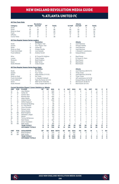### **Vs ATLANTA UNITED FC**

|                        |         |                                                                                   | <b>Revolution</b>                                |                     |            |             |                            |                     |                             | <b>Atlanta</b>                              |                |                |                                |                |                            |
|------------------------|---------|-----------------------------------------------------------------------------------|--------------------------------------------------|---------------------|------------|-------------|----------------------------|---------------------|-----------------------------|---------------------------------------------|----------------|----------------|--------------------------------|----------------|----------------------------|
| Category               |         | 1st Half                                                                          | 2nd Half                                         | OT                  | Totals     |             |                            | 1st Half            |                             | 2nd Half                                    | ОT             |                | <b>Totals</b>                  |                |                            |
| Goals                  |         | 3                                                                                 | 3                                                | $\mathbf 0$         | 6          |             |                            | 9                   |                             | $\overline{7}$                              | $\mathbf 0$    |                | 16                             |                |                            |
| Shots                  |         | 44                                                                                | 44                                               | 0                   | 88         |             |                            | 60                  |                             | 64                                          | 0              |                | 124                            |                |                            |
| Shots on Goal          |         | 14                                                                                | 15                                               | 0                   | 29         |             |                            | 24                  |                             | 28                                          | 0              |                | 52                             |                |                            |
| Fouls                  |         | 54                                                                                | 61                                               | $\Omega$            | 115        |             |                            | 43                  |                             | 51                                          | $\Omega$       |                | 94                             |                |                            |
| Offsides               |         | 9                                                                                 | 8                                                | 0                   | 17         |             |                            | 8                   |                             | 10                                          | $\mathbf 0$    |                | 18                             |                |                            |
| Corner Kicks           |         | 17                                                                                | 21                                               | 0                   | 38         |             |                            | 21                  |                             | 28                                          | 0              |                | 49                             |                |                            |
|                        |         | <u>All-Time Regular Season Series Leaders</u>                                     |                                                  |                     |            |             |                            |                     |                             |                                             |                |                |                                |                |                            |
|                        |         | 1                                                                                 | <b>Revolution</b><br><b>Six Players Tied</b>     |                     |            |             |                            | 5                   |                             | <b>Atlanta</b><br>Josef Martinez            |                |                |                                |                |                            |
| Goals<br>Assists       |         | $\mathbf{1}$                                                                      | Four Players Tied                                |                     |            |             |                            | 3                   |                             | Gressel/Villalba                            |                |                |                                |                |                            |
| Shots                  |         | 10                                                                                | Carles Gil                                       |                     |            |             |                            |                     |                             | Josef Martinez                              |                |                |                                |                |                            |
| Shots on Goal          |         | 5                                                                                 | Cristian Penilla                                 |                     |            |             |                            | 23<br>11            |                             | Josef Martinez                              |                |                |                                |                |                            |
| <b>Fouls Committed</b> |         | 13                                                                                | Luis Caicedo                                     |                     |            |             |                            | 9                   |                             | J. Gressel/J. Larentowicz                   |                |                |                                |                |                            |
|                        |         |                                                                                   |                                                  |                     |            |             |                            |                     |                             |                                             |                |                |                                |                |                            |
| <b>Fouls Suffered</b>  |         | 10                                                                                | Andrew Farrell                                   |                     |            |             |                            | 20                  |                             | <b>Ezequiel Barco</b>                       |                |                |                                |                |                            |
| Wins                   |         | 1                                                                                 | M. Turner/B. Knighton                            |                     |            |             |                            | $\overline{a}$      |                             | <b>Brad Guzan</b>                           |                |                |                                |                |                            |
| Losses                 |         | $\overline{c}$                                                                    | Cody Cropper                                     |                     |            |             |                            | 1                   |                             | B. Guzan/A. Kann                            |                |                |                                |                |                            |
| Shutouts               |         | $\overline{\mathbf{c}}$                                                           | <b>Brad Knighton</b>                             |                     |            |             |                            | 3                   |                             | <b>Brad Guzan</b>                           |                |                |                                |                |                            |
| Saves                  |         | 16                                                                                | Matt Turner                                      |                     |            |             |                            | 19                  |                             | <b>Brad Guzan</b>                           |                |                |                                |                |                            |
| Goals Allowed          |         | 9                                                                                 | Cody Cropper                                     |                     |            |             |                            | 5                   |                             | <b>Brad Guzan</b>                           |                |                |                                |                |                            |
|                        |         | <b>All-Time Regular Season Series Game Highs</b>                                  |                                                  |                     |            |             |                            |                     |                             |                                             |                |                |                                |                |                            |
|                        |         |                                                                                   | <b>Revolution</b>                                |                     |            |             |                            |                     |                             | <b>Atlanta</b>                              |                |                |                                |                |                            |
| Goals                  |         | 1                                                                                 | Six Times                                        |                     |            |             |                            | 3                   |                             | Josef Martinez (09/13/17)                   |                |                |                                |                |                            |
| Assists                |         | 1<br>5                                                                            | <b>Four Times</b>                                |                     |            |             |                            | $\overline{c}$      |                             | <b>Three Times</b>                          |                |                |                                |                |                            |
| Shots                  |         |                                                                                   | Adam Buksa (7/17/21)                             |                     |            |             |                            | 6                   |                             | Josef Martinez (10/6/19)                    |                |                |                                |                |                            |
| Shots on Goal          |         | $\overline{\mathbf{c}}$                                                           | <b>Six Times</b>                                 |                     |            |             |                            | 3                   |                             | <b>Three Times</b>                          |                |                |                                |                |                            |
| <b>Fouls Committed</b> |         | $\overline{4}$                                                                    | L. Caicedo/Caldwell                              |                     |            |             |                            | 4<br>$\overline{7}$ |                             | Jeff Larentowicz (4/13/19)                  |                |                |                                |                |                            |
| <b>Fouls Suffered</b>  |         | 6                                                                                 | Tajon Buchanan (5/1/21)                          |                     |            |             |                            |                     |                             | Ezequiel Barco (5/30/18)                    |                |                |                                |                |                            |
| Saves<br>Goals Allowed |         | 7<br>$\overline{7}$                                                               | Matt Turner (10/6/19)<br>Cody Cropper (09/13/17) |                     |            |             |                            | 5<br>$\overline{2}$ |                             | Brad Guzan (9/30/17)<br>Brad Guzan (5/1/21) |                |                |                                |                |                            |
|                        |         |                                                                                   |                                                  |                     |            |             |                            |                     |                             |                                             |                |                |                                |                |                            |
| UNF                    | POS     | <b>Current Revolution Players' Career Statistics vs. Atlanta</b><br><b>PLAYER</b> | GP                                               | GS                  | <b>MIN</b> | G           | A                          | <b>SHT</b>          | SOG                         | FC                                          | <b>FS</b>      | OFF            | CК                             | C              | E                          |
| 14                     | F       | Jozy Altidore                                                                     |                                                  | 4                   | 340        | 1           | $\overline{c}$             | 13                  |                             | 6                                           | $\overline{7}$ |                | 0                              | $\mathbf 0$    | $\circ$                    |
|                        |         | Carles Gil                                                                        | 5<br>4                                           | $\overline{4}$      | 360        |             | 1                          | 10                  | 6                           | 1                                           |                | 6<br>0         |                                | $\mathbf 0$    | $\circ$                    |
| 10<br>7                | M<br>F  | Gustavo Bou                                                                       | $\overline{c}$                                   | $\overline{c}$      | 173        | 1<br>1      | $\Omega$                   | 6                   | 3<br>$\overline{c}$         | $\Omega$                                    | 6<br>$\Omega$  | 1              | 18<br>$\overline{\phantom{a}}$ | $\Omega$       | $\mathbf 0$                |
| 15                     | D       | <b>Brandon Bye</b>                                                                | 5                                                | 5                   | 450        | 1           | 0                          | 5                   | $\overline{1}$              | 6                                           | 3              | 0              | $\mathbf 0$                    | 1              | $\mathbf 0$                |
| 9                      | F       | Adam Buksa                                                                        | $\overline{\mathbf{c}}$                          | $\overline{c}$      | 180        | Ō           | 1                          | 9                   | 4                           | $\overline{c}$                              | 3              | 1              | $\mathbf 0$                    | $\mathbf 0$    | 0                          |
| $\overline{c}$         | D       | <b>Andrew Farrell</b>                                                             | 7                                                | $\overline{7}$      | 630        | Ō           | 1                          | $\Omega$            | $\Omega$                    | 5                                           | 10             | $\Omega$       | $\Omega$                       | 1              | $\mathbf 0$                |
| 5                      | M       | Wilfrid Kaptoum                                                                   | 1                                                | 1                   | 67         | Ō           | 1                          | $\mathbf 0$         | $\mathbf 0$                 | $\overline{c}$                              | 0              | 0              | $\mathbf 0$                    | $\mathbf 0$    | $\mathbf 0$                |
| 11                     | F       |                                                                                   | $\overline{\mathbf{c}}$                          | 1                   | 58         | Ō           | 0                          | $\mathbf 0$         | $\mathbf 0$                 | $\mathbf 0$                                 | 0              | 0              | $\mathbf 0$                    | $\mathbf 0$    | $\circ$                    |
| 28                     | D       | <b>Emmanuel Boateng</b><br>A.J. DeLaGarza                                         | 1                                                | 1                   | 90         | Ō           | $\Omega$                   | $\Omega$            | $\Omega$                    | 3                                           | 1              | $\Omega$       | $\Omega$                       | 1              | $\mathbf 0$                |
| 3                      | D       | Omar Gonzalez                                                                     | 4                                                | 4                   | 315        | Ō           | $\Omega$                   | $\overline{c}$      | $\overline{c}$              | 3                                           | $\Omega$       | $\Omega$       | $\Omega$                       | 1              | $\mathbf 0$                |
| 24                     | D       | DeJuan Jones                                                                      | 3                                                | 3                   | 218        | Ō           | $\mathbf{0}$               | $\mathbf 0$         | $\mathbf 0$                 | 3                                           | $\overline{c}$ | 1              | $\mathbf 0$                    | $\mathbf 0$    | $\circ$                    |
| 4                      | D       |                                                                                   | $\overline{c}$                                   | $\overline{2}$      | 180        | Ō           | 0                          | 1                   | $\Omega$                    | $\mathbf{1}$                                | 3              | $\Omega$       | $\Omega$                       | 1              | $\mathbf 0$                |
| 18                     | GK      | Henry Kessler                                                                     | 3                                                | 3                   | 270        | Ō           | $\mathbf 0$                | $\mathbf 0$         | $\mathbf 0$                 | $\mathbf 0$                                 | $\Omega$       | 0              | $\mathbf 0$                    | $\Omega$       | $\mathbf 0$                |
| 17                     | M       | <b>Brad Knighton</b><br>Sebastian Lletget                                         | $\overline{c}$                                   | $\overline{c}$      | 156        | Ō           | $\mathbf{0}$               | $\overline{4}$      | $\mathbf 0$                 | $\mathbf 0$                                 | $\overline{4}$ | $\overline{c}$ | 3                              | $\mathbf 0$    | $\circ$                    |
| 13                     | M       | Maciel                                                                            | $\overline{c}$                                   | $\overline{c}$      | 172        | $\Omega$    | $\Omega$                   | $\Omega$            | $\Omega$                    | 3                                           | 1              | $\Omega$       | $\Omega$                       | $\Omega$       | $\mathbf 0$                |
| 26                     | M       |                                                                                   | 4                                                | 1                   | 91         | Ō           | 0                          | 1                   | $\overline{1}$              | $\Omega$                                    | 1              | 1              | $\mathbf{1}$                   | $\Omega$       | $\mathbf 0$                |
| 8                      | M       | Tommy McNamara<br><b>Matt Polster</b>                                             | 4                                                | 3                   | 287        | $\mathbf 0$ | $\mathbf 0$                | 6                   | 3                           | 8                                           | 1              | $\mathbf 0$    | $\mathbf 0$                    | $\mathbf{1}$   | $\mathbf 0$                |
|                        |         |                                                                                   | $\overline{c}$                                   |                     |            |             |                            | 1                   |                             | 1                                           |                |                |                                | $\Omega$       |                            |
| 25<br>30               | M<br>GK | Arnor Traustason<br><b>Matt Turner</b>                                            | $\overline{c}$                                   | 1<br>$\overline{2}$ | 81<br>180  | 0<br>0      | $\mathbf 0$<br>$\mathbf 0$ | $\mathbf 0$         | $\mathbf{1}$<br>$\mathbf 0$ | $\mathbf 0$                                 | 0<br>1         | 0<br>0         | 0<br>0                         | $\mathbf 0$    | $\mathbf 0$<br>$\mathbf 0$ |
|                        |         |                                                                                   | 8                                                | 8                   | 720        |             | 5                          | 86                  | 29                          | 115                                         | 94             | 17             | 38                             | 17             | $\overline{a}$             |
|                        |         | <b>TEAM TOTALS</b><br><b>OPPONENT TOTALS</b>                                      | 8                                                | 8                   | 720        | 6<br>16     | 14                         | 124                 | 52                          | 94                                          | 115            | 18             | 49                             | 13             | 0                          |
| UNF                    | POS     | <b>GOALKEEPER</b>                                                                 | GP                                               | GS                  | <b>MIN</b> | <b>SHTS</b> | <b>SV</b>                  | GA                  | GAA                         | PG                                          | PA             | W              | Ц                              | T              | SO                         |
| 18                     | GK      | <b>Brad Knighton</b>                                                              | 3                                                | 3                   | 270        | 13          | 11                         | $\overline{c}$      | 0.67                        | $\mathbf 0$                                 | $\mathbf 0$    | $\mathbf{1}$   | $\mathbf{1}$                   | 1              | $\overline{c}$             |
| 30                     | GK      | <b>Matt Turner</b>                                                                | 3                                                | 3                   | 270        | 21          | 16                         | 5                   | 1.67                        | 1                                           | 1              | 1              | 1                              | 1              | $\mathbf 0$                |
|                        |         | <b>TEAM TOTALS</b>                                                                | 8                                                | 8                   | 720        | 52          | 35                         | 16                  | 2.00                        | 3                                           | 3              | $\overline{a}$ | 4                              | $\overline{a}$ | $\overline{2}$             |
|                        |         | <b>OPPONENT TOTALS</b>                                                            | 8                                                | 8                   | 720        | 29          | 23                         | 6                   | 0.75                        | $\overline{a}$                              | $\overline{a}$ | 4              | $\overline{a}$                 | $\overline{2}$ | 3                          |



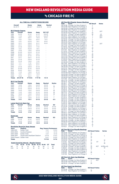# vs chicago fire fc

|                       |                                                  |                              | <b>ALL-TIME ALL-COMPETITIONS RECORD</b> |                               |               | <u> All-Time MLS Regular Season Meetings</u>                                                                 |                                        |                   |
|-----------------------|--------------------------------------------------|------------------------------|-----------------------------------------|-------------------------------|---------------|--------------------------------------------------------------------------------------------------------------|----------------------------------------|-------------------|
| Overall<br>33-37-17   |                                                  | Home<br>$25 - 12 - 7$        | Away<br>$8 - 25 - 10$                   | <b>Neutral</b><br>$0 - 0 - 0$ |               | <b>Score</b><br><b>Date</b><br>06/14/98<br>Chicago 3 at New England 1<br>09/23/98 New England 2 at Chicago 3 | <b>NE Result</b><br>т.<br>$\mathbf{L}$ | <b>Notes</b>      |
|                       |                                                  |                              |                                         |                               |               | 06/05/99 Chicago 0 at New England 2                                                                          | W                                      |                   |
|                       | <b>MLS Regular Season</b>                        |                              |                                         |                               |               | 08/28/99 New England 1 at Chicago 2<br>04/22/00 Chicago 1 at New England 1                                   | L<br>T                                 | 2OT               |
| Year                  | Overall                                          | Home                         | Away                                    | SO*/OT                        |               | 05/20/00 New England 1 at Chicago 0                                                                          | W                                      |                   |
| 1998                  | $0 - 2 - 0$                                      | $0 - 1 - 0$                  | $0 - 1 - 0$                             | $0 - 0 - 0$ <sup>*</sup>      |               | 05/12/01<br>Chicago 1 at New England 2<br>New England 1 at Chicago 1                                         | W                                      | OT                |
| 1999                  | $1 - 1 - 0$                                      | $1 - 0 - 0$                  | $0 - 1 - 0$                             | $0 - 0 - 0$ <sup>*</sup>      |               | 06/23/01                                                                                                     | Ï<br>т                                 | 2OT               |
| 2000                  | $1 - 0 - 1$                                      | $0 - 0 - 1$                  | $1 - 0 - 0$                             | $0 - 0 - 1$                   |               | New England 2 at Chicago 2<br>04/27/02<br>Chicago 3 at New England 1<br>05/19/02                             | L                                      | 2OT               |
| 2001                  | $1 - 0 - 1$                                      | $1 - 0 - 0$                  | $0 - 0 - 1$                             | $1 - 0 - 1$                   |               | 08/18/02<br>Chicago 2 at New England 0                                                                       | L                                      |                   |
| 2002<br>2003          | $1 - 2 - 1$<br>$2 - 1 - 1$                       | $0 - 2 - 0$<br>$2 - 0 - 0$   | $1 - 0 - 1$<br>$0 - 1 - 1$              | $0 - 0 - 1$<br>$0 - 0 - 1$    |               | New England 2 at Chicago 1<br>08/24/02                                                                       | W                                      |                   |
| 2004                  | $2 - 1 - 1$                                      | $2 - 0 - 0$                  | $0 - 1 - 1$                             |                               |               | New England 1 at Chicago 1<br>04/13/03<br>05/17/03                                                           | T<br>W                                 | 2OT               |
| 2005                  | $3 - 1 - 0$                                      | $2 - 0 - 0$                  | $1 - 1 - 0$                             | í,                            |               | Chicago 0 at New England 3<br>New England 1 at Chicago 3<br>07/19/03                                         | $\mathbf{L}$                           |                   |
| 2006                  | $1 - 2 - 1$                                      | $0 - 2 - 0$                  | $1 - 0 - 1$                             |                               |               | 08/30/03 Chicago 1 at New England 5                                                                          | W                                      |                   |
| 2007                  | $1 - 2 - 0$                                      | $1 - 0 - 0$                  | $0 - 2 - 0$                             |                               |               | 07/11/04<br>New England 1 at Chicago 1                                                                       | т                                      |                   |
| 2008                  | $0 - 3 - 0$                                      | $0 - 2 - 0$                  | $0 - 1 - 0$                             |                               |               | 07/14/04<br>Chicago 1 at New England 3                                                                       | W                                      |                   |
| 2009                  | $0 - 0 - 2$                                      | $0 - 0 - 1$                  | $0 - 0 - 1$                             |                               |               | 09/25/04 New England 0 at Chicago 2<br>Chicago 1 at New England 2<br>10/16/04                                | W                                      |                   |
| 2010                  | $0 - 2 - 0$                                      | $0 - 1 - 0$                  | $0 - 1 - 0$                             |                               |               | 04/27/05 New England 3 at Chicago 0                                                                          | W                                      |                   |
| 2011                  | $0 - 1 - 1$                                      | $0 - 0 - 1$                  | $0 - 1 - 0$                             |                               |               | 05/07/05<br>Chicago 0 at New England 2                                                                       | W                                      |                   |
| 2012                  | $2 - 1 - 0$                                      | $2 - 0 - 0$                  | $0 - 1 - 0$                             |                               |               | 07/09/05 New England 0 at Chicago 1                                                                          | $\mathbf{L}$                           |                   |
| 2013                  | $2 - 1 - 0$                                      | $1 - 0 - 0$                  | $1 - 1 - 0$                             |                               |               | 10/15/05<br>Chicago 0 at New England 1<br>04/30/06 Chicago 2 at New England 1                                | W<br>L                                 |                   |
| 2014                  | $1 - 1 - 1$                                      | $1 - 1 - 0$                  | $0 - 0 - 1$                             | š                             |               | 06/11/06 New England 3 at Chicago 3                                                                          | T                                      |                   |
| 2015                  | $1 - 1 - 1$                                      | $1 - 0 - 0$                  | $0 - 1 - 1$                             |                               |               | 07/08/06 New England 2 at Chicago 1<br>08/20/06 Chicago 1 at New England 0                                   | W                                      |                   |
| 2016                  | $2 - 1 - 0$                                      | $2 - 0 - 0$                  | $0 - 1 - 0$                             |                               |               |                                                                                                              | L                                      |                   |
| 2017                  | $0 - 3 - 0$                                      | $0 - 1 - 0$                  | $0 - 2 - 0$                             |                               |               | 04/07/07 New England 0 at Chicago 1                                                                          | $\mathbf{L}$<br>W                      |                   |
| 2018                  | $0 - 0 - 2$                                      | $0 - 0 - 1$                  | $0 - 0 - 1$                             |                               |               | 05/06/07<br>Chicago 1 at New England 3<br>New England 1 at Chicago 2<br>10/06/07                             | L                                      |                   |
| 2019                  | $1 - 1 - 0$                                      | $1 - 0 - 0$                  | $0 - 1 - 0$                             |                               |               | 04/03/08 New England 0 at Chicago 4                                                                          | L                                      |                   |
| 2020                  | $1 - 0 - 1$                                      | $0 - 0 - 1$                  | $1 - 0 - 0$                             |                               |               | 05/03/08 Chicago 3 at New England 0                                                                          | L                                      |                   |
| 2020                  | $1 - 0 - 2$                                      | $0 - 0 - 1$                  | $1 - 0 - 1$                             |                               |               | 08/09/08 Chicago 2 at New England 1<br>05/09/09 New England 1 at Chicago 1                                   | L<br>T                                 |                   |
| <b>Totals</b>         | 24-27-16                                         | $17 - 10 - 6$                | $7 - 17 - 10$                           | $1 - 0 - 4$                   |               | 10/17/09<br>Chicago 0 at New England 0                                                                       | T                                      |                   |
|                       |                                                  |                              |                                         |                               |               | 06/27/10<br>Chicago 1 at New England 0                                                                       | L                                      |                   |
|                       | <b>MLS Cup Playoffs</b>                          |                              |                                         |                               |               | New England 1 at Chicago 2<br>08/18/10                                                                       | $\frac{L}{T}$                          |                   |
| Year                  | Overall                                          | Home                         | Away                                    | <b>Neutral</b>                | <b>Series</b> | 06/18/11<br>Chicago 1 at New England 1                                                                       |                                        |                   |
| 2000                  | $1 - 2 - 0$                                      | $1 - 0 - 0$                  | $0 - 2 - 0$                             | $0 - 0 - 0$                   | г<br>W        | 09/25/11<br>New England 2 at Chicago 3<br>06/02/12<br>Chicago 0 at New England 2                             | L<br>W                                 |                   |
| 2002<br>2003          | $2 - 1 - 0$<br>$0 - 1 - 0$                       | $2 - 0 - 0$<br>$0 - 0 - 0$   | $0 - 1 - 0$<br>$0 - 1 - 0$              | $0 - 0 - 0$<br>$0 - 0 - 0$    | L             | 08/18/12<br>New England 1 at Chicago 2                                                                       | $\mathbf{L}$                           |                   |
| 2005                  | $1 - 0 - 0$                                      | $1 - 0 - 0$                  | $0 - 0 - 0$                             | $0 - 0 - 0$                   | W             | Chicago 0 at New England 1<br>10/20/12                                                                       | ŵ                                      |                   |
| 2006                  | $1 - 1 - 0$                                      | $1 - 0 - 0$                  | $0 - 1 - 0$                             | $0 - 0 - 0$                   | W             | 03/09/13<br>New England 1 at Chicago 0                                                                       | W                                      |                   |
| 2007                  | $1 - 0 - 0$                                      | $1 - 0 - 0$                  | $0 - 0 - 0$                             | $0 - 0 - 0$                   | W             | 08/17/13<br>Chicago 0 at New England 2<br>09/14/13<br>New England 2 at Chicago 3                             | W<br>L                                 |                   |
| 2008                  | $0 - 1 - 1$                                      | $0 - 0 - 1$                  | $0 - 1 - 0$                             | $0 - 0 - 0$                   | L             | New England 1 at Chicago 1<br>04/19/14                                                                       | T                                      |                   |
| 2009                  | $1 - 1 - 0$                                      | $1 - 0 - 0$                  | $0 - 1 - 0$                             | $0 - 0 - 0$                   | г             | 07/12/14<br>Chicago 1 at New England 0                                                                       | L                                      |                   |
| <b>Totals</b>         | $7 - 7 - 1$                                      | $7 - 0 - 1$                  | $0 - 7 - 0$                             | $0 - 0 - 0$                   | $4 - 4$       | Chicago 1 at New England 2<br>09/07/14                                                                       | W                                      |                   |
|                       |                                                  |                              |                                         |                               |               | 06/13/15<br>Chicago 0 at New England 2                                                                       | W<br>Ï                                 |                   |
|                       | Lamar Hunt U.S. Open Cup                         |                              |                                         |                               |               | 07/25/15<br>New England 2 at Chicago 2<br>10/03/15<br>New England 1 at Chicago 3                             | L                                      |                   |
| Year                  | Overall                                          | Home                         | Away                                    | <b>Neutral</b>                | <b>SO</b>     | 05/14/16<br>Chicago 0 at New England 2                                                                       | W                                      |                   |
| 2005                  | $0 - 1 - 0$                                      | $0 - 1 - 0$                  | $0 - 0 - 0$                             | $0 - 0 - 0$                   | $0 - 0 - 0$   | Chicago 0 at New England 1<br>07/23/16                                                                       | W                                      |                   |
| 2006                  | $0 - 1 - 0$                                      | $0 - 0 - 0$                  | $0 - 1 - 0$                             | $0 - 0 - 0$                   | $0 - 0 - 0$   | 10/16/16<br>New England 1 at Chicago 2<br>04/15/17                                                           | L<br>L                                 |                   |
| 2016                  | $1 - 0 - 0$                                      | $1 - 0 - 0$                  | $0 - 0 - 0$                             | $0 - 0 - 0$                   | $0 - 0 - 0$   | New England 0 at Chicago 3<br>06/17/17<br>Chicago 2 at New England 1                                         |                                        |                   |
| <b>Totals</b>         | $1 - 2 - 0$                                      | $1 - 1 - 0$                  | $0 - 1 - 0$                             | $0 - 0 - 0$                   | $0 - 0 - 0$   | 08/05/17<br>New England 1 at Chicago 4                                                                       |                                        |                   |
|                       |                                                  |                              |                                         |                               |               | 06/09/18<br>New England 1 at Chicago 1                                                                       | LLTT                                   |                   |
| <b>SuperLiga</b>      |                                                  |                              |                                         |                               |               | 09/22/18<br>Chicago 2 at New England 2<br>New England 0 at Chicago 5<br>05/08/19                             | L                                      |                   |
| Year                  | Overall                                          | Home                         | Away                                    | <b>Neutral</b>                | SO            | 08/24/19<br>Chicago 1 at New England 2                                                                       |                                        |                   |
| 2009                  | $0 - 1 - 0$                                      | $0 - 1 - 0$                  | $0 - 0 - 0$                             | $0 - 0 - 0$                   |               | Chicago 1 at New England 1<br>03/07/20                                                                       | $\frac{\overline{W}}{T}$               |                   |
| 2010<br><b>Totals</b> | $1 - 0 - 0$<br>$1 - 1 - 0$                       | $0 - 0 - 0$<br>$0 - 1 - 0$   | $1 - 0 - 0$<br>$1 - 0 - 0$              | $0 - 0 - 0$<br>$0 - 0 - 0$    |               | 09/06/20 New England 2 at Chicago 1                                                                          | $\frac{W}{T}$                          |                   |
|                       |                                                  |                              |                                         |                               |               | New England 2 at Chicago 2<br>04/17/21                                                                       |                                        |                   |
|                       | <b>Revolution Record at Away Venues</b>          |                              |                                         |                               |               | 09/22/21<br>New England 3 at Chicago 2<br>10/16/21<br>Chicago 2 at New England 2                             | W<br>Т                                 |                   |
| <b>Years</b>          | <b>Stadium</b>                                   |                              |                                         | Reg. Season Postseason        |               |                                                                                                              |                                        |                   |
| 1998-2001             | Soldier Field                                    |                              |                                         | $1 - 2 - 1$                   | $0 - 2 - 0$   | <u> All-Time MLS Cup Playoffs Meetings</u>                                                                   |                                        |                   |
| 2002-2003             | Cardinal Stadium                                 |                              |                                         | $1 - 1 - 2$                   | $0 - 1 - 0$   | Date<br><b>Score</b>                                                                                         | <b>NE Result Notes</b>                 | <b>Series</b>     |
| 2004-2005             | Soldier Field                                    |                              |                                         | $1 - 2 - 1$                   | $0 - 1 - 0$   | 09/15/00 New England 1 at Chicago 2<br>09/19/00<br>Chicago 1 at New England 2                                | W                                      |                   |
| 2006-2019             |                                                  | Toyota Park/SeatGeek Stadium |                                         | $2 - 11 - 6$                  | $0 - 3 - 2$   | 09/22/00 New England 0 at Chicago 6                                                                          | L                                      | т                 |
|                       | 2020-Present Soldier Field                       |                              |                                         | $2 - 0 - 1$                   | $0 - 0 - 0$   | 09/26/02<br>Chicago 0 at New England 2                                                                       | W                                      |                   |
| <b>Totals</b>         |                                                  |                              |                                         | $7 - 17 - 10$                 | $0 - 7 - 0$   | 09/29/02 New England 1 at Chicago 2<br>10/02/02                                                              | г<br>W                                 | W                 |
|                       |                                                  |                              |                                         |                               |               | Chicago 0 at New England 2<br>New England 0 at Chicago 1<br>11/14/03                                         | OT<br>L.                               | T.                |
|                       | <b>Goals Scored by Interval - Regular Season</b> |                              |                                         |                               |               | 11/06/05<br>Chicago 0 at New England 1                                                                       | W                                      | W                 |
|                       | $16 - 30$<br>$1 - 15$                            | $31 - 45$<br>46-60           | 61-75                                   | 76-90<br>OT                   | <b>Total</b>  | 10/22/06<br>New England 0 at Chicago 1                                                                       | L                                      |                   |
| <b>NE</b>             | 8<br>15                                          | 14<br>18                     | 16                                      | 20<br>1                       | 92            | 10/28/06<br>Chicago 1 at New England 2                                                                       | W<br>AET<br>W                          | W (PKs, 4-2)<br>W |
| <b>CHI</b>            | 15<br>14                                         | 21<br>19                     | 12                                      | 18<br>0                       | 99            | 11/08/07<br>Chicago 0 at New England 1<br>10/30/08<br>Chicago 0 at New England 0                             | Τ                                      |                   |
|                       |                                                  |                              |                                         |                               |               | New England 0 at Chicago 3<br>11/06/08                                                                       | L                                      | L                 |
|                       |                                                  |                              |                                         |                               |               | 11/01/09<br>Chicago 1 at New England 2                                                                       | W                                      | п                 |
|                       |                                                  |                              |                                         |                               |               | New England 0 at Chicago 2<br>11/07/09                                                                       | L                                      |                   |
|                       |                                                  |                              |                                         |                               |               | <b>All-Time U.S. Open Cup Meetings</b><br>Score<br><b>Date</b>                                               | <b>NE Result Notes</b>                 |                   |
|                       |                                                  |                              |                                         |                               |               | 08/03/05 Chicago 3 at New England 2                                                                          | <b>AET</b><br>L                        |                   |
|                       |                                                  |                              |                                         |                               |               | 08/23/06 New England 1 at Chicago 2                                                                          | L                                      |                   |
|                       |                                                  |                              |                                         |                               |               | 08/09/16 Chicago 1 at New England 3                                                                          | W                                      |                   |

### **All-Time SuperLiga Meetings Date Score NE Result Notes**

| vale     | score                               | <b>NE RES</b> |
|----------|-------------------------------------|---------------|
|          | 07/15/09 Chicago 2 at New England 1 |               |
| 07/17/10 | New England 1 at Chicago 0          | W             |



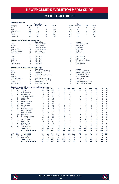### vs chicago fire fc

|                  |                        |                                                                  | <b>Revolution</b>                          |                |               |                     |                          |                |                    | Chicago                                        |                     |                         |                |                         |                                  |
|------------------|------------------------|------------------------------------------------------------------|--------------------------------------------|----------------|---------------|---------------------|--------------------------|----------------|--------------------|------------------------------------------------|---------------------|-------------------------|----------------|-------------------------|----------------------------------|
| <b>Category</b>  |                        | 1st Half                                                         | 2nd Half                                   | OT             | <b>Totals</b> |                     |                          | 1st Half       |                    | 2nd Half                                       | ОT                  |                         | <b>Totals</b>  |                         |                                  |
| Goals            |                        | 37                                                               | 54                                         | 1              | 92            |                     |                          | 50             |                    | 49                                             | 0                   |                         | 99             |                         |                                  |
| Shots            |                        | 357                                                              | 473                                        | 8              | 838           |                     |                          | 391            |                    | 431                                            | 9                   |                         | 831            |                         |                                  |
|                  | Shots on Goal          | 144                                                              | 207                                        | $\overline{4}$ | 355           |                     |                          | 179            |                    | 183                                            | 4                   |                         | 366            |                         |                                  |
| Fouls            |                        | 429                                                              | 479                                        | 8              | 916           |                     |                          | 429            |                    | 488                                            | 8                   |                         | 925            |                         |                                  |
| Offsides         |                        | 62                                                               | 73                                         | $\mathbf 0$    | 135           |                     |                          | 124            |                    | 87                                             | 1                   |                         | 212            |                         |                                  |
| Corner Kicks     |                        | 143                                                              | 199                                        | 3              | 346           |                     |                          | 144            |                    | 181                                            | 1                   |                         | 326            |                         |                                  |
|                  |                        | <b>All-Time Regular Season Series Leaders</b>                    | <b>Revolution</b>                          |                |               |                     |                          |                |                    |                                                |                     |                         |                |                         |                                  |
| Goals            |                        | 12                                                               | Taylor Twellman                            |                |               |                     |                          | 5              |                    | Chicago<br>Three Players Tied                  |                     |                         |                |                         |                                  |
| Assists          |                        | $\overline{7}$                                                   | Jose Cancela                               |                |               |                     |                          | $\overline{7}$ |                    | Jesse Marsch                                   |                     |                         |                |                         |                                  |
| Shots            |                        | 61                                                               | <b>Taylor Twellman</b>                     |                |               |                     |                          | 48             |                    | Ante Razov                                     |                     |                         |                |                         |                                  |
|                  | Shots on Goal          | 33                                                               | Taylor Twellman                            |                |               |                     |                          | 24             |                    | Ante Razov                                     |                     |                         |                |                         |                                  |
|                  | <b>Fouls Committed</b> | 40                                                               | Jay Heaps                                  |                |               |                     |                          | 44             |                    | C.J. Brown                                     |                     |                         |                |                         |                                  |
|                  | <b>Fouls Suffered</b>  | 56                                                               | Taylor Twellman                            |                |               |                     |                          | 35             |                    | Peter Nowak                                    |                     |                         |                |                         |                                  |
| Wins             |                        | 10                                                               | Matt Reis                                  |                |               |                     |                          | 8              |                    | Zach Thornton                                  |                     |                         |                |                         |                                  |
| Losses           |                        | 14                                                               | Matt Reis                                  |                |               |                     |                          | 10             |                    | Zach Thornton                                  |                     |                         |                |                         |                                  |
| Shutouts         |                        | $\overline{7}$                                                   | Matt Reis                                  |                |               |                     |                          | 5              |                    | Z. Thornton / J. Busch                         |                     |                         |                |                         |                                  |
| Saves            |                        | 114                                                              | Matt Reis                                  |                |               |                     |                          | 81             |                    | Zach Thornton                                  |                     |                         |                |                         |                                  |
|                  | Goals Allowed          | 39                                                               | Matt Reis                                  |                |               |                     |                          | 36             |                    | Zach Thornton                                  |                     |                         |                |                         |                                  |
|                  |                        | <b>All-Time Regular Season Series Game Highs</b>                 |                                            |                |               |                     |                          |                |                    |                                                |                     |                         |                |                         |                                  |
|                  |                        |                                                                  | <b>Revolution</b>                          |                |               |                     |                          |                |                    | Chicago                                        |                     |                         |                |                         |                                  |
| Goals<br>Assists |                        | 3<br>$\overline{c}$                                              | Chris Brown (8/30/03)<br><b>Five Times</b> |                |               |                     |                          | 3<br>3         |                    | Ante Razov (5/19/02)                           |                     |                         |                |                         |                                  |
| Shots            |                        | 9                                                                | Mamadou Diallo (5/19/02)                   |                |               |                     |                          | 10             |                    | Patrick Doody (8/5/17)<br>Ante Razov (4/27/02) |                     |                         |                |                         |                                  |
|                  | Shots on Goal          | 4                                                                | <b>Six Times</b>                           |                |               |                     |                          | 6              |                    | Ante Razov (5/19/02)                           |                     |                         |                |                         |                                  |
|                  | <b>Fouls Committed</b> | 7                                                                | Teal Bunbury (7/23/16)                     |                |               |                     |                          | 6              |                    | <b>Three Times</b>                             |                     |                         |                |                         |                                  |
|                  | <b>Fouls Suffered</b>  | 8                                                                | Clint Dempsey (7/11/04)                    |                |               |                     |                          | 6              |                    | <b>Three Times</b>                             |                     |                         |                |                         |                                  |
| Saves            |                        | 8                                                                | <b>Three Times</b>                         |                |               |                     |                          | 10             |                    | Zach Thornton (5/19/02)                        |                     |                         |                |                         |                                  |
|                  | Goals Allowed          | 5                                                                | Matt Turner (5/8/19)                       |                |               |                     |                          | 5              |                    | Zach Thornton (8/30/03)                        |                     |                         |                |                         |                                  |
|                  |                        | <b>Current Revolution Players' Career Statistics vs. Chicago</b> |                                            |                |               |                     |                          |                |                    |                                                |                     |                         |                |                         |                                  |
| <b>UNF</b>       | POS                    | <b>PLAYER</b>                                                    | GP                                         | GS             | <b>MIN</b>    | G                   | A                        | <b>SHT</b>     | <b>SOG</b>         | FC                                             | FS                  | <b>OFF</b>              | CK             | C                       | E                                |
| 14               | F                      | Jozy Altidore                                                    | 14                                         | 12             | 1063          | 8                   | $\overline{\phantom{a}}$ | 24             | 14                 | 21                                             | 24                  | $\overline{4}$          | $\Omega$       | $\overline{2}$          | 0                                |
| 3                | D                      | Omar Gonzalez                                                    | 11                                         | 11             | 990           | 4                   | $\overline{2}$           | 8              | 5                  | $\overline{7}$                                 | 6                   | 0                       | 0              | 1                       | 0                                |
| 7                | F                      | Gustavo Bou                                                      | 6                                          | 5              | 495           | 3                   | 1                        | 20             | 9                  | 1                                              | $\overline{4}$      | 10                      | 5              | 1                       | 0                                |
| 26<br>9          | M<br>F                 | Tommy McNamara                                                   | 11<br>$\overline{4}$                       | 8<br>3         | 617<br>282    | $\overline{c}$      | $\overline{c}$<br>1      | 9<br>13        | 6<br>8             | 6<br>4                                         | 9<br>$\overline{4}$ | $\mathbf 0$<br>$\Omega$ | 1<br>$\Omega$  | $\mathbf 0$<br>$\Omega$ | $\overline{0}$<br>$\overline{0}$ |
| 10               | Ë                      | Adam Buksa<br>Carles Gil                                         | 5                                          | 4              | 405           | $\overline{c}$<br>1 | 3                        | 9              | 4                  | $\mathbf 0$                                    | 11                  | $\mathbf 0$             | 31             | 1                       | Ō                                |
| 5                | M                      | Wilfrid Kaptoum                                                  | 3                                          | $\overline{c}$ | 166           | 1                   | $\mathbf 0$              | $\overline{4}$ | 1                  | 3                                              | 1                   | $\mathbf 0$             | $\mathbf 0$    | $\mathbf 0$             | $\overline{0}$                   |
| 4                | D                      | Henry Kessler                                                    | 5                                          | 4              | 405           | 1                   | $\mathbf 0$              | $\overline{2}$ | 1                  | 7                                              | 1                   | 0                       | 0              | 1                       | 0                                |
| 15               | F                      | <b>Brandon Bye</b>                                               | 7                                          | 6              | 516           | Ō                   | $\overline{c}$           | 8              | 1                  | 4                                              | 8                   | $\mathbf 0$             | $\Omega$       | 1                       | 0                                |
| 23               | D                      | Jon Bell                                                         | 1                                          | 1              | 90            | Ō                   | $\mathbf{1}$             | $\Omega$       | 0                  | 1                                              | $\Omega$            | $\Omega$                | $\Omega$       | $\Omega$                | 0                                |
| 17               | M                      | Sebastian Lletget                                                | $\overline{\mathbf{c}}$                    | $\overline{c}$ | 175           | Ō                   | 1                        | $\overline{c}$ | 0                  | 3                                              | $\overline{c}$      | 1                       | 4              | 1                       | 0                                |
| 18               | GK                     | <b>Brad Knighton</b>                                             | 6                                          | 6              | 523           | Ō                   | 1                        | 0              | $\mathbf 0$        | 1                                              | $\mathbf 0$         | 0                       | 0              | 0                       | 1                                |
| 25               | M                      | Arnor Traustason                                                 | 1                                          | 1              | 61            | Ō                   | 1                        | 1              | $\overline{0}$     | 1                                              | $\mathbf 0$         | $\mathbf 0$             | $\overline{2}$ | $\Omega$                | Ō                                |
| 30               | GK                     | Matt Turner                                                      | $\overline{7}$                             | $\overline{7}$ | 630           | Ō                   | 1                        | $\mathbf 0$    | Ō                  | Ō                                              | $\overline{c}$      | $\mathbf 0$             | $\mathbf 0$    | $\mathbf 0$             | Ō                                |
| 11               | F                      | <b>Emmanuel Boateng</b>                                          | 7                                          | 1              | 257           | Ō                   | $\mathbf 0$              | 1              | Ō                  | 1                                              | 4                   | $\mathbf 0$             | 1              | $\mathbf 0$             | $\overline{0}$                   |
| 28               | D                      | A.J. DeLaGarza                                                   | 10                                         | 9              | 715           | Ō                   | $\mathbf 0$              | 1              | 0                  | 12                                             | 6                   | $\mathbf 0$             | 0              | $\mathbf 0$             | $\overline{0}$                   |
| $\overline{c}$   | D                      | Andrew Farrell                                                   | 23                                         | 23             | 2070          | Ō                   | $\mathbf 0$              | 3              | 1                  | 9                                              | 20                  | $\mathbf 0$             | $\mathbf 0$    | 1                       | Ó                                |
| 24               | D                      | DeJuan Jones                                                     | 6                                          | 4              | 381           | Ō                   | $\mathbf 0$              | $\overline{2}$ | $\overline{c}$     | 5                                              | 5                   | 0                       | 0              | 1                       | 1                                |
| 19               | F                      | Edward Kizza                                                     | $\overline{c}$                             | 1              | 52            | Ō                   | $\mathbf 0$              | 1              | $\mathbf 0$        | 1                                              | 1                   | $\mathbf 0$             | 0              | 0                       | 0                                |
| 8                | M<br>F                 | <b>Matt Polster</b>                                              | 3                                          | 3              | 258           | Ō                   | $\Omega$                 | 1              | $\Omega$           | 6                                              | 5                   | $\Omega$                | $\Omega$       | $\Omega$                | 0                                |
| 12               |                        | <b>Justin Rennicks</b><br><b>TEAM TOTALS</b>                     | 1<br>67                                    | 0<br>67        | 11<br>6071    | Ō<br>92             | $\mathbf 0$<br>97        | 1<br>838       | $\mathbf 0$<br>355 | 0<br>916                                       | $\mathbf 0$<br>925  | 0<br>135                | 0<br>345       | 0<br>117                | 0<br>11                          |
|                  |                        | <b>OPPONENT TOTALS</b>                                           | 67                                         | 67             | 6071          | 99                  | 97                       | 831            | 366                | 925                                            | 892                 | 212                     | 328            | 125                     | 5                                |
| <b>UNF</b>       | POS                    | <b>GOALKEEPER</b>                                                | GP                                         | GS             | <b>MIN</b>    | <b>SHTS</b>         | <b>SV</b>                | GA             | <b>GAA</b>         | PG                                             | PA                  | W                       | г              | т                       | so                               |
| 18               | GK                     | <b>Brad Knighton</b>                                             | 6                                          | 6              | 523           | 29                  | 23                       | $\overline{7}$ | 1.20               | 1                                              | 1                   | $\overline{c}$          | 0              | 3                       | 1                                |
| 30               | GK                     | <b>Matt Turner</b>                                               | $\overline{7}$                             | $\overline{7}$ | 630           | 42                  | 27                       | 14             | 2.00               | $\mathbf 0$                                    | $\mathbf 0$         | 3                       | 1              | 3                       | $\circ$                          |
|                  |                        | <b>TEAM TOTALS</b>                                               | 67                                         | 67             | 6071          | 366                 | 255                      | 99             | 1.47               | $\overline{7}$                                 | 11                  | 24                      | 27             | 16                      | 14                               |
|                  |                        | <b>OPPONENT TOTALS</b>                                           | 67                                         | 67             | 6071          | 355                 | 251                      | 92             | 1.36               | 4                                              | 5                   | 27                      | 24             | 16                      | 12                               |



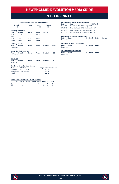### **Vs FC CINCINNATI**

#### **ALL-TIME ALL-COMPETITIONS RECORD**

| Overall<br>$3 - 1 - 0$       |                           | Home<br>$1 - 1 - 0$ | Away<br>$2 - 0 - 0$ | <b>Neutral</b><br>$0 - 0 - 0$ |               |
|------------------------------|---------------------------|---------------------|---------------------|-------------------------------|---------------|
|                              | <b>MLS Regular Season</b> |                     |                     |                               |               |
| Year                         | Overall                   | Home                | Away                | SO*/OT                        |               |
| 2019                         | $1 - 1 - 0$               | $0 - 1 - 0$         | $1 - 0 - 0$         |                               |               |
| 2020                         |                           |                     |                     |                               |               |
| 2021                         | $2 - 0 - 0$               | $1 - 0 - 0$         | $1 - 0 - 0$         |                               |               |
| <b>Totals</b><br>$3 - 1 - 0$ |                           | $1 - 1 - 0$         | $2 - 0 - 0$         |                               |               |
|                              | <b>MLS Cup Playoffs</b>   |                     |                     |                               |               |
| Year                         | Overall                   | Home                | Away                | <b>Neutral</b>                | <b>Series</b> |
| Never met                    |                           |                     |                     |                               |               |
|                              | Lamar Hunt U.S. Open Cup  |                     |                     |                               |               |
| <b>Year</b>                  | Overall                   | Home                | Away                | <b>Neutral</b>                | <b>SO</b>     |
| Never met                    |                           |                     |                     |                               |               |
| <b>SuperLiga</b>             |                           |                     |                     |                               |               |
| Year                         | Overall                   | Home                | Away                | <b>Neutral</b>                | <b>SO</b>     |
| Never met                    |                           |                     |                     |                               |               |
|                              |                           |                     |                     |                               |               |

| Date              | Score                                     |                                            | <b>NE Result</b> |               |  |  |  |  |  |  |  |  |  |
|-------------------|-------------------------------------------|--------------------------------------------|------------------|---------------|--|--|--|--|--|--|--|--|--|
| 03/24/19          | FC Cincinnati 2 at New England 0          |                                            | I.               |               |  |  |  |  |  |  |  |  |  |
| 07/21/19          |                                           | New England 2 at FC Cincinnati 0<br>W<br>W |                  |               |  |  |  |  |  |  |  |  |  |
| 05/29/21          |                                           | New England 1 at FC Cincinnati 0           |                  |               |  |  |  |  |  |  |  |  |  |
| 08/21/21          | FC Cincinnati 1 at New England 4          |                                            | W                |               |  |  |  |  |  |  |  |  |  |
|                   |                                           |                                            |                  |               |  |  |  |  |  |  |  |  |  |
|                   | <b>All-Time MLS Cup Playoffs Meetings</b> |                                            |                  |               |  |  |  |  |  |  |  |  |  |
| Date              | <b>Score</b>                              | <b>NE Result</b>                           | <b>Notes</b>     | <b>Series</b> |  |  |  |  |  |  |  |  |  |
| Never met         |                                           |                                            |                  |               |  |  |  |  |  |  |  |  |  |
|                   | <b>All-Time U.S. Open Cup Meetings</b>    |                                            |                  |               |  |  |  |  |  |  |  |  |  |
| Date              | <b>Score</b>                              | <b>NE Result</b>                           | <b>Notes</b>     |               |  |  |  |  |  |  |  |  |  |
| Never met         |                                           |                                            |                  |               |  |  |  |  |  |  |  |  |  |
|                   |                                           |                                            |                  |               |  |  |  |  |  |  |  |  |  |
|                   | <b>All-Time SuperLiga Meetings</b>        |                                            |                  |               |  |  |  |  |  |  |  |  |  |
|                   |                                           |                                            |                  |               |  |  |  |  |  |  |  |  |  |
| Date<br>Never met | <b>Score</b>                              | <b>NE Result</b>                           | <b>Notes</b>     |               |  |  |  |  |  |  |  |  |  |

**All-Time MLS Regular Season Meetings**

### **Revolution Record at Away Venues Years Stadium Reg. Season Postseason**

| <b>TGGIS</b>  | <b>Jiaulum</b>           | ncu, Jeasull Fusiseasull |   |  |  |  |  |  |
|---------------|--------------------------|--------------------------|---|--|--|--|--|--|
| 2019-2020     | Nippert Stadium          | $1 - 0 - 0$              | ۰ |  |  |  |  |  |
|               | 2021-present TOL Stadium | $1 - 0 - 0$              | ٠ |  |  |  |  |  |
| <b>Totals</b> |                          | $1 - 0 - 0$              |   |  |  |  |  |  |

#### **Goals Scored by Interval – Regular Season**

|  | 1-15 16-30 31-45 46-60 61-75 76-90 OT Total |  |  |  |
|--|---------------------------------------------|--|--|--|
|  | NF 2 1 1 1 2 0 0 7                          |  |  |  |
|  | CIN 0 0 1 1 1 0 0 3                         |  |  |  |



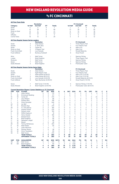# vs fc cincinnati

|                |                                                 |                                                                        | <b>Revolution</b>                   |                |                   |                         |                |                            |                | <b>FC Cincinnati</b>               |                |                |                         |                          |                            |
|----------------|-------------------------------------------------|------------------------------------------------------------------------|-------------------------------------|----------------|-------------------|-------------------------|----------------|----------------------------|----------------|------------------------------------|----------------|----------------|-------------------------|--------------------------|----------------------------|
| Category       |                                                 | 1st Half                                                               | 2nd Half                            | OT             | <b>Totals</b>     |                         |                | 1st Half                   |                | 2nd Half                           | OT             |                | <b>Totals</b>           |                          |                            |
| Goals          |                                                 | 4                                                                      | 3                                   | $\mathbf 0$    | 7                 |                         |                | 1                          |                | $\overline{c}$                     | 0              |                | 3                       |                          |                            |
| Shots          |                                                 | 41                                                                     | 28                                  | $\mathbf 0$    | 69                |                         |                | 21                         |                | 29                                 | $\mathbf 0$    |                | 50                      |                          |                            |
|                | Shots on Goal                                   | 12                                                                     | 9                                   | $\Omega$       | 21                |                         |                | 6                          |                | 13                                 | $\Omega$       |                | 19                      |                          |                            |
| Fouls          |                                                 | 24                                                                     | 30                                  | $\mathbf 0$    | 54                |                         |                | 21                         |                | 27                                 | $\mathbf 0$    |                | 48                      |                          |                            |
| Offsides       |                                                 | $\overline{c}$                                                         | 3                                   | $\mathbf 0$    | 5                 |                         |                | 5                          |                | 5                                  | 0              |                | 10                      |                          |                            |
| Corner Kicks   |                                                 | 16                                                                     | 13                                  | $\mathbf 0$    | 29                |                         |                | 3                          |                | 9                                  | $\mathbf 0$    |                | 12                      |                          |                            |
|                |                                                 | <u>All-Time Regular Season Series Leaders</u>                          |                                     |                |                   |                         |                |                            |                |                                    |                |                |                         |                          |                            |
|                |                                                 |                                                                        | <b>Revolution</b>                   |                |                   |                         |                |                            |                | <b>FC Cincinnati</b>               |                |                |                         |                          |                            |
| Goals          |                                                 | 3                                                                      | Adam Buksa                          |                |                   |                         |                | 1                          |                | Three Players Tied                 |                |                |                         |                          |                            |
| <b>Assists</b> |                                                 | $\overline{c}$                                                         | C. Gil/G. Bou                       |                |                   |                         |                | 1                          |                | Four Players Tied                  |                |                |                         |                          |                            |
| Shots          |                                                 | 5                                                                      | Carles Gil                          |                |                   |                         |                | 8                          |                | Allan Cruz                         |                |                |                         |                          |                            |
|                | Shots on Goal                                   | $\overline{\mathbf{c}}$                                                | 3 Players Tied                      |                |                   |                         |                | 3                          |                | Allan Cruz                         |                |                |                         |                          |                            |
|                | <b>Fouls Committed</b><br><b>Fouls Suffered</b> | 5<br>3                                                                 | Luis Caicedo                        |                |                   |                         |                | $\overline{7}$<br>6        |                | Ronald Matarrita<br>Alvas Powell   |                |                |                         |                          |                            |
|                |                                                 |                                                                        | Bunbury/Caldwell                    |                |                   |                         |                |                            |                |                                    |                |                |                         |                          |                            |
| Wins           |                                                 | 1                                                                      | Matt Turner                         |                |                   |                         |                | 1                          |                | <b>Spencer Richey</b>              |                |                |                         |                          |                            |
| Losses         |                                                 | 1                                                                      | <b>Brad Knighton</b>                |                |                   |                         |                | 1                          |                | Three Players Tied                 |                |                |                         |                          |                            |
| Shutouts       |                                                 | $\mathbf{1}$<br>$\overline{7}$                                         | Matt Turner                         |                |                   |                         |                | 1<br>$\overline{7}$        |                | <b>Spencer Richey</b>              |                |                |                         |                          |                            |
| Saves          | Goals Allowed                                   | $\overline{c}$                                                         | Matt Turner<br><b>Brad Knighton</b> |                |                   |                         |                | 4                          |                | Spencer Richey<br>Przemyslaw Tyton |                |                |                         |                          |                            |
|                |                                                 |                                                                        |                                     |                |                   |                         |                |                            |                |                                    |                |                |                         |                          |                            |
|                |                                                 | All-Time Regular Season Series Game Highs                              | <b>Revolution</b>                   |                |                   |                         |                |                            |                | <b>FC Cincinnati</b>               |                |                |                         |                          |                            |
| Goals          |                                                 | $\overline{c}$                                                         | Adam Buksa                          |                |                   |                         |                | 1                          |                | Three Players Tied                 |                |                |                         |                          |                            |
| Assists        |                                                 | 1                                                                      | <b>Eight Players Tied</b>           |                |                   |                         |                | 1                          |                | Four Players Tied                  |                |                |                         |                          |                            |
| Shots          |                                                 | $\overline{7}$                                                         | Adam Buksa (5/29/21)                |                |                   |                         |                | 5                          |                | Allan Cruz (7/21/19)               |                |                |                         |                          |                            |
|                | Shots on Goal                                   | 3                                                                      | Adam Buksa (8/21/21)                |                |                   |                         |                | 3                          |                | Allan Cruz (7/21/19)               |                |                |                         |                          |                            |
|                | <b>Fouls Committed</b>                          | 5                                                                      | Luis Caicedo (3/24/19)              |                |                   |                         |                | $\overline{4}$             |                | Ronald Matarrita (8/21/21)         |                |                |                         |                          |                            |
|                | <b>Fouls Suffered</b>                           | 6                                                                      | Tajon Buchanan (5/29/21)            |                |                   |                         |                | 6                          |                | Alvas Powell (7/21/19)             |                |                |                         |                          |                            |
| Saves          |                                                 | $\overline{7}$                                                         | Matt Turner (7/21/19)               |                |                   |                         |                | 5                          |                | Spencer Richey (7/21/19)           |                |                |                         |                          |                            |
|                | Goals Allowed                                   | $\overline{c}$                                                         | Brad Knighton (3/24/19)             |                |                   |                         |                | 4                          |                | Przemyslaw Tyton (8/21/21)         |                |                |                         |                          |                            |
|                |                                                 | <b>Current Revolution Players' Career Statistics vs. FC Cincinnati</b> |                                     |                |                   |                         |                |                            |                |                                    |                |                |                         |                          |                            |
| <b>UNF</b>     | POS                                             | <b>PLAYER</b>                                                          | <b>GP</b>                           | GS             | <b>MIN</b>        | G                       | A              | <b>SHT</b>                 | <b>SOG</b>     | FC                                 | FS             | OFF            | CK                      | c                        | E                          |
| 9              | F                                               | Adam Buksa                                                             | $\overline{\mathbf{c}}$             | $\overline{c}$ | 179               | 3                       | $\mathbf{1}$   | 11                         | 4              | 4                                  | $\overline{c}$ | 2              | $\circ$                 | $\mathbf 0$              | 0                          |
| 11             | M                                               | <b>Emmanuel Boateng</b>                                                | 4                                   | 3              | 211               | $\overline{c}$          | $\mathbf{1}$   | 6                          | 3              | 3                                  | 0              | 1              | 1                       | $\overline{c}$           | $\mathbf 0$                |
| 10             | M                                               | Carles Gil                                                             | 3                                   | 3              | 270               | 1                       | $\overline{2}$ | $\overline{7}$             | 3              | 1                                  | 4              | $\Omega$       | 23                      | $\mathbf 0$              | $\mathbf 0$                |
| 14             | F                                               | Jozy Altidore                                                          | 1                                   | 1              | 86                | 1                       | 0              | 1                          | $\mathbf{1}$   | $\overline{2}$                     | $\overline{c}$ | 0              | $\mathbf 0$             | $\mathbf 0$              | 0                          |
| 7              | F                                               | Gustavo Bou                                                            | $\overline{\mathbf{c}}$             | $\overline{c}$ | 159               | 0                       | $\overline{c}$ | 4                          | $\overline{c}$ | 0                                  | 1              | $\overline{c}$ | $\overline{c}$          | 0                        | 0                          |
| 3<br>23        | D<br>D                                          | Omar Gonzalez<br>Jon Bell                                              | 6<br>$\mathbf{1}$                   | 6<br>$\Omega$  | 540<br>13         | $\mathbf 0$<br>$\Omega$ | 1<br>$\Omega$  | $\overline{4}$<br>$\Omega$ | 1<br>$\Omega$  | $\overline{c}$<br>$\Omega$         | 2<br>$\Omega$  | 1<br>$\Omega$  | $\mathbf 0$<br>$\Omega$ | $\mathbf{1}$<br>$\Omega$ | 0<br>$\mathbf 0$           |
| 15             | D                                               |                                                                        | 3                                   | 3              | 270               | 0                       | 0              | $\overline{7}$             | 3              | $\overline{4}$                     | 1              | Ò              | $\mathbf 0$             | $\mathbf 0$              | $\mathbf 0$                |
| 28             | D                                               | <b>Brandon Bye</b><br>A.J. DeLaGarza                                   | $\overline{\mathbf{c}}$             | 2              | 180               | 0                       | 0              | 0                          | 0              | 4                                  | 2              | 1              | $\mathbf 0$             | 0                        | 0                          |
| 2              | D                                               | <b>Andrew Farrell</b>                                                  | 3                                   | 3              | 270               | 0                       | 0              | 1                          | $\mathbf 0$    | $\overline{2}$                     | 0              | 0              | $\mathbf 0$             | 1                        | 0                          |
| 24             | D                                               | DeJuan Jones                                                           | 3                                   | $\overline{c}$ | 193               | 0                       | $\mathbf 0$    | $\overline{2}$             | Ō              | 1                                  | 1              | $\mathbf 0$    | $\mathbf 0$             | $\mathbf 0$              | $\mathbf 0$                |
| 5              | M                                               | Wilfrid Kaptoum                                                        | 1                                   | 0              | 16                | 0                       | 0              | 0                          | 0              | $\mathbf 0$                        | 0              | 0              | $\mathbf 0$             | $\mathbf 0$              | 0                          |
| 4              | D                                               | Henry Kessler                                                          | $\overline{c}$                      | $\overline{c}$ | 180               | 0                       | 0              | 1                          | 1              | $\overline{2}$                     | $\overline{c}$ | Ō              | $\mathbf 0$             | 1                        | 0                          |
| 19             | F                                               | <b>Edward Kizza</b>                                                    | 1                                   | 0              | 25                | 0                       | 0              | $\mathbf{0}$               | $\mathbf 0$    | $\mathbf 0$                        | $\mathbf 0$    | 0              | $\mathbf 0$             | $\mathbf 0$              | $\mathbf 0$                |
| 18             | G                                               | <b>Brad Knighton</b>                                                   | 1                                   | 1              | 90                | $\mathbf 0$             | 0              | $\mathbf 0$                | Ō              | $\mathbf 0$                        | $\mathbf 0$    | Ō              | $\mathbf 0$             | $\mathbf 0$              | $\mathbf 0$                |
| 17             | M                                               | Sebastian Lletget                                                      | 1                                   | 1              | 89                | 0                       | 0              | $\mathbf 0$                | Ō              | $\mathbf 0$                        | 1              | 1              | $\overline{c}$          | $\mathbf 0$              | $\mathbf 0$                |
| 13             | M                                               | Maciel                                                                 | 1                                   | 0              | 28                | 0                       | 0              | $\mathbf 0$                | $\mathbf 0$    | $\mathbf 0$                        | 0              | 0              | $\mathbf 0$             | $\mathbf 0$              | 0                          |
| 26             | Μ                                               | Tommy McNamara                                                         | 3                                   | 3              | 254               | 0                       | 0              | 5                          | 1              | 5                                  | 8              | $\Omega$       | 0                       | 1                        | 0                          |
| 8              | M                                               | Matt Polster                                                           | 1                                   | 1              | 90                | $\mathbf 0$             | 0              | 1                          | $\mathbf 0$    | $\mathbf 0$                        | $\mathbf 0$    | $\mathbf 0$    | $\mathbf 0$             | 0                        | 0                          |
| 12             | F                                               | <b>Justin Rennicks</b>                                                 | 1                                   | $\Omega$       | 1                 | $\Omega$                | $\Omega$       | $\Omega$                   | $\Omega$       | 1                                  | $\mathbf{1}$   | $\Omega$       | $\Omega$                | $\Omega$                 | $\mathbf 0$                |
| 72             | M                                               | Damian Rivera                                                          | 1                                   | 0              | 28                | 0                       | 0              | $\mathbf 0$                | Ō              | 0                                  | 0              | $\Omega$       | $\mathbf 0$             | $\mathbf 0$              | 0                          |
| 25             | M                                               | Arnor Traustason                                                       | 1                                   | 1              | 65                | 0                       | 0              | $\overline{c}$             | $\mathbf 0$    | 0                                  | 1              | 0              | $\mathbf 0$             | 0                        | 0                          |
| 30             | G                                               | Matt Turner                                                            | 3                                   | 3              | 270               | $\mathbf 0$             | $\mathbf 0$    | $\mathbf 0$                | $\mathbf 0$    | $\mathbf 0$                        | $\mathbf 0$    | $\mathbf 0$    | $\mathbf 0$             | $\mathbf 0$              | $\mathbf{0}$               |
|                |                                                 | <b>TEAM TOTALS</b><br><b>OPPONENT TOTALS</b>                           | 4<br>4                              | 4<br>4         | 360<br>360        | 7<br>3                  | 8<br>4         | 69<br>50                   | 21<br>19       | 54<br>48                           | 48<br>54       | 5<br>10        | 29<br>12                | $\overline{7}$<br>4      | $\mathbf 0$<br>$\mathbf 0$ |
|                | POS                                             |                                                                        | GP                                  | GS             |                   |                         | <b>SV</b>      |                            |                | PG                                 |                | W              |                         | т                        | SO                         |
| UNF<br>30      | GK                                              | <b>GOALKEEPER</b><br>Matt Turner                                       | 3                                   | 3              | <b>MIN</b><br>270 | <b>SHTS</b><br>15       | 14             | GA<br>$\mathbf{1}$         | GAA<br>0.33    | 0                                  | PA<br>0        | 3              | L<br>$\mathbf 0$        | $\mathbf 0$              | $\overline{c}$             |
| 18             | GK                                              | <b>Brad Knighton</b>                                                   | 1                                   | 1              | 90                | 4                       | $\overline{c}$ | $\overline{c}$             | 2.00           | $\circ$                            | 0              | 0              | 1                       | $\mathbf 0$              | $\circ$                    |
|                |                                                 | <b>TEAM TOTALS</b>                                                     | 4                                   | 4              | 360               | 19                      | 16             | 3                          | 0.75           | $\mathbf 0$                        | $\mathbf 0$    | 3              | 1                       | $\mathbf 0$              | 2                          |
|                |                                                 | <b>OPPONENT TOTALS</b>                                                 | 4                                   | 4              | 360               | 21                      | 14             | 7                          | 2.33           | $\Omega$                           | $\mathbf 0$    | 1              | 3                       | $\mathbf 0$              | 1                          |
|                |                                                 |                                                                        |                                     |                |                   |                         |                |                            |                |                                    |                |                |                         |                          |                            |



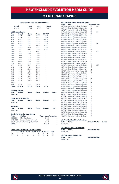# **V<sub>s</sub> COLORADO RAPIDS**

#### **ALL-TIME ALL-COMPETITIONS RECORD**

| Overall<br>$18 - 20 - 9$ |                                         | Home<br>$13 - 6 - 5$       | Away<br>$5 - 14 - 4$ | <b>Neutral</b><br>$0 - 0 - 0$ |               |
|--------------------------|-----------------------------------------|----------------------------|----------------------|-------------------------------|---------------|
|                          | <b>MLS Regular Season</b>               |                            |                      |                               |               |
| Year                     | Overall                                 | Home                       | Away                 | SO*/OT                        |               |
| 1996                     | $2 - 1 - 0$                             | $2 - 0 - 0$                | $0 - 1 - 0$          | $1 - 0 - 0*$                  |               |
| 1997                     | $2 - 1 - 0$                             | $1 - 0 - 0$                | $1 - 1 - 0$          | $1 - 0 - 0*$                  |               |
| 1998                     | $0 - 2 - 0$                             | $0 - 1 - 0$                | $0 - 1 - 0$          | $0 - 0 - 0*$                  |               |
| 1999                     | $0 - 2 - 0$                             | $0 - 1 - 0$                | $0 - 1 - 0$          | $0 - 1 - 0*$                  |               |
| 2000                     | $0 - 2 - 0$                             | $0 - 1 - 0$                | $0 - 1 - 0$          | $0 - 0 - 0$                   |               |
| 2001                     | $1 - 0 - 1$                             | $0 - 0 - 1$                | $1 - 0 - 0$          | $0 - 0 - 1$                   |               |
| 2002                     | $2 - 2 - 0$                             | $1 - 1 - 0$                | $1 - 1 - 0$          | $0 - 0 - 0$                   |               |
| 2003                     | $1 - 1 - 1$                             | $1 - 0 - 1$                | $0 - 1 - 0$          | $0 - 0 - 1$                   |               |
| 2004                     | $1 - 1 - 1$                             | $1 - 0 - 0$                | $0 - 1 - 1$          | L,                            |               |
| 2005                     | $0 - 1 - 1$                             | $0 - 0 - 1$                | $0 - 1 - 0$          |                               |               |
| 2006                     | $1 - 1 - 0$                             | $1 - 0 - 0$                | $0 - 1 - 0$          | L,                            |               |
| 2007                     | $1 - 1 - 0$                             | $1 - 0 - 0$                | $0 - 1 - 0$          | L                             |               |
| 2008                     | $0 - 1 - 1$                             | $0 - 1 - 0$                | $0 - 0 - 1$          | í.                            |               |
| 2009                     | $0 - 0 - 2$                             | $0 - 0 - 1$                | $0 - 0 - 1$          | í.                            |               |
| 2010                     | $0 - 2 - 0$                             | $0 - 1 - 0$                | $0 - 1 - 0$          | í.                            |               |
| 2011                     | $0 - 0 - 2$                             | $0 - 0 - 1$                | $0 - 0 - 1$          | í,                            |               |
| 2012                     | $1 - 0 - 0$                             | $1 - 0 - 0$                | $0 - 0 - 0$          | L,                            |               |
| 2013                     | $0 - 1 - 0$                             | $0 - 0 - 0$                | $0 - 1 - 0$          | L,                            |               |
| 2014                     | $1 - 0 - 0$                             | $1 - 0 - 0$                | $0 - 0 - 0$          | í.                            |               |
| 2015                     | $1 - 0 - 0$                             | $0 - 0 - 0$                | $1 - 0 - 0$          |                               |               |
| 2016                     | $1 - 0 - 0$                             | $1 - 0 - 0$                | $0 - 0 - 0$          |                               |               |
| 2017                     | $0 - 1 - 0$                             | $0 - 0 - 0$                | $0 - 1 - 0$          | L                             |               |
| 2018                     | $1 - 0 - 0$                             | $1 - 0 - 0$                | $0 - 1 - 0$          |                               |               |
| 2019                     | $1 - 0 - 0$                             | $0 - 0 - 0$                | $1 - 0 - 0$          | L                             |               |
| 2020                     | ÷                                       | ÷,                         | ÷,                   | L                             |               |
| 2021                     | $1 - 0 - 0$                             | $1 - 0 - 0$                | $0 - 0 - 0$          | L,                            |               |
| <b>Totals</b>            | $18 - 20 - 9$                           | $13 - 6 - 5$               | $5 - 14 - 4$         | $2 - 1 - 2$                   |               |
|                          | <b>MLS Cup Playoffs</b>                 |                            |                      |                               |               |
| Year                     | Overall                                 | Home                       | Away                 | <b>Neutral</b>                | <b>Series</b> |
| Never met                |                                         |                            |                      |                               |               |
|                          | Lamar Hunt U.S. Open Cup                |                            |                      |                               |               |
| Year                     | Overall                                 | Home                       | Away                 | <b>Neutral</b>                | <b>SO</b>     |
| Never met                |                                         |                            |                      |                               |               |
| <b>SuperLiga</b>         |                                         |                            |                      |                               |               |
| Year                     | Overall                                 | Home                       | Away                 | <b>Neutral</b>                | <b>SO</b>     |
| Never met                |                                         |                            |                      |                               |               |
|                          | <b>Revolution Record at Away Venues</b> |                            |                      |                               |               |
| <b>Years</b>             | <b>Stadium</b>                          |                            |                      | <b>Reg. Season Postseason</b> |               |
| 1996-2001                |                                         | Mile High Stadium          |                      | $2 - 5 - 0$                   |               |
| 2002-2006                |                                         | Invesco Field at Mile High |                      | $1 - 5 - 1$                   |               |
|                          | 2007-Present Dick's Sporting Goods Park |                            |                      | $2 - 4 - 3$                   |               |
| <b>Totals</b>            |                                         |                            |                      | $5 - 14 - 4$                  |               |

| <b>Goals Scored by Interval - Regular Season</b> |    |                                       |                |    |                  |     |              |              |
|--------------------------------------------------|----|---------------------------------------|----------------|----|------------------|-----|--------------|--------------|
|                                                  |    | 1-15 16-30 31-45 46-60 61-75 76-90 OT |                |    |                  |     |              | <b>Total</b> |
| NF.                                              |    | 7 16                                  | 8 <sup>1</sup> | 12 | -6               | 15  | $\Omega$     | 64           |
| COL.                                             | 11 |                                       | $13 -$         | 4  | 16 <sup>16</sup> | 18. | <sup>n</sup> | 69           |

|           | <b>All-Time MLS Regular Season Meetings</b>                                  |                        |               |               |
|-----------|------------------------------------------------------------------------------|------------------------|---------------|---------------|
| Date      | <b>Score</b>                                                                 | <b>NE Result Notes</b> |               |               |
|           | 05/25/96 Colorado 2 at New England 2                                         | W                      | SO            |               |
|           | 07/24/96 New England 0 at Colorado 2                                         | Г                      |               |               |
|           | 08/16/96 Colorado 0 at New England 2                                         | W                      |               |               |
|           | 04/26/97 Colorado 1 at New England 1                                         | W                      | <sub>SO</sub> |               |
|           | 05/24/97 New England 2 at Colorado 1                                         | W                      |               |               |
|           | 08/09/97 New England 0 at Colorado 3                                         | L                      |               |               |
|           | 07/11/98 New England 1 at Colorado 2                                         | L                      |               |               |
|           | 07/29/98 Colorado 3 at New England 1                                         | L                      |               |               |
|           | 05/01/99 Colorado 2 at New England 1                                         | L                      |               |               |
|           | 08/06/99 New England 0 at Colorado 0                                         | L                      | <b>SO</b>     |               |
|           | 05/17/00 Colorado 4 at New England 3                                         | L                      |               |               |
|           | 05/29/00 New England 1 at Colorado 2                                         | L                      |               |               |
|           | 05/19/01 New England 1 at Colorado 0                                         | W                      |               |               |
|           | 06/20/01 Colorado 3 at New England 3                                         | T                      | 2OT           |               |
|           | 05/22/02 New England 2 at Colorado 5                                         | L                      |               |               |
|           | 06/15/02 New England 2 at Colorado 1                                         | W                      |               |               |
|           | 07/24/02 Colorado 3 at New England 2                                         | L                      |               |               |
|           | 08/28/02 Colorado 1 at New England 3                                         | W                      |               |               |
|           | 06/14/03 New England 1 at Colorado 4                                         | L                      |               |               |
|           | 06/28/03 Colorado 2 at New England 3                                         | W                      |               |               |
|           | 09/18/03 Colorado 0 at New England 0                                         | T                      | 2OT           |               |
|           |                                                                              | Т                      |               |               |
|           | 05/07/04 New England 0 at Colorado 0                                         |                        |               |               |
|           | 07/04/04 New England 0 at Colorado 1                                         | L<br>W                 |               |               |
|           | 09/18/04 Colorado 1 at New England 6                                         | Т                      |               |               |
|           | 05/28/05 Colorado 0 at New England 0                                         |                        |               |               |
|           | 08/17/05 New England 0 at Colorado 2                                         | L<br>L                 |               |               |
|           | 07/05/06 New England 2 at Colorado 3<br>09/30/06 Colorado 1 at New England 3 | W                      |               |               |
|           | 08/16/07 New England 0 at Colorado 3                                         | L                      |               |               |
|           | 09/29/07 Colorado 0 at New England 1                                         | W                      |               |               |
|           | 04/12/08 Colorado 1 at New England 0                                         | L                      |               |               |
|           | 09/20/08 New England 1 at Colorado 1                                         | T                      |               |               |
|           | 05/16/09 Colorado 1 at New England 1                                         | T                      |               |               |
|           | 10/03/09 New England 1 at Colorado 1                                         | T                      |               |               |
|           | 04/24/10 Colorado 2 at New England 1                                         | L                      |               |               |
|           | 09/18/10 New England 0 at Colorado 3                                         | L                      |               |               |
|           | 05/07/11 Colorado 0 at New England 0                                         | T                      |               |               |
|           | 07/23/11 New England 2 at Colorado 2                                         | T                      |               |               |
|           | 05/02/12 Colorado 1 at New England 2                                         | W                      |               |               |
|           | 07/17/13 New England 1 at Colorado 2                                         | L                      |               |               |
|           | 07/30/14 Colorado 0 at New England 3                                         | W                      |               |               |
|           | 04/04/15 New England 2 at Colorado 0                                         | W                      |               |               |
|           | 09/03/16 Colorado 0 at New England 2                                         | W                      |               |               |
|           | 03/04/17 New England 0 at Colorado 1                                         | L                      |               |               |
|           | 03/10/18 Colorado 1 at New England 2                                         | W                      |               |               |
|           | 07/04/19 New England 2 at Colorado 1                                         | W                      |               |               |
|           | 10/27/21 Colorado 0 at New England 1                                         | W                      |               |               |
|           |                                                                              |                        |               |               |
|           | <b>All-Time MLS Cup Playoffs Meetings</b>                                    |                        |               |               |
| Date      | <b>Score</b>                                                                 | <b>NE Result Notes</b> |               | <b>Series</b> |
| Never met |                                                                              |                        |               |               |
|           | <b>All-Time U.S. Open Cup Meetings</b>                                       |                        |               |               |
| Date      | <b>Score</b>                                                                 | <b>NE Result Notes</b> |               |               |
| Never met |                                                                              |                        |               |               |
|           |                                                                              |                        |               |               |
|           | <b>All-Time SuperLiga Meetings</b>                                           |                        |               |               |

**All-Time SuperLiga Meetings Date Score NE Result Notes** Never met

 $\left( \mathcal{R} \right)$ 

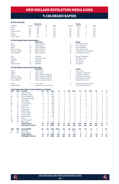### vs colorado rapids

|                |                        |                                                                   | <b>Revolution</b>         |                |                |                |                |                |                | <b>Rapids</b>             |                |             |                |                |                |
|----------------|------------------------|-------------------------------------------------------------------|---------------------------|----------------|----------------|----------------|----------------|----------------|----------------|---------------------------|----------------|-------------|----------------|----------------|----------------|
| Category       |                        | 1st Half                                                          | 2nd Half                  | OT             | <b>Totals</b>  |                |                | 1st Half       |                | 2nd Half                  | OT             |             | <b>Totals</b>  |                |                |
| Goals          |                        | 31                                                                | 33                        | 0              | 64             |                |                | 31             |                | 38                        | 0              |             | 69             |                |                |
| Shots          |                        | 263                                                               | 310                       | 4              | 577            |                |                | 275            |                | 307                       | 1              |             | 583            |                |                |
|                | Shots on Goal          | 108                                                               | 134                       | $\overline{2}$ | 244            |                |                | 109            |                | 142                       | 1              |             | 252            |                |                |
| Fouls          |                        | 296                                                               | 323                       | 1              | 620            |                |                | 313            |                | 347                       | 4              |             | 664            |                |                |
| Offsides       |                        | 73                                                                | 67                        | $\mathbf 0$    | 140            |                |                | 98             |                | 85                        | 0              |             | 183            |                |                |
| Corner Kicks   |                        | 94                                                                | 102                       | $\overline{a}$ | 200            |                |                | 113            |                | 123                       | 1              |             | 237            |                |                |
|                |                        | All-Time Regular Season Series Leaders                            |                           |                |                |                |                |                |                |                           |                |             |                |                |                |
|                |                        |                                                                   | <b>Revolution</b>         |                |                |                |                |                |                | <b>Rapids</b>             |                |             |                |                |                |
| Goals          |                        | 9                                                                 | Taylor Twellman           |                |                |                |                | 6              |                | M. Chung/W. Harris        |                |             |                |                |                |
| Assists        |                        | 6                                                                 | <b>Steve Ralston</b>      |                |                |                |                | 11             |                | Chris Henderson           |                |             |                |                |                |
| Shots          |                        | 49                                                                | Taylor Twellman           |                |                |                |                | 26             |                | Chris Henderson           |                |             |                |                |                |
|                | Shots on Goal          | 29                                                                | Taylor Twellman           |                |                |                |                | 14             |                | Three Players Tied        |                |             |                |                |                |
|                | <b>Fouls Committed</b> | 29                                                                | Shalrie Joseph            |                |                |                |                | 24             |                | K. Beckerman/P. Mastroeni |                |             |                |                |                |
|                | <b>Fouls Suffered</b>  | 34                                                                | Taylor Twellman           |                |                |                |                | 18             |                | C. Henderson/A. Paz       |                |             |                |                |                |
| Wins           |                        | $\overline{4}$                                                    | <b>Matt Reis</b>          |                |                |                |                | 4              |                | Marcus Hahnemann          |                |             |                |                |                |
| Losses         |                        | 6                                                                 | J. Causey/M. Reis         |                |                |                |                | $\overline{2}$ |                | <b>Six Players Tied</b>   |                |             |                |                |                |
| Shutouts       |                        | 3                                                                 | <b>Matt Reis</b>          |                |                |                |                | 4              |                | Joe Cannon                |                |             |                |                |                |
| Saves          |                        | 52                                                                | Matt Reis                 |                |                |                |                | 33             |                | Joe Cannon                |                |             |                |                |                |
|                | Goals Allowed          | 19                                                                | Matt Reis                 |                |                |                |                | 11             |                | Joe Cannon                |                |             |                |                |                |
|                |                        | All-Time Regular Season Series Game Highs                         |                           |                |                |                |                |                |                |                           |                |             |                |                |                |
|                |                        |                                                                   | <b>Revolution</b>         |                |                |                |                |                |                | Rapids                    |                |             |                |                |                |
| Goals          |                        | $\overline{\mathbf{c}}$                                           | Seven Times               |                |                |                |                | 2              |                | Seven Times               |                |             |                |                |                |
| Assists        |                        | $\overline{c}$                                                    | <b>Three Times</b>        |                |                |                |                | 3              |                | R. Paule/C. Valderrama    |                |             |                |                |                |
| Shots          |                        | 9                                                                 | Taylor Twellman (9/18/03) |                |                |                |                | 7              |                | J. Agogo/J. Spencer       |                |             |                |                |                |
|                | Shots on Goal          | 5                                                                 | Taylor Twellman (9/18/04) |                |                |                |                | 6              |                | John Spencer (6/20/01)    |                |             |                |                |                |
|                | <b>Fouls Committed</b> | $\overline{7}$                                                    | Alberto Naveda (4/26/97)  |                |                |                |                | 7              |                | Matt McKeon (5/1/99)      |                |             |                |                |                |
|                | <b>Fouls Suffered</b>  | $\overline{7}$                                                    | Adam Cristman (8/16/07)   |                |                |                |                | 7              |                | Adrian Paz (4/26/97)      |                |             |                |                |                |
| Saves          |                        | $\overline{7}$                                                    | <b>Three Times</b>        |                |                |                |                | 9              |                | Bouna Coundoul (4/12/08)  |                |             |                |                |                |
|                | Goals Allowed          | 5                                                                 | Juergen Sommer (5/22/02)  |                |                |                |                | 6              |                | Joe Cannon (9/18/04)      |                |             |                |                |                |
|                |                        | <b>Current Revolution Players' Career Statistics vs. Colorado</b> |                           |                |                |                |                |                |                |                           |                |             |                |                |                |
| <b>UNF</b>     | POS                    | <b>PLAYER</b>                                                     | GP                        | GS             | <b>MIN</b>     | G              | Α              | <b>SHT</b>     | <b>SOG</b>     | FC                        | <b>FS</b>      | OFF         | CK             | C              | Е              |
| 3              | D                      | Omar Gonzalez                                                     | 15                        | 14             | 1251           | $\overline{2}$ | 1              | 10             | 3              | $\overline{7}$            | 3              | 0           | $\mathbf 0$    | 0              | 0              |
| 17             | Μ                      | Sebastian Lletget                                                 | 10                        | 10             | 844            | $\overline{c}$ | 0              | 14             | 4              | 4                         | 14             | 0           | 11             | 0              | 0              |
| 26             | M                      | Tommy McNamara                                                    | 6                         | 3              | 306            | 1              | $\overline{c}$ | $\overline{4}$ | 1              | 3                         | 5              | 0           | 0              | $\overline{c}$ | 0              |
| 11             | F                      | <b>Emmanuel Boateng</b>                                           | 9                         | 5              | 472            | 1              | 1              | 11             | $\overline{4}$ | 5                         | $\overline{c}$ | 1           | 1              | $\mathbf{1}$   | 0              |
| 14             | F                      | Jozy Altidore                                                     | 5                         | 3              | 292            | 0              | 1              | 6              | $\overline{c}$ | 10                        | 11             | 1           | 0              | $\overline{c}$ | 0              |
| 9              | F                      | Adam Buksa                                                        | 1                         | 1              | 90             | 0              | 1              | 6              | 1              | $\overline{2}$            | 0              | $\mathbf 0$ | $\mathbf 0$    | $\mathbf 0$    | 0              |
| 28             | D                      | A.J. DeLaGarza                                                    | 21                        | 19             | 1655           | 0              | 1              | $\overline{4}$ | $\overline{0}$ | 15                        | 19             | $\mathbf 0$ | $\Omega$       | 3              | Ō              |
| 10             | M                      | Carles Gil                                                        | $\overline{c}$            | $\overline{c}$ | 177            | 0              | 1              | 1              | $\Omega$       | 1                         | 6              | $\Omega$    | 7              | 1              | 0              |
| 8              | M                      | <b>Matt Polster</b>                                               | 3                         | 3              | 270            | 0              | 1              | $\circ$        | $\Omega$       | 3                         | 5              | $\Omega$    | $\circ$        | $\circ$        | 0              |
| 7              | F                      | Gustavo Bou                                                       | 1                         | 1              | 88             | 0              | $\mathbf 0$    | 6              | 3              | $\mathbf 0$               | 1              | 1           | $\overline{c}$ | $\mathbf 0$    | Ō              |
| 15             | D                      | <b>Brandon Bye</b>                                                | 3                         | 3              | 270            | 0              | $\Omega$       | 3              | $\mathbf 0$    | 3                         | $\mathbf{1}$   | $\Omega$    | $\circ$        | 1              | $\circ$        |
| $\overline{c}$ | D                      | Andrew Farrell                                                    | 8                         | 8              | 720            | 0              | $\Omega$       | $\Omega$       | $\Omega$       | 3                         | 9              | $\Omega$    | $\Omega$       | $\Omega$       | 0              |
| 4              | D                      | Henry Kessler                                                     | 1                         | 1              | 90             | 0              | 0              | 1              | 1              | 1                         | 1              | 0           | $\Omega$       | $\overline{0}$ | 0              |
| 18             | GK                     | <b>Brad Knighton</b>                                              | 4                         | $\overline{4}$ | 360            | 0              | 0              | $\circ$        | $\mathbf 0$    | 0                         | 0              | 0           | $\circ$        | $\circ$        | $\circ$        |
| 13             | M                      | Maciel                                                            | 1                         | $\mathbf 0$    | $\overline{c}$ | $\mathbf 0$    | $\mathbf 0$    | $\mathbf 0$    | $\overline{0}$ | $\mathbf 0$               | $\mathbf 0$    | $\mathbf 0$ | $\mathbf 0$    | $\mathbf 0$    | $\overline{0}$ |
| 25             | M                      | Arnor Traustason                                                  | 1                         | $\mathbf 0$    | $\overline{2}$ | 0              | $\mathbf 0$    | $\mathbf 0$    | $\overline{0}$ | $\mathbf 0$               | 0              | $\mathbf 0$ | $\mathbf 0$    | $\mathbf 0$    | $\overline{0}$ |
| 30             | GK                     | Matt Turner                                                       | 3                         | 3              | 270            | $\circ$        | 0              | 0              | 0              | $\circ$                   | 0              | 0           | $\circ$        | 1              | 0              |
|                |                        | <b>TEAM TOTALS</b>                                                | 47                        | 47             | 4250           | 64             | 61             | 577            | 244            | 620                       | 648            | 140         | 201            | 64             | 7              |
|                |                        | <b>OPPONENT TOTALS</b>                                            | 47                        | 47             | 4250           | 69             | 81             | 583            | 252            | 648                       | 620            | 183         | 239            | 81             | 7              |
| UNF            | POS                    | <b>GOALKEEPER</b>                                                 | GP                        | GS             | <b>MIN</b>     | <b>SHTS</b>    | <b>SV</b>      | GА             | <b>GAA</b>     | PG                        | PA             | W           | L              | т              | so             |
| 30             | GK                     | Matt Turner                                                       | 3                         | 3              | 270            | 13             | 11             | $\overline{c}$ | 0.67           | 0                         | 1              | 3           | $\circ$        | 0              | 1              |
| 18             | GK                     | <b>Brad Knighton</b>                                              | $\overline{4}$            | 4              | 360            | 25             | 18             | $\overline{7}$ | 1.75           | $\circ$                   | 0              | 1           | 1              | $\overline{c}$ | 1              |
|                |                        | <b>TEAM TOTALS</b>                                                | 47                        | 47             | 4250           | 252            | 170            | 69             | 1.46           | 5                         | 7              | 18          | 20             | 9              | 12             |
|                |                        | <b>OPPONENT TOTALS</b>                                            | 47                        | 47             | 4250           | 244            | 169            | 64             | 1.36           | 9                         | 11             | 20          | 18             | 9              | 13             |



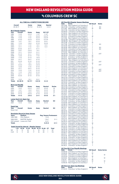# vs columbus crew sc

#### **ALL-TIME ALL-COMPETITIONS RECORD**

|                  | Overall                                 | Home                  | Away          | <b>Neutral</b>                |               |  |
|------------------|-----------------------------------------|-----------------------|---------------|-------------------------------|---------------|--|
|                  | 29-39-17                                | $19 - 17 - 8$         | $10 - 22 - 9$ | $0 - 0 - 0$                   |               |  |
|                  | <b>MLS Regular Season</b>               |                       |               |                               |               |  |
| Year             | Overall                                 | Home                  | Away          | <b>SO*/OT</b>                 |               |  |
| 1996             | $1 - 3 - 0$                             | $0 - 2 - 0$           | $1 - 1 - 0$   | $1 - 1 - 0*$                  |               |  |
| 1997             | $1 - 3 - 0$                             | $1 - 1 - 0$           | $0 - 2 - 0$   | $0 - 0 - 0$ *                 |               |  |
| 1998             | $1 - 3 - 0$                             | $1 - 1 - 0$           | $0 - 2 - 0$   | $0 - 0 - 0*$                  |               |  |
| 1999             | $0 - 4 - 0$                             | $0 - 2 - 0$           | $0 - 2 - 0$   | $0 - 3 - 0*$                  |               |  |
| 2000             | $1 - 2 - 1$                             | $1 - 0 - 1$           | $0 - 2 - 0$   | $0 - 0 - 1$                   |               |  |
| 2001             | $1 - 1 - 0$                             | $1 - 0 - 0$           | $0 - 1 - 0$   | $0 - 0 - 0$                   |               |  |
| 2002             | $2 - 1 - 1$                             | $1 - 1 - 0$           | $1 - 0 - 1$   | $1 - 0 - 1$                   |               |  |
| 2003             | $2 - 1 - 1$                             | $1 - 1 - 0$           | $1 - 0 - 1$   | $1 - 0 - 1$                   |               |  |
| 2004             | $0 - 2 - 2$                             | $0 - 1 - 1$           | $0 - 1 - 1$   | ÷,                            |               |  |
| 2005             | $3 - 0 - 1$                             | $2 - 0 - 0$           | $1 - 0 - 1$   |                               |               |  |
| 2006             | $2 - 1 - 1$                             | $2 - 0 - 0$           | $0 - 1 - 1$   |                               |               |  |
| 2007             | $0 - 1 - 2$                             | $0 - 1 - 1$           | $0 - 0 - 1$   | í.                            |               |  |
| 2008             | $1 - 2 - 0$                             | $0 - 1 - 0$           | $1 - 1 - 0$   | ۷                             |               |  |
| 2009             | $1 - 1 - 0$                             | $0 - 1 - 0$           | $1 - 0 - 0$   |                               |               |  |
| 2010             | $0 - 1 - 1$                             | $0 - 0 - 1$           | $0 - 1 - 0$   |                               |               |  |
| 2011             | $0 - 2 - 0$                             | $0 - 1 - 0$           | $0 - 1 - 0$   | í.                            |               |  |
| 2012             | $1 - 1 - 1$                             | $1 - 0 - 1$           | $0 - 1 - 0$   | L,                            |               |  |
| 2013             | $3 - 0 - 0$                             | $1 - 0 - 0$           | $2 - 0 - 0$   |                               |               |  |
| 2014             | $1 - 2 - 0$                             | $1 - 1 - 0$           | $0 - 1 - 0$   | í.                            |               |  |
| 2015             | $0 - 1 - 1$                             | $0 - 0 - 1$           | $0 - 1 - 0$   | L,                            |               |  |
| 2016             | $1 - 2 - 0$                             | $1 - 1 - 0$           | $0 - 1 - 0$   |                               |               |  |
| 2017             | $1 - 1 - 0$                             | $1 - 0 - 0$           | $0 - 1 - 0$   | í.                            |               |  |
| 2018             | $0 - 1 - 1$                             | $0 - 1 - 0$           | $0 - 0 - 1$   | L,                            |               |  |
| 2019             | $0 - 2 - 0$                             | $0 - 1 - 0$           | $0 - 1 - 0$   |                               |               |  |
| 2020             | ÷,                                      | ÷,                    | ÷,            | L,                            |               |  |
| 2019             | $1 - 0 - 2$                             | $1 - 0 - 1$           | $0 - 0 - 1$   |                               |               |  |
| <b>Totals</b>    | 24-38-15                                | $16 - 17 - 7$         | $8 - 21 - 8$  | $3 - 4 - 3$                   |               |  |
|                  |                                         |                       |               |                               |               |  |
|                  | <b>MLS Cup Playoffs</b>                 |                       |               |                               |               |  |
| Year             | Overall                                 | Home                  | Away          | <b>Neutral</b>                | <b>Series</b> |  |
| 2002             | $1 - 0 - 2$                             | $0 - 0 - 2$           | $1 - 0 - 0$   | $0 - 0 - 0$                   | W             |  |
| 2004             | $1 - 0 - 1$                             | $1 - 0 - 0$           | $0 - 0 - 1$   | $0 - 0 - 0$                   | W             |  |
| 2014             | $2 - 0 - 0$                             | $1 - 0 - 0$           | $1 - 0 - 0$   | $0 - 0 - 0$                   | W             |  |
| 2020             | $0 - 1 - 0$                             | $0 - 0 - 0$           | $0 - 1 - 0$   | $0 - 0 - 0$                   | L             |  |
| <b>Totals</b>    | $4 - 1 - 3$                             | $2 - 0 - 2$           | $2 - 1 - 1$   | $0 - 0 - 0$                   | $3 - 1$       |  |
|                  | Lamar Hunt U.S. Open Cup                |                       |               |                               |               |  |
| Year             | Overall                                 | Home                  | Away          | <b>Neutral</b>                | SO            |  |
| 2001             | $1 - 0 - 0$                             | $1 - 0 - 0$           | $0 - 0 - 0$   | $0 - 0 - 0$                   |               |  |
|                  |                                         |                       |               |                               |               |  |
| <b>SuperLiga</b> |                                         |                       |               |                               |               |  |
| Year             | Overall                                 | Home                  | Away          | <b>Neutral</b>                | SO            |  |
| Never met        |                                         |                       |               |                               |               |  |
|                  |                                         |                       |               |                               |               |  |
|                  | <b>Revolution Record at Away Venues</b> |                       |               |                               |               |  |
| Years            | <b>Stadium</b>                          |                       |               | <b>Reg. Season Postseason</b> |               |  |
| 1996-1999        | Ohio Stadium                            |                       |               | $1 - 5 - 0$                   |               |  |
| 1999-2020        |                                         | <b>MAPFRE Stadium</b> |               | $7 - 16 - 7$                  | $2 - 1 - 1$   |  |
|                  | 2021-present Lower.com Field            |                       |               | $0 - 0 - 1$                   |               |  |
| <b>Totals</b>    |                                         |                       |               | $8 - 21 - 8$                  | $2 - 1 - 1$   |  |

|           |        | <b>Goals Scored by Interval - Regular Season</b> |                                  |    |     |    |       |  |
|-----------|--------|--------------------------------------------------|----------------------------------|----|-----|----|-------|--|
|           | $1-15$ |                                                  | 16-30 31-45 46-60 61-75 76-90 OT |    |     |    | Total |  |
| <b>NF</b> | 13     | 14.                                              | 20                               | ь  | 16. | 23 | 92    |  |
| CLB       | 14     |                                                  | 28                               | 17 | 16  | 29 | 116   |  |

|                                  | <b>All-Time MLS Regular Season Meetings</b>                                                                              | <b>NE Result</b> | <b>Notes</b>        |
|----------------------------------|--------------------------------------------------------------------------------------------------------------------------|------------------|---------------------|
| Date<br>05/11/96                 | Score<br>New England 2 at Columbus 3                                                                                     | L                |                     |
| 06/27/96                         | Columbus 1 at New England 1                                                                                              | L                | <b>SO</b>           |
| 07/11/96                         | New England 1 at Columbus 1                                                                                              | Ŵ                | SO <sub>2</sub>     |
| 09/21/96<br>05/09/97             | Columbus 1at New England 0<br>Columbus 2 at New England 0                                                                |                  |                     |
| 07/20/97                         | New England 0 at Columbus 1                                                                                              |                  |                     |
| 08/23/97<br>09/12/97             | New England 1 at Columbus 2                                                                                              |                  |                     |
|                                  | Columbus 0 at New England 1<br>New England 2 at Columbus 3                                                               |                  |                     |
| 03/14/98<br>04/11/98<br>05/22/98 | Columbus 2 at New England 0                                                                                              |                  |                     |
| 08/08/98                         | New England 1 at Columbus 6                                                                                              |                  |                     |
| 09/12/98<br>04/17/99             | Columbus 0 at New England 2                                                                                              |                  | <b>SO</b>           |
| 04/1/20<br>05/15/99<br>06/16/99  | Columbus 0 at New England 0<br>New England 0 at Columbus 2                                                               |                  |                     |
|                                  | New England 1 at Columbus 1                                                                                              |                  | SO                  |
| 09/18/99                         | Columbus 0 at New England 0<br>New England 1 at Columbus 3                                                               |                  | SO                  |
| 06/24/00<br>07/12/00             | New England 1 at Columbus 4                                                                                              |                  |                     |
| 08/05/00                         | Columbus 1 at New England 1                                                                                              |                  | 2OT                 |
| 08/26/00<br>05/16/01             | Columbus 1 at New England 2<br>Columbus 1 at New England 2                                                               |                  |                     |
| 09/01/01                         | New England 1 at Columbus 4                                                                                              |                  |                     |
| $04/20/02$<br>$06/12/02$         | New England 2 at Columbus 0<br>Columbus 2 at New England 1                                                               |                  |                     |
|                                  |                                                                                                                          |                  | 2OT                 |
| 08/31/02                         | 07/04/02 Columbus 1 at New England 4<br>New England 0 at Columbus 0                                                      |                  | 2OT                 |
| 04/19/03                         |                                                                                                                          |                  |                     |
| 05/24/03                         | Columbus 2 at New England 1<br>New England 3 at Columbus 2<br>New England 1 at Columbus 1                                |                  | 2OT                 |
|                                  |                                                                                                                          |                  | 2OT                 |
|                                  | 09/28/03 Columbus 2 at New England 3<br>05/15/04 New England 0 at Columbus 1                                             |                  |                     |
|                                  | 06/06/04 Columbus 2 at New England 1                                                                                     |                  |                     |
| 07/17/04                         | New England 1 at Columbus 1                                                                                              |                  |                     |
|                                  | 08/07/04 Columbus 2 at New England 2<br>04/09/05 Columbus 2 at New England 3<br>06/22/05 New England 3 at Columbus 1     |                  |                     |
|                                  |                                                                                                                          |                  |                     |
| 09/10/05                         | Columbus 1 at New England 3                                                                                              |                  |                     |
|                                  | New England 1 at Columbus 1<br>New England 1 at Columbus 1                                                               |                  |                     |
| 09/21/05<br>06/21/06<br>08/27/06 | 08/27/06 Columbus 0 at New England 1<br>09/02/06 New England 0 at Columbus 3                                             |                  |                     |
| 10/14/06                         | Columbus 0 at New England 1                                                                                              |                  |                     |
|                                  |                                                                                                                          |                  |                     |
| 04/14/07                         | New England 2 at Columbus 2<br>Columbus 3 at New England 3<br>Columbus 3 at New England 2                                |                  |                     |
| 10/13/07                         |                                                                                                                          |                  |                     |
|                                  | 05/24/08 New England 1 at Columbus 0<br>09/06/08 New England 0 at Columbus 4                                             |                  |                     |
| 09/27/08                         | Columbus 1 at New England 0                                                                                              |                  |                     |
| 10/10/09<br>10/25/09             | Columbus 1 at New England 0<br>New England 1 at Columbus 0                                                               |                  |                     |
| 05/08/10                         | New England 2 at Columbus 3                                                                                              |                  |                     |
| 09/25/10                         | Columbus 2 at New England 2                                                                                              |                  |                     |
| 08/13/11<br>10/15/11             | New England 1 at Columbus 3                                                                                              |                  |                     |
| 06/13/12                         | Columbus 3 at New England 0                                                                                              |                  |                     |
| 08/25/12                         | Columbus 0 at New England 0<br>New England 3 at Columbus 4                                                               |                  |                     |
| 09/05/12                         | Columbus 0 at New England 2<br>New England 2 at Columbus 0                                                               |                  |                     |
| 07/20/13<br>10/19/13             | Columbus 2 at New England 3                                                                                              |                  |                     |
| 10/27/13                         | New England 1 at Columbus 0                                                                                              |                  |                     |
| 07/26/14                         | Columbus 2 at New England 1<br>New England 0 at Columbus 1                                                               |                  |                     |
| 09/20/14<br>10/04/14             | Columbus 1 at New England 2                                                                                              |                  |                     |
| 04/11/15                         | Columbus 0 at New England 0                                                                                              |                  |                     |
| 06/24/15                         |                                                                                                                          |                  |                     |
| 07/09/16<br>08/20/16             | New England 1 at Columbus 2<br>Columbus 1 at New England 3<br>Columbus 2 at New England 0<br>New England 0 at Columbus 2 |                  |                     |
| 09/25/16                         |                                                                                                                          |                  |                     |
| 05/06/17                         | New England 0 at Columbus 2                                                                                              |                  |                     |
| 05/21/17<br>04/21/18             | Columbus 1 at New England 2<br>New England 2 at Columbus 2                                                               |                  |                     |
| 05/19/18                         | Columbus 1 at New England 0                                                                                              |                  |                     |
| 03/09/19                         | Columbus 2 at New England 0<br>New England 0 at Columbus 1                                                               |                  |                     |
| 04/06/19                         |                                                                                                                          |                  |                     |
| 05/16/21                         | Columbus 0 at New England 1<br>New England 2 at Columbus 2                                                               |                  |                     |
| 07/03/21<br>07/03/21             | Columbus 1 at New England 1                                                                                              |                  |                     |
|                                  | کستی<br>All-Time MLS Cup Playoffs Meetings<br>Date         Score                                                         |                  |                     |
| 10/06/02                         | Columbus 0 at New England 0                                                                                              | <b>NE Result</b> | <b>Notes Series</b> |
| 10/09/02                         | New England 1 at Columbus 0                                                                                              |                  |                     |
| 10/12/02                         | Columbus 2 at New England 2                                                                                              |                  | W                   |
| 10/31/04                         | 10/23/04 Columbus 0 at New England 1<br>New England 1 at Columbus 1                                                      |                  | W                   |
| 11/01/14                         | New England 4 at Columbus 2<br>Columbus 1 at New England 3                                                               | VT<br>VT<br>W    |                     |
| 11/09/14                         |                                                                                                                          |                  | W<br>L              |
|                                  | 12/06/20 New England 0 at Columbus 1                                                                                     |                  |                     |
|                                  | All-Time U.S. Open Cup Meetings<br>Date Score<br><b>Score</b>                                                            | <b>NE Result</b> | <b>Notes</b>        |
| 07/24/01                         | Columbus 1 at New England 2                                                                                              | W                |                     |



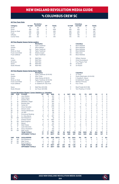## vs columbus crew sc

#### **All-Time Team Stats**

|                      |                                                 |                                                                                    | <b>Revolution</b>                 |                |               |                  |                  |                |                  | <b>Columbus</b>                    |                         |                |                  |                               |                   |
|----------------------|-------------------------------------------------|------------------------------------------------------------------------------------|-----------------------------------|----------------|---------------|------------------|------------------|----------------|------------------|------------------------------------|-------------------------|----------------|------------------|-------------------------------|-------------------|
| Category             |                                                 | 1st Half                                                                           | 2nd Half                          | OT             | <b>Totals</b> |                  |                  | 1st Half       |                  | 2nd Half                           | OT                      |                | <b>Totals</b>    |                               |                   |
| Goals                |                                                 | 47                                                                                 | 44                                | $\mathbf{1}$   | 92            |                  |                  | 52             |                  | 63                                 | $\mathbf{1}$            |                | 116              |                               |                   |
| Shots                |                                                 | 459                                                                                | 537                               | 9              | 1005          |                  |                  | 493            |                  | 493                                | 9                       |                | 995              |                               |                   |
|                      | Shots on Goal                                   | 219                                                                                | 213                               | 4              | 436           |                  |                  | 183            |                  | 212                                | $\overline{\mathbf{c}}$ |                | 397              |                               |                   |
| Fouls                |                                                 | 549                                                                                | 558                               | 9              | 1116          |                  |                  | 508            |                  | 607                                | 9                       |                | 1124             |                               |                   |
| Offsides             |                                                 | 64                                                                                 | 86                                | 1              | 151           |                  |                  | 156            |                  | 139                                | 1                       |                | 290              |                               |                   |
| Corner Kicks         |                                                 | 203                                                                                | 212                               | 4              | 419           |                  |                  | 175            |                  | 176                                | $\overline{c}$          |                | 353              |                               |                   |
|                      |                                                 | All-Time Regular Season Series Leaders                                             |                                   |                |               |                  |                  |                |                  |                                    |                         |                |                  |                               |                   |
|                      |                                                 |                                                                                    | <b>Revolution</b>                 |                |               |                  |                  |                |                  | <b>Columbus</b>                    |                         |                |                  |                               |                   |
| Goals                |                                                 | 9                                                                                  | Taylor Twellman                   |                |               |                  |                  | 8              |                  | <b>Brian McBride</b>               |                         |                |                  |                               |                   |
| Assists              |                                                 | $\overline{7}$                                                                     | <b>Steve Ralston</b>              |                |               |                  |                  | $\overline{7}$ |                  | <b>Brian McBride</b>               |                         |                |                  |                               |                   |
| Shots                |                                                 | 64                                                                                 | Taylor Twellman                   |                |               |                  |                  | 62             |                  | <b>Brian McBride</b>               |                         |                |                  |                               |                   |
|                      | Shots on Goal                                   | 39                                                                                 | Taylor Twellman                   |                |               |                  |                  | 30             |                  | <b>Brian McBride</b>               |                         |                |                  |                               |                   |
|                      | <b>Fouls Committed</b><br><b>Fouls Suffered</b> | 59<br>52                                                                           | Shalrie Joseph<br>Taylor Twellman |                |               |                  |                  | 44<br>55       |                  | Mike Clark<br><b>Brian McBride</b> |                         |                |                  |                               |                   |
|                      |                                                 |                                                                                    |                                   |                |               |                  |                  |                |                  |                                    |                         |                |                  |                               |                   |
| Wins                 |                                                 | 10                                                                                 | Matt Reis                         |                |               |                  |                  | $\overline{7}$ |                  | William Hesmer                     |                         |                |                  |                               |                   |
| Losses               |                                                 | 9                                                                                  | Matt Reis                         |                |               |                  |                  | 4              |                  | Andy Gruenebaum                    |                         |                |                  |                               |                   |
| Shutouts             |                                                 | 8                                                                                  | Matt Reis                         |                |               |                  |                  | 4              |                  | Four Players Tied                  |                         |                |                  |                               |                   |
| Saves                |                                                 | 96<br>39                                                                           | Matt Reis                         |                |               |                  |                  | 48<br>15       |                  | Jon Busch                          |                         |                |                  |                               |                   |
|                      | Goals Allowed                                   |                                                                                    | Matt Reis                         |                |               |                  |                  |                |                  | Jon Busch                          |                         |                |                  |                               |                   |
|                      |                                                 | All-Time Regular Season Series Game Highs                                          |                                   |                |               |                  |                  |                |                  |                                    |                         |                |                  |                               |                   |
|                      |                                                 |                                                                                    | <b>Revolution</b>                 |                |               |                  |                  |                |                  | <b>Columbus</b>                    |                         |                |                  |                               |                   |
| Goals                |                                                 | 3                                                                                  | Taylor Twellman (9/10/05)         |                |               |                  |                  | $\overline{2}$ |                  | 12 Times                           |                         |                |                  |                               |                   |
| Assists              |                                                 | $\overline{c}$                                                                     | Nine Times                        |                |               |                  |                  | 3              |                  | Dante Washington (6/24/00)         |                         |                |                  |                               |                   |
| Shots                |                                                 | 11                                                                                 | Adam Buksa (9/18/21)              |                |               |                  |                  | 8              |                  | E. Buddle/E. Gaven                 |                         |                |                  |                               |                   |
|                      | Shots on Goal                                   | 6                                                                                  | Taylor Twellman (9/10/05)         |                |               |                  |                  | 5              |                  | B. McBride/E. Gaven                |                         |                |                  |                               |                   |
|                      | <b>Fouls Committed</b>                          | 7                                                                                  | T. Twellman/J. Agudelo            |                |               |                  |                  | 6              |                  | Martino/Virtuoso                   |                         |                |                  |                               |                   |
|                      | <b>Fouls Suffered</b>                           | $\overline{7}$                                                                     | G. Galderisi/R. Diaz Arce         |                |               |                  |                  | 8              |                  | <b>Four Times</b>                  |                         |                |                  |                               |                   |
| Saves                |                                                 | 9                                                                                  | Matt Reis (9/6/08)                |                |               |                  |                  | 11<br>4        |                  | Brad Friedel (9/21/96)             |                         |                |                  |                               |                   |
|                      | Goals Allowed                                   | 6                                                                                  | lan Feuer (8/8/98)                |                |               |                  |                  |                |                  | Tom Presthus (7/4/02)              |                         |                |                  |                               |                   |
| <b>UNF</b>           | POS                                             | <b>Current Revolution Players' Career Statistics vs. Columbus</b><br><b>PLAYER</b> | GP                                | GS             | <b>MIN</b>    | G                | A                | <b>SHT</b>     | <b>SOG</b>       | FC                                 | <b>FS</b>               | <b>OFF</b>     | CK               | c                             | E                 |
| 14                   | F                                               | Jozy Altidore                                                                      | 12                                | 9              | 831           | 7                | 1                | 23             | 12               | 11                                 | 18                      | 6              | 0                | $\overline{c}$                | 0                 |
| 9                    | F                                               | Adam Buksa                                                                         | 3                                 | 1              | 109           | $\overline{c}$   | $\mathbf 0$      | 13             | 4                | $\overline{2}$                     | $\overline{2}$          | 0              | 0                | $\mathbf 0$                   | $\mathbf 0$       |
| 7                    | F                                               | Gustavo Bou                                                                        | 3                                 | 3              | 249           | 1                | 0                | 9              | 3                | 3                                  | $\overline{2}$          | $\overline{2}$ | 3                | 0                             | 0                 |
| 17                   | M                                               | Sebastian Lletget                                                                  | 3                                 | 3              | 264           | 1                | $\overline{c}$   | 6              | 3                | 1                                  | 1                       | 1              | $\overline{4}$   | $\mathbf 0$                   | $\mathbf 0$       |
| 15                   | D                                               | <b>Brandon Bye</b>                                                                 | 7                                 | 6              | 541           | 0                | 1                | 5              | $\overline{c}$   | 6                                  | 5                       | 0              | 0                | 1                             | 0                 |
| 10                   | M                                               | Carles Gil                                                                         | 5                                 | 5              | 450           | 0                | 1                | $\overline{7}$ | $\overline{2}$   | 1                                  | 14                      | 0              | 27               | 0                             | 0                 |
| 3                    | D                                               | Omar Gonzalez                                                                      | 13                                | 13             | 1170          | $\Omega$         | 1                | 8              | $\overline{4}$   | 10                                 | $\overline{7}$          | $\mathbf 0$    | $\mathbf 0$      | $\overline{2}$                | $\mathbf 0$       |
| 24                   | D                                               | DeJuan Jones                                                                       | 4                                 | $\overline{4}$ | 331           | 0                | 1                | 0              | $\mathbf 0$      | $\overline{c}$                     | $\overline{c}$          | 0              | 0                | 1                             | 0                 |
| 26                   | M                                               | Tommy McNamara                                                                     | 9                                 | 6              | 491           | $\mathbf 0$      | 1                | $\overline{4}$ | $\mathbf 0$      | 5                                  | 1                       | $\mathbf 0$    | $\mathbf 0$      | $\mathbf 0$                   | $\mathbf 0$       |
| 23                   | D                                               | Jon Bell                                                                           | 1                                 | 1              | 90            | 0                | $\mathbf 0$      | 1              | $\mathbf 0$      | 3                                  | 0                       | 0              | $\mathbf 0$      | 1                             | 0                 |
| 11                   | F                                               | <b>Emmanuel Boateng</b>                                                            | 4                                 | $\overline{c}$ | 177           | 0                | 0                | 1              | $\mathbf 0$      | $\overline{c}$                     | $\overline{2}$          | $\overline{c}$ | 1                | 0                             | 0                 |
| 28                   | D                                               | A.J. DeLaGarza                                                                     | 10                                | 10             | 857           | 0                | $\Omega$         | $\mathbf 0$    | $\Omega$         | 8                                  | 9                       | $\Omega$       | $\Omega$         | 1                             | $\mathbf 0$       |
| 36                   | GK<br>D                                         | Earl Edwards Jr.<br><b>Andrew Farrell</b>                                          | 1<br>19                           | 1<br>19        | 32            | 0<br>$\mathbf 0$ | 0<br>$\mathbf 0$ | 0<br>3         | $\mathbf 0$<br>1 | $\mathbf 0$<br>9                   | 0<br>12                 | 0<br>1         | 0<br>$\mathbf 0$ | $\mathbf 0$<br>$\overline{2}$ | 0<br>$\mathbf{1}$ |
| $\overline{2}$<br>18 | GK                                              |                                                                                    | $\overline{4}$                    | $\overline{4}$ | 1697<br>360   | 0                | $\mathbf 0$      | $\mathbf 0$    | $\mathbf 0$      | $\mathbf 0$                        | $\mathbf 0$             | $\mathbf 0$    | $\mathbf 0$      | 1                             | $\mathbf{0}$      |
| 13                   | M                                               | <b>Brad Knighton</b><br>Maciel                                                     | $\overline{c}$                    | $\overline{c}$ | 147           | 0                | 0                | $\overline{c}$ | 1                | $\overline{c}$                     | $\Omega$                | 0              | 0                | 0                             | 0                 |
| 8                    | M                                               | Matt Polster                                                                       | 10                                | 9              | 837           | 0                | $\mathbf 0$      | 5              | $\mathbf 0$      | 10                                 | 9                       | $\mathbf 0$    | $\mathbf 0$      | 1                             | 0                 |
| 12                   | F                                               | Justin Rennicks                                                                    | 1                                 | $\mathbf 0$    | 45            | 0                | $\mathbf 0$      | $\overline{2}$ | $\mathbf 0$      | $\Omega$                           | 1                       | $\mathbf 0$    | $\Omega$         | $\mathbf 0$                   | 0                 |
| 25                   | M                                               | Arnor Traustason                                                                   | 3                                 | 1              | 103           | 0                | 0                | 1              | $\mathbf{1}$     | $\overline{c}$                     | 1                       | 0              | 0                | 0                             | $\mathbf{0}$      |
| 30                   | GK                                              | Matt Turner                                                                        | 5                                 | 5              | 450           | 0                | 0                | 0              | $\mathbf 0$      | 0                                  | 1                       | 0              | 0                | 1                             | 0                 |
|                      |                                                 | <b>TEAM TOTALS</b>                                                                 | 77                                | 77             | 6977          | 92               | 93               | 1005           | 436              | 1116                               | 1005                    | 151            | 414              | 157                           | 5                 |
|                      |                                                 | <b>OPPONENT TOTALS</b>                                                             | 77                                | 77             | 6977          | 116              | 118              | 995            | 397              | 1124                               | 1091                    | 290            | 358              | 137                           | 5                 |
| UNF                  | POS                                             | <b>GOALKEEPER</b>                                                                  | GP                                | GS             | <b>MIN</b>    | <b>SHTS</b>      | <b>SV</b>        | GA             | <b>GAA</b>       | PG                                 | PA                      | W              | г                | т                             | <b>SO</b>         |
| 36                   | GK                                              | Earl Edwards Jr.                                                                   | 1                                 | 1              | 32            | $\mathbf 0$      | $\mathbf 0$      | 0              | 0.00             | 0                                  | 0                       | 0              | 0                | 0                             | 0                 |
| 30                   | GK                                              | Matt Turner                                                                        | 5                                 | 5              | 450           | 19               | 12               | 6              | 1.20             | 0                                  | 0                       | 1              | 1                | 3                             | 1                 |
| 18                   | GK                                              | <b>Brad Knighton</b>                                                               | $\overline{4}$                    | $\overline{4}$ | 360           | 26               | 17               | $\overline{7}$ | 1.75             | $\mathbf{1}$                       | 1                       | 1              | 3                | $\mathbf 0$                   | $\circ$           |
|                      |                                                 | <b>TEAM TOTALS</b>                                                                 | 77                                | 77             | 6977          | 397              | 257              | 116            | 1.50             | 6                                  | 8                       | 24             | 38               | 15                            | 17                |
|                      |                                                 | <b>OPPONENT TOTALS</b>                                                             | 77                                | 77             | 6977          | 436              | 330              | 92             | 1.19             | 8                                  | 12                      | 38             | 24               | 15                            | 23                |





R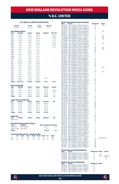# vs D.C. UNITED

|                               | Overall<br>37-39-16 |                                      | Home<br>$23 - 11 - 9$                            |       | Away<br>$14 - 28 - 6$      |       | <b>Neutral</b><br>$0 - 0 - 1$ |                                              |
|-------------------------------|---------------------|--------------------------------------|--------------------------------------------------|-------|----------------------------|-------|-------------------------------|----------------------------------------------|
|                               |                     | <b>MLS Regular Season</b>            |                                                  |       |                            |       |                               |                                              |
| Year                          |                     | Overall                              | Home                                             |       | Away                       |       | <b>Neutral</b>                | SO*/OT                                       |
| 1996                          |                     | $2 - 2 - 0$                          | $2 - 0 - 0$                                      |       | $0 - 2 - 0$                |       |                               | $1 - 0 - 0*$                                 |
| 1997                          |                     | $0 - 4 - 0$                          | $0 - 2 - 0$                                      |       | $0 - 2 - 0$                |       | l,                            | $0 - 2 - 0*$                                 |
| 1998                          |                     | $1 - 3 - 0$                          | $1 - 1 - 0$                                      |       | $0 - 2 - 0$                |       |                               | $1 - 1 - 0*$                                 |
| 1999                          |                     | $2 - 2 - 0$                          | $0 - 2 - 0$                                      |       | $2 - 0 - 0$                |       |                               | $1 - 1 - 0*$                                 |
| 2000                          |                     | $3 - 1 - 0$                          | $2 - 0 - 0$                                      |       | $1 - 1 - 0$                |       |                               | $1 - 0 - 0$                                  |
| 2001                          |                     | $1 - 3 - 0$                          | $1 - 1 - 0$                                      |       | $0 - 2 - 0$                |       |                               | $0 - 0 - 0$                                  |
| 2002                          |                     | $3 - 1 - 0$                          | $2 - 0 - 0$                                      |       | $1 - 1 - 0$                |       |                               | $0 - 0 - 0$                                  |
| 2003                          |                     | $1 - 2 - 1$                          | $1 - 1 - 0$                                      |       | $0 - 1 - 1$                |       | Ļ                             | $1 - 0 - 1$                                  |
| 2004                          |                     | $0 - 2 - 2$                          | $0 - 1 - 1$                                      |       | $0 - 1 - 1$                |       | i,                            | í,                                           |
| 2005                          |                     | $3 - 1 - 0$                          | $2 - 0 - 0$                                      |       | $1 - 1 - 0$                |       | i,                            | L                                            |
| 2006                          |                     | $1 - 1 - 2$                          | $0 - 0 - 2$                                      |       | $1 - 1 - 0$                |       | ł                             |                                              |
| 2007                          |                     | $0 - 2 - 1$                          | $0 - 1 - 0$                                      |       | $0 - 1 - 1$                |       | i,                            |                                              |
| 2008                          |                     | $1 - 1 - 1$                          | $1 - 0 - 1$                                      |       | $0 - 1 - 0$                |       |                               |                                              |
| 2009                          |                     | $1 - 0 - 1$                          | $1 - 0 - 0$                                      |       | $0 - 0 - 1$                |       | í,                            | í,                                           |
| 2010                          |                     | $2 - 0 - 0$                          | $1 - 0 - 0$                                      |       | $1 - 0 - 0$                |       | L                             | ł                                            |
| 2011                          |                     | $2 - 0 - 0$                          | $1 - 0 - 0$                                      |       | $1 - 0 - 0$                |       | L                             | L                                            |
| 2012                          |                     | $0 - 3 - 0$                          | $0 - 1 - 0$                                      |       | $0 - 2 - 0$                |       |                               |                                              |
| 2013                          |                     | $2 - 0 - 1$                          | $1 - 0 - 1$                                      |       | $1 - 0 - 0$                |       | i,                            | i,<br>L                                      |
| 2014                          |                     | $1 - 1 - 0$                          | $1 - 0 - 0$                                      |       | $0 - 1 - 0$                |       | Ļ                             |                                              |
| 2015                          |                     | $0 - 1 - 1$                          | $0 - 0 - 1$                                      |       | $0 - 1 - 0$                |       |                               | í.                                           |
| 2016<br>2017                  |                     | $0 - 2 - 1$<br>$0 - 1 - 1$           | $0 - 0 - 1$<br>$0 - 0 - 1$                       |       | $0 - 2 - 0$<br>$0 - 1 - 0$ |       |                               |                                              |
| 2018                          |                     | $1 - 1 - 0$                          | $1 - 0 - 0$                                      |       | $0 - 1 - 0$                |       |                               | í,                                           |
| 2019                          |                     | $0 - 0 - 2$                          | $0 - 0 - 1$                                      |       | $0 - 0 - 1$                |       |                               |                                              |
| 2020                          |                     | $3 - 0 - 1$                          | $1 - 0 - 0$                                      |       | $2 - 0 - 0$                |       | $0 - 0 - 1$                   | í.                                           |
| 2021                          |                     | $3 - 0 - 0$                          | $2 - 0 - 0$                                      |       | $1 - 0 - 0$                |       |                               |                                              |
| <b>Totals</b>                 |                     | 33-34-15                             | $21 - 10 - 9$                                    |       | $12 - 24 - 5$              |       | $0 - 0 - 1$                   | $5 - 4 - 1$                                  |
|                               |                     |                                      |                                                  |       |                            |       |                               |                                              |
| <b>MLS Cup Playoffs</b>       |                     |                                      |                                                  |       |                            |       |                               |                                              |
| Year                          |                     | Overall                              | Home                                             |       | Away                       |       | <b>Neutral</b>                | <b>Series</b>                                |
| 1997                          |                     | $0 - 2 - 0$                          | $0 - 1 - 0$                                      |       | $0 - 1 - 0$                |       | $0 - 0 - 0$                   | L                                            |
| 2004                          |                     | $0 - 0 - 1$                          | $0 - 0 - 0$                                      |       | $0 - 0 - 1$                |       | $0 - 0 - 0$                   | L (PKs)                                      |
| 2006                          |                     | $1 - 0 - 0$                          | $0 - 0 - 0$                                      |       | $1 - 0 - 0$                |       | $0 - 0 - 0$                   | W                                            |
| 2015                          |                     | $0 - 1 - 0$                          | $0 - 0 - 0$                                      |       | $0 - 1 - 0$                |       | $0 - 0 - 0$                   | L                                            |
| <b>Totals</b>                 |                     | $1 - 3 - 1$                          | $0 - 1 - 0$                                      |       | $1 - 2 - 1$                |       | $0 - 0 - 0$                   | $1 - 3$                                      |
|                               |                     | Lamar Hunt U.S. Open Cup             |                                                  |       |                            |       |                               |                                              |
| Year                          |                     | Overall                              | Home                                             |       | Away                       |       | <b>Neutral</b>                | SO                                           |
| 2001                          |                     | $1 - 0 - 0$                          | $1 - 0 - 0$                                      |       | $0 - 0 - 0$                |       | $0 - 0 - 0$                   | ÷,                                           |
| 2008                          |                     | $0 - 1 - 0$                          | $0 - 0 - 0$                                      |       | $0 - 1 - 0$                |       | $0 - 0 - 0$                   | L                                            |
| 2011                          |                     | $1 - 0 - 0$                          | $0 - 0 - 0$                                      |       | $1 - 0 - 0$                |       | $0 - 0 - 0$                   |                                              |
| 2013                          |                     | $0 - 1 - 0$                          | $0 - 0 - 0$                                      |       | $0 - 1 - 0$                |       | $0 - 0 - 0$                   |                                              |
| 2017                          |                     | $1 - 0 - 0$                          | $1 - 0 - 0$                                      |       | $0 - 0 - 0$                |       | $0 - 0 - 0$                   |                                              |
| <b>Totals</b>                 |                     | $3 - 2 - 0$                          | $2 - 0 - 0$                                      |       | $1 - 2 - 0$                |       | $0 - 0 - 0$                   |                                              |
| <b>SuperLiga</b>              |                     |                                      |                                                  |       |                            |       |                               |                                              |
| Year                          |                     | Overall                              | Home                                             |       | Away                       |       | <b>Neutral</b>                | SO                                           |
| Never met                     |                     |                                      |                                                  |       |                            |       |                               |                                              |
|                               |                     |                                      |                                                  |       |                            |       |                               |                                              |
|                               |                     |                                      | <b>Revolution Record at Away Venues</b>          |       |                            |       |                               |                                              |
| Years<br>1996-2017            |                     | <b>Stadium</b><br><b>RFK Stadium</b> |                                                  |       |                            |       | $9 - 23 - 4$                  | <b>Reg. Season Postseason</b><br>$1 - 2 - 1$ |
|                               |                     |                                      |                                                  |       |                            |       | $2 - 1 - 1$                   |                                              |
| 2018-current<br><b>Totals</b> |                     | Audi Field                           |                                                  |       |                            |       | $11 - 24 - 5$                 | $1 - 2 - 1$                                  |
|                               |                     |                                      |                                                  |       |                            |       |                               |                                              |
|                               |                     |                                      | <b>Goals Scored by Interval - Regular Season</b> |       |                            |       |                               |                                              |
|                               | $1 - 15$            | $16 - 30$                            | $31 - 45$                                        | 46-60 | 61-75                      | 76-90 | OT                            | <b>Total</b>                                 |
| <b>NE</b>                     | 9                   | 12                                   | 19                                               | 33    | 10                         | 23    | $\overline{2}$                | 108                                          |
| DC                            | 16                  | 13                                   | 27                                               | 14    | 19                         | 30    | 0                             | 119                                          |
|                               |                     |                                      |                                                  |       |                            |       |                               |                                              |
|                               |                     |                                      |                                                  |       |                            |       |                               |                                              |

|                                                                      | All-Time MLS Regular Season Meetings<br>Date Score                                                                                   | <b>NE Result</b>                                          |                     |
|----------------------------------------------------------------------|--------------------------------------------------------------------------------------------------------------------------------------|-----------------------------------------------------------|---------------------|
| 04/27/96                                                             | Score<br>D.C. United 1 at New England 1                                                                                              | W                                                         | <b>Notes</b><br>SΟ  |
| 06/30/96<br>07/20/96                                                 | New England 1 at D.C. United 3<br>D.C. United 0 at New England 2                                                                     | L                                                         |                     |
|                                                                      |                                                                                                                                      | W                                                         |                     |
| 09/17/96                                                             | New England 2 at D.C. United 3                                                                                                       | L<br>L                                                    | <b>SO</b>           |
| 05/18/97<br>06/14/97                                                 | D.C. United 0 at New England 0<br>D.C. United 1 at New England 0                                                                     | Ē                                                         |                     |
| 08/27/97                                                             | New England 2 at D.C. United 3                                                                                                       |                                                           |                     |
|                                                                      | 09/16/97 New England 2 at D.C. United 2<br>03/29/98 New England 1 at D.C. United 1<br>04/18/98 D.C. United 1 at New England 1        |                                                           | SΟ<br>SO            |
|                                                                      |                                                                                                                                      |                                                           | SC                  |
| 05/13/98                                                             | New England 2 at D.C. United 3                                                                                                       |                                                           |                     |
| 04/10/99                                                             | D.C. United 1 at New England 0<br>D.C. United 2 at New England 2                                                                     |                                                           | SO                  |
|                                                                      | New England 3 at D.C. United 2                                                                                                       |                                                           |                     |
| 04/24/99<br>07/25/99<br>10/09/99                                     | D.C. United 2 at New England 0<br>New England 1 at D.C. United 1                                                                     |                                                           |                     |
|                                                                      |                                                                                                                                      |                                                           | SO<br>2OT           |
|                                                                      | 04/15/00 D.C. United 1 at New England 2<br>05/13/00 New England 3 at D.C. United 1<br>08/30/00 D.C. United 0 at New England 1        |                                                           |                     |
|                                                                      |                                                                                                                                      |                                                           |                     |
|                                                                      |                                                                                                                                      |                                                           |                     |
|                                                                      | 09/03/00 New England 0 at D.C. United 2<br>04/21/01 New England 1 at D.C. United 2<br>05/09/01 New England 0 at D.C. United 5        |                                                           |                     |
| 07/14/01                                                             | D.C. United 3 at New England 1<br>D.C. United 1 at New England 2                                                                     | - トリートランド アルスト                                            |                     |
| 08/18/01                                                             | 06/08/02 New England 2 at D.C. United 3                                                                                              |                                                           |                     |
|                                                                      | D.C. United 0 at New England 2<br>New England 1 at D.C. United 0<br>D.C. United 0 at New England 3                                   |                                                           |                     |
| 07/06/02                                                             |                                                                                                                                      |                                                           |                     |
| 09/07/02                                                             |                                                                                                                                      |                                                           |                     |
|                                                                      |                                                                                                                                      |                                                           | 2OT                 |
|                                                                      | 06/21/03 New England 1 at D.C. United 1<br>07/27/03 D.C. United 4 at New England 2<br>08/09/03 New England 0 at D.C. United 1        |                                                           |                     |
| 10/11/03                                                             |                                                                                                                                      |                                                           | ОТ                  |
| 05/29/04<br>08/14/04                                                 | D.C. United 0 at New England 1<br>D.C. United 1 at New England 0<br>New England 2 at D.C. United 2                                   |                                                           |                     |
|                                                                      | 08/28/04 D.C. United 0 at New England 0<br>10/09/04 New England 0 at D.C. United 1<br>04/23/05 New England 4 at D.C. United 3        |                                                           |                     |
|                                                                      |                                                                                                                                      |                                                           |                     |
| 05/14/05                                                             |                                                                                                                                      |                                                           |                     |
| 06/18/05                                                             | D.C. United 0 at New England 1<br>New England 0 at D.C. United 2<br>D.C. United 1 at New England 2                                   |                                                           |                     |
| 08/27/05                                                             |                                                                                                                                      |                                                           |                     |
|                                                                      | 06/03/06 New England 0 at D.C. United 1<br>06/03/06 New England 0 at D.C. United 1<br>09/13/06 D.C. United 1 at New England 1        | くという ファイル アンストリー アルトリー アプリー アプリー アプリー アプリング アプリー ファイル スタン |                     |
|                                                                      |                                                                                                                                      |                                                           |                     |
| 10/07/06                                                             | New England 2 at D.C. United 1<br>New England 1 at D.C. United 1<br>D.C. United 3 at New England 0                                   |                                                           |                     |
| 04/19/07<br>08/05/07                                                 |                                                                                                                                      |                                                           |                     |
| 09/09/07                                                             | New England 2 at D.C. United 4                                                                                                       |                                                           |                     |
|                                                                      | 05/29/08 D.C. United 2 at New England 2<br>08/20/08 D.C. United 1 at New England 2                                                   |                                                           |                     |
|                                                                      |                                                                                                                                      |                                                           |                     |
| 10/16/08<br>04/17/09                                                 | 10/16/08 New England 1 at D.C. United 2<br>04/17/09 New England 1 at D.C. United 1<br>05/30/09 D.C. United 1 at New England 2        |                                                           |                     |
|                                                                      |                                                                                                                                      |                                                           |                     |
| 04/03/10<br>08/07/10                                                 | New England 2 at D.C. United 0<br>D.C. United 0 at New England 1<br>D.C. United 1 at New England 2                                   |                                                           |                     |
| 03/26/11                                                             |                                                                                                                                      |                                                           |                     |
| 07/20/11<br>04/14/12                                                 | New England 1 at D.C. United 0                                                                                                       |                                                           |                     |
|                                                                      | D.C. United 2 at New England 1                                                                                                       |                                                           |                     |
| 05/26/12<br>09/15/12                                                 | New England 2 at D.C. United 3<br>New England 1 at D.C. United 2<br>D.C. United 0 at New England 0                                   |                                                           |                     |
| 06/08/13                                                             |                                                                                                                                      |                                                           |                     |
| 07/27/13<br>09/21/13                                                 | New England 2 at D.C. United 1                                                                                                       |                                                           |                     |
| 04/05/14                                                             |                                                                                                                                      |                                                           |                     |
| 05/24/14                                                             | D.C. United 1 at New England 2<br>New England 0 at D.C. United 2<br>D.C. United 1 at New England 2<br>D.C. United 1 at New England 1 |                                                           |                     |
| 05/23/15                                                             |                                                                                                                                      |                                                           |                     |
| 06/21/15                                                             | New England 1 at D.C. United 2<br>D.C. United 0 at New England 0                                                                     |                                                           |                     |
|                                                                      | New England 0 at D.C. United 3<br>New England 0 at D.C. United 2                                                                     |                                                           |                     |
| 04/23/16<br>06/25/16<br>04/22/17                                     | D.C. United 2 at New England 2                                                                                                       |                                                           |                     |
| $\begin{array}{c}\n 08/26/17 \\ 06/30/18 \\ 08/19/18 \\ \end{array}$ | New England 0 at D.C. United 1                                                                                                       |                                                           |                     |
|                                                                      | D.C. United 2 at New England 3                                                                                                       |                                                           |                     |
|                                                                      | New England 0 at D.C. United 2                                                                                                       |                                                           |                     |
| 05/25/19<br>07/12/19                                                 | D.C. United 1 at New England 1<br>New England 2 at D.C. United 2<br>New England 1 at D.C. United 1                                   |                                                           |                     |
| 07/17/20                                                             |                                                                                                                                      |                                                           | <b>Neutral Site</b> |
| 08/25/20<br>09/27/20                                                 | New England 2 at D.C. United 1<br>New England 2 at D.C. United 0                                                                     | w<br>W                                                    |                     |
| 11/01/20                                                             | D.C. United 3 at New England 4                                                                                                       |                                                           |                     |
| 04/24/21<br>08/18/21                                                 | D.C. United 0 at New England 1<br>D.C. United 2 at New England 3                                                                     | W<br>W                                                    |                     |
| 10/20/21                                                             | New England 3 at D.C. United 2                                                                                                       | Ŵ                                                         |                     |
|                                                                      |                                                                                                                                      |                                                           |                     |
| <b>Date</b>                                                          | <b>All-Time MLS Cup Playoffs Meetings</b><br>Score                                                                                   | <b>NE Result Notes</b>                                    | <b>Series</b>       |
| 10/05/97                                                             |                                                                                                                                      | L                                                         |                     |
| 10/08/97                                                             | New England 1 at D.C. United 4<br>D.C. United 2 at New England 1                                                                     | г                                                         | SO<br>OT<br>г       |
| 11/06/04<br>11/05/06                                                 | New England 3 at D.C. United 3                                                                                                       | ť<br>W                                                    | L(PKs, 4-3)<br>W    |
| 10/28/15                                                             | New England 1 at D.C. United 0<br>New England 1 at D.C. United 2                                                                     | L                                                         | L                   |

### **All-Time U.S. Open Cup Meetings**

| Date | Score                                   | <b>NE Result Notes</b> |  |
|------|-----------------------------------------|------------------------|--|
|      | 08/22/01 D.C. United 0 at New England 2 | W                      |  |
|      | 08/12/08 New England 1 at D.C. United 3 |                        |  |
|      | 04/26/11 New England 3 at D.C. United 2 | W                      |  |
|      | 07/26/13 New England 1 at D.C. United 3 |                        |  |
|      | 06/28/17 New England 2 at D.C. United 1 | W                      |  |

| ٠ |  |
|---|--|
|   |  |
| L |  |
| W |  |
| L |  |
| W |  |
|   |  |

R

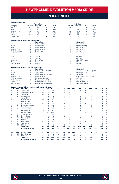### vs D.C. UNITED

|               |                        |                                                                      | <b>Revolution</b>          |                |               |                |                |                |                         | D.C. United                    |                |                |               |                          |                |
|---------------|------------------------|----------------------------------------------------------------------|----------------------------|----------------|---------------|----------------|----------------|----------------|-------------------------|--------------------------------|----------------|----------------|---------------|--------------------------|----------------|
| Category      |                        | 1st Half                                                             | 2nd Half                   | OT             | <b>Totals</b> |                |                | 1st Half       |                         | 2nd Half                       | ОT             |                | <b>Totals</b> |                          |                |
| Goals         |                        | 40                                                                   | 66                         | $\overline{c}$ | 108           |                |                | 56             |                         | 63                             | 0              |                | 119           |                          |                |
| Shots         |                        | 438                                                                  | 551                        | 6              | 995           |                |                | 510            |                         | 512                            | 3              |                | 1025          |                          |                |
| Shots on Goal |                        | 166                                                                  | 248                        | 3              | 417           |                |                | 236            |                         | 238                            | 0              |                | 474           |                          |                |
| Fouls         |                        | 563                                                                  | 612                        | 1              | 1176          |                |                | 611            |                         | 653                            | 3              |                | 1267          |                          |                |
| Offsides      |                        | 95                                                                   | 108                        | 1              | 204           |                |                | 120            |                         | 122                            | Ō              |                | 242           |                          |                |
| Corner Kicks  |                        | 187                                                                  | 257                        | $\mathbf 0$    | 444           |                |                | 244            |                         | 216                            | 1              |                | 461           |                          |                |
|               |                        |                                                                      |                            |                |               |                |                |                |                         |                                |                |                |               |                          |                |
|               |                        | <b>All-Time Regular Season Series Leaders</b>                        | <b>Revolution</b>          |                |               |                |                |                |                         | D.C. United                    |                |                |               |                          |                |
| Goals         |                        | 15                                                                   | <b>Taylor Twellman</b>     |                |               |                |                | 14             |                         | Jaime Moreno                   |                |                |               |                          |                |
| Assists       |                        | 9                                                                    | <b>Steve Ralston</b>       |                |               |                |                | 15             |                         | Marco Etcheverry               |                |                |               |                          |                |
| Shots         |                        | 75                                                                   | Taylor Twellman            |                |               |                |                | 84             |                         | Jaime Moreno                   |                |                |               |                          |                |
| Shots on Goal |                        | 44                                                                   | <b>Taylor Twellman</b>     |                |               |                |                | 45             |                         | Jaime Moreno                   |                |                |               |                          |                |
|               | <b>Fouls Committed</b> | 53                                                                   | Shalrie Joseph             |                |               |                |                | 61             |                         | <b>Ben Olsen</b>               |                |                |               |                          |                |
|               | <b>Fouls Suffered</b>  | 53                                                                   | Shalrie Joseph             |                |               |                |                | 92             |                         | Jaime Moreno                   |                |                |               |                          |                |
|               |                        |                                                                      |                            |                |               |                |                |                |                         |                                |                |                |               |                          |                |
| Wins          |                        | 8                                                                    | Matt Reis                  |                |               |                |                | 6              |                         | <b>Bill Hamid</b>              |                |                |               |                          |                |
| Losses        |                        | 12                                                                   | <b>Matt Reis</b>           |                |               |                |                | 8              |                         | <b>Bill Hamid</b>              |                |                |               |                          |                |
| Shutouts      |                        | $\overline{4}$                                                       | Brown/Reis                 |                |               |                |                | $\overline{4}$ |                         | B. Hamid/T. Perkins            |                |                |               |                          |                |
| Saves         |                        | 121                                                                  | <b>Matt Reis</b>           |                |               |                |                | 70             |                         | <b>Bill Hamid</b>              |                |                |               |                          |                |
|               | Goals Allowed          | 40                                                                   | <b>Matt Reis</b>           |                |               |                |                | 28             |                         | <b>Bill Hamid</b>              |                |                |               |                          |                |
|               |                        | <b>All-Time Regular Season Series Game Highs</b>                     |                            |                |               |                |                |                |                         |                                |                |                |               |                          |                |
|               |                        |                                                                      | <b>Revolution</b>          |                |               |                |                |                |                         | D.C. United                    |                |                |               |                          |                |
| Goals         |                        | 3                                                                    | Taylor Twellman (9/7/02)   |                |               |                |                | 4              |                         | Abdul Thompson Conteh (5/9/01) |                |                |               |                          |                |
| Assists       |                        | $\overline{c}$                                                       | <b>Eight Times</b>         |                |               |                |                | 3              |                         | B. Convey/M. Lisi              |                |                |               |                          |                |
| Shots         |                        | 9                                                                    | Taylor Twellman (10/16/08) |                |               |                |                | $\overline{7}$ |                         | Four Times                     |                |                |               |                          |                |
| Shots on Goal |                        | 6                                                                    | Taylor Twellman (9/7/02)   |                |               |                |                | 6              |                         | Abdul Thompson Conteh (5/9/01) |                |                |               |                          |                |
|               | <b>Fouls Committed</b> | $\overline{7}$                                                       | Tom Lips (7/20/96)         |                |               |                |                | 6              |                         | <b>Six Times</b>               |                |                |               |                          |                |
|               | <b>Fouls Suffered</b>  | 9                                                                    | Jose Cancela (8/9/03)      |                |               |                |                | $\overline{7}$ |                         | <b>Three Times</b>             |                |                |               |                          |                |
| Saves         |                        | 10                                                                   | Aidan Heaney (4/27/96)     |                |               |                |                | 10             |                         | Nick Rimando (6/18/05)         |                |                |               |                          |                |
| Goals Allowed |                        | 5                                                                    | Juergen Sommer (5/9/01)    |                |               |                |                | $\overline{a}$ |                         | B. Hamid/N. Rimando            |                |                |               |                          |                |
|               |                        | <b>Current Revolution Players' Career Statistics vs. D.C. United</b> |                            |                |               |                |                |                |                         |                                |                |                |               |                          |                |
| <b>UNF</b>    | POS                    | <b>PLAYER</b>                                                        | GP                         | GS             | <b>MIN</b>    | G              | Α              | <b>SHT</b>     | <b>SOG</b>              | FC                             | FS             | <b>OFF</b>     | СK            | C                        | Е              |
| 9             | F                      | Adam Buksa                                                           | $\overline{7}$             | 5              | 505           | $\overline{4}$ | $\mathbf{1}$   | 22             | 12                      | 19                             | 12             | $\mathbf 0$    | $\mathbf 0$   | 3                        | $\mathbf 0$    |
| 26            | M                      | Tommy McNamara                                                       | 12                         | 7              | 704           | 3              | 6              | 16             | 8                       | 3                              | 10             | 1              | 0             | 1                        | $\mathbf 0$    |
| 14            | F                      | Jozy Altidore                                                        | 13                         | 8              | 717           | 3              | 3              | 14             | 6                       | 21                             | 22             | 5              | 1             | $\overline{c}$           | 0              |
| 7             | F                      | Gustavo Bou                                                          | $\overline{7}$             | 6              | 562           | 3              | $\overline{c}$ | 26             | 9                       | 3                              | 5              | 5              | 6             | $\mathbf 0$              | $\mathbf 0$    |
| 10            | M                      | Carles Gil                                                           | 6                          | 6              | 487           | $\overline{c}$ | 1              | 14             | 4                       | $\overline{2}$                 | 13             | 1              | 25            | $\mathbf 0$              | $\mathbf 0$    |
| 3             | D                      | Omar Gonzalez                                                        | 12                         | 12             | 999           | 1              | $\mathbf 0$    | $\overline{4}$ | $\overline{\mathbf{c}}$ | 18                             | 9              | 1              | $\mathbf 0$   | 3                        | $\circ$        |
| 24            | D                      | DeJuan Jones                                                         | $\overline{7}$             | 5              | 410           | 1              | 0              | 4              | 3                       | 4                              | $\overline{7}$ | 0              | $\mathbf 0$   | $\mathbf 0$              | $\mathbf 0$    |
| 28            | D                      | A.J. DeLaGarza                                                       | 14                         | 13             | 1126          | 0              | $\overline{c}$ | 3              | Ō                       | 9                              | 13             | 0              | $\mathbf 0$   | 1                        | $\mathbf 0$    |
| 11            | F                      | <b>Emmanuel Boateng</b>                                              | 4                          | 1              | 136           | 0              | 1              | $\overline{c}$ | Ō                       | $\overline{c}$                 | 1              | 0              | 3             | 1                        | $\mathbf 0$    |
| 17            | M                      | Sebastian Lletget                                                    | $\overline{c}$             | 1              | 92            | 0              | 1              | 3              | 0                       | 0                              | 1              | 0              | 1             | $\mathbf 0$              | $\mathbf 0$    |
| 25            | M                      | Arnor Traustason                                                     | 3                          | $\overline{c}$ | 163           | $\Omega$       | 1              | 3              | $\overline{1}$          | 3                              | $\overline{7}$ | $\Omega$       | $\Omega$      | $\overline{2}$           | 1              |
| 15            | D                      | <b>Brandon Bye</b>                                                   | 9                          | 8              | 781           | 0              | $\mathbf 0$    | 5              | $\overline{c}$          | 8                              | $\overline{7}$ | 0              | 0             | $\mathbf 0$              | $\mathbf{0}$   |
| 2             | D                      | Andrew Farrell                                                       | 22                         | 22             | 1972          | 0              | $\mathbf 0$    | 1              | Ō                       | 13                             | 17             | 1              | $\mathbf 0$   | $\overline{c}$           | $\mathbf 0$    |
| 5             | M                      | Wilfrid Kaptoum                                                      | $\overline{c}$             | $\overline{c}$ | 109           | 0              | $\mathbf 0$    | $\mathbf 0$    | Ō                       | 4                              | 1              | $\mathbf 0$    | $\mathbf 0$   | $\overline{c}$           | $\mathbf 0$    |
| 4             | D                      | Henry Kessler                                                        | $\overline{7}$             | 6              | 585           | 0              | $\mathbf 0$    | 4              | Ō                       | 4                              | 3              | 0              | $\mathbf 0$   | $\mathbf 0$              | $\mathbf 0$    |
| 18            | GK                     | <b>Brad Knighton</b>                                                 | 4                          | 3              | 302           | 0              | $\Omega$       | 0              | 0                       | 0                              | $\mathbf 0$    | $\Omega$       | 0             | 0                        | $\mathbf 0$    |
| 13            | M                      | Maciel                                                               | 1                          | 1              | 45            | 0              | 0              | $\mathbf 0$    | 0                       | 1                              | $\mathbf 0$    | 0              | 0             | $\mathbf 0$              | $\circ$        |
| 8             | M                      | <b>Matt Polster</b>                                                  | 12                         | 9              | 745           | $\Omega$       | $\Omega$       | 5              | $\overline{1}$          | 15                             | 12             | 1              | $\Omega$      | $\overline{2}$           | $\mathbf 0$    |
| 12            | F                      | Justin Rennicks                                                      | $\mathbf{1}$               | $\mathbf 0$    | 1             | 0              | 0              | 0              | $\mathbf 0$             | 0                              | 1              | 0              | 0             | $\mathbf 0$              | 0              |
| 30            | GK                     | Matt Turner                                                          | 11                         | 11             | 956           | 0              | 0              | 0              | $\mathbf 0$             | 1                              | $\overline{c}$ | 0              | $\mathbf{0}$  | 1                        | 1              |
|               |                        | <b>TEAM TOTALS</b>                                                   | 82                         | 82             | 7405          | 108            | 104            | 993            | 417                     | 1176                           | 1240           | 204            | 444           | 135                      | 9              |
|               |                        | <b>OPPONENT TOTALS</b>                                               | 82                         | 82             | 7405          | 119            | 122            | 1027           | 474                     | 1267                           | 1153           | 242            | 462           | 152                      | 10             |
| <b>UNF</b>    | POS                    | <b>GOALKEEPER</b>                                                    | GP                         | GS             | <b>MIN</b>    | <b>SHTS</b>    | <b>SV</b>      | GA             | GAA                     | PG                             | PA             | W              | Ц             | т                        | SO             |
| 18            | GK                     | <b>Brad Knighton</b>                                                 | 4                          | 3              | 302           | 20             | 16             | 4              | 1.19                    | 1                              | 1              | 1              | 1             | $\overline{c}$           | 1              |
| 30            | GK                     | Matt Turner                                                          | 11                         | 11             | 956           | 50             | 34             | 15             | 1.41                    | $\mathfrak{p}$                 | $\mathfrak{p}$ | $\overline{7}$ | 1             | $\overline{\phantom{a}}$ | $\overline{c}$ |
|               |                        | <b>TEAM TOTALS</b>                                                   | 82                         | 82             | 7405          | 474            | 332            | 119            | 1.45                    | 10                             | 14             | 33             | 34            | 15                       | 16             |
|               |                        | <b>OPPONENT TOTALS</b>                                               | 82                         | 82             | 7405          | 417            | 296            | 108            | 1.31                    | 9                              | 14             | 34             | 33            | 15                       | 20             |



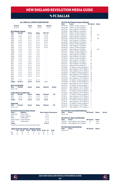# vs fc dallas

#### **ALL-TIME ALL-COMPETITIONS RECORD**

| Overall<br>$24 - 20 - 4$ |                           | Home<br>$12 - 8 - 1$ | Away<br>$12 - 12 - 3$ | <b>Neutral</b><br>$0 - 0 - 0$ |  |
|--------------------------|---------------------------|----------------------|-----------------------|-------------------------------|--|
|                          | <b>MLS Regular Season</b> |                      |                       |                               |  |
| Year                     | Overall                   | Home                 | Away                  | <b>SO*/OT</b>                 |  |
| 1996                     | $2 - 1 - 0$               | $1 - 1 - 0$          | $1 - 0 - 0$           | $0 - 0 - 0*$                  |  |
| 1997                     | $4 - 0 - 0$               | $2 - 0 - 0$          | $2 - 0 - 0$           | $1 - 0 - 0*$                  |  |
| 1998                     | $1 - 1 - 0$               | $0 - 1 - 0$          | $1 - 0 - 0$           | $0 - 1 - 0*$                  |  |
| 1999                     | $0 - 2 - 0$               | $0 - 1 - 0$          | $0 - 1 - 0$           | $0 - 0 - 0*$                  |  |
| 2000                     | $0 - 2 - 0$               | $0 - 1 - 0$          | $0 - 1 - 0$           | $0 - 0 - 0$                   |  |
| 2001                     | $1 - 0 - 1$               | $1 - 0 - 0$          | $0 - 0 - 1$           | $0 - 0 - 1$                   |  |
| 2002                     | $2 - 0 - 0$               | $1 - 0 - 0$          | $1 - 0 - 0$           | $0 - 0 - 0$                   |  |
| 2003                     | $2 - 1 - 0$               | $0 - 1 - 0$          | $2 - 0 - 0$           | $0 - 0 - 0$                   |  |
| 2004                     | $2 - 1 - 0$               | $1 - 0 - 0$          | $1 - 1 - 0$           | ٠                             |  |
| 2005                     | $2 - 0 - 0$               | $1 - 0 - 0$          | $1 - 0 - 0$           | ٠                             |  |
| 2006                     | $1 - 1 - 0$               | $1 - 0 - 0$          | $0 - 1 - 0$           |                               |  |
| 2007                     | $2 - 0 - 0$               | $1 - 0 - 0$          | $1 - 0 - 0$           |                               |  |
| 2008                     | $2 - 0 - 0$               | $1 - 0 - 0$          | $1 - 0 - 0$           |                               |  |
| 2009                     | $1 - 1 - 0$               | $1 - 0 - 0$          | $0 - 1 - 0$           |                               |  |
| 2010                     | $0 - 0 - 2$               | $0 - 0 - 1$          | $0 - 0 - 1$           |                               |  |
| 2011                     | $1 - 1 - 0$               | $1 - 0 - 0$          | $0 - 1 - 0$           |                               |  |
| 2012                     | $0 - 1 - 0$               | $0 - 0 - 0$          | $0 - 1 - 0$           |                               |  |
| 2013                     | $0 - 1 - 0$               | $0 - 1 - 0$          | $0 - 0 - 0$           |                               |  |
| 2014                     | $0 - 1 - 0$               | $0 - 0 - 0$          | $0 - 1 - 0$           |                               |  |
| 2015                     | $0 - 1 - 0$               | $0 - 0 - 0$          | $0 - 1 - 0$           |                               |  |
| 2016                     | $0 - 1 - 0$               | $0 - 1 - 0$          | $0 - 0 - 0$           |                               |  |
| 2017                     | $0 - 1 - 0$               | $0 - 0 - 0$          | $0 - 1 - 0$           |                               |  |
| 2018                     | $0 - 1 - 0$               | $0 - 0 - 0$          | $0 - 1 - 0$           |                               |  |
| 2019                     | $0 - 0 - 1$               | $0 - 0 - 0$          | $0 - 0 - 1$           |                               |  |
| 2020                     | ۰                         |                      |                       |                               |  |
| 2021                     | $0 - 1 - 0$               | $0 - 0 - 0$          | $0 - 1 - 0$           |                               |  |
| <b>Totals</b>            | $23 - 19 - 4$             | $12 - 8 - 1$         | $11 - 11 - 3$         | $1 - 1 - 1$                   |  |

| <b>MLS Cup Playoffs</b> |                          |      |      |                |               |  |  |  |  |  |
|-------------------------|--------------------------|------|------|----------------|---------------|--|--|--|--|--|
| Year                    | Overall                  | Home | Away | <b>Neutral</b> | <b>Series</b> |  |  |  |  |  |
| Never met               |                          |      |      |                |               |  |  |  |  |  |
|                         | Lamar Hunt U.S. Open Cup |      |      |                |               |  |  |  |  |  |
| Year                    | Overall                  | Home | Away | <b>Neutral</b> | <b>SO</b>     |  |  |  |  |  |
| 2007                    | 100                      | 0.00 | 100  | 0.00           |               |  |  |  |  |  |

| <b>SuperLiga</b><br>$\cdots$ | $\sim$ $\sim$ $\sim$ | .           |             | .           | $\sim$ |
|------------------------------|----------------------|-------------|-------------|-------------|--------|
| <b>Totals</b>                | $1 - 1 - 0$          | $0 - 0 - 0$ | $1 - 1 - 0$ | $0 - 0 - 0$ | ٠      |
| 2016                         | $0 - 1 - 0$          | $0 - 0 - 0$ | $0 - 1 - 0$ | $0 - 0 - 0$ | ٠      |
| 2007                         | $1 - 0 - 0$          | $0 - 0 - 0$ | $1 - 0 - 0$ | $0 - 0 - 0$ | ٠      |

| Year      | Overall                                 | Home | Away | <b>Neutral</b> | <b>SO</b> |
|-----------|-----------------------------------------|------|------|----------------|-----------|
| Never met |                                         |      |      |                |           |
|           | <b>Boughttion Boograph Augustaniens</b> |      |      |                |           |

|               | <b>Revolution Record at Away Venues</b>     |                               |  |  |  |  |
|---------------|---------------------------------------------|-------------------------------|--|--|--|--|
| <b>Years</b>  | <b>Stadium</b>                              | <b>Reg. Season Postseason</b> |  |  |  |  |
| 1996-2002     | Cotton Bowl                                 | $5 - 2 - 1$                   |  |  |  |  |
| 2003          | Dragon Stadium                              | $2 - 0 - 0$                   |  |  |  |  |
| 2004          | Cotton Bowl                                 | $2 - 1 - 0$                   |  |  |  |  |
|               | 2005-Present Tovota Stadium                 | $3 - 7 - 2$                   |  |  |  |  |
| 2009*         | Cotton Bowl                                 | $0 - 1 - 0$                   |  |  |  |  |
| <b>Totals</b> |                                             | $11 - 10 - 3$                 |  |  |  |  |
|               | * Denotes a one-game, special double-header |                               |  |  |  |  |

|           | <b>Goals Scored by Interval - Regular Season</b> |                                       |    |           |    |     |          |       |
|-----------|--------------------------------------------------|---------------------------------------|----|-----------|----|-----|----------|-------|
|           |                                                  | 1-15 16-30 31-45 46-60 61-75 76-90 OT |    |           |    |     |          | Total |
| <b>NF</b> |                                                  | 10.                                   | 14 | 8.        | a  | 18. | $\Omega$ | 70    |
| DAI       | 10 <sup>10</sup>                                 | я                                     | וו | $\Lambda$ | 15 | 15  | n        | 63    |

| <b>All-Time MLS Regular Season Meetings</b> |                              |                  |              |  |  |  |  |  |
|---------------------------------------------|------------------------------|------------------|--------------|--|--|--|--|--|
| <b>Date</b>                                 | Score                        | <b>NE Result</b> | <b>Notes</b> |  |  |  |  |  |
| 06/23/96                                    | Dallas 4 at New England 1    | L                |              |  |  |  |  |  |
| 09/04/96                                    | Dallas 1 at New England 2    | W                |              |  |  |  |  |  |
| 09/07/96                                    | New England 2 at Dallas 0    | W                |              |  |  |  |  |  |
| 03/29/97                                    | New England 1 at Dallas 0    | W                |              |  |  |  |  |  |
| 06/01/97                                    | Dallas 1 at New England 3    | W                |              |  |  |  |  |  |
| 06/22/97                                    | Dallas 2 at New England 2    | W                | <b>SO</b>    |  |  |  |  |  |
| 09/25/97                                    | New England 2 at Dallas 1    | W                |              |  |  |  |  |  |
| 06/27/98                                    | Dallas 3 at New England 3    | L                | SO           |  |  |  |  |  |
| 07/18/98                                    | New England 3 at Dallas 1    | W                |              |  |  |  |  |  |
| 06/26/99                                    | New England 0 at Dallas 2    | L                |              |  |  |  |  |  |
| 09/24/99                                    | Dallas 1 at New England 0    | L                |              |  |  |  |  |  |
| 04/08/00                                    | New England 1 at Dallas 2    | L                |              |  |  |  |  |  |
| 08/02/00                                    | Dallas 2 at New England 1    | L                |              |  |  |  |  |  |
| 07/04/01                                    | New England 1 at Dallas 1    | T                | 2OT          |  |  |  |  |  |
| 08/04/01                                    | Dallas 1 at New England 5    | W                |              |  |  |  |  |  |
| 05/11/02                                    | Dallas 0 at New England 2    | W                |              |  |  |  |  |  |
| 09/14/02                                    | New England 2 at Dallas 1    | W                |              |  |  |  |  |  |
| 04/26/03                                    | New England 2 at Dallas 1    | W                |              |  |  |  |  |  |
| 07/16/03                                    | Dallas 2 at New England 1    | L                |              |  |  |  |  |  |
| 10/04/03                                    | New England 4 at Dallas 1    | W                |              |  |  |  |  |  |
| 06/12/04                                    | New England 1 at Dallas 3    | L                |              |  |  |  |  |  |
| 08/11/04                                    | New England 3 at Dallas 0    | W                |              |  |  |  |  |  |
| 10/02/04                                    | Dallas 0 at New England 2    | W                |              |  |  |  |  |  |
| 07/16/05                                    | FC Dallas 2 at New England 3 | W                |              |  |  |  |  |  |
| 08/13/05                                    | New England 2 at FC Dallas 1 | W                |              |  |  |  |  |  |
| 05/20/06                                    | New England 0 at FC Dallas 4 | L                |              |  |  |  |  |  |
| 06/28/06                                    | FC Dallas 0 at New England 1 | W                |              |  |  |  |  |  |
| 04/29/07                                    | New England 1 at FC Dallas 0 | W                |              |  |  |  |  |  |
| 09/15/07                                    | FC Dallas 2 at New England 4 | W                |              |  |  |  |  |  |
| 04/24/08                                    | New England 1 at FC Dallas 0 | W                |              |  |  |  |  |  |
| 06/06/08                                    | FC Dallas 1 at New England 2 | W                |              |  |  |  |  |  |
| 04/04/09                                    | FC Dallas 1 at New England 2 | W                |              |  |  |  |  |  |
| 09/30/09                                    | New England 0 at FC Dallas 1 | L                |              |  |  |  |  |  |
| 05/01/10                                    | FC Dallas 1 at New England 1 | T                |              |  |  |  |  |  |
| 09/22/10                                    | New England 2 at FC Dallas 2 | T                |              |  |  |  |  |  |
| 06/04/11                                    | New England 0 at FC Dallas 1 | L                |              |  |  |  |  |  |
| 09/10/11                                    | FC Dallas 0 at New England 2 | W                |              |  |  |  |  |  |
| 04/05/12                                    | New England 0 at FC Dallas 1 | Ĺ                |              |  |  |  |  |  |
| 03/30/13                                    | FC Dallas 1 at New England 0 | L                |              |  |  |  |  |  |
| 07/19/14                                    | New England 0 at FC Dallas 2 | Ĺ                |              |  |  |  |  |  |
| 07/04/15                                    | New England 0 at FC Dallas 3 | L                |              |  |  |  |  |  |
| 05/21/16                                    | FC Dallas 4 at New England 2 | L                |              |  |  |  |  |  |
| 03/18/17                                    | New England 1 at FC Dallas 2 | L                |              |  |  |  |  |  |
| 04/14/18                                    | FC Dallas 1 at New England 0 | L                |              |  |  |  |  |  |
| 03/02/19                                    | New England 1 at FC Dallas 1 | T                |              |  |  |  |  |  |
| 06/27/21                                    | New England 1 at FC Dallas 2 | L                |              |  |  |  |  |  |
|                                             |                              |                  |              |  |  |  |  |  |

| <b>All-Time MLS Cup Playoffs Meetings</b> |                                        |                  |              |               |  |  |  |  |  |
|-------------------------------------------|----------------------------------------|------------------|--------------|---------------|--|--|--|--|--|
| Date                                      | Score                                  | <b>NF Result</b> | <b>Notes</b> | <b>Series</b> |  |  |  |  |  |
| Never met                                 |                                        |                  |              |               |  |  |  |  |  |
|                                           | <b>All-Time U.S. Open Cup Meetings</b> |                  |              |               |  |  |  |  |  |
| Date                                      | Score                                  | <b>NE Result</b> | <b>Notes</b> |               |  |  |  |  |  |
|                                           | 10/03/07 New England 3 at FC Dallas 2  | W                | Final        |               |  |  |  |  |  |
| 09/13/16                                  | New England 2 at FC Dallas 4           | L                | Final        |               |  |  |  |  |  |
| <b>All-Time SuperLiga Meetings</b>        |                                        |                  |              |               |  |  |  |  |  |
| Date                                      | Score                                  | <b>NE Result</b> | <b>Notes</b> |               |  |  |  |  |  |
| Never met                                 |                                        |                  |              |               |  |  |  |  |  |
|                                           |                                        |                  |              |               |  |  |  |  |  |

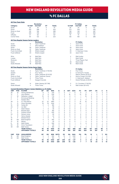## vs fc dallas

|            |                        |                                                                                     | <b>Revolution</b>         |                |               |                |                |                |                | <b>FC Dallas</b>         |                |                |                |                |              |
|------------|------------------------|-------------------------------------------------------------------------------------|---------------------------|----------------|---------------|----------------|----------------|----------------|----------------|--------------------------|----------------|----------------|----------------|----------------|--------------|
| Category   |                        | 1st Half                                                                            | 2nd Half                  | OT             | <b>Totals</b> |                |                | 1st Half       |                | 2nd Half                 | OT             |                | <b>Totals</b>  |                |              |
| Goals      |                        | 35                                                                                  | 35                        | $\mathbf 0$    | 70            |                |                | 29             |                | 34                       | 0              |                | 63             |                |              |
| Shots      |                        | 262                                                                                 | 288                       | 3              | 553           |                |                | 272            |                | 345                      | 1              |                | 618            |                |              |
|            | Shots on Goal          | 132                                                                                 | 156                       | 1              | 289           |                |                | 138            |                | 149                      | 0              |                | 287            |                |              |
| Fouls      |                        | 325                                                                                 | 316                       | $\mathbf 0$    | 641           |                |                | 328            |                | 332                      | $\overline{c}$ |                | 662            |                |              |
| Offsides   |                        | 47                                                                                  | 60                        | $\mathbf 0$    | 107           |                |                | 76             |                | 75                       | 0              |                | 151            |                |              |
|            | Corner Kicks           | 101                                                                                 | 122                       | $\mathbf 0$    | 223           |                |                | 126            |                | 160                      | 0              |                | 286            |                |              |
|            |                        | <b>All-Time Regular Season Series Leaders</b>                                       |                           |                |               |                |                |                |                |                          |                |                |                |                |              |
|            |                        |                                                                                     | <b>Revolution</b>         |                |               |                |                |                |                | <b>FC Dallas</b>         |                |                |                |                |              |
| Goals      |                        | 14                                                                                  | Taylor Twellman           |                |               |                |                | $\overline{7}$ |                | Jason Kreis              |                |                |                |                |              |
| Assists    |                        | $\overline{7}$                                                                      | <b>Steve Ralston</b>      |                |               |                |                | $\overline{7}$ |                | Jason Kreis              |                |                |                |                |              |
| Shots      |                        | 56                                                                                  | Taylor Twellman           |                |               |                |                | 45             |                | Jason Kreis              |                |                |                |                |              |
|            | Shots on Goal          | 37                                                                                  | Taylor Twellman           |                |               |                |                | 21             |                | Jason Kreis              |                |                |                |                |              |
|            | <b>Fouls Committed</b> | 28                                                                                  | Shalrie Joseph            |                |               |                |                | 29             |                | C. Deering/J. Kreis      |                |                |                |                |              |
|            | <b>Fouls Suffered</b>  | 34                                                                                  | Shalrie Joseph            |                |               |                |                | 33             |                | Jason Kreis              |                |                |                |                |              |
| Wins       |                        | 10                                                                                  | Matt Reis                 |                |               |                |                | $\overline{4}$ |                | Matt Jordan              |                |                |                |                |              |
| Losses     |                        | 5                                                                                   | Matt Reis                 |                |               |                |                | $\overline{7}$ |                | Mark Dodd                |                |                |                |                |              |
| Shutouts   |                        | 6                                                                                   | Matt Reis                 |                |               |                |                | $\overline{c}$ |                | Three Players Tied       |                |                |                |                |              |
| Saves      |                        | 73                                                                                  | Matt Reis                 |                |               |                |                | 46             |                | Mark Dodd                |                |                |                |                |              |
|            | Goals Allowed          | 18                                                                                  | Matt Reis                 |                |               |                |                | 19             |                | Mark Dodd                |                |                |                |                |              |
|            |                        | <b>All-Time Regular Season Series Game Highs</b>                                    |                           |                |               |                |                |                |                |                          |                |                |                |                |              |
|            |                        |                                                                                     | <b>Revolution</b>         |                |               |                |                |                |                | <b>FC Dallas</b>         |                |                |                |                |              |
| Goals      |                        | 3                                                                                   | Taylor Twellman (7/16/05) |                |               |                |                | $\overline{2}$ |                | <b>Five Times</b>        |                |                |                |                |              |
| Assists    |                        | $\overline{c}$                                                                      | Four Times                |                |               |                |                | $\overline{2}$ |                | D. Sonora/K. Acosta      |                |                |                |                |              |
| Shots      |                        | 8                                                                                   | Taylor Twellman (9/14/02) |                |               |                |                | $\overline{7}$ |                | Maicon Santos (9/10/11)  |                |                |                |                |              |
|            | Shots on Goal          | 5                                                                                   | Taylor Twellman (twice)   |                |               |                |                | 5              |                | Kenny Cooper (4/4/09)    |                |                |                |                |              |
|            | <b>Fouls Committed</b> | 6                                                                                   | <b>Three Times</b>        |                |               |                |                | 7              |                | C. Deering/S. Valakari   |                |                |                |                |              |
|            | <b>Fouls Suffered</b>  | $\overline{7}$                                                                      | Keegan/Cancela            |                |               |                |                | $\overline{7}$ |                | Daniel Peinado (3/29/97) |                |                |                |                |              |
| Saves      |                        | 14                                                                                  | Aidan Heaney (9/7/96)     |                |               |                |                | 11             |                | D.J. Countess (7/16/03)  |                |                |                |                |              |
|            | Goals Allowed          | 4                                                                                   | <b>Three Times</b>        |                |               |                |                | 5              |                | Matt Jordan (8/4/01)     |                |                |                |                |              |
| <b>UNF</b> | POS                    | <b>Current Revolution Players' Career Statistics vs. FC Dallas</b><br><b>PLAYER</b> | GP                        | GS             | <b>MIN</b>    | G              | A              | <b>SHT</b>     | <b>SOG</b>     | FC                       | FS             | OFF            | CK             | C              | Е            |
| 26         | M                      | Tommy McNamara                                                                      | 6                         | $\overline{4}$ | 376           | $\overline{2}$ | 0              | $\overline{7}$ | 6              | 9                        | $\overline{4}$ | 1              | $\mathbf 0$    | 3              | $\mathbf 0$  |
| 14         | F                      | Jozy Altidore                                                                       | 6                         | 6              | 536           | 1              | $\overline{c}$ | 16             | 5              | 14                       | 15             | $\overline{4}$ | $\mathbf 0$    | 3              | 0            |
| 17         | M                      | Sebastian Lletget                                                                   | 10                        | 8              | 776           | 1              | 2              | 9              | $\overline{2}$ | $\overline{7}$           | 16             | $\mathbf 0$    | 6              | 1              | 0            |
| 11         | F                      | <b>Emmanuel Boateng</b>                                                             | 8                         | $\overline{c}$ | 281           | 1              | $\mathbf{1}$   | 3              | $\overline{1}$ | $\overline{7}$           | 1              | $\mathbf 0$    | $\mathbf 0$    | 1              | $\mathbf 0$  |
| 7          | F                      | Gustavo Bou                                                                         | 1                         | $\mathbf{1}$   | 90            | 1              | $\mathbf 0$    | 5              | $\overline{2}$ | $\mathbf 0$              | $\mathbf 0$    | 1              | $\mathbf 0$    | $\mathbf 0$    | $\mathbf 0$  |
| 28         | D                      | A.J. DeLaGarza                                                                      | 22                        | 22             | 1894          | 1              | $\mathbf{0}$   | 5              | $\overline{c}$ | 15                       | 16             | $\circ$        | $\mathbf 0$    | 4              | $\mathbf{0}$ |
| 3          | D                      | Omar Gonzalez                                                                       | 16                        | 16             | 1440          | 1              | $\Omega$       | 11             | $\overline{4}$ | 24                       | 7              | $\Omega$       | $\Omega$       | $\overline{4}$ | $\Omega$     |
| 10         | M                      | Carles Gil                                                                          | $\overline{2}$            | $\overline{2}$ | 180           | 1              | 0              | $\overline{4}$ | $\overline{2}$ | 1                        | 4              | $\mathbf 0$    | 5              | $\mathbf 0$    | 0            |
| 23         | D                      | Jon Bell                                                                            | 1                         | 1              | 68            | 0              | 0              | $\mathbf 0$    | $\mathbf 0$    | 0                        | $\Omega$       | $\Omega$       | $\mathbf 0$    | 0              | 0            |
| 9          | F                      | Adam Buksa                                                                          | 1                         | $\mathbf 0$    | 30            | 0              | $\mathbf 0$    | $\mathbf 0$    | $\mathbf 0$    | $\mathbf 0$              | 0              | $\mathbf 0$    | $\mathbf 0$    | $\mathbf 0$    | $\mathbf 0$  |
| 15         | D                      | <b>Brandon Bye</b>                                                                  | $\overline{c}$            | $\overline{c}$ | 180           | $\mathbf 0$    | $\mathbf 0$    | $\Omega$       | $\mathbf 0$    | $\overline{c}$           | $\Omega$       | $\mathbf 0$    | $\mathbf 0$    | $\Omega$       | $\mathbf 0$  |
| 2          | D                      | Andrew Farrell                                                                      | 6                         | 6              | 540           | 0              | $\mathbf 0$    | $\mathbf 0$    | $\mathbf 0$    | 1                        | 4              | $\mathbf 0$    | $\mathbf 0$    | $\mathbf 0$    | 0            |
| 24         | D                      | DeJuan Jones                                                                        | 1                         | 1              | 90            | 0              | $\mathbf 0$    | $\mathbf 0$    | $\mathbf 0$    | $\mathbf 0$              | $\mathbf 0$    | $\mathbf 0$    | $\mathbf 0$    | $\mathbf 0$    | 0            |
| 4          | D                      | Henry Kessler                                                                       | 1                         | 0              | 22            | 0              | $\Omega$       | $\Omega$       | $\Omega$       | $\Omega$                 | $\Omega$       | $\Omega$       | $\Omega$       | $\Omega$       | 0            |
| 19         | F                      | Edward Kizza                                                                        | 1                         | $\mathbf 0$    | 9             | $\Omega$       | $\Omega$       | $\mathbf{1}$   | $\Omega$       | $\Omega$                 | $\Omega$       | $\Omega$       | $\Omega$       | $\Omega$       | 0            |
| 18         | GK                     | <b>Brad Knighton</b>                                                                | 4                         | 4              | 292           | $\mathbf 0$    | $\mathbf 0$    | $\mathbf 0$    | $\mathbf 0$    | 1                        | 1              | $\mathbf 0$    | $\mathbf 0$    | 1              | 1            |
| 13         | M                      | Maciel                                                                              | 1                         | 1              | 45            | 0              | $\mathbf 0$    | $\mathbf 0$    | $\mathbf 0$    | 1                        | $\mathbf 0$    | $\circ$        | $\mathbf 0$    | $\mathbf 0$    | $\mathbf{0}$ |
| 8          | M                      | Matt Polster                                                                        | 4                         | $\overline{4}$ | 306           | 0              | $\mathbf 0$    | $\overline{2}$ | 1              | 3                        | 6              | $\mathbf 0$    | $\mathbf 0$    | 1              | 0            |
| 25         | M                      | Arnor Traustason                                                                    | 1                         | 1              | 60            | 0              | $\mathbf 0$    | $\overline{c}$ | 1              | 1                        | 1              | $\mathbf 0$    | $\mathbf 0$    | $\mathbf 0$    | $\mathbf 0$  |
| 30         | GK                     | <b>Matt Turner</b>                                                                  | $\overline{2}$            | $\overline{2}$ | 180           | $\Omega$       | 0              | $\Omega$       | $\mathbf 0$    | 0                        | $\Omega$       | $\mathbf 0$    | $\mathbf 0$    | 0              | 0            |
|            |                        | <b>TEAM TOTALS</b>                                                                  | 46                        | 46             | 4150          | 70             | 72             | 553            | 289            | 641                      | 654            | 107            | 225            | 80             | 5            |
|            |                        | <b>OPPONENT TOTALS</b>                                                              | 46                        | 46             | 4150          | 63             | 65             | 618            | 287            | 662                      | 629            | 151            | 287            | 81             | 7            |
| <b>UNF</b> | POS                    | <b>GOALKEEPER</b>                                                                   | GP                        | GS             | <b>MIN</b>    | <b>SHTS</b>    | SV             | GA             | <b>GAA</b>     | PG                       | PA             | W              | г              | T              | <b>SO</b>    |
| 18         | GK                     | <b>Brad Knighton</b>                                                                | 4                         | 4              | 292           | 16             | 13             | 3              | 0.92           | 0                        | 1              | 1              | $\mathbf{1}$   | 1              | 0            |
| 30         | GK                     | Matt Turner                                                                         | $\overline{c}$            | $\overline{c}$ | 180           | 9              | 6              | 3              | 1.50           | $\mathbf 0$              | $\mathbf 0$    | $\mathbf 0$    | $\overline{2}$ | 0              | $\mathbf{0}$ |
|            |                        | <b>TEAM TOTALS</b>                                                                  | 46                        | 46             | 4150          | 287            | 209            | 63             | 1.37           | 3                        | 4              | 23             | 19             | 4              | 9            |
|            |                        | <b>OPPONENT TOTALS</b>                                                              | 46                        | 46             | 4150          | 289            | 208            | 70             | 1.52           | 7                        | 7              | 19             | 23             | 4              | 10           |



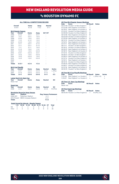# vs houston dynamo fc

#### **ALL-TIME ALL-COMPETITIONS RECORD**

| Overall<br>$13 - 6 - 9$ |                                         | Home<br>$6 - 2 - 6$ | Away<br>$7 - 3 - 2$ | <b>Neutral</b><br>$0 - 1 - 1$ |               |
|-------------------------|-----------------------------------------|---------------------|---------------------|-------------------------------|---------------|
|                         | <b>MLS Regular Season</b>               |                     |                     |                               |               |
| Year                    | Overall                                 | Home                | Away                | SO*/OT                        |               |
| 2006                    | $0 - 0 - 2$                             | $0 - 0 - 1$         | $0 - 0 - 1$         | L.                            |               |
| 2007                    | $1 - 0 - 1$                             | $0 - 0 - 1$         | $1 - 0 - 0$         |                               |               |
| 2008                    | $2 - 0 - 0$                             | $1 - 0 - 0$         | $1 - 0 - 0$         |                               |               |
| 2009                    | $1 - 1 - 0$                             | $0 - 1 - 0$         | $1 - 0 - 0$         |                               |               |
| 2010                    | $2 - 0 - 0$                             | $1 - 0 - 0$         | $1 - 0 - 0$         | ä,                            |               |
| 2011                    | $0 - 1 - 1$                             | $0 - 0 - 1$         | $0 - 1 - 0$         | ä,                            |               |
| 2012                    | $0 - 1 - 1$                             | $0 - 0 - 1$         | $0 - 1 - 0$         | ٠                             |               |
| 2013                    | $1 - 1 - 1$                             | $0 - 1 - 1$         | $1 - 0 - 0$         | L.                            |               |
| 2014                    | $2 - 1 - 0$                             | $1 - 0 - 0$         | $1 - 1 - 0$         |                               |               |
| 2015                    | $1 - 0 - 0$                             | $1 - 0 - 0$         | $0 - 0 - 0$         |                               |               |
| 2016                    | $0 - 0 - 1$                             | $0 - 0 - 0$         | $0 - 0 - 1$         | ä,                            |               |
| 2017                    | $1 - 0 - 0$                             | $1 - 0 - 0$         | $0 - 0 - 0$         | L,                            |               |
| 2018                    | $1 - 0 - 0$                             | $0 - 0 - 0$         | $1 - 0 - 0$         | ä,                            |               |
| 2019                    | $1 - 0 - 0$                             | $1 - 0 - 0$         | $0 - 0 - 0$         | ä,                            |               |
| 2020                    | ÷                                       | ä,                  | ÷                   | ä,                            |               |
| 2021                    |                                         |                     |                     |                               |               |
| <b>Totals</b>           | $13 - 5 - 7$                            | $6 - 2 - 5$         | $7 - 3 - 2$         |                               |               |
|                         | <b>MLS Cup Playoffs</b>                 |                     |                     |                               |               |
| Year                    | Overall                                 | Home                | Away                | <b>Neutral</b>                | <b>Series</b> |
| 2006                    | $0 - 0 - 1$                             | $0 - 0 - 0$         | $0 - 0 - 0$         | $0 - 0 - 1$                   | L (PKs)       |
| 2007                    | $0 - 1 - 0$                             | $0 - 0 - 0$         | $0 - 0 - 0$         | $0 - 1 - 0$                   | L             |
| <b>Totals</b>           | $0 - 1 - 1$                             | $0 - 0 - 0$         | $0 - 0 - 0$         | $0 - 1 - 1$                   | $0 - 2$       |
|                         | Lamar Hunt U.S. Open Cup                |                     |                     |                               |               |
| Year                    | Overall                                 | Home                | Away                | <b>Neutral</b>                | SO            |
| Never met               |                                         |                     |                     |                               |               |
| <b>SuperLiga</b>        |                                         |                     |                     |                               |               |
| Year                    | Overall                                 | Home                | Away                | <b>Neutral</b>                | <b>SO</b>     |
| 2008                    | $0 - 0 - 1$                             | $0 - 0 - 1$         | $0 - 0 - 0$         | $0 - 0 - 0$                   | W (PKs)       |
|                         | <b>Revolution Record at Away Venues</b> |                     |                     |                               |               |

| <b>Years</b>  | <b>Stadium</b>                    | <b>Reg. Season Postseason</b> |    |
|---------------|-----------------------------------|-------------------------------|----|
| 2006-2011     | Robertson Stadium                 | $4 - 1 - 1$                   | ۰. |
|               | 2012-Present BBVA Compass Stadium | $3 - 2 - 1$                   |    |
| <b>Totals</b> |                                   | $7 - 3 - 2$                   | ۰  |

#### **Goals Scored by Interval – Regular Season**

|  | 1-15 16-30 31-45 46-60 61-75 76-90 OT Total |  |     |      |
|--|---------------------------------------------|--|-----|------|
|  | NF 5 2 4 9 9 8 0 37                         |  |     |      |
|  | HOU 2 3 3 6                                 |  | 390 | - 26 |

| Date        | <b>All-Time MLS Regular Season Meetings</b><br><b>Score</b> | <b>NE Result</b> | <b>Notes</b> |               |
|-------------|-------------------------------------------------------------|------------------|--------------|---------------|
|             | 05/27/06 Houston 1 at New England 1                         | т                |              |               |
|             | 07/22/06 New England 1 at Houston 1                         | T                |              |               |
|             | 05/19/07 New England 1 at Houston 0                         | W                |              |               |
|             | 07/22/07 Houston 3 at New England 3                         | T                |              |               |
|             | 03/29/08 Houston 0 at New England 3                         | W                |              |               |
|             | 06/12/08 New England 2 at Houston 0                         | W                |              |               |
|             | 05/03/09 Houston 2 at New England 0                         | L                |              |               |
|             | 07/25/09 New England 1 at Houston 0                         | W                |              |               |
| 08/14/10    | Houston 0 at New England 1                                  | W                |              |               |
| 10/10/10    | New England 2 at Houston 1                                  | W                |              |               |
| 04/17/11    | New England 0 at Houston 1                                  | L                |              |               |
| 08/17/11    | Houston 1 at New England 1                                  | T                |              |               |
| 05/19/12    | Houston 2 at New England 2                                  | T                |              |               |
| 09/29/12    | New England 0 at Houston 2                                  | L                |              |               |
| 05/18/13    | New England 2 at Houston 0                                  | W                |              |               |
| 07/13/13    | Houston 2 at New England 1                                  | L                |              |               |
| 09/28/13    | Houston 1 at New England 1                                  | T                |              |               |
| 03/08/14    | New England 0 at Houston 4                                  | L                |              |               |
| 04/12/14    | Houston 0 at New England 2                                  | W                |              |               |
| 10/16/14    | New England 2 at Houston 1                                  | W                |              |               |
| 08/15/15    | Houston 0 at New England 2                                  | W                |              |               |
| 03/06/16    | New England 3 at Houston 3                                  | T                |              |               |
| 04/08/17    | Houston 0 at New England 2                                  | W                |              |               |
| 03/31/18    | New England 2 at Houston 0                                  | W                |              |               |
| 06/29/19    | Houston 1 at New England 2                                  | W                |              |               |
|             | <b>All-Time MLS Cup Playoffs Meetings</b>                   |                  |              |               |
| <b>Date</b> | Score                                                       | <b>NE Result</b> | <b>Notes</b> | <b>Series</b> |
| 11/12/06    | New England 1 vs. Houston 1                                 | т                | L (PKs, 4-3) | L             |
| 11/18/07    | New England 1 vs. Houston 2                                 | L                |              | L             |
|             | <b>All-Time U.S. Open Cup Meetings</b>                      |                  |              |               |
| Date        | Score                                                       | <b>NE Result</b> | <b>Notes</b> |               |
|             | Never met                                                   |                  |              |               |

**Date Score NE Result Notes** 08/05/08 Houston 2 at New England 2 T W (PKs, 6-5)

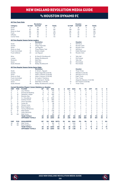## vs houston dynamo fc

|            |                        |                                                                                   | <b>Revolution</b>           |                |            |             |                |                |                | <b>Houston</b>                             |                |                |               |                |                |
|------------|------------------------|-----------------------------------------------------------------------------------|-----------------------------|----------------|------------|-------------|----------------|----------------|----------------|--------------------------------------------|----------------|----------------|---------------|----------------|----------------|
| Category   |                        | 1st Half                                                                          | 2nd Half                    | OT             | Totals     |             |                | 1st Half       |                | 2nd Half                                   | OT             |                | <b>Totals</b> |                |                |
| Goals      |                        | 11                                                                                | 26                          | 0              | 37         |             |                | 8              |                | 18                                         | 0              |                | 26            |                |                |
| Shots      |                        | 127                                                                               | 160                         | $\mathbf 0$    | 287        |             |                | 158            |                | 178                                        | 0              |                | 336           |                |                |
|            | Shots on Goal          | 50                                                                                | 60                          | $\mathbf 0$    | 110        |             |                | 56             |                | 70                                         | 0              |                | 126           |                |                |
| Fouls      |                        | 140                                                                               | 143                         | $\mathbf 0$    | 283        |             |                | 167            |                | 181                                        | $\Omega$       |                | 348           |                |                |
| Offsides   |                        | 34                                                                                | 25                          | $\mathbf 0$    | 59         |             |                | 32             |                | 35                                         | 0              |                | 67            |                |                |
|            | Corner Kicks           | 58                                                                                | 55                          | $\Omega$       | 113        |             |                | 79             |                | 85                                         | $\Omega$       |                | 164           |                |                |
|            |                        | <b>All-Time Regular Season Series Leaders</b>                                     |                             |                |            |             |                |                |                |                                            |                |                |               |                |                |
|            |                        |                                                                                   | <b>Revolution</b>           |                |            |             |                |                |                | <b>Houston</b>                             |                |                |               |                |                |
| Goals      |                        | 4                                                                                 | Saer Sene                   |                |            |             |                | 4              |                | Will Bruin                                 |                |                |               |                |                |
| Assists    |                        | 3                                                                                 | Diego Fagundez              |                |            |             |                | 4              |                | Ricardo Clark                              |                |                |               |                |                |
| Shots      |                        | 19                                                                                | Lee Nguyen                  |                |            |             |                | 30             |                | <b>Ricardo Clark</b>                       |                |                |               |                |                |
|            | Shots on Goal          | 7                                                                                 | <b>Three Players Tied</b>   |                |            |             |                | 11             |                | Will Bruin                                 |                |                |               |                |                |
|            | <b>Fouls Committed</b> | 14                                                                                | Shalrie Joseph              |                |            |             |                | 17             |                | Eddie Robinson                             |                |                |               |                |                |
|            | <b>Fouls Suffered</b>  | 23                                                                                | Lee Nguyen                  |                |            |             |                | 19             |                | Ricardo Clark                              |                |                |               |                |                |
| Wins       |                        | 5                                                                                 | M. Reis/B. Shuttleworth     |                |            |             |                | 4              |                | <b>Tally Hall</b>                          |                |                |               |                |                |
| Losses     |                        | 3                                                                                 | <b>Bobby Shuttleworth</b>   |                |            |             |                | 4              |                | Pat Onstad                                 |                |                |               |                |                |
| Shutouts   |                        | 5                                                                                 | Matt Reis                   |                |            |             |                | 3              |                | <b>Tally Hall</b>                          |                |                |               |                |                |
| Saves      |                        | 57                                                                                | <b>Matt Reis</b>            |                |            |             |                | 26             |                | Pat Onstad                                 |                |                |               |                |                |
|            | Goals Allowed          | 13                                                                                | <b>Bobby Shuttleworth</b>   |                |            |             |                | 12             |                | Pat Onstad                                 |                |                |               |                |                |
|            |                        | <b>All-Time Regular Season Series Game Highs</b>                                  |                             |                |            |             |                |                |                |                                            |                |                |               |                |                |
|            |                        |                                                                                   | <b>Revolution</b>           |                |            |             |                |                |                | <b>Houston</b>                             |                |                |               |                |                |
| Goals      |                        | $\overline{c}$                                                                    | S. Sene/L. Nguyen           |                |            |             |                | 2              |                | <b>Three Times</b>                         |                |                |               |                |                |
| Assists    |                        | $\overline{c}$                                                                    | Diego Fagundez (3/6/16)     |                |            |             |                | 2              |                | Will Bruin (3/6/16)                        |                |                |               |                |                |
| Shots      | Shots on Goal          | 7<br>6                                                                            | Adam Cristman (3/29/08)     |                |            |             |                | 8<br>3         |                | Will Bruin (4/17/11)                       |                |                |               |                |                |
|            |                        |                                                                                   | Adam Cristman (3/29/08)     |                |            |             |                |                |                | <b>Eight Times</b>                         |                |                |               |                |                |
|            | <b>Fouls Committed</b> | 5                                                                                 | M. Castro/T. Bunbury        |                |            |             |                | 5              |                | Four Times                                 |                |                |               |                |                |
| Saves      | <b>Fouls Suffered</b>  | 6<br>8                                                                            | A. Cristman/C. Penilla      |                |            |             |                | 7<br>10        |                | Alejandro Moreno (7/22/06)                 |                |                |               |                |                |
|            | Goals Allowed          | 48                                                                                | Matt Reis (7/25/09)         |                |            |             |                | 3              |                | Pat Onstad (3/29/08)<br><b>Three Times</b> |                |                |               |                |                |
|            |                        |                                                                                   | Bobby Shuttleworth (3/8/14) |                |            |             |                |                |                |                                            |                |                |               |                |                |
| <b>UNF</b> | POS                    | <b>Current Revolution Players' Career Statistics vs. Houston</b><br><b>PLAYER</b> | GP                          | GS             | <b>MIN</b> | G           | A              | <b>SHT</b>     | <b>SOG</b>     | FC                                         | FS             | <b>OFF</b>     | СK            | C              | Е              |
| 14         | F                      | Jozy Altidore                                                                     | 6                           | 5              | 449        | 6           | $\mathbf 0$    | 22             | 10             | 8                                          | 14             | $\overline{c}$ | Ō             | $\mathbf 0$    | $\overline{0}$ |
| 11         | F                      | <b>Emmanuel Boateng</b>                                                           | 8                           | $\overline{4}$ | 413        | 1           | $\Omega$       | 10             | 8              | 1                                          | $\overline{4}$ | 1              | $\Omega$      | $\Omega$       | 0              |
| 17         | M                      | Sebastian Lletget                                                                 | 12                          | 10             | 899        | $\mathbf 0$ | $\overline{2}$ | 15             | 4              | 11                                         | 18             | 1              | 13            | 0              | 0              |
| 15         | D                      | <b>Brandon Bye</b>                                                                | $\mathbf{1}$                | $\mathbf{1}$   | 90         | $\mathbf 0$ | $\mathbf 0$    | $\Omega$       | $\Omega$       | 1                                          | 0              | $\mathbf 0$    | 0             | Ō              | 0              |
| 28         | D                      | A.J. DeLaGarza                                                                    | 13                          | 12             | 1092       | $\mathbf 0$ | 0              | $\overline{c}$ | $\overline{c}$ | 6                                          | $\overline{7}$ | 0              | 0             | 1              | $\overline{0}$ |
| 2          | D                      | Andrew Farrell                                                                    | 10                          | 10             | 860        | $\mathbf 0$ | 0              | 3              | 1              | 3                                          | 9              | 1              | Ō             | $\overline{2}$ | Ō              |
| 3          | D                      | Omar Gonzalez                                                                     | 8                           | 8              | 692        | $\mathbf 0$ | $\mathbf 0$    | $\overline{c}$ | Ō              | 8                                          | 3              | $\Omega$       | Ō             | 1              | 0              |
| 10         | M                      | Carles Gil                                                                        | 1                           | 1              | 89         | $\mathbf 0$ | 0              | $\Omega$       | $\Omega$       | $\Omega$                                   | 4              | 1              | 8             | Ō              | Ō              |
| 24         | D                      | DeJuan Jones                                                                      | 1                           | 1              | 90         | $\mathbf 0$ | $\mathbf 0$    | 1              | $\overline{0}$ | 1                                          | $\mathbf 0$    | $\mathbf 0$    | $\mathbf 0$   | Ō              | Ō              |
| 18         | GK                     | <b>Brad Knighton</b>                                                              | 1                           | 1              | 90         | 0           | $\mathbf 0$    | $\Omega$       | $\Omega$       | $\Omega$                                   | 1              | 0              | Ō             | 0              | Ō              |
| 26         | M                      | Tommy McNamara                                                                    | 3                           | $\overline{c}$ | 231        | $\mathbf 0$ | 0              | 3              | 1              | 4                                          | 3              | Ō              | Ō             | 1              | 0              |
| 8          | M                      | Matt Polster                                                                      | 3                           | 3              | 236        | $\mathbf 0$ | $\mathbf 0$    | 0              | $\overline{0}$ | 1                                          | $\overline{2}$ | $\mathbf 0$    | Ō             | 1              | $\overline{0}$ |
| 12         | F                      | <b>Justin Rennicks</b>                                                            | $\mathbf{1}$                | 1              | 61         | $\mathbf 0$ | $\Omega$       | 1              | $\Omega$       | 1                                          | $\Omega$       | $\Omega$       | Ō             | $\Omega$       | 0              |
| 30         | GK                     | Matt Turner                                                                       | $\overline{c}$              | 2              | 180        | $\mathbf 0$ | $\mathbf 0$    | 0              | $\mathbf 0$    | $\mathbf 0$                                | 1              | 0              | Ō             | 0              | 0              |
|            |                        | <b>TEAM TOTALS</b>                                                                | 25                          | 25             | 2250       | 37          | 28             | 287            | 110            | 283                                        | 347            | 59             | 113           | 32             | 3              |
|            |                        | <b>OPPONENT TOTALS</b>                                                            | 25                          | 25             | 2250       | 26          | 24             | 336            | 126            | 348                                        | 282            | 67             | 164           | 53             | 6              |
| <b>UNF</b> | POS                    | <b>GOALKEEPER</b>                                                                 | GP                          | GS             | <b>MIN</b> | <b>SHTS</b> | <b>SV</b>      | GA             | GAA            | PG                                         | PA             | W              | L             | T              | <b>SO</b>      |
| 30         | GK                     | Matt Turner                                                                       | $\overline{\mathbf{c}}$     | $\overline{c}$ | 180        | 12          | 11             | 1              | 0.50           | 0                                          | 0              | $\overline{2}$ | 0             | 0              | 1              |
| 18         | GK                     | <b>Brad Knighton</b>                                                              | $\mathbf{1}$                | 1              | 90         | 6           | 4              | 1              | 1.00           | $\mathbf 0$                                | 0              | $\mathbf 0$    | $\mathbf 0$   | 1              | $\circ$        |
|            |                        | <b>TEAM TOTALS</b>                                                                | 25                          | 25             | 2250       | 126         | 94             | 26             | 1.04           | $\mathbf 0$                                | 1              | 13             | 5             | 7              | 10             |
|            |                        | <b>OPPONENT TOTALS</b>                                                            | 25                          | 25             | 2250       | 110         | 72             | 37             | 1.48           | $\overline{2}$                             | $\overline{a}$ | 5              | 13            | 7              | 4              |



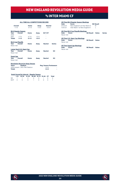### vs inter miami cf

#### **ALL-TIME ALL-COMPETITIONS RECORD**

| Overall<br>$1 - 1 - 0$                |                                                                                           | Home<br>$0 - 1 - 0$        | Away<br>$1 - 0 - 0$        | <b>Neutral</b><br>$0 - 0 - 0$                |                              |
|---------------------------------------|-------------------------------------------------------------------------------------------|----------------------------|----------------------------|----------------------------------------------|------------------------------|
| Year                                  | <b>MLS Regular Season</b><br>Overall                                                      | Home                       | Away                       | SO*/OT                                       |                              |
| 2020<br>2021<br><b>Totals</b>         | $1 - 1 - 0$<br>$1 - 1 - 0$                                                                | $0 - 1 - 0$<br>$0 - 1 - 0$ | $1 - 0 - 0$<br>$1 - 0 - 0$ |                                              |                              |
| <b>Year</b><br>Never met              | <b>MLS Cup Playoffs</b><br>Overall                                                        | Home                       | Away                       | <b>Neutral</b>                               | <b>Series</b>                |
| <b>Year</b><br>Never met              | Lamar Hunt U.S. Open Cup<br>Overall                                                       | Home                       | Awav                       | <b>Neutral</b>                               | <b>SO</b>                    |
| <b>SuperLiga</b><br>Year<br>Never met | Overall                                                                                   | Home                       | Awav                       | <b>Neutral</b>                               | <b>SO</b>                    |
| <b>Years</b>                          | <b>Revolution Record at Away Venues</b><br><b>Stadium</b><br>2020-present DRV PNK Stadium |                            |                            | <b>Reg. Season Postseason</b><br>$1 - 0 - 0$ | and the contract of the con- |

|           | <b>All-Time MLS Regular Season Meetings</b> |                  |                  |               |
|-----------|---------------------------------------------|------------------|------------------|---------------|
| Date      | Score                                       |                  | <b>NE Result</b> |               |
| 07/21/21  | New England 5 at Inter Miami 0              |                  | W                |               |
| 11/07/21  | Inter Miami 1 at New England 0              |                  |                  |               |
|           | <b>All-Time MLS Cup Playoffs Meetings</b>   |                  |                  |               |
| Date      | Score                                       | <b>NE Result</b> | <b>Notes</b>     | <b>Series</b> |
| Never met |                                             |                  |                  |               |
|           | <b>All-Time U.S. Open Cup Meetings</b>      |                  |                  |               |
| Date      | Score                                       | <b>NE Result</b> | <b>Notes</b>     |               |
| Never met |                                             |                  |                  |               |
|           |                                             |                  |                  |               |
|           | <b>All-Time SuperLiga Meetings</b>          |                  |                  |               |

**All-Time SuperLiga Meetings Date Score NE Result Notes** Never met

| <b>Years</b>  | stadium                      | <b>Red. Season Postseason</b> |   |  |  |  |
|---------------|------------------------------|-------------------------------|---|--|--|--|
|               | 2020-present DRV PNK Stadium | $1 - 0 - 0$                   | ۰ |  |  |  |
| <b>Totals</b> |                              | $1 - 0 - 0$                   | - |  |  |  |

#### **Goals Scored by Interval – Regular Season**

|  | 1-15 16-30 31-45 46-60 61-75 76-90 OT Total |  |  |  |
|--|---------------------------------------------|--|--|--|
|  | NF 1 1 2 0 0 1 0 5                          |  |  |  |
|  | MCF 0 0 0 1 0 0 0 1                         |  |  |  |



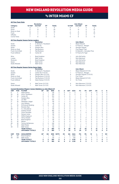# vs inter miami cf

|                       |                        |                                                                         | <b>Revolution</b>                |                     |               |                               |                     |              |                                  | <b>Inter Miami</b>           |                     |                  |                |                     |                     |
|-----------------------|------------------------|-------------------------------------------------------------------------|----------------------------------|---------------------|---------------|-------------------------------|---------------------|--------------|----------------------------------|------------------------------|---------------------|------------------|----------------|---------------------|---------------------|
| Category              |                        | 1st Half                                                                | 2nd Half                         | OT                  | <b>Totals</b> |                               |                     | 1st Half     |                                  | 2nd Half                     | ОT                  |                  | <b>Totals</b>  |                     |                     |
| Goals                 |                        | 4                                                                       | $\overline{1}$                   | $\mathbf 0$         | 5             |                               |                     | 0            |                                  | 1                            | $\mathbf 0$         |                  | 3              |                     |                     |
| Shots                 |                        | 17                                                                      | 12                               | $\mathbf 0$         | 29            |                               |                     | 8            |                                  | 14                           | $\mathbf 0$         |                  | 22             |                     |                     |
| Shots on Goal         |                        | 11                                                                      | 3                                | $\mathbf 0$         | 14            |                               |                     | 1            |                                  | 4                            | $\mathbf 0$         |                  | 5              |                     |                     |
| Fouls                 |                        | 13                                                                      | 4                                | $\mathbf 0$         | 17            |                               |                     | 13           |                                  | 12                           | 0                   |                  | 25             |                     |                     |
| Offsides              |                        | $\overline{2}$                                                          | 1                                | $\mathbf 0$         | 3             |                               |                     | 1            |                                  | 0                            | $\mathbf 0$         |                  | 1              |                     |                     |
| <b>Corner Kicks</b>   |                        | 7                                                                       | 6                                | $\Omega$            | 13            |                               |                     | 6            |                                  | 6                            | 0                   |                  | 12             |                     |                     |
|                       |                        | <u>All-Time Regular Season Series Leaders</u>                           | <b>Revolution</b>                |                     |               |                               |                     |              |                                  | <b>Inter Miami</b>           |                     |                  |                |                     |                     |
| Goals                 |                        | $\overline{c}$                                                          | A. Buksa/A. Traustason           |                     |               |                               |                     | 1            |                                  | <b>Blaise Matuidi</b>        |                     |                  |                |                     |                     |
| Assists               |                        | $\overline{c}$                                                          | Carles Gil                       |                     |               |                               |                     | 1            |                                  | R. Pizarro/L. Morgan         |                     |                  |                |                     |                     |
| Shots                 |                        | 9                                                                       | Gustavo Bou                      |                     |               |                               |                     | 6            |                                  | Gonzalo Higuain              |                     |                  |                |                     |                     |
| Shots on Goal         |                        | $\overline{4}$                                                          | <b>Teal Bunbury</b>              |                     |               |                               |                     | 1            |                                  | <b>Five Players Tied</b>     |                     |                  |                |                     |                     |
|                       | <b>Fouls Committed</b> | $\overline{4}$                                                          | <b>Teal Bunbury</b>              |                     |               |                               |                     | 4            |                                  | B. Matuidi/L. Gonzalez Pirez |                     |                  |                |                     |                     |
|                       | <b>Fouls Suffered</b>  | 6                                                                       | Carles Gil                       |                     |               |                               |                     | 3            |                                  | R. Pizarro/N. Figal          |                     |                  |                |                     |                     |
| Wins                  |                        | 1                                                                       | <b>Brad Knighton</b>             |                     |               |                               |                     | 1            |                                  | John McCarthy                |                     |                  |                |                     |                     |
| Losses                |                        | 1                                                                       | Matt Turner                      |                     |               |                               |                     | 1            |                                  | Nick Marsman                 |                     |                  |                |                     |                     |
| Shutouts              |                        | 1                                                                       | <b>Brad Knighton</b>             |                     |               |                               |                     | 1            |                                  | John McCarthy                |                     |                  |                |                     |                     |
| Saves                 |                        | 3                                                                       | Matt Turner                      |                     |               |                               |                     | 6            |                                  | Nick Marsman                 |                     |                  |                |                     |                     |
| Goals Allowed         |                        | 1                                                                       | Matt Turner                      |                     |               |                               |                     | 5            |                                  | Nick Marsman                 |                     |                  |                |                     |                     |
|                       |                        | All-Time Regular Season Series Game Highs                               | <b>Revolution</b>                |                     |               |                               |                     |              |                                  | <b>Inter Miami</b>           |                     |                  |                |                     |                     |
| Goals                 |                        | $\overline{c}$                                                          | A. Buksa/A. Traustason           |                     |               |                               |                     | 1            |                                  | Blaise Matuidi (11/7/21)     |                     |                  |                |                     |                     |
| Assists               |                        | $\overline{c}$                                                          | Carles Gil (7/21/21)             |                     |               |                               |                     | 1            |                                  | R. Pizarro/L. Morgan         |                     |                  |                |                     |                     |
| Shots                 |                        | 8                                                                       | Gustavo Bou (11/7/21)            |                     |               |                               |                     | 6            |                                  | Gonzalo Higuain (7/21/21)    |                     |                  |                |                     |                     |
| Shots on Goal         |                        | $\overline{4}$                                                          | Teal Bunbury (7/21/21)           |                     |               |                               |                     | 1            |                                  | <b>Five Times</b>            |                     |                  |                |                     |                     |
|                       | <b>Fouls Committed</b> | 3                                                                       | Teal Bunbury (7/21/21)           |                     |               |                               |                     | 4            |                                  | Blaise Matuidi (11/7/21)     |                     |                  |                |                     |                     |
| <b>Fouls Suffered</b> |                        | 5                                                                       | Adam Buksa (7/21/21)             |                     |               |                               |                     | 2            |                                  | Six Times                    |                     |                  |                |                     |                     |
| Saves                 |                        | 3                                                                       | Matt Turner (11/7/21)            |                     |               |                               |                     | 6            |                                  | Nick Marsman (7/21/21)       |                     |                  |                |                     |                     |
| Goals Allowed         |                        | 1                                                                       | Matt Turner (11/7/21)            |                     |               |                               |                     | 5            |                                  | Nick Marsman (7/21/21)       |                     |                  |                |                     |                     |
|                       |                        | <b>Current Revolution Players' Career Statistics vs. Inter Miami CF</b> |                                  |                     |               |                               |                     |              |                                  |                              |                     |                  |                |                     |                     |
| <b>UNF</b>            | <b>POS</b>             | <b>PLAYER</b>                                                           | GP                               | GS                  | <b>MIN</b>    | G                             | A                   | <b>SHT</b>   | <b>SOG</b>                       | FC                           | FS                  | OFF              | СK             | C                   | E                   |
| 9                     | F                      | Adam Buksa                                                              | 1<br>$\overline{c}$              | 1                   | 90            | $\overline{c}$                | $\mathbf 0$         | 3            | 3                                | 1                            | 5                   | 0                | $\mathbf 0$    | $\mathbf 0$         | $\circ$             |
| 25<br>10              | M<br>M                 | Arnor Traustason<br>Carles Gil                                          | $\overline{c}$                   | 1<br>$\overline{c}$ | 120<br>153    | $\overline{2}$<br>$\mathbf 0$ | 0<br>2              | 3<br>6       | $\overline{2}$<br>$\overline{1}$ | 0<br>$\overline{2}$          | $\overline{2}$<br>6 | 0<br>$\mathbf 0$ | 0<br>7         | 0<br>$\overline{0}$ | 0<br>$\overline{0}$ |
| 7                     | F                      | Gustavo Bou                                                             | $\overline{c}$                   | 1                   | 117           | $\mathbf 0$                   | $\mathbf{1}$        | 9            | 1                                | $\mathbf 0$                  | 1                   | $\overline{c}$   | 4              | Ō                   | $\overline{0}$      |
| 23                    | D                      | Jon Bell                                                                | $\overline{c}$                   | 1                   | 135           | $\mathbf 0$                   | $\mathbf{1}$        | $\mathbf 0$  | $\mathbf 0$                      | 1                            | $\mathbf 0$         | $\mathbf 0$      | $\mathbf 0$    | Ō                   | $\overline{0}$      |
| 17                    | M                      | Sebastian Lletget                                                       | 1                                | 1                   | 90            | 0                             | 1                   | $\mathbf 0$  | $\mathbf 0$                      | 5                            | $\overline{2}$      | $\mathbf 0$      | Ō              | Ō                   | $\overline{0}$      |
| 14                    | F                      | Jozy Altidore                                                           | 1                                | 0                   | 45            | 0                             | Ō                   | $\mathbf 0$  | $\Omega$                         | $\mathbf 0$                  | $\overline{c}$      | $\mathbf 0$      | Ō              | Ō                   | Ó                   |
| 11                    | M                      | <b>Emmanuel Boateng</b>                                                 | $\overline{2}$                   | Ō                   | 31            | 0                             | 0                   | 0            | $\mathbf 0$                      | 1                            | 0                   | 0                | Ō              | 0                   | $\overline{0}$      |
| 15                    | D                      | <b>Brandon Bye</b>                                                      | 1                                | 1                   | 90            | 0                             | $\mathbf 0$         | 0            | $\mathbf 0$                      | 0                            | $\overline{2}$      | $\mathbf 0$      | 0              | Ō                   | 0                   |
| 28                    | D                      | A.J. DeLaGarza                                                          | $\mathbf{1}$                     | 1                   | 90            | 0                             | $\Omega$            | $\Omega$     | $\Omega$                         | 1                            | 1                   | $\Omega$         | Ō              | Ō                   | 0                   |
| 2                     | D                      | Andrew Farrell                                                          | $\overline{c}$                   | $\overline{c}$      | 180           | $\mathbf 0$                   | Ō                   | $\mathbf 0$  | $\mathbf 0$                      | $\mathbf 0$                  | 1                   | $\mathbf 0$      | Ō              | Ō                   | Ō                   |
| 3                     | D                      | Omar Gonzalez                                                           | $\overline{c}$                   | 1                   | 92            | $\mathbf 0$                   | Ō                   | $\mathbf{1}$ | $\Omega$                         | 1                            | $\mathbf 0$         | $\mathbf 0$      | $\overline{0}$ | Ō                   | $\overline{0}$      |
| 24                    | D                      | DeJuan Jones                                                            | 1                                | 1                   | 90            | 0                             | Ō                   | $\mathbf 0$  | $\mathbf 0$                      | $\mathbf 0$                  | 1                   | $\mathbf 0$      | $\overline{c}$ | Ō                   | 0                   |
| 5                     | M                      | Wilfrid Kaptoum                                                         | 1                                | Ō                   | 27            | $\mathbf 0$                   | $\mathbf 0$         | $\Omega$     | $\Omega$                         | $\Omega$                     | 1                   | $\mathbf 0$      | $\Omega$       | Ō                   | $\overline{0}$      |
| 4                     | D                      | Henry Kessler                                                           | 1                                | 1                   | 45            | 0                             | $\mathbf 0$         | $\mathbf 0$  | $\mathbf 0$                      | $\overline{2}$               | 0                   | $\mathbf 0$      | Ō              | 1                   | $\overline{0}$      |
| 18                    | G                      | <b>Brad Knighton</b>                                                    | 1                                | 1                   | 90            | $\mathbf 0$                   | $\mathbf 0$         | $\Omega$     | $\Omega$                         | $\mathbf 0$                  | $\Omega$            | $\mathbf 0$      | $\Omega$       | $\Omega$            | $\overline{0}$      |
| 13                    | M                      | Maciel                                                                  | 1                                | 1                   | 78            | 0                             | 0                   | $\Omega$     | $\mathbf 0$                      | 0                            | 0                   | 0                | $\Omega$       | $\Omega$            | 0                   |
| 26                    | M                      | Tommy McNamara                                                          | $\overline{c}$                   | $\overline{c}$      | 146           | 0                             | $\mathbf 0$         | 1            | 1                                | 1                            | $\overline{c}$      | $\mathbf 0$      | $\Omega$       | Ō                   | 0                   |
| 8                     | M                      | Matt Polster                                                            | $\overline{c}$                   | 1                   | 135           | $\mathbf 0$                   | Ō                   | $\mathbf 0$  | $\mathbf 0$                      | $\overline{2}$               | 1                   | $\mathbf 0$      | $\mathbf 0$    | Ō                   | $\overline{0}$      |
| 30                    | G                      | Matt Turner                                                             | 1                                | 1                   | 90            | $\mathbf 0$                   | $\mathbf 0$         | $\mathbf 0$  | $\mathbf 0$                      | 0                            | $\mathbf 0$         | 0                | $\mathbf 0$    | $\mathbf 0$         | $\overline{0}$      |
|                       |                        | <b>TEAM TOTALS</b><br><b>OPPONENT TOTALS</b>                            | $\overline{2}$<br>$\overline{2}$ | $\overline{a}$<br>2 | 180<br>180    | 5<br>1                        | 4<br>$\overline{a}$ | 29<br>22     | 14<br>5                          | 17<br>25                     | 25<br>17            | 3<br>1           | 13<br>12       | 1<br>5              | 0<br>0              |
| <b>UNF</b>            | POS                    | <b>GOALKEEPER</b>                                                       | GP                               | GS                  | <b>MIN</b>    | <b>SHTS</b>                   | <b>SV</b>           | GΑ           | GAA                              | PG                           | PA                  | W                | Ц              | T                   | <b>SO</b>           |
| 18                    | GK                     | <b>Brad Knighton</b>                                                    | 1                                | 1                   | 90            | 1                             | 1                   | $\Omega$     | 0.00                             | 0                            | $\Omega$            | 1                | $\Omega$       | 0                   | 1                   |
| 30                    | GK                     | Matt Turner                                                             | 1                                | 1                   | 90            | 4                             | 3                   | 1            | 1.00                             | $\mathbf 0$                  | 0                   | $\mathbf 0$      | 1              | $\mathbf 0$         | $\overline{0}$      |
|                       |                        | <b>TEAM TOTALS</b>                                                      | $\overline{2}$                   | $\overline{2}$      | 180           | 5                             | 4                   | 1            | 0.50                             | $\mathbf 0$                  | $\mathbf 0$         | 1                | 1              | $\mathbf 0$         | 1                   |
|                       |                        | <b>OPPONENT TOTALS</b>                                                  | $\overline{2}$                   | $\overline{2}$      | 180           | 14                            | 9                   | 5            | 2.50                             | 0                            | 0                   | 1                | 1              | $\mathbf 0$         | 1                   |



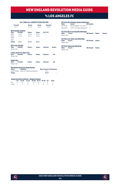### vs LOS ANGELES FC

#### **ALL-TIME ALL-COMPETITIONS RECORD**

| Overall<br>$0 - 1 - 1$ |                           | Home<br>$0 - 1 - 0$ | Away<br>$0 - 0 - 1$ | <b>Neutral</b><br>$0 - 0 - 0$ |
|------------------------|---------------------------|---------------------|---------------------|-------------------------------|
|                        | <b>MLS Regular Season</b> |                     |                     |                               |
| Year                   | Overall                   | Home                | Away                | SO*/OT                        |
| 2018                   | $0 - 0 - 1$               | $0 - 0 - 0$         | $0 - 0 - 1$         | -                             |
| 2019                   | $0 - 1 - 0$               | $0 - 1 - 0$         | $0 - 0 - 0$         | ۰                             |
| 2020                   | ٠                         | ٠                   | ۰                   | ۰                             |
| 2021                   | ۰                         | ۰                   | ۰                   | -                             |
| <b>Totals</b>          | $0 - 1 - 1$               | $0 - 1 - 0$         | $0 - 0 - 1$         |                               |
|                        | <b>MLS Cup Playoffs</b>   |                     |                     |                               |

**Year Overall Home Away Neutral Series** 

**Lamar Hunt U.S. Open Cup Year Overall Home Away Neutral SO**

| Date      | Score                                     | <b>NE Result</b> |              |               |
|-----------|-------------------------------------------|------------------|--------------|---------------|
| 09/15/18  | New England 1 at LAFC 1                   |                  |              |               |
| 08/03/19  | LAFC 2 at New England 0                   | л.               |              |               |
|           | <b>All-Time MLS Cup Playoffs Meetings</b> |                  |              |               |
| Date      | Score                                     | <b>NE Result</b> | <b>Notes</b> | <b>Series</b> |
| Never met |                                           |                  |              |               |

**All-Time U.S. Open Cup Meetings Date Score NE Result Notes** Never met

**All-Time SuperLiga Meetings Date Score NE Result Notes** Never met

### **SuperLiga**

Never met

Never met

| Year      | Overall | Home | Away | <b>Neutral</b> | SO. |
|-----------|---------|------|------|----------------|-----|
| Never met |         |      |      |                |     |

### **Revolution Record at Away Venues**

| <b>Years</b>  | <b>Stadium</b>                          | <b>Reg. Season Postseason</b> |   |  |
|---------------|-----------------------------------------|-------------------------------|---|--|
|               | 2018-Present Banc of California Stadium | $0 - 0 - 1$                   | ۰ |  |
| <b>Totals</b> |                                         | $0 - 0 - 1$                   |   |  |

#### **Goals Scored by Interval – Regular Season**

|  | 1-15 16-30 31-45 46-60 61-75 76-90 OT Total |  |  |  |
|--|---------------------------------------------|--|--|--|
|  | NF 0 0 0 0 0 1 0 1                          |  |  |  |
|  | IAFC 1 0 0 1 1 0 0 3                        |  |  |  |

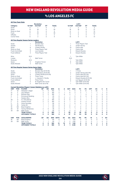# vs LOS ANGELES FC

|                       |                        |                                                               | <b>Revolution</b>          |                |               |                |              |                |                | LAFC                     |                |                |               |                |                |
|-----------------------|------------------------|---------------------------------------------------------------|----------------------------|----------------|---------------|----------------|--------------|----------------|----------------|--------------------------|----------------|----------------|---------------|----------------|----------------|
| Category              |                        | 1st Half                                                      | 2nd Half                   | OT             | <b>Totals</b> |                |              | 1st Half       |                | 2nd Half                 | OT             |                | <b>Totals</b> |                |                |
| Goals                 |                        | 0                                                             | 1                          | $\mathbf 0$    | 1             |                |              | 1              |                | $\overline{c}$           | $\mathbf 0$    |                | 3             |                |                |
| Shots                 |                        | 10                                                            | 20                         | $\mathbf 0$    | 30            |                |              | 18             |                | 19                       | $\mathbf 0$    |                | 37            |                |                |
| Shots on Goal         |                        | $\mathbf 0$                                                   | 9                          | $\mathbf 0$    | 9             |                |              | 6              |                | 7                        | $\mathbf 0$    |                | 13            |                |                |
| Fouls                 |                        | 17                                                            | 22                         | $\mathbf 0$    | 39            |                |              | 14             |                | 9                        | 0              |                | 23            |                |                |
| Offsides              |                        | $\overline{c}$                                                | 3                          | $\mathbf 0$    | 5             |                |              | 3              |                | $\overline{\mathbf{c}}$  | $\mathbf 0$    |                | 5             |                |                |
| <b>Corner Kicks</b>   |                        | 6                                                             | 3                          | $\mathbf 0$    | 9             |                |              | 10             |                | 4                        | $\mathbf 0$    |                |               |                |                |
|                       |                        |                                                               |                            |                |               |                |              |                |                |                          |                |                | 14            |                |                |
|                       |                        | <b>All-Time Regular Season Series Leaders</b>                 |                            |                |               |                |              |                |                |                          |                |                |               |                |                |
|                       |                        |                                                               | <b>Revolution</b>          |                |               |                |              |                |                | LAFC                     |                |                |               |                |                |
| Goals                 |                        | 1                                                             | <b>Brandon Bye</b>         |                |               |                |              | 1              |                | Three Players Tied       |                |                |               |                |                |
| <b>Assists</b>        |                        | 1                                                             | <b>Teal Bunbury</b>        |                |               |                |              | $\overline{c}$ |                | Jordan Harvey            |                |                |               |                |                |
| Shots                 |                        | 8                                                             | Cristian Penilla           |                |               |                |              | 10             |                | Carlos Vela              |                |                |               |                |                |
| Shots on Goal         |                        | $\overline{c}$                                                | <b>Three Players Tied</b>  |                |               |                |              | 5              |                | Carlos Vela              |                |                |               |                |                |
|                       | <b>Fouls Committed</b> | 9                                                             | Luis Caicedo               |                |               |                |              | 6              |                | <b>Eduard Atuesta</b>    |                |                |               |                |                |
| <b>Fouls Suffered</b> |                        | 3                                                             | Three Players Tied         |                |               |                |              | 8              |                | <b>Eduard Atuesta</b>    |                |                |               |                |                |
|                       |                        |                                                               |                            |                |               |                |              |                |                |                          |                |                |               |                |                |
| Wins                  |                        | N/A                                                           |                            |                |               |                |              | 1              |                | <b>Tyler Miller</b>      |                |                |               |                |                |
| Losses                |                        | 1                                                             | Matt Turner                |                |               |                |              | N/A            |                |                          |                |                |               |                |                |
| Shutouts              |                        | N/A                                                           |                            |                |               |                |              | 1              |                | <b>Tyler Miller</b>      |                |                |               |                |                |
| Saves                 |                        | 5                                                             | Knighton/Turner            |                |               |                |              | 8              |                | <b>Tyler Miller</b>      |                |                |               |                |                |
| Goals Allowed         |                        | $\overline{c}$                                                | Matt Turner                |                |               |                |              | 1              |                | <b>Tyler Miller</b>      |                |                |               |                |                |
|                       |                        |                                                               |                            |                |               |                |              |                |                |                          |                |                |               |                |                |
|                       |                        | <b>All-Time Regular Season Series Game Highs</b>              | <b>Revolution</b>          |                |               |                |              |                |                | LAFC                     |                |                |               |                |                |
|                       |                        |                                                               |                            |                |               |                |              |                |                |                          |                |                |               |                |                |
| Goals                 |                        | 1                                                             | Brandon Bye (9/15/18)      |                |               |                |              | 1              |                | 3 Times                  |                |                |               |                |                |
| <b>Assists</b>        |                        | 1                                                             | Teal Bunbury (9/15/18)     |                |               |                |              | $\overline{c}$ |                | Jordan Harvey (8/3/19)   |                |                |               |                |                |
| Shots                 |                        | 5                                                             | Cristian Penilla (9/15/18) |                |               |                |              | 7              |                | Carlos Vela (8/3/19)     |                |                |               |                |                |
| Shots on Goal         |                        | $\overline{c}$                                                | <b>Three Times</b>         |                |               |                |              | $\overline{4}$ |                | Carlos Vela (8/3/19)     |                |                |               |                |                |
|                       | <b>Fouls Committed</b> | 5                                                             | L. Caicedo/C. Penilla      |                |               |                |              | 5              |                | Eduard Atuesta (9/15/18) |                |                |               |                |                |
| <b>Fouls Suffered</b> |                        | 3                                                             | <b>Three Times</b>         |                |               |                |              | 6              |                | Lee Nguyen (9/15/18)     |                |                |               |                |                |
| Saves                 |                        | 5                                                             | B. Knighton/M. Turner      |                |               |                |              | 7              |                | Tyler Miller (9/15/18)   |                |                |               |                |                |
| Goals Allowed         |                        | $\overline{c}$                                                | Matt Turner (8/3/19)       |                |               |                |              | 1              |                | Tyler Miller (9/15/18)   |                |                |               |                |                |
|                       |                        | <b>Current Revolution Players' Career Statistics vs. LAFC</b> |                            |                |               |                |              |                |                |                          |                |                |               |                |                |
| <b>UNF</b>            | POS                    | <b>PLAYER</b>                                                 | GP                         | GS             | <b>MIN</b>    | G              | Α            | <b>SHT</b>     | <b>SOG</b>     | FC                       | <b>FS</b>      | OFF            | СK            | C              | Е              |
| 17                    | M                      | Sebastian Lletget                                             | 11                         | 9              | 780           | 4              | $\mathbf{1}$ | 11             | 6              | 8                        | 12             | 4              | 30            | 1              | 0              |
| 14                    | F                      | Jozy Altidore                                                 | $\overline{2}$             | $\overline{c}$ | 180           | $\overline{c}$ | 1            | 6              | $\overline{2}$ | $\overline{2}$           | 1              | 1              | 1             | 1              | 0              |
| 15                    | D                      | <b>Brandon Bye</b>                                            | $\overline{c}$             | $\overline{2}$ | 180           | 1              | 0            | 3              | 1              | 1                        | 0              | $\mathbf{1}$   | 0             | 0              | $\overline{0}$ |
| 11                    | F                      | <b>Emmanuel Boateng</b>                                       | $\overline{2}$             | 1              | 95            | 0              | 1            | 1              | 0              | 0                        | 0              | 0              | 0             | 0              | Ō              |
| $\overline{7}$        | F                      | Gustavo Bou                                                   | 1                          | 1              | 90            | 0              | $\mathbf 0$  | $\mathbf 0$    | 0              | $\overline{c}$           | 1              | $\overline{2}$ | 0             | 0              | 0              |
| 28                    | D                      | A.J. DeLaGarza                                                | $\overline{c}$             | $\overline{2}$ | 180           | 0              | 0            | 0              | 0              | 5                        | 1              | 1              | 0             | 0              | Ō              |
| $\overline{c}$        | D                      | <b>Andrew Farrell</b>                                         | $\overline{2}$             | $\overline{2}$ | 180           | 0              | 0            | 1              | 0              | 0                        | $\overline{2}$ | 0              | 0             | 0              | 0              |
| 3                     | D                      | Omar Gonzalez                                                 | 1                          | 1              | 90            | 0              | 0            | 1              | 0              | 0                        | 0              | 0              | 0             | 0              | 0              |
|                       | M                      | Carles Gil                                                    | 1                          | 1              |               | 0              | 0            | $\overline{2}$ | 1              |                          | 3              | 0              | 3             | 0              | Ō              |
| 10                    |                        |                                                               |                            |                | 90            |                |              |                |                | 1                        |                |                |               |                |                |
| 18                    | GK                     | <b>Brad Knighton</b>                                          | 1                          | 1              | 90            | 0              | 0            | $\mathbf 0$    | 0              | 0                        | 0              | 0              | 0             | 0              | Ō              |
| 26                    | M                      | Tommy McNamara                                                | $\overline{2}$             | 0              | 36            | 0              | 0            | 1              | 1              | 0                        | 0              | 0              | 0             | 0              | 0              |
| 30                    | GK                     | Matt Turner                                                   | 1                          | $\mathbf{1}$   | 90            | 0              | 0            | 0              | 0              | 0                        | 0              | 0              | 0             | 0              | 0              |
|                       |                        | <b>TEAM TOTALS</b>                                            | $\overline{2}$             | $\overline{2}$ | 180           | 1              | $\mathbf{1}$ | 30             | 9              | 39                       | 23             | 5              | 9             | 4              | 0              |
|                       |                        | <b>OPPONENT TOTALS</b>                                        | 2                          | $\overline{a}$ | 180           | 3              | 4            | 37             | 13             | 23                       | 39             | 5              | 14            | $\overline{2}$ | 0              |
| <b>UNF</b>            | POS                    | <b>GOALKEEPER</b>                                             | GP                         | GS             | <b>MIN</b>    | <b>SHTS</b>    | <b>SV</b>    | GA             | GAA            | PG                       | PA             | W              | L             | т              | <b>SO</b>      |
| 18                    | GK                     | <b>Brad Knighton</b>                                          | 1                          | 1              | 90            | 6              | 5            | $\mathbf{1}$   | 1.00           | 0                        | $\Omega$       | 0              | $\Omega$      | 1              | 0              |
| 30                    | GK                     | Matt Turner                                                   | 1                          | $\mathbf{1}$   | 90            | $\overline{7}$ | 5            | $\mathfrak{p}$ | 2.00           | $\Omega$                 | $\Omega$       | $\Omega$       | 1             | 0              | $\circ$        |
|                       |                        | <b>TEAM TOTALS</b>                                            | $\overline{2}$             | 2              | 180           | 13             | 10           | 3              | 1.50           | O                        | 0              | 0              | 1             | 1              | 0              |
|                       |                        | <b>OPPONENT TOTALS</b>                                        | $\overline{2}$             | $\overline{2}$ | 180           | 9              | 8            | 1              | 0.50           | O                        | 0              | 1              | O             | 1              | 0              |



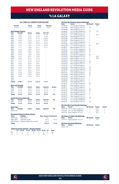# vs LA GALAXY

#### **ALL-TIME ALL-COMPETITIONS RECORD**

| Overall          |                           | Home         | Away         | <b>Neutral</b> |               |
|------------------|---------------------------|--------------|--------------|----------------|---------------|
| $17 - 23 - 7$    |                           | $11 - 7 - 3$ | $6 - 14 - 4$ | $0 - 2 - 0$    |               |
|                  | <b>MLS Regular Season</b> |              |              |                |               |
| Year             | Overall                   | Home         | Away         | SO*/OT         |               |
| 1996             | $1 - 2 - 0$               | $0 - 1 - 0$  | $1 - 1 - 0$  | $0 - 1 - 0*$   |               |
| 1997             | $1 - 2 - 0$               | $1 - 1 - 0$  | $0 - 1 - 0$  | $1 - 1 - 0*$   |               |
| 1998             | $0 - 2 - 0$               | $0 - 1 - 0$  | $0 - 1 - 0$  | $0 - 0 - 0*$   |               |
| 1999             | $0 - 2 - 0$               | $0 - 1 - 0$  | $0 - 1 - 0$  | $0 - 0 - 0*$   |               |
| 2000             | $1 - 0 - 1$               | $1 - 0 - 0$  | $0 - 0 - 1$  | $0 - 0 - 1$    |               |
| 2001             | $1 - 1 - 0$               | $1 - 0 - 0$  | $0 - 1 - 0$  | $0 - 0 - 0$    |               |
| 2002             | $1 - 1 - 0$               | $1 - 0 - 0$  | $0 - 1 - 0$  | $0 - 0 - 0$    |               |
| 2003             | $1 - 1 - 1$               | $1 - 0 - 0$  | $0 - 1 - 1$  | $0 - 1 - 1$    |               |
| 2004             | $1 - 1 - 0$               | $1 - 0 - 0$  | $0 - 1 - 0$  | ÷,             |               |
| 2005             | $0 - 0 - 2$               | $0 - 0 - 1$  | $0 - 0 - 1$  |                |               |
| 2006             | $2 - 0 - 0$               | $1 - 0 - 0$  | $1 - 0 - 0$  | í.             |               |
| 2007             | $2 - 0 - 0$               | $1 - 0 - 0$  | $1 - 0 - 0$  | L              |               |
| 2008             | $1 - 0 - 1$               | $0 - 0 - 1$  | $1 - 0 - 0$  | L,             |               |
| 2009             | $0 - 2 - 0$               | $0 - 1 - 0$  | $0 - 1 - 0$  |                |               |
| 2010             | $1 - 1 - 0$               | $1 - 0 - 0$  | $0 - 1 - 0$  | L,             |               |
| 2011             | $0 - 1 - 1$               | $0 - 1 - 0$  | $0 - 0 - 1$  | L.             |               |
| 2012             | $1 - 0 - 0$               | $0 - 0 - 0$  | $1 - 0 - 0$  | L,             |               |
| 2013             | $1 - 0 - 0$               | $1 - 0 - 0$  | $0 - 0 - 0$  | L,             |               |
| 2014             | $0 - 1 - 0$               | $0 - 0 - 0$  | $0 - 1 - 0$  | L,             |               |
| 2015             | $0 - 0 - 1$               | $0 - 0 - 1$  | $0 - 0 - 0$  | L,             |               |
| 2016             | $0 - 1 - 0$               | $0 - 0 - 0$  | $0 - 1 - 0$  | L,             |               |
| 2017             | $1 - 0 - 0$               | $1 - 0 - 0$  | $0 - 0 - 0$  |                |               |
| 2018             | $0 - 1 - 0$               | $0 - 1 - 0$  | $0 - 0 - 0$  |                |               |
| 2019             | $1 - 0 - 0$               | $0 - 0 - 0$  | $1 - 0 - 0$  | L,             |               |
| 2020             |                           | L,           | L,           | L,             |               |
| 2021             | ٠                         | ٠            | L,           |                |               |
| <b>Totals</b>    | $17-19-7$                 | $11 - 7 - 3$ | $6 - 12 - 4$ | $1 - 3 - 2$    |               |
|                  | <b>MLS Cup Playoffs</b>   |              |              |                |               |
| Year             | Overall                   | Home         | Away         | <b>Neutral</b> | <b>Series</b> |
| 2002             | $0 - 1 - 0$               | $0 - 0 - 0$  | $0 - 0 - 0$  | $0 - 1 - 0$    | L             |
| 2005             | $0 - 1 - 0$               | $0 - 0 - 0$  | $0 - 0 - 0$  | $0 - 1 - 0$    | L             |
| 2014             | $0 - 1 - 0$               | $0 - 0 - 0$  | $0 - 1 - 0$  | $0 - 0 - 0$    | L             |
| <b>Totals</b>    | $0 - 3 - 0$               | $0 - 0 - 0$  | $0 - 1 - 0$  | $0 - 2 - 0$    | $0 - 3$       |
|                  | Lamar Hunt U.S. Open Cup  |              |              |                |               |
| Year             | Overall                   | Home         | Away         | <b>Neutral</b> | <b>SO</b>     |
| 2001             | $0 - 1 - 0$               | $0 - 0 - 0$  | $0 - 1 - 0$  | $0 - 0 - 0$    | ÷             |
| <b>Totals</b>    | $0 - 1 - 0$               | $0 - 0 - 0$  | $0 - 1 - 0$  | $0 - 0 - 0$    |               |
| <b>SuperLiga</b> |                           |              |              |                |               |
| Year             | Overall                   | Home         | Away         | <b>Neutral</b> | <b>SO</b>     |
| Never met        |                           |              |              |                |               |

|  | <b>Revolution Record at Awav Venue</b> |  |
|--|----------------------------------------|--|
|  |                                        |  |

| <b>Revolution Record at Away Venues</b> |                             |                               |             |  |  |  |  |  |  |
|-----------------------------------------|-----------------------------|-------------------------------|-------------|--|--|--|--|--|--|
| <b>Years</b>                            | <b>Stadium</b>              | <b>Reg. Season Postseason</b> |             |  |  |  |  |  |  |
| 1996-2002                               | Rose Bowl                   | $1 - 6 - 1$                   |             |  |  |  |  |  |  |
| 2003-2016                               | StubHub Center              | $4 - 6 - 3$                   | $0 - 1 - 0$ |  |  |  |  |  |  |
| 2019-Present                            | Diginity Health Sports Park | $1 - 0 - 0$                   |             |  |  |  |  |  |  |
| <b>Totals</b>                           |                             | $6 - 12 - 4$                  | $0 - 1 - 0$ |  |  |  |  |  |  |

|     | <b>Goals Scored by Interval - Regular Season</b> |                                       |    |     |    |        |   |              |
|-----|--------------------------------------------------|---------------------------------------|----|-----|----|--------|---|--------------|
|     |                                                  | 1-15 16-30 31-45 46-60 61-75 76-90 OT |    |     |    |        |   | <b>Total</b> |
| NF  | q                                                | 4                                     | 17 | 10. | 17 | - 11 - | n | 68           |
| I A |                                                  | 11                                    | 10 | a   | 11 | 23     |   | 73           |

|             | <u> All-Time MLS Regular Season Meetings</u>        |                  |              |               |
|-------------|-----------------------------------------------------|------------------|--------------|---------------|
| <b>Date</b> | Score                                               | <b>NE Result</b> | <b>Notes</b> |               |
| 06/06/96    | LA 2 at New England 2                               | L                | SO           |               |
| 07/04/96    | New England 1 at LA 0                               | W                |              |               |
| 08/08/96    | New England 0 at LA 1                               | L                |              |               |
| 06/08/97    | LA 0 at New England 0                               | W                | SO           |               |
| 07/04/97    | New England 0 at LA 2                               | L                |              |               |
| 08/14/97    | LA 1 at New England 1                               | L                | <b>SO</b>    |               |
| 06/07/98    | New England 1 at LA 5                               | L                |              |               |
| 08/22/98    | LA 5 at New England 1                               | L                |              |               |
| 05/23/99    | New England 0 at LA 1                               | L                |              |               |
| 07/11/99    | LA 5 at New England 2                               | L                |              |               |
| 04/01/00    | New England 2 at LA 2                               | т                | 2OT          |               |
| 05/24/00    | LA 1 at New England 2                               | W                |              |               |
| 05/26/01    | New England 0 at LA 2                               | L                |              |               |
| 07/17/01    | LA 2 at New England 3                               | W                |              |               |
| 05/25/02    | LA 2 at New England 3                               | W                |              |               |
| 08/10/02    | New England 1 at LA 2                               | L                |              |               |
| 05/10/03    | LA 0 at New England 2                               | W                |              |               |
| 07/04/03    | New England 2 at LA 2                               | т                | 2OT          |               |
| 08/23/03    | New England 1 at LA 2                               | L                | 2OT          |               |
| 04/03/04    | New England 2 at LA 3                               | L                |              |               |
| 05/01/04    | LA 1 at New England 2                               | W                |              |               |
| 07/04/05    | New England 1 at LA1                                | T                |              |               |
| 07/27/05    | LA 1 at New England 1                               | т                |              |               |
| 04/01/06    | New England 1 at LA 0                               | W                |              |               |
| 05/06/06    | LA 0 at New England 4                               | W                |              |               |
| 05/12/07    | New England 3 at LA 2                               | W                |              |               |
| 08/12/07    | LA 0 at New England 1                               | W                |              |               |
| 07/04/08    | New England 2 at LA1                                | W                |              |               |
| 08/30/08    | LA 2 at New England 2                               | т                |              |               |
| 07/04/09    | New England 0 at LA 1                               | L                |              |               |
| 08/08/09    | LA 2 at New England 1                               | L                |              |               |
| 03/27/10    | New England 0 at LA 1                               | L                |              |               |
| 07/10/10    | LA 0 at New England 2                               | W                |              |               |
| 03/20/11    | New England 1 at LA1                                | т                |              |               |
| 05/28/11    | LA 1 at New England 0                               | L                |              |               |
| 03/31/12    | New England 3 at LA 1                               | W                |              |               |
| 06/02/13    | LA 0 at New England 5                               | W                |              |               |
| 07/16/14    | New England 1 at LA 5                               | L                |              |               |
| 05/31/15    | LA 2 at New England 2                               | т                |              |               |
| 05/08/16    | New England 2 at LA 4                               | L                |              |               |
| 07/22/17    | LA 3 at New England 4                               | W                |              |               |
| 07/14/18    | LA 3 at New England 2                               | Г                |              |               |
| 06/02/19    | New England 2 at LA1                                | W                |              |               |
|             |                                                     |                  |              |               |
| Date        | <u> All-Time MLS Cup Playoffs Meetings</u><br>Score | <b>NE Result</b> | <b>Notes</b> | <b>Series</b> |
|             | 10/20/02 LA 1 ve Now England 0                      | - 11             | <b>AET</b>   | п.            |

| .                                      | .                               | . |     | . |  |  |  |  |  |
|----------------------------------------|---------------------------------|---|-----|---|--|--|--|--|--|
|                                        | 10/20/02 LA 1 vs. New England 0 |   | AFT |   |  |  |  |  |  |
|                                        | 11/13/05 LA 1 vs. New England 0 |   | AFT |   |  |  |  |  |  |
|                                        | 12/07/14 New England 1 at LA 2  |   | AFT |   |  |  |  |  |  |
| <b>All-Time U.S. Open Cup Meetings</b> |                                 |   |     |   |  |  |  |  |  |

| Date | Score                          | <b>NE Result</b> | <b>Notes</b> |
|------|--------------------------------|------------------|--------------|
|      | 10/27/01 New England 1 at LA 2 |                  | OT           |
|      |                                |                  |              |

# **All-Time SuperLiga Meetings Date Score NE Result Notes** Never met



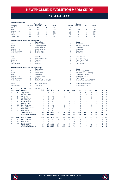### vs LA GALAXY

|              |                        |                                                                    | <b>Revolution</b>                 |                |               |                   |                |                |                    | Galaxy                                           |                |                     |               |                  |                |
|--------------|------------------------|--------------------------------------------------------------------|-----------------------------------|----------------|---------------|-------------------|----------------|----------------|--------------------|--------------------------------------------------|----------------|---------------------|---------------|------------------|----------------|
| Category     |                        | 1st Half                                                           | 2nd Half                          | OT             | <b>Totals</b> |                   |                | 1st Half       |                    | 2nd Half                                         | OT             |                     | <b>Totals</b> |                  |                |
| Goals        |                        | 30                                                                 | 38                                | $\mathbf 0$    | 68            |                   |                | 29             |                    | 43                                               | 1              |                     | 73            |                  |                |
| Shots        |                        | 214                                                                | 262                               | $\overline{c}$ | 478           |                   |                | 244            |                    | 330                                              | 6              |                     | 580           |                  |                |
|              | Shots on Goal          | 98                                                                 | 117                               | 1              | 216           |                   |                | 113            |                    | 148                                              | $\overline{c}$ |                     | 263           |                  |                |
| Fouls        |                        | 320                                                                | 308                               | 4              | 632           |                   |                | 301            |                    | 311                                              | 6              |                     | 618           |                  |                |
| Offsides     |                        | 60                                                                 | 54                                | 0              | 114           |                   |                | 50             |                    | 59                                               | 3              |                     | 112           |                  |                |
| Corner Kicks |                        | 91                                                                 | 92                                | 1              | 184           |                   |                |                |                    |                                                  | $\Omega$       |                     | 237           |                  |                |
|              |                        |                                                                    |                                   |                |               |                   |                | 106            |                    | 131                                              |                |                     |               |                  |                |
|              |                        | All-Time Regular Season Series Leaders                             |                                   |                |               |                   |                |                |                    |                                                  |                |                     |               |                  |                |
|              |                        |                                                                    | <b>Revolution</b>                 |                |               |                   |                |                |                    | Galaxy                                           |                |                     |               |                  |                |
| Goals        |                        | 8                                                                  | Taylor Twellman                   |                |               |                   |                | 10             |                    | Cobi Jones                                       |                |                     |               |                  |                |
| Assists      |                        | 5                                                                  | Diego Fagundez                    |                |               |                   |                | 10             |                    | Mauricio Cienfuegos                              |                |                     |               |                  |                |
| Shots        |                        | 41                                                                 | Taylor Twellman                   |                |               |                   |                | 40             |                    | Cobi Jones                                       |                |                     |               |                  |                |
|              | Shots on Goal          | 21                                                                 | Taylor Twellman                   |                |               |                   |                | 25             |                    | Cobi Jones                                       |                |                     |               |                  |                |
|              | <b>Fouls Committed</b> | 40                                                                 | Shalrie Joseph                    |                |               |                   |                | 21             |                    | Greg Vanney                                      |                |                     |               |                  |                |
|              | <b>Fouls Suffered</b>  | 40                                                                 | Taylor Twellman                   |                |               |                   |                | 55             |                    | Cobi Jones                                       |                |                     |               |                  |                |
| Wins         |                        | 7                                                                  | <b>Matt Reis</b>                  |                |               |                   |                | 7              |                    | Kevin Hartman                                    |                |                     |               |                  |                |
|              |                        |                                                                    |                                   |                |               |                   |                |                |                    |                                                  |                |                     |               |                  |                |
| Losses       |                        | 3                                                                  | <b>Three Players Tied</b>         |                |               |                   |                | 6              |                    | Kevin Hartman                                    |                |                     |               |                  |                |
| Shutouts     |                        | 4                                                                  | Matt Reis                         |                |               |                   |                | $\overline{c}$ |                    | Three Players Tied                               |                |                     |               |                  |                |
| Saves        |                        | 56                                                                 | <b>Matt Reis</b>                  |                |               |                   |                | 49             |                    | Kevin Hartman                                    |                |                     |               |                  |                |
|              | Goals Allowed          | 13                                                                 | <b>Matt Reis</b>                  |                |               |                   |                | 25             |                    | Kevin Hartman                                    |                |                     |               |                  |                |
|              |                        | All-Time Regular Season Series Game Highs                          |                                   |                |               |                   |                |                |                    |                                                  |                |                     |               |                  |                |
|              |                        |                                                                    | <b>Revolution</b>                 |                |               |                   |                |                |                    | Galaxy                                           |                |                     |               |                  |                |
| Goals        |                        | $\overline{c}$                                                     | <b>Six Times</b>                  |                |               |                   |                | 3              |                    | Cobi Jones (8/22/98)                             |                |                     |               |                  |                |
| Assists      |                        | $\overline{c}$                                                     | Seven Times                       |                |               |                   |                | 3              |                    | C. Hermosillo/M. Cienfuegos                      |                |                     |               |                  |                |
| Shots        |                        | $\overline{7}$                                                     | <b>Five Times</b>                 |                |               |                   |                | 8              |                    | Cobi Jones (8/22/98)                             |                |                     |               |                  |                |
|              | Shots on Goal          | 5                                                                  | Naveda/Penilla                    |                |               |                   |                | $\overline{7}$ |                    | Cobi Jones (8/22/98)                             |                |                     |               |                  |                |
|              | <b>Fouls Committed</b> | 5                                                                  | <b>Six Times</b>                  |                |               |                   |                | 6              |                    | <b>Three Times</b>                               |                |                     |               |                  |                |
|              | <b>Fouls Suffered</b>  | 9                                                                  | Taylor Twellman (5/1/04)          |                |               |                   |                | $\overline{7}$ |                    | Romain Alessandrini (7/22/17)                    |                |                     |               |                  |                |
|              |                        |                                                                    |                                   |                |               |                   |                |                |                    |                                                  |                |                     |               |                  |                |
| Saves        | Goals Allowed          | 8<br>5                                                             | Jeff Causey (twice)<br>Four Times |                |               |                   |                | 8<br>5         |                    | Jorge Campos (6/6/96)<br>Carlo Cudicini (6/2/13) |                |                     |               |                  |                |
|              |                        |                                                                    |                                   |                |               |                   |                |                |                    |                                                  |                |                     |               |                  |                |
|              |                        | <b>Current Revolution Players' Career Statistics vs. LA Galaxy</b> |                                   |                |               |                   |                |                |                    |                                                  |                |                     |               |                  |                |
| <b>UNF</b>   | POS                    | <b>PLAYER</b>                                                      | <b>GP</b>                         | GS             | <b>MIN</b>    | G                 | A              | <b>SHT</b>     | SOG                | FC                                               | <b>FS</b>      | OFF                 | СK            | C                | E              |
| 14           | F                      | Jozy Altidore                                                      | 4                                 | $\overline{4}$ | 349           | 4                 | $\mathbf 0$    | 11             | 6                  | 6                                                | 12             | 3                   | $\mathbf 0$   | $\mathbf{1}$     | $\mathbf 0$    |
| 2            | D                      | Andrew Farrell                                                     | 7                                 | 7              | 630           | Ō                 | 3              | $\overline{2}$ | $\mathbf 0$        | $\overline{2}$                                   | 6              | $\overline{2}$      | 0             | 1                | $\mathbf 0$    |
| 10           | F                      | Carles Gil                                                         | 1                                 | 1              | 90            | 0                 | $\overline{c}$ | 1              | $\mathbf 0$        | $\mathbf 0$                                      | 4              | 0                   | $\mathbf 0$   | $\mathbf 0$      | $\mathbf 0$    |
| 28           | D                      | A.J. DeLaGarza                                                     | 4                                 | 4              | 360           | Ō                 | 1              | 1              | $\mathbf 0$        | 6                                                | 6              | $\Omega$            | $\Omega$      | $\overline{c}$   | $\mathbf 0$    |
| 15           | D                      | <b>Brandon Bye</b>                                                 | $\overline{c}$                    | 1              | 94            | Ō                 | $\Omega$       | 1              | $\Omega$           | $\Omega$                                         | $\Omega$       | $\Omega$            | $\Omega$      | $\Omega$         | $\mathbf 0$    |
| 36           | GK                     | Earl Edwards Jr.                                                   | 1                                 | 1              | 90            | Ō                 | $\mathbf 0$    | 0              | $\mathbf 0$        | 0                                                | 0              | 0                   | 0             | 0                | $\mathbf 0$    |
| 24           | D                      | DeJuan Jones                                                       | 1                                 | 1              | 90            | Ō                 | $\Omega$       | 0              | $\mathbf 0$        | $\Omega$                                         | $\Omega$       | $\Omega$            | 0             | $\Omega$         | 0              |
| 18           | GK                     | <b>Brad Knighton</b>                                               | 5                                 | 5              | 450           | Ō                 | $\mathbf 0$    | $\mathbf 0$    | $\mathbf 0$        | $\mathbf 0$                                      | $\mathbf 0$    | 0                   | $\mathbf 0$   | $\mathbf 0$      | $\mathbf 0$    |
| 26           | M                      | Tommy McNamara                                                     | 8                                 | 6              | 458           | Ō                 | $\mathbf 0$    | 8              | $\Omega$           | 3                                                | 5              | $\mathbf{1}$        | $\Omega$      | $\Omega$         | $\mathbf 0$    |
| 8            | D                      | <b>Matt Polster</b>                                                | $\overline{c}$                    | 1              | 117           | 0                 | $\mathbf 0$    | 0              | $\mathbf 0$        | 3                                                | 1              | 0                   | 0             | $\mathbf 0$      | $\mathbf 0$    |
|              | GK                     | Matt Turner                                                        | 1                                 | 1              | 90            | $\Omega$          | $\mathbf 0$    | $\mathbf 0$    | $\mathbf 0$        | 0                                                | 0              | 0                   | 0             | $\mathbf 0$      | $\circ$        |
| 30           |                        |                                                                    |                                   |                |               |                   |                |                |                    |                                                  |                |                     |               |                  |                |
|              |                        | <b>TEAM TOTALS</b><br><b>OPPONENT TOTALS</b>                       | 43<br>43                          | 43<br>43       | 3898<br>3898  | 68<br>73          | 64<br>87       | 478<br>580     | 216<br>263         | 632<br>618                                       | 602<br>617     | 114<br>112          | 186<br>240    | 79<br>73         | 7<br>3         |
|              |                        |                                                                    |                                   |                |               |                   |                |                |                    |                                                  |                |                     |               |                  |                |
| UNF<br>18    | POS<br>GK              | <b>GOALKEEPER</b><br><b>Brad Knighton</b>                          | GP<br>5                           | GS<br>5        | MIN<br>450    | <b>SHTS</b><br>26 | SV<br>15       | GА<br>9        | <b>GAA</b><br>1.80 | PG<br>0                                          | PA<br>0        | W<br>$\overline{c}$ | Ц<br>3        | T<br>$\mathbf 0$ | <b>SO</b><br>0 |
| 30           | GK                     | <b>Matt Turner</b>                                                 | 1                                 | 1              | 90            | $\overline{4}$    | 1              | 3              | 3.00               | $\Omega$                                         | $\Omega$       | $\Omega$            | $\mathbf{1}$  | $\Omega$         | 0              |
|              |                        |                                                                    |                                   |                |               |                   |                |                |                    |                                                  |                |                     |               |                  |                |
| 36           | GK                     | Earl Edwards Jr.                                                   | 1                                 | 1              | 90            | 10                | 6              | 4              | 4.00               | 0                                                | 0              | 0                   | 1             | $\mathbf 0$      | $\mathbf 0$    |
|              |                        | <b>TEAM TOTALS</b>                                                 | 43                                | 43             | 3898          | 263               | 181            | 73             | 1.69               | 1                                                | $\overline{a}$ | 17                  | 19            | $\overline{7}$   | 8              |
|              |                        | <b>OPPONENT TOTALS</b>                                             | 43                                | 43             | 3898          | 216               | 136            | 68             | 1.57               | 7                                                | 8              | 19                  | 17            | 7                | 8              |



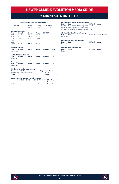### vs minnesota united fc

#### **ALL-TIME ALL-COMPETITIONS RECORD**

| Overall<br>$2 - 1 - 0$ |                                       | Home<br>$2 - 0 - 0$ | Away<br>$0 - 1 - 0$ | <b>Neutral</b><br>$0 - 0 - 0$ |               |  |
|------------------------|---------------------------------------|---------------------|---------------------|-------------------------------|---------------|--|
|                        | <b>MLS Regular Season</b>             |                     |                     |                               |               |  |
| Year                   | Overall                               | Home                | Away                | <b>SO*/OT</b>                 |               |  |
| 2017                   | $1 - 0 - 0$                           | $1 - 0 - 0$         | $0 - 0 - 0$         |                               |               |  |
| 2018                   | $0 - 1 - 0$                           | $0 - 0 - 0$         | $0 - 1 - 0$         |                               |               |  |
| 2019                   | $1 - 0 - 0$                           | $1 - 0 - 0$         | $0 - 0 - 0$         |                               |               |  |
| 2020                   |                                       |                     |                     |                               |               |  |
| 2021                   |                                       |                     |                     |                               |               |  |
| <b>Totals</b>          | $2 - 1 - 0$                           | $2 - 0 - 0$         | $0 - 1 - 0$         |                               |               |  |
|                        | <b>MLS Cup Playoffs</b>               |                     |                     |                               |               |  |
| <b>Year</b>            | Overall                               | Home                | Away                | <b>Neutral</b>                | <b>Series</b> |  |
| Never met              |                                       |                     |                     |                               |               |  |
|                        | Lamar Hunt U.S. Open Cup              |                     |                     |                               |               |  |
| Year                   | Overall                               | Home                | Away                | <b>Neutral</b>                | <b>SO</b>     |  |
| Never met              |                                       |                     |                     |                               |               |  |
| <b>SuperLiga</b>       |                                       |                     |                     |                               |               |  |
| Year                   | Overall                               | Home                | Away                | <b>Neutral</b>                | <b>SO</b>     |  |
| Never met              |                                       |                     |                     |                               |               |  |
|                        | Barrelisting Bancod of Arrest Memoria |                     |                     |                               |               |  |

| Date              | <b>All-Time MLS Regular Season Meetings</b><br>Score<br>03/25/17 Minnesota 2 at New England 5<br>07/18/18 New England 1 at Minnesota 2<br>03/30/19 Minnesota 1 at New England 2 | <b>NE Result</b><br>W<br>L<br>W | Notes |  |
|-------------------|---------------------------------------------------------------------------------------------------------------------------------------------------------------------------------|---------------------------------|-------|--|
| Date<br>Never met | <b>All-Time MLS Cup Playoffs Meetings</b><br>Score                                                                                                                              | <b>NE Result Notes Series</b>   |       |  |
| Date<br>Never met | <b>All-Time U.S. Open Cup Meetings</b><br>Score                                                                                                                                 | <b>NE Result Notes</b>          |       |  |
| Date<br>Never met | <b>All-Time SuperLiga Meetings</b><br>Score                                                                                                                                     | <b>NE Result Notes</b>          |       |  |

#### **Revolution Record at Away Venues**

| <b>Years</b>  | <b>Stadium</b>                | <b>Reg. Season Postseason</b> |   |  |  |  |
|---------------|-------------------------------|-------------------------------|---|--|--|--|
|               | 2018-Present TCF Bank Stadium | $0 - 1 - 0$                   | ٠ |  |  |  |
| <b>Totals</b> |                               | $0 - 1 - 0$                   | - |  |  |  |

|            | <b>Goals Scored by Interval - Regular Season</b> |                                       |  |              |             |       |
|------------|--------------------------------------------------|---------------------------------------|--|--------------|-------------|-------|
|            |                                                  | 1-15 16-30 31-45 46-60 61-75 76-90 OT |  |              |             | Total |
| NF.        |                                                  | 2 1 2 2                               |  |              | 1 0         |       |
| <b>MIN</b> |                                                  |                                       |  | $\mathbf{u}$ | $^{\prime}$ | h     |

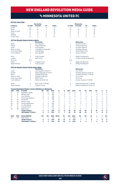### **Vs MINNESOTA UNITED FC**

|                |                        |                                                                    | <b>Revolution</b>        |                |               |             |                |                |                | <b>Minnesota</b>             |                |             |                |             |             |
|----------------|------------------------|--------------------------------------------------------------------|--------------------------|----------------|---------------|-------------|----------------|----------------|----------------|------------------------------|----------------|-------------|----------------|-------------|-------------|
| Category       |                        | 1st Half                                                           | 2nd Half                 | ОT             | <b>Totals</b> |             |                | 1st Half       |                | 2nd Half                     | ОT             |             | <b>Totals</b>  |             |             |
| Goals          |                        | 5                                                                  | 3                        | $\mathbf 0$    | 8             |             |                | 4              |                | 1                            | 0              |             | 5              |             |             |
| <b>Shots</b>   |                        | 28                                                                 | 23                       | $\mathbf 0$    | 51            |             |                | 16             |                | 16                           | 0              |             | 32             |             |             |
| Shots on Goal  |                        | 9                                                                  | 9                        | $\mathbf 0$    | 18            |             |                | 9              |                | 6                            | 0              |             | 15             |             |             |
| Fouls          |                        | 22                                                                 | 21                       | $\mathbf 0$    | 43            |             |                | 11             |                | 15                           | Ō              |             | 26             |             |             |
| Offsides       |                        | $\overline{4}$                                                     | $\overline{4}$           | $\mathbf 0$    | 8             |             |                | 3              |                | 3                            | Ō              |             | 6              |             |             |
| Corner Kicks   |                        | 13                                                                 | 8                        | $\Omega$       | 21            |             |                | $\overline{c}$ |                | $\overline{c}$               | 0              |             | 4              |             |             |
|                |                        |                                                                    |                          |                |               |             |                |                |                |                              |                |             |                |             |             |
|                |                        | <b>All-Time Regular Season Series Leaders</b>                      | <b>Revolution</b>        |                |               |             |                |                |                | <b>Minnesota</b>             |                |             |                |             |             |
|                |                        |                                                                    |                          |                |               |             |                | $\overline{2}$ |                |                              |                |             |                |             |             |
| Goals          |                        | $\overline{c}$                                                     | Juan Agudelo             |                |               |             |                |                |                | Darwin Ouintero              |                |             |                |             |             |
| <b>Assists</b> |                        | $\overline{c}$                                                     | Diego Fagundez           |                |               |             |                | $\mathbf{1}$   |                | <b>Christian Ramirez</b>     |                |             |                |             |             |
| Shots          |                        | 9                                                                  | Juan Agudelo             |                |               |             |                | $\overline{9}$ |                | <b>Christian Ramirez</b>     |                |             |                |             |             |
| Shots on Goal  |                        | 3                                                                  | J. Agudelo/D. Fagundez   |                |               |             |                | 4              |                | <b>Christian Ramirez</b>     |                |             |                |             |             |
|                | <b>Fouls Committed</b> | $\overline{7}$                                                     | Juan Agudelo             |                |               |             |                | 3              |                | <b>Three Players Tied</b>    |                |             |                |             |             |
|                | Fouls Suffered         | 5                                                                  | Juan Agudelo             |                |               |             |                | 6              |                | Darwin Quintero              |                |             |                |             |             |
| Wins           |                        | $\overline{c}$                                                     | Cody Cropper             |                |               |             |                | $\mathbf{1}$   |                | <b>Bobby Shuttleworth</b>    |                |             |                |             |             |
| Losses         |                        | $\mathbf{1}$                                                       | Matt Turner              |                |               |             |                | 1              |                | V. Mannone/B. Shuttleworth   |                |             |                |             |             |
| Shutouts       |                        | N/A                                                                |                          |                |               |             |                | N/A            |                |                              |                |             |                |             |             |
| Saves          |                        | 5                                                                  | Cropper/Turner           |                |               |             |                | 7              |                | Bobby Shuttleworth           |                |             |                |             |             |
|                | Goals Allowed          | 3                                                                  | Cody Cropper             |                |               |             |                | 6              |                | <b>Bobby Shuttleworth</b>    |                |             |                |             |             |
|                |                        | <b>All-Time Regular Season Series Game Highs</b>                   |                          |                |               |             |                |                |                |                              |                |             |                |             |             |
|                |                        |                                                                    | <b>Revolution</b>        |                |               |             |                |                |                | <b>Minnesota</b>             |                |             |                |             |             |
| Goals          |                        | $\overline{c}$                                                     | Juan Agudelo (3/25/17)   |                |               |             |                | 1              |                | <b>Five Times</b>            |                |             |                |             |             |
| Assists        |                        | $\overline{\mathbf{c}}$                                            | Diego Fagundez (3/25/17) |                |               |             |                | 1              |                | Christian Ramirez (3/25/17)  |                |             |                |             |             |
| <b>Shots</b>   |                        | 5                                                                  | Agudelo/Fagundez         |                |               |             |                | 6              |                | Christian Ramirez (7/18/18)  |                |             |                |             |             |
| Shots on Goal  |                        | 3                                                                  | Agudelo/Fagundez         |                |               |             |                | $\overline{c}$ |                | Four Times                   |                |             |                |             |             |
|                | <b>Fouls Committed</b> | 3                                                                  | <b>Eight Times</b>       |                |               |             |                | $\overline{2}$ |                | <b>Six Times</b>             |                |             |                |             |             |
|                | <b>Fouls Suffered</b>  | $\overline{4}$                                                     | Carles Gil (3/30/19)     |                |               |             |                | 5              |                | Darwin Quintero (7/18/18)    |                |             |                |             |             |
|                |                        |                                                                    |                          |                |               |             |                |                |                |                              |                |             |                |             |             |
| Saves          |                        | 5                                                                  | Matt Turner (7/18/18)    |                |               |             |                | 6              |                | Bobby Shuttleworth (7/18/18) |                |             |                |             |             |
|                | Goals Allowed          | $\overline{c}$                                                     | Cropper/Turner           |                |               |             |                | 5              |                | Bobby Shuttleworth (3/25/17) |                |             |                |             |             |
|                |                        | <b>Current Revolution Players' Career Statistics vs. Minnesota</b> |                          |                |               |             |                |                |                |                              |                |             |                |             |             |
| <b>UNF</b>     | POS                    | <b>PLAYER</b>                                                      | GP                       | GS             | <b>MIN</b>    | G           | A              | <b>SHT</b>     | <b>SOG</b>     | FC                           | FS             | <b>OFF</b>  | CK             | C           | E           |
| 17             | M                      | Sebastian Lletget                                                  | 6                        | 5              | 473           | 3           | $\mathbf{1}$   | 10             | 5              | 3                            | 9              | $\mathbf 0$ | 6              | $\mathbf 0$ | $\mathbf 0$ |
| 15             | D                      | <b>Brandon Bye</b>                                                 | $\overline{c}$           | $\overline{c}$ | 180           | 1           | 0              | $\overline{c}$ | $\overline{2}$ | 0                            | $\mathbf 0$    | 1           | 0              | $\mathbf 0$ | $\mathbf 0$ |
| 14             | F                      | Jozy Altidore                                                      | $\overline{\mathbf{c}}$  | 1              | 128           | 0           | $\overline{2}$ | $\overline{4}$ | $\Omega$       | 1                            | $\overline{4}$ | 0           | 0              | 1           | 0           |
| 11             | F                      | <b>Emmanuel Boateng</b>                                            | 6                        | 5              | 396           | $\Omega$    | 1              | $\overline{c}$ | $\overline{1}$ | $\overline{c}$               | $\overline{4}$ | 1           | $\mathbf 0$    | 0           | $\mathbf 0$ |
| 10             | M                      | Carles Gil                                                         | $\mathbf{1}$             | 1              | 90            | $\Omega$    | 1              | 3              | $\Omega$       | $\mathbf{1}$                 | $\overline{4}$ | $\Omega$    | 6              | 1           | $\mathbf 0$ |
| 24             | M                      | DeJuan Jones                                                       | 1                        | 1              | 90            | $\mathbf 0$ | 1              | $\overline{c}$ | $\mathbf{1}$   | Ō                            | 1              | $\mathbf 0$ | 3              | $\mathbf 0$ | $\mathbf 0$ |
| 26             | M                      | Tommy McNamara                                                     | 3                        | $\overline{c}$ | 202           | 0           | 1              | 3              | Ō              | 4                            | 3              | 0           | $\mathbf 0$    | $\mathbf 0$ | $\mathbf 0$ |
| 28             | D                      | A.J. DeLaGarza                                                     | 3                        | 3              | 270           | 0           | $\mathbf 0$    | 1              | $\mathbf{1}$   | $\mathbf{1}$                 | 3              | $\mathbf 0$ | $\mathbf 0$    | $\mathbf 0$ | $\mathbf 0$ |
| 2              | D                      | Andrew Farrell                                                     | 3                        | 3              | 270           | $\Omega$    | $\Omega$       | $\Omega$       | $\Omega$       | 1                            | 1              | $\Omega$    | $\Omega$       | $\Omega$    | 0           |
| 30             | GK                     | Matt Turner                                                        | 1                        | 1              | 90            | 0           | 0              | $\mathbf 0$    | $\mathbf 0$    | 0                            | 1              | 0           | 0              | 0           | $\mathbf 0$ |
|                |                        |                                                                    | 3                        | 3              | 270           | 8           | 8              | 51             | 18             | 43                           | 26             | 8           | 21             | 6           | $\mathbf 0$ |
|                |                        | <b>TEAM TOTALS</b><br><b>OPPONENT TOTALS</b>                       | 3                        | 3              | 270           | 5           | 1              | 32             | 15             | 26                           | 43             | 6           | 4              | 8           | $\mathbf 0$ |
|                |                        |                                                                    |                          |                |               |             |                |                |                |                              |                |             |                |             |             |
| <b>UNF</b>     | POS                    | <b>GOALKEEPER</b>                                                  | GP                       | GS             | <b>MIN</b>    | <b>SHTS</b> | <b>SV</b>      | GA             | <b>GAA</b>     | PG                           | PA             | W           | Ц              | T           | <b>SO</b>   |
| 30             | GK                     | Matt Turner                                                        | 1                        | 1              | 90            | 7           | 5              | $\overline{2}$ | 2.00           | Ō                            | 0              | 0           | 1              | 0           | $\mathbf 0$ |
|                |                        | <b>TEAM TOTALS</b>                                                 | 3                        | 3              | 270           | 15          | 10             | 5              | 1.67           | 1                            | 1              | 2           | 1              | 0           | 0           |
|                |                        | <b>OPPONENT TOTALS</b>                                             | 3                        | 3              | 270           | 18          | 10             | 8              | 2.67           | 3                            | 3              | 1           | $\overline{a}$ | $\mathbf 0$ | $\mathbf 0$ |



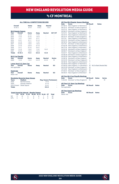# vs Cf MONTREAL

#### **ALL-TIME ALL-COMPETITIONS RECORD**

| Overall<br>$15-10-3$ |                           | Home<br>$8 - 4 - 1$                     | Away<br>$6 - 6 - 2$ | <b>Neutral</b><br>$1 - 0 - 0$ |               |  |  |
|----------------------|---------------------------|-----------------------------------------|---------------------|-------------------------------|---------------|--|--|
|                      | <b>MLS Regular Season</b> |                                         |                     |                               |               |  |  |
| Year                 | Overall                   | Home                                    | Away                | <b>Neutral</b>                | <b>SO*/OT</b> |  |  |
| 2012                 | $1 - 2 - 0$               | $0 - 1 - 0$                             | $1 - 1 - 0$         |                               |               |  |  |
| 2013                 | $1 - 1 - 0$               | $0 - 1 - 0$                             | $1 - 0 - 0$         |                               |               |  |  |
| 2014                 | $1 - 1 - 1$               | $1 - 0 - 0$                             | $0 - 1 - 1$         |                               |               |  |  |
| 2015                 | $0 - 2 - 1$               | $0 - 1 - 1$                             | $0 - 1 - 0$         |                               |               |  |  |
| 2016                 | $2 - 1 - 0$               | $1 - 0 - 0$                             | $1 - 1 - 0$         |                               |               |  |  |
| 2017                 | $2 - 0 - 0$               | $1 - 0 - 0$                             | $1 - 0 - 0$         |                               |               |  |  |
| 2018                 | $2 - 1 - 0$               | $2 - 0 - 0$                             | $0 - 1 - 0$         |                               |               |  |  |
| 2019                 | $0 - 1 - 1$               | $0 - 1 - 0$                             | $0 - 0 - 1$         |                               |               |  |  |
| 2020                 | $3-1-0$                   | $1 - 0 - 0$                             | $1 - 1 - 0$         | $1 - 0 - 0$                   |               |  |  |
| 2021                 | $2 - 0 - 0$               | $1 - 0 - 0$                             | $1 - 0 - 0$         |                               |               |  |  |
| <b>Totals</b>        | $14 - 10 - 3$             | $7 - 4 - 1$                             | $6 - 6 - 2$         | $1 - 0 - 0$                   |               |  |  |
|                      | <b>MLS Cup Playoffs</b>   |                                         |                     |                               |               |  |  |
| Year                 | Overall                   | Home                                    | Away                | <b>Neutral</b>                | <b>Series</b> |  |  |
| 2020                 | $1 - 0 - 0$               | $1 - 0 - 0$                             | $0 - 0 - 0$         | $0 - 0 - 0$                   | W             |  |  |
|                      | Lamar Hunt U.S. Open Cup  |                                         |                     |                               |               |  |  |
| Year                 | Overall                   | Home                                    | Awav                | <b>Neutral</b>                | <b>SO</b>     |  |  |
| Not applicable       |                           |                                         |                     |                               |               |  |  |
| <b>SuperLiga</b>     |                           |                                         |                     |                               |               |  |  |
| Year                 | Overall                   | Home                                    | Away                | <b>Neutral</b>                | <b>SO</b>     |  |  |
| Never met            |                           |                                         |                     |                               |               |  |  |
|                      |                           | <b>Revolution Record at Away Venues</b> |                     |                               |               |  |  |
| <b>Years</b>         | Stadium                   |                                         |                     | <b>Reg. Season Postseason</b> |               |  |  |
| 2020                 |                           | <b>Red Bull Arena</b>                   |                     | $1 - 0 - 0$                   |               |  |  |
| 2020                 |                           | Olympic Stadium                         |                     | $0 - 1 - 0$                   |               |  |  |
| 2012-Present         | Stade Saputo              |                                         |                     | $5 - 5 - 2$                   |               |  |  |
| <b>Totals</b>        |                           |                                         |                     | $6 - 6 - 2$                   | -             |  |  |

|     | <b>Goals Scored by Interval - Regular Season</b> |    |                                  |    |   |  |       |
|-----|--------------------------------------------------|----|----------------------------------|----|---|--|-------|
|     | $1-15$                                           |    | 16-30 31-45 46-60 61-75 76-90 OT |    |   |  | Total |
| NF  | 5                                                | 12 | ь                                | ь. | я |  | 42    |
| MTI | 5                                                |    | a                                |    |   |  | 36    |

|                | <b>All-Time MLS Regular Season Meetings</b> |                  |              |                            |
|----------------|---------------------------------------------|------------------|--------------|----------------------------|
| Date           | Score                                       | <b>NE Result</b> | <b>Notes</b> |                            |
| 07/18/12       | New England 1 at Montreal 2                 | L.               |              |                            |
| 08/12/12       | Montreal 1 at New England 0                 | L                |              |                            |
| 10/27/12       | New England 1 at Montreal 0                 | W                |              |                            |
| 09/08/13       | Montreal 4 at New England 2                 | L                |              |                            |
| 10/12/13       | New England 1 at Montreal 0                 | W                |              |                            |
| 05/31/14       | New England 0 at Montreal 2                 | L.               |              |                            |
| 09/13/14       | Montreal 1 at New England 2                 | W                |              |                            |
| 10/11/14       | New England 2 at Montreal 2                 | т                |              |                            |
| 03/21/15       | Montreal 0 at New England 0                 | T                |              |                            |
| 09/19/15       | New England 0 at Montreal 3                 | L                |              |                            |
| 10/17/15       | Montreal 1 at New England 0                 | L                |              |                            |
| 07/02/16       | New England 2 at Montreal 3                 | L                |              |                            |
| 09/17/16       | New England 3 at Montreal 1                 | W                |              |                            |
| 10/23/16       | Montreal 0 at New England 3                 | W                |              |                            |
| 09/09/17       | Montreal 0 at New England 1                 | W                |              |                            |
| 10/22/17       | New England 3 at Montreal 2                 | W                |              |                            |
| 04/06/18       | Montreal 0 at New England 4                 | W                |              |                            |
| 05/05/18       | New England 2 at Montreal 4                 | L.               |              |                            |
| 10/28/18       | Montreal 0 at New England 1                 | W                |              |                            |
| 04/24/19       | Montreal 3 at New England 0                 | L                |              |                            |
| 05/18/19       | New England 0 at Montreal 0                 | T                |              |                            |
| 02/29/20       | New England 1 at Montreal 2                 | L.               |              |                            |
|                | 07/09/20 New England 1 vs. Montreal 0       | W                |              | MLS is Back (Neutral Site) |
|                | 09/23/20 Montreal 1 at New England 3        | W                |              |                            |
| 10/14/20       | New England 3 at Montreal 2                 | W                |              |                            |
| 07/25/21       | Montreal 1 at New England 2                 | W                |              |                            |
| 09/29/21       | New England 4 at Montreal 1                 | W                |              |                            |
|                | <b>All-Time MLS Cup Playoffs Meetings</b>   |                  |              |                            |
| Date           | Score                                       | <b>NE Result</b> | <b>Notes</b> | <b>Series</b>              |
| 11/20/20       | Montreal 1 at New England 2                 | W                |              | W                          |
|                | <b>All-Time U.S. Open Cup Meetings</b>      |                  |              |                            |
| Date           | <b>Score</b>                                | <b>NE Result</b> | <b>Notes</b> |                            |
| Not applicable |                                             |                  |              |                            |
| Date           | <b>All-Time SuperLiga Meetings</b>          | <b>NE Result</b> | <b>Notes</b> |                            |
| Never met      | Score                                       |                  |              |                            |



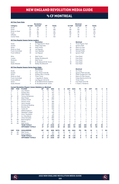# **V<sub>S</sub> CF MONTREAL**

|                |                        |                                                                   | <b>Revolution</b>           |                |               |                |                          |                |                | <b>Montreal</b>          |                |                |                |                |              |
|----------------|------------------------|-------------------------------------------------------------------|-----------------------------|----------------|---------------|----------------|--------------------------|----------------|----------------|--------------------------|----------------|----------------|----------------|----------------|--------------|
| Category       |                        | 1st Half                                                          | 2nd Half                    | OT             | <b>Totals</b> |                |                          | 1st Half       |                | 2nd Half                 | OT             |                | <b>Totals</b>  |                |              |
| Goals          |                        | 22                                                                | 20                          | $\mathbf 0$    | 42            |                |                          | 16             |                | 20                       | 0              |                | 36             |                |              |
| Shots          |                        | 175                                                               | 210                         | $\mathbf 0$    | 385           |                |                          | 156            |                | 164                      | 0              |                | 320            |                |              |
|                | Shots on Goal          | 70                                                                | 67                          | $\mathbf 0$    | 137           |                |                          | 56             |                | 59                       | 0              |                | 115            |                |              |
| Fouls          |                        | 143                                                               | 183                         | $\Omega$       | 326           |                |                          | 156            |                | 177                      | $\Omega$       |                | 333            |                |              |
| Offsides       |                        | 24                                                                | 16                          | $\mathbf 0$    | 40            |                |                          | 35             |                | 39                       | 0              |                | 74             |                |              |
| Corner Kicks   |                        | 77                                                                | 76                          | $\Omega$       | 153           |                |                          | 67             |                | 49                       | 0              |                | 116            |                |              |
|                |                        |                                                                   |                             |                |               |                |                          |                |                |                          |                |                |                |                |              |
|                |                        | <b>All-Time Regular Season Series Leaders</b>                     | <b>Revolution</b>           |                |               |                |                          |                |                | <b>Montreal</b>          |                |                |                |                |              |
| Goals          |                        | 6                                                                 | D. Fagundez/K. Rowe         |                |               |                |                          | $\overline{4}$ |                | Three Players Tied       |                |                |                |                |              |
| Assists        |                        | 6                                                                 | Diego Fagundez              |                |               |                |                          | 4              |                | Ignacio Piatti           |                |                |                |                |              |
| Shots          |                        | 45                                                                | Kelyn Rowe                  |                |               |                |                          | 26             |                | Marco Di Vaio            |                |                |                |                |              |
|                | Shots on Goal          | 18                                                                | Lee Nguyen                  |                |               |                |                          | 14             |                | Marco Di Vaio            |                |                |                |                |              |
|                | <b>Fouls Committed</b> | 25                                                                | Juan Agudelo                |                |               |                |                          | 15             |                | Samuel Piette            |                |                |                |                |              |
|                | <b>Fouls Suffered</b>  | 40                                                                | Lee Nguyen                  |                |               |                |                          | 19             |                | Ignacio Piatti           |                |                |                |                |              |
|                |                        |                                                                   |                             |                |               |                |                          |                |                |                          |                |                |                |                |              |
| Wins           |                        | 6                                                                 | Matt Turner                 |                |               |                |                          | 5              |                | Evan Bush                |                |                |                |                |              |
| Losses         |                        | $\overline{4}$                                                    | Bobby Shuttleworth          |                |               |                |                          | 5              |                | Evan Bush                |                |                |                |                |              |
| Shutouts       |                        | $\overline{4}$                                                    | Matt Turner                 |                |               |                |                          | 5              |                | Evan Bush                |                |                |                |                |              |
| Saves          |                        | 25                                                                | B. Shuttleworth/M. Turner   |                |               |                |                          | 45             |                | Evan Bush                |                |                |                |                |              |
|                | Goals Allowed          | 13                                                                | Bobby Shuttleworth          |                |               |                |                          | 18             |                | Evan Bush                |                |                |                |                |              |
|                |                        | <b>All-Time Regular Season Series Game Highs</b>                  |                             |                |               |                |                          |                |                |                          |                |                |                |                |              |
|                |                        |                                                                   | <b>Revolution</b>           |                |               |                |                          |                |                | <b>Montreal</b>          |                |                |                |                |              |
| Goals          |                        | $\overline{c}$                                                    | Four Times                  |                |               |                |                          | $\overline{c}$ |                | <b>Six Times</b>         |                |                |                |                |              |
| Assists        |                        | $\overline{c}$                                                    | Kelyn Rowe (4/6/18)         |                |               |                |                          | 3              |                | Ignacio Piatti (5/5/18)  |                |                |                |                |              |
| Shots          |                        | 8                                                                 | Gustavo Bou (7/9/20)        |                |               |                |                          | 9              |                | Didier Drogba (9/17/16)  |                |                |                |                |              |
|                | Shots on Goal          | $\overline{4}$                                                    | <b>Three Times</b>          |                |               |                |                          | 4              |                | Marco Di Vaio (twice)    |                |                |                |                |              |
|                | <b>Fouls Committed</b> | 6                                                                 | J. Agudelo/A. Buksa         |                |               |                |                          | 5              |                | Felipe Martins (5/31/14) |                |                |                |                |              |
|                | <b>Fouls Suffered</b>  | 6                                                                 | Lee Nguyen (9/13/14)        |                |               |                |                          | 5              |                | <b>Three Times</b>       |                |                |                |                |              |
| Saves          |                        | $\overline{7}$                                                    | B. Shuttleworth/B. Knighton |                |               |                |                          | 9              |                | Evan Bush (5/5/18)       |                |                |                |                |              |
|                | Goals Allowed          | $\overline{4}$                                                    | B. Shuttleworth/M. Turner   |                |               |                |                          | 4              |                | E. Bush/J. Pantemis      |                |                |                |                |              |
|                |                        | <b>Current Revolution Players' Career Statistics vs. Montreal</b> |                             |                |               |                |                          |                |                |                          |                |                |                |                |              |
| <b>UNF</b>     | POS                    | <b>PLAYER</b>                                                     | GP                          | GS             | <b>MIN</b>    | G              | A                        | <b>SHT</b>     | SOG            | FC                       | FS             | <b>OFF</b>     | CK             | C              | Е            |
| 14             | F                      | Jozy Altidore                                                     | 14                          | 12             | 1113          | 9              | $\overline{2}$           | 45             | 22             | 17                       | 20             | 5              | 0              | 1              | $\mathbf 0$  |
| 7              | F                      | Gustavo Bou                                                       | 6                           | 5              | 447           | 5              | $\overline{c}$           | 20             | 10             | 4                        | $\overline{7}$ | 7              | $\overline{7}$ | 1              | $\mathbf 0$  |
| 9              | F                      | Adam Buksa                                                        | 6                           | 5              | 413           | $\overline{2}$ | $\mathbf{1}$             | 15             | 8              | 11                       | $\overline{7}$ | $\overline{4}$ | $\mathbf 0$    | 1              | $\mathbf 0$  |
| 26             | M                      | Tommy McNamara                                                    | 12                          | 8              | 735           | 1              | 3                        | 11             | 5              | 13                       | 11             | 0              | 4              | 3              | $\mathbf 0$  |
| 8              | M                      | Matt Polster                                                      | 9                           | 7              | 690           | 1              | $\overline{c}$           | 3              | $\mathbf{1}$   | 16                       | 10             | 0              | $\mathbf 0$    | 1              | $\mathbf 0$  |
| $\overline{c}$ | D                      | <b>Andrew Farrell</b>                                             | 21                          | 19             | 1717          | 1              | Ō                        | 3              | 1              | 10                       | 15             | $\mathbf 0$    | $\mathbf 0$    | $\overline{4}$ | $\mathbf 0$  |
| 24             | D                      | DeJuan Jones                                                      | 6                           | 3              | 386           | 1              | Ō                        | $\overline{4}$ | 3              | 3                        | $\overline{c}$ | $\mathbf 0$    | $\mathbf 0$    | $\mathbf 0$    | $\mathbf 0$  |
| 4              | D                      | Henry Kessler                                                     | 4                           | 3              | 293           | 1              | Ō                        | $\overline{c}$ | $\mathbf{1}$   | 1                        | 1              | 0              | 0              | 0              | $\mathbf 0$  |
| 11             | F                      | <b>Emmanuel Boateng</b>                                           | 4                           | $\overline{c}$ | 203           | 0              | $\overline{c}$           | $\overline{c}$ | $\mathbf 0$    | $\mathbf 0$              | $\overline{c}$ | $\mathbf 0$    | $\mathbf 0$    | $\mathbf 0$    | $\mathbf 0$  |
| 15             | D                      | <b>Brandon Bye</b>                                                | 9                           | $\overline{7}$ | 669           | $\Omega$       | $\overline{\phantom{a}}$ | 5              | $\Omega$       | 5                        | 1              | $\Omega$       | $\Omega$       | $\Omega$       | $\mathbf 0$  |
| 10             | M                      | Carles Gil                                                        | 5                           | 5              | 450           | 0              | $\overline{c}$           | 11             | $\overline{4}$ | $\overline{c}$           | 10             | $\mathbf 0$    | 20             | $\mathbf 0$    | $\mathbf{0}$ |
| 5              | M                      | Wilfrid Kaptoum                                                   | $\overline{\mathbf{c}}$     | 1              | 73            | 0              | 1                        | 1              | $\mathbf 0$    | 1                        | $\mathbf 0$    | 0              | $\mathbf 0$    | $\mathbf 0$    | $\mathbf 0$  |
| 17             | M                      | Sebastian Lletget                                                 | 4                           | $\overline{4}$ | 306           | $\Omega$       | $\mathbf{1}$             | 5              | 1              | 1                        | 1              | $\Omega$       | 1              | 1              | $\mathbf 0$  |
| 25             | M                      | Arnor Traustason                                                  | $\mathbf{1}$                | 1              | 63            | 0              | 1                        | $\overline{c}$ | $\mathbf 0$    | $\mathbf 0$              | $\overline{c}$ | 0              | $\mathbf 0$    | $\mathbf 0$    | $\mathbf 0$  |
| 28             | D                      | A.J. DeLaGarza                                                    | 5                           | 4              | 386           | 0              | Ō                        | $\overline{2}$ | $\mathbf 0$    | 5                        | 7              | 0              | 0              | 0              | 0            |
| 3              | D                      | Omar Gonzalez                                                     | 10                          | 10             | 900           | $\Omega$       | Ō                        | 3              | 1              | $\overline{7}$           | 1              | 1              | $\Omega$       | 1              | $\mathbf 0$  |
| 18             | GK                     | <b>Brad Knighton</b>                                              | 4                           | $\overline{4}$ | 360           | $\Omega$       | Ō                        | $\mathbf 0$    | $\mathbf 0$    | 1                        | $\overline{c}$ | $\Omega$       | 0              | 1              | $\mathbf 0$  |
| 13             | M                      | Maciel                                                            | $\mathbf{1}$                | $\mathbf 0$    | 27            | 0              | Ō                        | $\mathbf 0$    | $\mathbf 0$    | $\mathbf 0$              | $\mathbf 0$    | $\mathbf 0$    | $\mathbf 0$    | $\mathbf 0$    | $\mathbf 0$  |
| 30             | GK                     | Matt Turner                                                       | 9                           | 9              | 810           | 0              | 0                        | $\mathbf 0$    | $\mathbf 0$    | 0                        | 1              | 0              | 0              | $\Omega$       | $\mathbf 0$  |
|                |                        | <b>TEAM TOTALS</b>                                                | 27                          | 27             | 2430          | 42             | 41                       | 385            | 137            | 326                      | 326            | 40             | 153            | 39             | 1            |
|                |                        | <b>OPPONENT TOTALS</b>                                            | 27                          | 27             | 2430          | 36             | 29                       | 320            | 115            | 326                      | 326            | 74             | 116            | 42             | 4            |
| <b>UNF</b>     | <b>POS</b>             | <b>GOALKEEPER</b>                                                 | GP                          | GS             | <b>MIN</b>    | <b>SHTS</b>    | <b>SV</b>                | GA             | <b>GAA</b>     | PG                       | PA             | W              | L              | т              | <b>SO</b>    |
| 30             | GK                     | Matt Turner                                                       | 9                           | 9              | 810           | 36             | 25                       | 10             | 1.11           | 0                        | $\mathbf 0$    | 6              | $\overline{2}$ | 1              | 4            |
| 18             | GK                     | <b>Brad Knighton</b>                                              | $\overline{4}$              | $\overline{4}$ | 360           | 19             | 12                       | $\overline{7}$ | 1.75           | 3                        | 3              | 3              | 1              | $\Omega$       | $\mathbf 0$  |
|                |                        | <b>TEAM TOTALS</b>                                                | 27                          | 27             | 2430          | 115            | 76                       | 36             | 1.33           | 6                        | 6              | 14             | 10             | 3              | 9            |
|                |                        | <b>OPPONENT TOTALS</b>                                            | 27                          | 27             | 2430          | 137            | 94                       | 42             | 1.56           | $\mathbf 0$              | 1              | 10             | 14             | 3              | 7            |



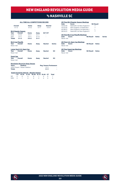# vs nashville sc

#### **ALL-TIME ALL-COMPETITIONS RECORD**

| Overall<br>$0 - 1 - 3$ |                           | Home<br>$0 - 0 - 2$                     | Away<br>$0 - 1 - 1$ | <b>Neutral</b><br>$0 - 0 - 0$ |               |
|------------------------|---------------------------|-----------------------------------------|---------------------|-------------------------------|---------------|
|                        | <b>MLS Regular Season</b> |                                         |                     |                               |               |
| Year                   | Overall                   | Home                                    | Away                | SO*/OT                        |               |
| 2020                   | $0 - 0 - 2$               | $0 - 0 - 1$                             | $0 - 0 - 1$         |                               |               |
| 2021                   | $0 - 1 - 1$               | $0 - 0 - 1$                             | $0 - 1 - 0$         |                               |               |
| <b>Totals</b>          | $0 - 1 - 3$               | $0 - 0 - 2$                             | $0 - 1 - 1$         |                               |               |
|                        | <b>MLS Cup Playoffs</b>   |                                         |                     |                               |               |
| Year                   | Overall                   | Home                                    | Away                | <b>Neutral</b>                | <b>Series</b> |
| Never met              |                           |                                         |                     |                               |               |
|                        | Lamar Hunt U.S. Open Cup  |                                         |                     |                               |               |
| Year                   | Overall                   | Home                                    | Awav                | <b>Neutral</b>                | <b>SO</b>     |
| Never met              |                           |                                         |                     |                               |               |
| <b>SuperLiga</b>       |                           |                                         |                     |                               |               |
| Year                   | Overall                   | Home                                    | Away                | <b>Neutral</b>                | <b>SO</b>     |
| Never met              |                           |                                         |                     |                               |               |
|                        |                           | <b>Revolution Record at Away Venues</b> |                     |                               |               |
| <b>Voore</b>           | Ctadium                   |                                         |                     | <b>Dog Concon Doctconcor</b>  |               |

| Years         | <b>Stadium</b>              | <b>Reg. Season Postseason</b> |   |  |  |  |
|---------------|-----------------------------|-------------------------------|---|--|--|--|
|               | 2020-Present Nissan Stadium | $0 - 1 - 1$                   | ٠ |  |  |  |
| <b>Totals</b> |                             | $0 - 1 - 1$                   | ٠ |  |  |  |

| <b>Goals Scored by Interval - Regular Season</b> |  |  |
|--------------------------------------------------|--|--|
|--------------------------------------------------|--|--|

|  | 1-15 16-30 31-45 46-60 61-75 76-90 OT Total |  |  |  |
|--|---------------------------------------------|--|--|--|
|  | NF 0 0 0 0 1 0 0 1                          |  |  |  |
|  | NSH 0 1 0 0 2 0 0 3                         |  |  |  |

|           | <b>All-Time MLS Regular Season Meetings</b> |                  |                  |               |
|-----------|---------------------------------------------|------------------|------------------|---------------|
| Date      | Score                                       |                  | <b>NE Result</b> |               |
| 10/03/20  | Nashville 0 at New England 0                |                  | Т                |               |
| 10/23/20  | New England 1 at Nashville 1                |                  |                  |               |
| 05/08/21  | New England 0 at Nashville 2                |                  |                  |               |
| 08/04/21  | Nashville 0 at New England 0                |                  | т                |               |
|           |                                             |                  |                  |               |
|           | <b>All-Time MLS Cup Playoffs Meetings</b>   |                  |                  |               |
| Date      | Score                                       | <b>NE Result</b> | <b>Notes</b>     | <b>Series</b> |
| Never met |                                             |                  |                  |               |
|           |                                             |                  |                  |               |
|           | <b>All-Time U.S. Open Cup Meetings</b>      |                  |                  |               |
| Date      | Score                                       | <b>NE Result</b> | <b>Notes</b>     |               |
| Never met |                                             |                  |                  |               |
|           |                                             |                  |                  |               |
|           | <b>All-Time SuperLiga Meetings</b>          |                  |                  |               |
| Date      | Score                                       | <b>NE Result</b> | <b>Notes</b>     |               |

Never met



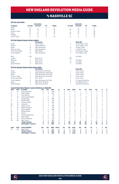# vs nashville sc

|                |                        |                                                                    | <b>Revolution</b>        |                |                |                |             |                |                | <b>Nashville</b>      |                |             |                |             |                |
|----------------|------------------------|--------------------------------------------------------------------|--------------------------|----------------|----------------|----------------|-------------|----------------|----------------|-----------------------|----------------|-------------|----------------|-------------|----------------|
| Category       |                        | 1st Half                                                           | 2nd Half                 | OТ             | <b>Totals</b>  |                |             | 1st Half       |                | 2nd Half              | OT             |             | <b>Totals</b>  |             |                |
| Goals          |                        | 0                                                                  | 1                        | 0              | $\overline{2}$ |                |             | 1              |                | $\overline{c}$        | 0              |             | 3              |             |                |
| Shots          |                        | 25                                                                 | 30                       | Ō              | 55             |                |             | 22             |                | 25                    | 0              |             | 47             |             |                |
|                | Shots on Goal          | 8                                                                  | 11                       | Ō              | 19             |                |             | $\overline{7}$ |                | 13                    | 0              |             | 20             |             |                |
| Fouls          |                        | 24                                                                 | 32                       | Ō              | 56             |                |             | 26             |                | 22                    | 0              |             | 48             |             |                |
| Offsides       |                        | $\mathbf 0$                                                        | 3                        | Ō              | 3              |                |             | 6              |                | $\overline{4}$        | $\mathbf 0$    |             | 10             |             |                |
| Corner Kicks   |                        | 9                                                                  | 14                       | $\overline{0}$ | 23             |                |             | 8              |                | 5                     | 0              |             | 13             |             |                |
|                |                        |                                                                    |                          |                |                |                |             |                |                |                       |                |             |                |             |                |
|                |                        | <b>All-Time Regular Season Series Leaders</b>                      |                          |                |                |                |             |                |                |                       |                |             |                |             |                |
|                |                        |                                                                    | <b>Revolution</b>        |                |                |                |             |                |                | <b>Nashville</b>      |                |             |                |             |                |
| Goals          |                        | 1                                                                  | Adam Buksa               |                |                |                |             | 1              |                | Three Players Tied    |                |             |                |             |                |
| <b>Assists</b> |                        | 1                                                                  | Kekuta Manneh            |                |                |                |             | 1              |                | Three Players Tied    |                |             |                |             |                |
| Shots          |                        | 12                                                                 | Tajon Buchanan           |                |                |                |             | 9              |                | Jhonder Cadiz         |                |             |                |             |                |
|                | Shots on Goal          | 6                                                                  | Tajon Buchanan           |                |                |                |             | 3              |                | J. Cadiz/R. Leal      |                |             |                |             |                |
|                | Fouls Committed        | 6                                                                  | Matt Polster             |                |                |                |             | 6              |                | B. Anunga/A. Muyl     |                |             |                |             |                |
|                | <b>Fouls Suffered</b>  | 13                                                                 | Tajon Buchanan           |                |                |                |             | 5              |                | Four Players Tied     |                |             |                |             |                |
| Wins           |                        | N/A                                                                |                          |                |                |                |             | 1              |                | Joe Willis            |                |             |                |             |                |
| Losses         |                        | 1                                                                  | Matt Turner              |                |                |                |             | N/A            |                |                       |                |             |                |             |                |
| Shutouts       |                        | $\overline{c}$                                                     | Matt Turner              |                |                |                |             | 3              |                | Joe Willis            |                |             |                |             |                |
| Saves          |                        | 11                                                                 | Matt Turner              |                |                |                |             | 16             |                | Joe Willis            |                |             |                |             |                |
|                | Goals Allowed          | 3                                                                  | Matt Turner              |                |                |                |             | 1              |                | Joe Willis            |                |             |                |             |                |
|                |                        |                                                                    |                          |                |                |                |             |                |                |                       |                |             |                |             |                |
|                |                        | <b>All-Time Regular Season Series Game Highs</b>                   | <b>Revolution</b>        |                |                |                |             |                |                | <b>Nashville</b>      |                |             |                |             |                |
|                |                        |                                                                    |                          |                |                |                |             |                |                | <b>Three Times</b>    |                |             |                |             |                |
| Goals          |                        | 1                                                                  | Adam Buksa (10/23/20)    |                |                |                |             | 1              |                |                       |                |             |                |             |                |
| Assists        |                        | 1                                                                  | Kekuta Manneh (10/23/20) |                |                |                |             | 1              |                | <b>Three Times</b>    |                |             |                |             |                |
| Shots          |                        | $\overline{7}$                                                     | Tajon Buchanan (10/3/20) |                |                |                |             | 5              |                | <b>Three Times</b>    |                |             |                |             |                |
|                | Shots on Goal          | 3                                                                  | Tajon Buchanan (10/3/20) |                |                |                |             | $\overline{c}$ |                | <b>Three Times</b>    |                |             |                |             |                |
|                | <b>Fouls Committed</b> | 3                                                                  | Four Times               |                |                |                |             | 3              |                | Four Times            |                |             |                |             |                |
|                | <b>Fouls Suffered</b>  | 5                                                                  | Tajon Buchanan (10/3/20) |                |                |                |             | 3              |                | D. Jones/D. McCarty   |                |             |                |             |                |
| Saves          |                        | 5                                                                  | Matt Turner (5/8/21)     |                |                |                |             | 6              |                | Joe Willis (8/4/21)   |                |             |                |             |                |
|                | Goals Allowed          | $\overline{c}$                                                     | Matt Turner (5/8/21)     |                |                |                |             | 1              |                | Joe Willis (10/23/20) |                |             |                |             |                |
|                |                        | <b>Current Revolution Players' Career Statistics vs. Nashville</b> |                          |                |                |                |             |                |                |                       |                |             |                |             |                |
| <b>UNF</b>     | POS                    | <b>PLAYER</b>                                                      | <b>GP</b>                | GS             | <b>MIN</b>     | G              | A           | <b>SHT</b>     | <b>SOG</b>     | FC                    | <b>FS</b>      | <b>OFF</b>  | CK             | C           | E              |
| 3              | D                      | Omar Gonzalez                                                      | $\overline{\mathbf{c}}$  | $\overline{c}$ | 180            | $\overline{c}$ | $\mathbf 0$ | $\overline{c}$ | $\overline{2}$ | 1                     | $\overline{c}$ | 0           | $\mathbf 0$    | $\Omega$    | $\mathbf 0$    |
| 9              | F                      | Adam Buksa                                                         | 4                        | $\overline{c}$ | 234            | 1              | 0           | 7              | 1              | 6                     | 3              | 0           | 1              | 0           | $\mathbf 0$    |
| 14             | F                      | Jozy Altidore                                                      | 1                        | 1              | 76             | $\mathbf 0$    | 0           | 1              | $\mathbf 0$    | $\mathbf 0$           | 1              | 0           | $\mathbf 0$    | $\mathbf 0$ | $\mathbf 0$    |
| 11             | M                      | <b>Emmanuel Boateng</b>                                            | 1                        | 0              | 27             | 0              | 0           | $\mathbf 0$    | $\mathbf 0$    | 1                     | 0              | 0           | $\mathbf 0$    | $\mathbf 0$ | $\mathbf 0$    |
| 7              | F                      | Gustavo Bou                                                        | 3                        | 3              | 256            | $\mathbf 0$    | $\mathbf 0$ | 9              | $\overline{4}$ | 4                     | 3              | $\mathbf 0$ | 8              | 1           | $\mathbf 0$    |
| 15             | D                      | <b>Brandon Bye</b>                                                 | 4                        | $\overline{c}$ | 212            | 0              | $\mathbf 0$ | 1              | 1              | 1                     | $\mathbf 0$    | $\mathbf 0$ | $\mathbf 0$    | $\mathbf 0$ | $\mathbf 0$    |
| $\overline{c}$ | D                      | Andrew Farrell                                                     | $\overline{4}$           | $\overline{4}$ | 360            | $\mathbf 0$    | $\Omega$    | $\Omega$       | $\mathbf 0$    | $\overline{2}$        | 3              | $\mathbf 0$ | $\mathbf 0$    | 1           | $\mathbf 0$    |
| 22             | M                      | Carles Gil                                                         | $\overline{c}$           | 1              | 117            | $\Omega$       | $\Omega$    | $\Omega$       | $\Omega$       | $\overline{c}$        | $\overline{c}$ | $\Omega$    | 3              | $\Omega$    | $\mathbf 0$    |
| 24             | D                      | DeJuan Jones                                                       | 4                        | $\overline{4}$ | 334            | $\Omega$       | $\Omega$    | $\Omega$       | $\Omega$       | 4                     | $\overline{7}$ | $\Omega$    | $\Omega$       | 1           | $\mathbf 0$    |
| 5              | M                      | Wilfrid Kaptoum                                                    | $\overline{c}$           | 1              | 89             | 0              | 0           | 1              | 1              | 1                     | 0              | 0           | $\mathbf 0$    | 1           | $\mathbf 0$    |
| 4              | D                      | Henry Kessler                                                      | 4                        | 4              | 360            | 0              | 0           | 3              | $\mathbf 0$    | 3                     | $\overline{c}$ | $\Omega$    | 0              | $\Omega$    | $\mathbf 0$    |
| 19             | F                      | Edward Kizza                                                       | 1                        | $\mathbf 0$    | 14             | $\mathbf 0$    | $\mathbf 0$ | $\mathbf 0$    | $\mathbf 0$    | $\mathbf 0$           | $\mathbf 0$    | $\mathbf 0$ | $\mathbf 0$    | $\mathbf 0$ | $\mathbf 0$    |
| 13             | M                      | Maciel                                                             | 1                        | 1              | 64             | 0              | $\Omega$    | $\Omega$       | $\Omega$       | $\Omega$              | 1              | 0           | $\Omega$       | $\Omega$    | $\mathbf 0$    |
| 26             | M                      | Tommy McNamara                                                     | 4                        | $\overline{c}$ | 195            | $\mathbf 0$    | $\mathbf 0$ | 4              | $\overline{2}$ | $\mathbf 0$           | 3              | $\mathbf 0$ | $\overline{2}$ | $\mathbf 0$ | $\circ$        |
| 8              | M                      | Matt Polster                                                       | 3                        | $\overline{c}$ | 173            | $\Omega$       | $\Omega$    | 1              | $\Omega$       | 6                     | 3              | $\Omega$    | $\Omega$       | $\Omega$    | $\mathbf 0$    |
| 25             | M                      | Arnor Traustason                                                   | $\overline{c}$           | $\overline{2}$ | 126            | 0              | $\mathbf 0$ | $\overline{2}$ | 1              | 1                     | $\mathbf 0$    | 1           | $\mathbf 0$    | $\mathbf 0$ | $\circ$        |
| 30             | GK                     | Matt Turner                                                        | 4                        | 4              | 360            | 0              | 0           | $\mathbf 0$    | $\mathbf 0$    | 0                     | 0              | 0           | 0              | 0           | $\mathbf 0$    |
|                |                        | <b>TEAM TOTALS</b>                                                 | 4                        | 4              | 360            | 1              | 1           | 50             | 18             | 46                    | 45             | 3           | 26             | 5           | O              |
|                |                        | <b>OPPONENT TOTALS</b>                                             | 4                        | 4              | 360            | 3              | 3           | 37             | 14             | 45                    | 46             | 5           | 16             | 6           | $\mathbf 0$    |
| <b>UNF</b>     | POS                    | <b>GOALKEEPER</b>                                                  | GP                       | GS             | <b>MIN</b>     | <b>SHTS</b>    | <b>SV</b>   | GA             | <b>GAA</b>     | PG                    | PA             | W           | L              | T           | <b>SO</b>      |
| 30             | GK                     | Matt Turner                                                        | 4                        | $\overline{4}$ | 360            | 14             | 11          | 3              | 0.75           | $\Omega$              | $\Omega$       | $\mathbf 0$ | $\mathbf{1}$   | 3           | $\overline{c}$ |
|                |                        | <b>TEAM TOTALS</b>                                                 | 4                        | 4              | 360            | 14             | 11          | 3              | 0.75           | $\mathbf 0$           | O              | $\mathbf 0$ | 1              | 3           | $\overline{2}$ |
|                |                        | <b>OPPONENT TOTALS</b>                                             | 4                        | $\overline{a}$ | 360            | 17             | 16          | 1              | 0.25           | $\mathbf 0$           | $\mathbf 0$    | 1           | $\mathbf 0$    | 3           | 3              |
|                |                        |                                                                    |                          |                |                |                |             |                |                |                       |                |             |                |             |                |



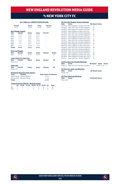### vs nEW YORK CITY FC

#### **ALL-TIME ALL-COMPETITIONS RECORD**

| Overall<br>$9 - 7 - 4$<br><b>MLS Regular Season</b> |                          | Home<br>$5 - 3 - 2$ | Away<br>$4 - 4 - 2$ | <b>Neutral</b><br>$0 - 0 - 0$ |               |
|-----------------------------------------------------|--------------------------|---------------------|---------------------|-------------------------------|---------------|
|                                                     |                          |                     |                     |                               |               |
| Year                                                | Overall                  | Home                | Away                | $SO*/OT$                      |               |
| 2015                                                | $2 - 1 - 0$              | $1 - 0 - 0$         | $1 - 1 - 0$         |                               |               |
| 2016                                                | $1 - 1 - 1$              | $1 - 1 - 0$         | $0 - 0 - 1$         |                               |               |
| 2017                                                | $1 - 1 - 1$              | $1 - 0 - 0$         | $0 - 1 - 1$         | ٠                             |               |
| 2018                                                | $1 - 0 - 1$              | $0 - 0 - 1$         | $1 - 0 - 0$         |                               |               |
| 2019                                                | $1 - 1 - 0$              | $1 - 0 - 0$         | $0 - 1 - 0$         |                               |               |
| 2020                                                | $1 - 1 - 1$              | $0 - 1 - 1$         | $1 - 0 - 0$         |                               |               |
| 2021                                                | $2 - 1 - 0$              | $1 - 0 - 0$         | $1 - 1 - 0$         |                               |               |
| <b>Totals</b>                                       | $9 - 6 - 4$              | $5 - 2 - 2$         | $4 - 4 - 2$         | $\overline{a}$                |               |
|                                                     | <b>MLS Cup Playoffs</b>  |                     |                     |                               |               |
| Year                                                | Overall                  | Home                | Away                | <b>Neutral</b>                | <b>Series</b> |
| 2021                                                | $0 - 1 - 0$              | $0 - 1 - 0$         | $0 - 0 - 0$         |                               | W             |
|                                                     | Lamar Hunt U.S. Open Cup |                     |                     |                               |               |
| Year                                                | Overall                  | Home                | Away                | <b>Neutral</b>                | SO            |
| Never met                                           |                          |                     |                     |                               |               |
| <b>SuperLiga</b>                                    |                          |                     |                     |                               |               |
| Year<br>Never met                                   | Overall                  | Home                | Away                | <b>Neutral</b>                | SO            |

### **Revolution Record at Away Venues**

| <b>Years</b>  | <b>Stadium</b>              | <b>Reg. Season Postseason</b> |    |
|---------------|-----------------------------|-------------------------------|----|
|               | 2015-Present Yankee Stadium | $3 - 4 - 2$                   |    |
|               | 2021-present Red Bull Arena | $1 - 0 - 0$                   | ÷. |
| <b>Totals</b> |                             | $4 - 4 - 2$                   |    |

#### **Goals Scored by Interval – Regular Season**

|  | 1-15 16-30 31-45 46-60 61-75 76-90 OT Total |  |          |  |
|--|---------------------------------------------|--|----------|--|
|  | NE 5 4 3 4 4 6 0 26                         |  |          |  |
|  | NYC 3 1 1 6                                 |  | 4 8 0 23 |  |

|             | <b>All-Time MLS Regular Season Meetings</b> |                        |
|-------------|---------------------------------------------|------------------------|
| <b>Date</b> | <b>Score</b>                                | <b>NE Result Notes</b> |
| 03/15/15    | New England 0 at New York City 2            | L                      |
| 07/18/15    | New York City 0 at New England 1            | W                      |
| 10/25/15    | New England 3 at New York City 1            | W                      |
| 03/26/16    | New England 1 at New York City 1            | T                      |
| 07/06/16    | New York City 1 at New England 0            | L                      |
| 09/10/16    | New York City 1 at New England 3            | W                      |
| 05/31/17    | New England 2 at New York City 2            | T                      |
| 08/20/17    | New England 1 at New York City 2            | L                      |
| 10/15/17    | New York City 1 at New England 2            | W                      |
| 03/24/18    | New York City 2 at New England 2            | T                      |
| 09/05/18    | New England 1 at New York City 0            | W                      |
| 09/07/19    | New England 1 at New York City 2            | L                      |
| 09/29/19    | New York City 0 at New England 2            | W                      |
| 09/02/20    | New York City 2 at New England 1            | L                      |
| 09/19/20    | New York City 0 at New England 0            | T                      |
| 10/11/20    | New England 2 at New York City 1            | W                      |
| 06/19/21    | New England 3 at New York City 2            | W                      |
| 08/28/21    | New England 0 at New York City 2            | L                      |
| 09/11/21    | New York City 1 at New England 2            | W                      |
|             |                                             |                        |

**All-Time MLS Cup Playoffs Meetings Date Score NE Result Notes Series**  11/30/21 New York City 2 at New England 2 T L (PKs, 5-3) L

**All-Time U.S. Open Cup Meetings Date Score NE Result Notes** Never met

**All-Time SuperLiga Meetings Date Score NE Result Notes** Never met

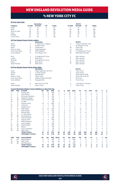### vs nEW YORK CITY FC

|                    |                        |                                                                        | <b>Revolution</b>                     |                |               |                |                  |                          |                         | <b>NYCFC</b>                     |                     |                             |                         |                  |                                  |
|--------------------|------------------------|------------------------------------------------------------------------|---------------------------------------|----------------|---------------|----------------|------------------|--------------------------|-------------------------|----------------------------------|---------------------|-----------------------------|-------------------------|------------------|----------------------------------|
| Category           |                        | 1st Half                                                               | 2nd Half                              | ОT             | <b>Totals</b> |                |                  | 1st Half                 |                         | 2nd Half                         | ΟТ                  |                             | <b>Totals</b>           |                  |                                  |
| Goals              |                        | 12                                                                     | 14                                    | $\Omega$       | 26            |                |                  | 5                        |                         | 18                               | $\Omega$            |                             | 21                      |                  |                                  |
| Shots              |                        | 111                                                                    | 137                                   | $\mathbf 0$    | 248           |                |                  | 135                      |                         | 150                              | $\mathbf 0$         |                             | 285                     |                  |                                  |
|                    | Shots on Goal          | 38                                                                     | 54                                    | 0              | 92            |                |                  | 49                       |                         | 50                               | $\circ$             |                             | 99                      |                  |                                  |
| Fouls              |                        | 122                                                                    | 120                                   | $\Omega$       | 242           |                |                  | 118                      |                         | 148                              | $\Omega$            |                             | 266                     |                  |                                  |
| Offsides           |                        | 19                                                                     | 21                                    | $\mathbf 0$    | 40            |                |                  | 19                       |                         | 21                               | 0                   |                             | 40                      |                  |                                  |
| Corner Kicks       |                        | 50                                                                     | 58                                    | $\mathbf 0$    | 108           |                |                  | 49                       |                         | 57                               | 0                   |                             | 106                     |                  |                                  |
|                    |                        | All-Time Regular Season Series Leaders                                 |                                       |                |               |                |                  |                          |                         |                                  |                     |                             |                         |                  |                                  |
|                    |                        |                                                                        | <b>Revolution</b>                     |                |               |                |                  |                          |                         | <b>NYCFC</b>                     |                     |                             |                         |                  |                                  |
| Goals              |                        | 4                                                                      | D. Fagundez/L. Nguyen                 |                |               |                |                  | 3                        |                         | I. Tajouri-Shradi/D. Villa       |                     |                             |                         |                  |                                  |
| Assists            |                        | 4                                                                      | <b>Andrew Farrell</b>                 |                |               |                |                  | 4                        |                         | M. Moralez/D. Villa              |                     |                             |                         |                  |                                  |
| Shots              | Shots on Goal          | 27<br>12 <sup>2</sup>                                                  | <b>Teal Bunbury</b><br>Diego Fagundez |                |               |                |                  | 48<br>13                 |                         | David Villa<br>David Villa       |                     |                             |                         |                  |                                  |
|                    | <b>Fouls Committed</b> | 21                                                                     | Scott Caldwell                        |                |               |                |                  | 18                       |                         | V. Castellanos/K. Parks          |                     |                             |                         |                  |                                  |
|                    | <b>Fouls Suffered</b>  | 14                                                                     | Four Players Tied                     |                |               |                |                  | 30                       |                         | Maximiliano Moralez              |                     |                             |                         |                  |                                  |
|                    |                        |                                                                        |                                       |                |               |                |                  |                          |                         |                                  |                     |                             |                         |                  |                                  |
| Wins               |                        | 4                                                                      | B. Knighton/M. Turner                 |                |               |                |                  | $\overline{c}$           |                         | Sean Johnson                     |                     |                             |                         |                  |                                  |
| Losses<br>Shutouts |                        | 3<br>$\overline{\phantom{a}}$                                          | Matt Turner<br>B. Knighton/M. Turner  |                |               |                |                  | 6<br>3                   |                         | Sean Johnson<br>Sean Johnson     |                     |                             |                         |                  |                                  |
| Saves              |                        | 42                                                                     | Matt Turner                           |                |               |                |                  | 42                       |                         | Sean Johnson                     |                     |                             |                         |                  |                                  |
|                    | Goals Allowed          | 12                                                                     | Matt Turner                           |                |               |                |                  | 17                       |                         | Sean Johnson                     |                     |                             |                         |                  |                                  |
|                    |                        |                                                                        |                                       |                |               |                |                  |                          |                         |                                  |                     |                             |                         |                  |                                  |
|                    |                        | All-Time Regular Season Series Game Highs                              | <b>Revolution</b>                     |                |               |                |                  |                          |                         | <b>NYCFC</b>                     |                     |                             |                         |                  |                                  |
| Goals              |                        | $\overline{c}$                                                         | Diego Fagundez (10/15/17)             |                |               |                |                  | $\overline{2}$           |                         | <b>Three Times</b>               |                     |                             |                         |                  |                                  |
| Assists            |                        | $\overline{c}$                                                         | C. Gil/W. Zahibo                      |                |               |                |                  | $\overline{c}$           |                         | <b>Three Times</b>               |                     |                             |                         |                  |                                  |
| Shots              |                        | 6                                                                      | Agudelo/Bou                           |                |               |                |                  | 8                        |                         | David Villa (9/5/18)             |                     |                             |                         |                  |                                  |
|                    | Shots on Goal          | $\overline{4}$                                                         | <b>Three Times</b>                    |                |               |                |                  | 5                        |                         | David Villa (3/15/15)            |                     |                             |                         |                  |                                  |
|                    | <b>Fouls Committed</b> | 6                                                                      | Wilfried Zahibo (3/24/18)             |                |               |                |                  | 5                        |                         | <b>Six Times</b>                 |                     |                             |                         |                  |                                  |
|                    | <b>Fouls Suffered</b>  | 5                                                                      | Kobayashi/Gil                         |                |               |                |                  | 6                        |                         | <b>Three Times</b>               |                     |                             |                         |                  |                                  |
| Saves              |                        | 8                                                                      | Matt Turner (9/7/19)                  |                |               |                |                  | 9                        |                         | J. Saunders/S. Johnson           |                     |                             |                         |                  |                                  |
|                    | Goals Allowed          | $\overline{c}$                                                         | Seven Times                           |                |               |                |                  | 3                        |                         | <b>Three Times</b>               |                     |                             |                         |                  |                                  |
|                    |                        | <b>Current Revolution Players' Career Statistics vs. New York City</b> |                                       |                |               |                |                  |                          |                         |                                  |                     |                             |                         |                  |                                  |
| UNF                | POS                    | <b>PLAYER</b>                                                          | GP                                    | GS             | <b>MIN</b>    | G              | Α                | <b>SHT</b>               | <b>SOG</b>              | FC                               | FS                  | <b>OFF</b>                  | СK                      | C                | Е                                |
| 7                  | F                      | Gustavo Bou                                                            | 6                                     | 5              | 458           | $\overline{2}$ | 1                | 16                       | 6                       | 4                                | 5                   | $\overline{7}$              | 3                       | $\mathbf 0$      | $\overline{0}$                   |
| 14                 | F<br>F                 | Jozy Altidore                                                          | 10                                    | 9              | 641           | $\overline{c}$ | 0                | 19                       | 11                      | 13                               | 11                  | 10                          | $\mathbf 0$             | $\overline{c}$   | 1                                |
| 11<br>17           | M                      | <b>Emmanuel Boateng</b><br>Sebastian Lletget                           | 8<br>4                                | 5<br>3         | 425<br>276    | 1<br>1         | 1<br>1           | 6<br>3                   | 3<br>$\overline{c}$     | $\overline{2}$<br>$\overline{2}$ | 5<br>3              | 3<br>$\mathbf{1}$           | 6<br>10                 | 0<br>$\mathbf 0$ | 0<br>$\overline{0}$              |
| 26                 | M                      | Tommy McNamara                                                         | $\overline{7}$                        | $\overline{7}$ | 539           | 1              | 1                | $\overline{7}$           | $\overline{\mathbf{c}}$ | 6                                | $\overline{7}$      | $\mathbf 0$                 | 5                       | $\mathbf 0$      | $\overline{0}$                   |
| 23                 | D                      | Jon Bell                                                               | 1                                     | 1              | 90            | 1              | 0                | 1                        | 1                       | 1                                | $\mathbf 0$         | 0                           | 0                       | 0                | 0                                |
| $\overline{c}$     | D                      | Andrew Farrell                                                         | 18                                    | 17             | 1526          | $\mathbf 0$    | 4                | $\overline{4}$           | 1                       | 13                               | 13                  | $\mathbf 0$                 | $\mathbf 0$             | $\overline{c}$   | $\overline{0}$                   |
| 10                 | M                      | Carles Gil                                                             | 4                                     | 3              | 315           | $\mathbf 0$    | 3                | 3                        | 1                       | 1                                | 14                  | $\mathbf 0$                 | 13                      | $\overline{c}$   | $\overline{0}$                   |
| 19                 | F                      | <b>Edward Kizza</b>                                                    | $\overline{c}$                        | 1              | 76            | 0              | 1                | $\overline{2}$           | $\mathbf 0$             | 1                                | $\overline{c}$      | 0                           | 0                       | 0                | 0                                |
| 8                  | M                      | Matt Polster                                                           | 12                                    | 10             | 875           | $\mathbf 0$    | 1                | $\overline{4}$           | 3                       | 16                               | 8                   | $\mathbf 0$                 | $\mathbf 0$             | 5                | $\overline{0}$                   |
| 9                  | F                      | Adam Buksa                                                             | 6                                     | 1              | 202           | $\mathbf 0$    | $\mathbf 0$      | 13                       | 4                       | 5                                | $\overline{7}$      | $\mathbf 0$                 | $\mathbf 0$             | 1                | 0                                |
| 15                 | D                      | <b>Brandon Bye</b>                                                     | 9                                     | 8              | 710           | 0              | 0                | 3                        | 1                       | 13                               | 10                  | 1                           | 0                       | $\overline{c}$   | 0                                |
| 28                 | D                      | A.J. DeLaGarza                                                         | 6                                     | 5              | 443           | $\mathbf 0$    | $\mathbf 0$      | $\overline{2}$           | $\mathbf 0$             | $\overline{4}$                   | $\overline{4}$      | $\mathbf 0$                 | $\mathbf 0$             | 1                | $\overline{0}$                   |
| 36                 | GK                     | Earl Edwards Jr.                                                       | 1                                     | 1              | 90            | $\mathbf 0$    | $\mathbf 0$      | $\Omega$                 | $\Omega$                | $\mathbf 0$                      | $\mathbf 0$         | $\mathbf 0$                 | $\Omega$                | Ō                | $\overline{0}$                   |
| 3                  | D                      | Omar Gonzalez                                                          | 7                                     | 7              | 630           | 0              | 0                | $\overline{2}$           | $\mathbf 0$             | 5                                | 3                   | $\overline{c}$              | Ō                       | Ō                | 0                                |
| 24                 | D                      | DeJuan Jones                                                           | 6                                     | 6              | 463           | $\mathbf 0$    | $\mathbf 0$<br>Ō | $\mathbf{1}$<br>$\Omega$ | $\mathbf 0$<br>$\Omega$ | $\overline{4}$<br>$\overline{2}$ | $\overline{7}$      | $\mathbf{1}$<br>$\mathbf 0$ | $\mathbf 0$<br>$\Omega$ | 1<br>$\mathbf 0$ | $\overline{0}$<br>$\overline{0}$ |
| 5<br>4             | M<br>D                 | Wilfrid Kaptoum<br>Henry Kessler                                       | $\overline{c}$<br>6                   | 1<br>5         | 76<br>459     | 0<br>0         | 0                | 0                        | $\mathbf 0$             | 3                                | 1<br>$\overline{c}$ | 0                           | 0                       | $\overline{c}$   | 0                                |
| 18                 | GK                     | <b>Brad Knighton</b>                                                   | 5                                     | 5              | 450           | $\mathbf 0$    | $\mathbf 0$      | $\mathbf 0$              | $\mathbf 0$             | $\mathbf 0$                      | $\mathbf 0$         | $\mathbf 0$                 | $\mathbf 0$             | $\mathbf 0$      | $\overline{0}$                   |
| 13                 | M                      | Maciel                                                                 | $\overline{c}$                        | $\overline{c}$ | 149           | $\mathbf 0$    | $\mathbf 0$      | 1                        | $\Omega$                | $\overline{2}$                   | 1                   | $\mathbf 0$                 | $\Omega$                | $\mathbf{1}$     | $\overline{0}$                   |
| 25                 | M                      | Arnor Traustason                                                       | $\overline{c}$                        | $\overline{c}$ | 116           | 0              | 0                | 3                        | 1                       | 1                                | $\overline{c}$      | 0                           | 0                       | 0                | 0                                |
| 30                 | GK                     | Matt Turner                                                            | 9                                     | 9              | 810           | $\mathbf 0$    | $\mathbf 0$      | $\mathbf 0$              | $\mathbf 0$             | $\mathbf 0$                      | 1                   | $\mathbf 0$                 | $\mathbf 0$             | $\mathbf{1}$     | $\overline{0}$                   |
|                    |                        | <b>TEAM TOTALS</b>                                                     | 19                                    | 19             | 1710          | 26             | 26               | 248                      | 92                      | 242                              | 266                 | 40                          | 108                     | 41               | 4                                |
|                    |                        | <b>OPPONENT TOTALS</b>                                                 | 19                                    | 19             | 1710          | 23             | 26               | 285                      | 99                      | 266                              | 242                 | 40                          | 106                     | 48               | 4                                |
| <b>UNF</b>         | POS                    | <b>GOALKEEPER</b>                                                      | GP                                    | GS             | <b>MIN</b>    | <b>SHTS</b>    | <b>SV</b>        | GA                       | GAA                     | PG                               | PA                  | W                           | L                       | т                | <b>SO</b>                        |
| 18                 | GK                     | <b>Brad Knighton</b>                                                   | 5                                     | 5              | 450           | 16             | 12               | 4                        | 0.80                    | 0                                | 0                   | 4                           | 0                       | 1                | $\overline{c}$                   |
| 30                 | GK                     | Matt Turner                                                            | 9                                     | 9              | 810           | 55             | 42               | 12                       | 1.33                    | 1                                | $\overline{c}$      | 4                           | 3                       | $\overline{c}$   | $\overline{c}$                   |
| 36                 | GK                     | Earl Edwards Jr.                                                       | $\mathbf{1}$                          | 1              | 90            | 5              | 3                | $\overline{c}$           | 2.00                    | 0                                | 0                   | $\mathbf 0$                 | 1                       | $\mathbf 0$      | $\mathbf 0$                      |
|                    |                        | <b>TEAM TOTALS</b>                                                     | 19                                    | 19             | 1710          | 99             | 75               | 23                       | 1.21                    | 2                                | 3                   | 9                           | 6                       | 4                | 4                                |
|                    |                        | <b>OPPONENT TOTALS</b>                                                 | 19                                    | 19             | 1710          | 92             | 63               | 26                       | 1.37                    | 1                                | 1                   | 6                           | 9                       | 4                | 5                                |



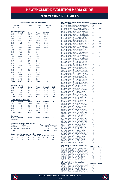## vs nEW YORK red bulls

#### **ALL-TIME ALL-COMPETITIONS RECORD**

| Overall<br>40-32-20 |                         | Home<br>$28 - 7 - 10$               |                                                  | Away<br>$12 - 25 - 10$ |                            | <b>Neutral</b><br>$0 - 0 - 0$ |                |                               |
|---------------------|-------------------------|-------------------------------------|--------------------------------------------------|------------------------|----------------------------|-------------------------------|----------------|-------------------------------|
|                     |                         | <b>MLS Regular Season</b>           |                                                  |                        |                            |                               |                |                               |
| Year                |                         | Overall                             | Home                                             |                        | Away                       | SO*/OT                        |                |                               |
| 1996                |                         | $3-1-0$                             | $2 - 0 - 0$                                      |                        | $1 - 1 - 0$                | $1 - 0 - 0*$                  |                |                               |
| 1997                |                         | $2 - 2 - 0$                         | $2 - 0 - 0$                                      |                        | $0 - 2 - 0$                | $0 - 0 - 0*$                  |                |                               |
| 1998                |                         | $1 - 3 - 0$                         | $0 - 2 - 0$                                      |                        | $1 - 1 - 0$                | $0 - 2 - 0*$                  |                |                               |
| 1999                |                         | $4 - 0 - 0$                         | $2 - 0 - 0$                                      |                        | $2 - 0 - 0$                | $2 - 0 - 0*$                  |                |                               |
| 2000                |                         | $1 - 3 - 0$                         | $1 - 1 - 0$                                      |                        | $0 - 2 - 0$                | $0 - 1 - 0$                   |                |                               |
| 2001                |                         | $0 - 2 - 1$                         | $0 - 0 - 1$                                      |                        | $0 - 2 - 0$                | $0 - 0 - 1$                   |                |                               |
| 2002                |                         | $1 - 3 - 0$                         | $1 - 1 - 0$                                      |                        | $0 - 2 - 0$                | $0 - 0 - 0$                   |                |                               |
| 2003                |                         | $3 - 0 - 1$                         | $1 - 0 - 1$                                      |                        | $2 - 0 - 0$                | $0 - 0 - 1$                   |                |                               |
| 2004                |                         | $1 - 1 - 2$                         | $1 - 0 - 1$                                      |                        | $0 - 1 - 1$                |                               |                |                               |
| 2005                |                         | $2 - 1 - 1$                         | $2 - 0 - 0$                                      |                        | $0 - 1 - 1$                | í,                            |                |                               |
| 2006                |                         | $3 - 0 - 1$                         | $2 - 0 - 0$                                      |                        | $1 - 0 - 1$                |                               |                |                               |
| 2007                |                         | $2 - 0 - 1$                         | $1 - 0 - 0$                                      |                        | $1 - 0 - 1$                |                               |                |                               |
| 2008                |                         | $0 - 0 - 2$                         | $0 - 0 - 1$                                      |                        | $0 - 0 - 1$                |                               |                |                               |
| 2009                |                         | $1 - 0 - 2$                         | $1 - 0 - 0$                                      |                        | $0 - 0 - 2$                |                               |                |                               |
| 2010                |                         | $1 - 1 - 0$                         | $1 - 0 - 0$                                      |                        | $0 - 1 - 0$                |                               |                |                               |
| 2011                |                         | $0 - 1 - 1$                         | $0 - 0 - 1$                                      |                        | $0 - 1 - 0$                |                               |                |                               |
| 2012                |                         | $1 - 1 - 1$                         | $1 - 0 - 1$                                      |                        | $0 - 1 - 0$                |                               |                |                               |
| 2013                |                         | $0 - 1 - 2$                         | $0 - 0 - 1$                                      |                        | $0 - 1 - 1$                |                               |                |                               |
| 2014                |                         | $0 - 2 - 0$                         | $0 - 1 - 0$                                      |                        | $0 - 1 - 0$                |                               |                |                               |
| 2015                |                         | $2 - 1 - 0$                         | $2 - 0 - 0$                                      |                        | $0 - 1 - 0$                |                               |                |                               |
| 2016                |                         | $1 - 1 - 0$                         | $1 - 0 - 0$                                      |                        | $0 - 1 - 0$                |                               |                |                               |
| 2017                |                         | $0 - 2 - 0$                         | $0 - 1 - 0$                                      |                        |                            | L                             |                |                               |
| 2018                |                         | $1 - 1 - 0$                         | $1 - 0 - 0$                                      |                        | $0 - 1 - 0$<br>$0 - 1 - 0$ |                               |                |                               |
|                     |                         |                                     |                                                  |                        |                            |                               |                |                               |
| 2019                |                         | $1 - 0 - 1$                         | $1 - 0 - 0$                                      |                        | $0 - 0 - 1$                |                               |                |                               |
| 2020                |                         | $0 - 1 - 1$                         | $0 - 0 - 1$                                      |                        | $0 - 1 - 0$                |                               |                |                               |
| 2021                |                         | $3 - 0 - 0$                         | $2 - 0 - 0$                                      |                        | $1 - 0 - 0$                |                               |                |                               |
| Totals              |                         | 34-28-17                            | $25 - 6 - 8$                                     |                        | $9 - 22 - 9$               | $3 - 3 - 2$                   |                |                               |
|                     | <b>MLS Cup Playoffs</b> |                                     |                                                  |                        |                            |                               |                |                               |
| Year                |                         | Overall                             | Home                                             |                        | Away                       |                               | <b>Neutral</b> | <b>Series</b>                 |
| 2003                |                         | $1 - 0 - 1$                         | $0 - 0 - 1$                                      |                        | $1 - 0 - 0$                | $0 - 0 - 0$                   |                | W                             |
| 2005                |                         | $1 - 1 - 0$                         | $1 - 0 - 0$                                      |                        | $0 - 1 - 0$                | $0 - 0 - 0$                   |                | W                             |
| 2007                |                         | $1 - 0 - 1$                         | $1 - 0 - 0$                                      |                        | $0 - 0 - 1$                | $0 - 0 - 0$                   |                | W                             |
| 2014                |                         | $1 - 0 - 1$                         | $0 - 0 - 1$                                      |                        | $1 - 0 - 0$                |                               | $0 - 0 - 0$    | W                             |
| <b>Totals</b>       |                         | $4 - 1 - 3$                         | $2 - 0 - 2$                                      |                        | $2 - 1 - 1$                |                               | $0 - 0 - 0$    | $4 - 0$                       |
|                     |                         |                                     |                                                  |                        |                            |                               |                |                               |
| Year                |                         | Lamar Hunt U.S. Open Cup<br>Overall | Home                                             |                        | Away                       | <b>Neutral</b>                |                | SO                            |
| 2003                |                         | $0 - 1 - 0$                         | $0 - 0 - 0$                                      |                        | $0 - 1 - 0$                | $0 - 0 - 0$                   |                |                               |
| 2010                |                         | $0 - 1 - 0$                         | $0 - 0 - 0$                                      |                        | $0 - 1 - 0$                | $0 - 0 - 0$                   |                |                               |
| 2013                |                         | $1 - 0 - 0$                         | $1 - 0 - 0$                                      |                        | $0 - 0 - 0$                | $0 - 0 - 0$                   |                |                               |
|                     |                         | $0 - 1 - 0$                         |                                                  |                        |                            |                               |                |                               |
| 2017<br>2019        |                         | $1 - 0 - 0$                         | $0 - 1 - 0$<br>$0 - 0 - 0$                       |                        | $0 - 0 - 0$                | $0 - 0 - 0$<br>$0 - 0 - 0$    |                |                               |
| <b>Totals</b>       |                         | $2 - 3 - 0$                         | $1 - 1 - 0$                                      |                        | $1 - 0 - 0$<br>$0 - 2 - 0$ | $0 - 0 - 0$                   |                |                               |
|                     |                         |                                     |                                                  |                        |                            |                               |                |                               |
| <b>SuperLiga</b>    |                         |                                     |                                                  |                        |                            |                               |                |                               |
| Year<br>Never met   |                         | Overall                             | Home                                             |                        | Away                       | <b>Neutral</b>                |                | SO                            |
|                     |                         |                                     |                                                  |                        |                            |                               |                |                               |
|                     |                         |                                     | <b>Revolution Record at Away Venues</b>          |                        |                            |                               |                |                               |
| Years               |                         | <b>Stadium</b>                      |                                                  |                        |                            |                               |                | <b>Reg. Season Postseason</b> |
| 1996-2009           |                         |                                     | Giants Stadium                                   |                        |                            |                               | $8-12-7$       | $1 - 1 - 1$                   |
|                     |                         |                                     | 2010-Present Red Bull Arena                      |                        |                            |                               | $1-10-2$       | $1 - 0 - 0$                   |
| <b>Totals</b>       |                         |                                     |                                                  |                        |                            |                               | $9 - 22 - 9$   | $2 - 1 - 1$                   |
|                     |                         |                                     | <b>Goals Scored by Interval - Regular Season</b> |                        |                            |                               |                |                               |
|                     | $1 - 15$                | $16 - 30$                           | $31 - 45$                                        | 46-60                  |                            | 61-75 76-90                   | OT             | <b>Total</b>                  |
| <b>NE</b>           | 21                      | 20                                  | 24                                               | 21                     | 22                         | 21                            | 0              | 129                           |
| NY.                 | 20                      | 17                                  | 19                                               | 23                     | 24                         | 24                            | 1              | 128                           |

|                                                                                                          | All-Time MLS Regular Season Meetings<br>Date Score                                                                                                                                                                                                    | <b>NE Result</b>                                                                            | <b>Notes</b>    |
|----------------------------------------------------------------------------------------------------------|-------------------------------------------------------------------------------------------------------------------------------------------------------------------------------------------------------------------------------------------------------|---------------------------------------------------------------------------------------------|-----------------|
| 04/20/96<br>05/19/96                                                                                     | New England 1 at MetroStars 0                                                                                                                                                                                                                         | W                                                                                           |                 |
|                                                                                                          | New England 1 at MetroStars 0 at New England 2<br>MetroStars 1 at New England 1<br>New England 0 at MetroStars 4<br>New England 1 at MetroStars 3<br>New England 1 at MetroStars 3<br>New England 1 at MetroStars 3                                   | W                                                                                           |                 |
| 08/03/96<br>08/14/96                                                                                     |                                                                                                                                                                                                                                                       |                                                                                             | SO              |
| $04/12/97$<br>$05/30/97$                                                                                 |                                                                                                                                                                                                                                                       |                                                                                             |                 |
|                                                                                                          |                                                                                                                                                                                                                                                       |                                                                                             |                 |
| 09/09/97                                                                                                 |                                                                                                                                                                                                                                                       |                                                                                             |                 |
| 09/20/97<br>05/31/98<br>06/24/98                                                                         | NetroStars 2 at New England 3<br>MetroStars 1 at New England 3<br>MetroStars 1 at New England 1<br>New England 2 at MetroStars 0<br>New England 2 at MetroStars 0                                                                                     |                                                                                             | SO <sub>2</sub> |
|                                                                                                          |                                                                                                                                                                                                                                                       |                                                                                             |                 |
| 09/02/98                                                                                                 |                                                                                                                                                                                                                                                       |                                                                                             | <b>SO</b>       |
| 09/26/98                                                                                                 | New England 2 at Mew England 0<br>New England 3 at MetroStars 3<br>MetroStars 2 at New England 3<br>New England 1 at MetroStars 1                                                                                                                     |                                                                                             | SO              |
| 07/04/99                                                                                                 |                                                                                                                                                                                                                                                       |                                                                                             |                 |
| 08/25/99                                                                                                 | MetroStars 1 at New England 2                                                                                                                                                                                                                         |                                                                                             | SO <sub>2</sub> |
| 06/17/00                                                                                                 | New England 2 at MetroStars 4                                                                                                                                                                                                                         |                                                                                             |                 |
|                                                                                                          | MetroStars 2 at New England 0<br>New England 1 at MetroStars 2                                                                                                                                                                                        |                                                                                             |                 |
| 08/12/00<br>09/09/00                                                                                     |                                                                                                                                                                                                                                                       |                                                                                             | OT              |
| 04/07/01                                                                                                 |                                                                                                                                                                                                                                                       |                                                                                             |                 |
| 06/03/01                                                                                                 | MetroStars 3 at New England 4<br>New England 1 at MetroStars 2<br>MetroStars 1 at New England 1                                                                                                                                                       |                                                                                             | 20T             |
| 09/07/01                                                                                                 | New England 1 at MetroStars 3<br>New England 1 at MetroStars 3                                                                                                                                                                                        |                                                                                             |                 |
| 03/23/02<br>03/23/02                                                                                     | MetroStars 2 at New England 0                                                                                                                                                                                                                         |                                                                                             |                 |
| 07/20/02                                                                                                 | New England 3 at MetroStars 4                                                                                                                                                                                                                         |                                                                                             |                 |
| 09/21/02                                                                                                 | MetroStars 0 at New England 3<br>MetroStars 3 at New England 3                                                                                                                                                                                        |                                                                                             | 20T             |
| 09/13/03                                                                                                 | New England 2 at MetroStars 1<br>New England 2 at MetroStars 1                                                                                                                                                                                        |                                                                                             |                 |
| 10/18/03                                                                                                 |                                                                                                                                                                                                                                                       |                                                                                             |                 |
| 10/25/03                                                                                                 | MetroStars 2 at New England 5<br>New England 1 at MetroStars 1                                                                                                                                                                                        |                                                                                             |                 |
| 04/25/04<br>05/22/04<br>06/26/04                                                                         |                                                                                                                                                                                                                                                       |                                                                                             |                 |
|                                                                                                          | MetroStars 1 at New England 1<br>MetroStars 1 at New England 2                                                                                                                                                                                        |                                                                                             |                 |
| 09/11/04<br>09/11/04<br>05/21/05<br>06/25/05                                                             | New England 2 at MetroStars 3<br>New England 2 at MetroStars 2                                                                                                                                                                                        |                                                                                             |                 |
|                                                                                                          | MetroStars 2 at New England 4                                                                                                                                                                                                                         |                                                                                             |                 |
| 09/17/05<br>09/17/05<br>09/24/05                                                                         | New England 4 at MetroStars 5                                                                                                                                                                                                                         |                                                                                             |                 |
|                                                                                                          | MetroStars 0 at New England 1<br>New England 0 at New York 0                                                                                                                                                                                          |                                                                                             |                 |
| 07/01/06                                                                                                 |                                                                                                                                                                                                                                                       |                                                                                             |                 |
| 09/09/06                                                                                                 |                                                                                                                                                                                                                                                       |                                                                                             |                 |
| 09/20/06<br>07/14/07                                                                                     |                                                                                                                                                                                                                                                       |                                                                                             |                 |
| 08/25/07<br>09/22/07                                                                                     |                                                                                                                                                                                                                                                       |                                                                                             |                 |
|                                                                                                          |                                                                                                                                                                                                                                                       |                                                                                             |                 |
|                                                                                                          |                                                                                                                                                                                                                                                       |                                                                                             |                 |
| 04/19/08<br>06/18/08<br>03/28/09                                                                         | New England 0 at New York 0<br>New York 2 at New England 3<br>New York 0 at New England 1<br>New England 2 at New York 0<br>New England 2 at New York 1<br>New York 1 at New England 2<br>New York 1 at New York 1<br>New York 1 at New York 1<br>New |                                                                                             |                 |
| 06/07/09<br>06/07/09<br>09/18/09                                                                         | New York 0 at New York 1<br>New York 0 at New England 4<br>New York 2 at New England 3<br>New England 0 at New York 2<br>New England 0 at New York 2<br>New York 2 at New England 2<br>New York 2 at New England 2<br>New York 2 at New England 2     |                                                                                             |                 |
|                                                                                                          |                                                                                                                                                                                                                                                       |                                                                                             |                 |
|                                                                                                          |                                                                                                                                                                                                                                                       |                                                                                             |                 |
|                                                                                                          |                                                                                                                                                                                                                                                       |                                                                                             |                 |
|                                                                                                          |                                                                                                                                                                                                                                                       |                                                                                             |                 |
| 05/29/10<br>10/21/10<br>06/10/11<br>08/20/11<br>04/28/12<br>07/08/12<br>09/22/12<br>04/20/13<br>05/11/13 | New England 0 at New York 1<br>New York 0 at New England 2<br>New York 1 at New England 1                                                                                                                                                             |                                                                                             |                 |
|                                                                                                          |                                                                                                                                                                                                                                                       |                                                                                             |                 |
|                                                                                                          | New England 1 at New York 4<br>New York 1 at New England 1<br>New England 2 at New York 2                                                                                                                                                             |                                                                                             |                 |
| 10/05/13                                                                                                 |                                                                                                                                                                                                                                                       |                                                                                             |                 |
| 06/08/14<br>08/02/14<br>05/02/15                                                                         | New York 2 at New England 0<br>New England 1 at New York 2<br>New York 1 at New England 2                                                                                                                                                             |                                                                                             |                 |
|                                                                                                          |                                                                                                                                                                                                                                                       |                                                                                             |                 |
|                                                                                                          | New England 1 at New<br>York 4                                                                                                                                                                                                                        |                                                                                             |                 |
| 07/11/15<br>09/16/15<br>04/01/16                                                                         | New York 1 at New England 2<br>New York 1 at New England 1                                                                                                                                                                                            |                                                                                             |                 |
|                                                                                                          |                                                                                                                                                                                                                                                       |                                                                                             |                 |
|                                                                                                          |                                                                                                                                                                                                                                                       |                                                                                             |                 |
| 08/28/16<br>08/28/16<br>05/27/17                                                                         | New England 0 at New York 2<br>New England 1 at New York 2<br>New York 3 at New England 2<br>New York 3 at New England 2<br>New York 0 at New England 1<br>New York 0 at New York 2<br>New York 0 at New York 2<br>New England 1 at New York 1        | ハハトリ カートル かいしょ ハート ハート・エー・ハー ハート ハート ハート ハート バート ハート ハート ハート カート リート・レート ハート ハート ハート ハート ハー |                 |
|                                                                                                          |                                                                                                                                                                                                                                                       |                                                                                             |                 |
|                                                                                                          |                                                                                                                                                                                                                                                       |                                                                                             |                 |
| 06/02/18<br>06/02/18<br>07/21/18<br>04/20/19<br>08/29/20<br>10/28/20                                     | New England 1 at New<br>York 1                                                                                                                                                                                                                        |                                                                                             |                 |
|                                                                                                          |                                                                                                                                                                                                                                                       |                                                                                             |                 |
|                                                                                                          |                                                                                                                                                                                                                                                       |                                                                                             |                 |
| 05/22/21<br>06/23/21<br>07/31/21                                                                         | New York 1 at New England 1<br>New York 1 at New England 1<br>New York 1 at New England 3<br>New York 2 at New England 3<br>New England 3 at New York 2                                                                                               |                                                                                             |                 |
|                                                                                                          |                                                                                                                                                                                                                                                       |                                                                                             |                 |
|                                                                                                          | All-Time MLS Cup Playoffs Meetings<br>Date Score                                                                                                                                                                                                      |                                                                                             |                 |
|                                                                                                          |                                                                                                                                                                                                                                                       | <b>NE Result</b>                                                                            | <b>Series</b>   |
| 11/01/03<br>11/09/03                                                                                     | New England 2 at MetroStars 0                                                                                                                                                                                                                         | YTLWT<br>VYT<br>Y                                                                           | W               |
| 10/22/05<br>10/29/05<br>10/27/07<br>11/03/07                                                             | MetroStars 1 at New England 1<br>New England 0 at MetroStars 1                                                                                                                                                                                        |                                                                                             |                 |
|                                                                                                          |                                                                                                                                                                                                                                                       |                                                                                             |                 |
|                                                                                                          | New England of at MetroStars 1 at New England 3<br>New York 0<br>New York 0 at New York 0<br>New York 0 at New England 1<br>New York 2 at New England 2<br>New York 2 at New England 2                                                                |                                                                                             | Ŵ,              |
| 11/23/14<br>11/29/14                                                                                     |                                                                                                                                                                                                                                                       |                                                                                             |                 |
|                                                                                                          |                                                                                                                                                                                                                                                       |                                                                                             | Ŵ,              |
|                                                                                                          | All-Time U.S. Open Cup Meetings<br>Date Score                                                                                                                                                                                                         |                                                                                             |                 |
|                                                                                                          | New England 1 at MetroStars 3                                                                                                                                                                                                                         | <b>NE Result</b><br>L                                                                       | <b>Notes</b>    |
| 08/27/03<br>05/12/10<br>06/12/13<br>07/13/17                                                             | New England 0 at New York 3                                                                                                                                                                                                                           | L                                                                                           |                 |
|                                                                                                          | New York 2 at New England 4<br>New York 1 at New England 0                                                                                                                                                                                            | ₩<br>L                                                                                      |                 |
| 06/11/19                                                                                                 | New England 3 at New York 2                                                                                                                                                                                                                           | W                                                                                           |                 |



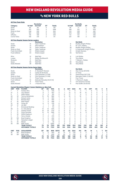### vs nEW YORK red bulls

|                |                        |                                                                   | <b>Revolution</b>            |                |               |                |                |                |                | <b>Red Bulls</b>               |                |             |                |                |             |
|----------------|------------------------|-------------------------------------------------------------------|------------------------------|----------------|---------------|----------------|----------------|----------------|----------------|--------------------------------|----------------|-------------|----------------|----------------|-------------|
| Category       |                        | 1st Half                                                          | 2nd Half                     | OT             | <b>Totals</b> |                |                | 1st Half       |                | 2nd Half                       | ОT             |             | <b>Totals</b>  |                |             |
| Goals          |                        | 65                                                                | 64                           | $\Omega$       | 129           |                |                | 56             |                | 71                             | 1              |             | 128            |                |             |
| Shots          |                        | 501                                                               | 593                          | 4              | 1098          |                |                | 494            |                | 513                            | 3              |             | 1010           |                |             |
|                | Shots on Goal          | 246                                                               | 255                          | 3              | 504           |                |                | 210            |                | 239                            | 3              |             | 452            |                |             |
| Fouls          |                        | 561                                                               | 628                          | 5              | 1194          |                |                | 570            |                | 589                            | $\overline{7}$ |             | 1166           |                |             |
| Offsides       |                        | 118                                                               | 108                          | 3              | 229           |                |                | 113            |                | 122                            | 1              |             | 236            |                |             |
|                | Corner Kicks           | 190                                                               | 219                          | $\overline{c}$ | 411           |                |                | 201            |                | 199                            | $\overline{c}$ |             | 402            |                |             |
|                |                        |                                                                   |                              |                |               |                |                |                |                |                                |                |             |                |                |             |
|                |                        | <b>All-Time Regular Season Series Leaders</b>                     | <b>Revolution</b>            |                |               |                |                |                |                | <b>Red Bulls</b>               |                |             |                |                |             |
| Goals          |                        | 14                                                                | Taylor Twellman              |                |               |                |                | 8              |                | <b>Bradley Wright-Phillips</b> |                |             |                |                |             |
| Assists        |                        | 13                                                                | <b>Steve Ralston</b>         |                |               |                |                | 6              |                | M. Lisi/C. Mathis              |                |             |                |                |             |
| Shots          |                        | 75                                                                | Taylor Twellman              |                |               |                |                | 38             |                | <b>Bradley Wright-Phillips</b> |                |             |                |                |             |
|                |                        |                                                                   |                              |                |               |                |                |                |                |                                |                |             |                |                |             |
|                | Shots on Goal          | 44                                                                | Taylor Twellman              |                |               |                |                | 17             |                | A. Guevara/B. Wright-Phillips  |                |             |                |                |             |
|                | <b>Fouls Committed</b> | 54                                                                | Shalrie Joseph               |                |               |                |                | 31             |                | Amado Guevara                  |                |             |                |                |             |
|                | <b>Fouls Suffered</b>  | 54                                                                | Shalrie Joseph               |                |               |                |                | 45             |                | <b>Tab Ramos</b>               |                |             |                |                |             |
| Wins           |                        | 10                                                                | Matt Reis                    |                |               |                |                | 8              |                | Luis Robles                    |                |             |                |                |             |
| Losses         |                        | 5                                                                 | Bobby Shuttleworth           |                |               |                |                | 8              |                | <b>Tony Meola</b>              |                |             |                |                |             |
| Shutouts       |                        | 6                                                                 | <b>Matt Reis</b>             |                |               |                |                | 3              |                | T. Meola/L. Robles             |                |             |                |                |             |
| Saves          |                        | 95                                                                | Matt Reis                    |                |               |                |                | 80             |                | <b>Tony Meola</b>              |                |             |                |                |             |
|                | Goals Allowed          | 28                                                                | <b>Matt Reis</b>             |                |               |                |                | 26             |                | <b>Tony Meola</b>              |                |             |                |                |             |
|                |                        | All-Time Regular Season Series Game Highs                         |                              |                |               |                |                |                |                |                                |                |             |                |                |             |
|                |                        |                                                                   | <b>Revolution</b>            |                |               |                |                |                |                | <b>Red Bulls</b>               |                |             |                |                |             |
| Goals          |                        | 3                                                                 | A. Naveda/P. Noonan          |                |               |                |                | 3              |                | Alex Comas (9/9/00)            |                |             |                |                |             |
| Assists        |                        | 3                                                                 | Carles Gil (6/23/21)         |                |               |                |                | $\overline{c}$ |                | 13 Times                       |                |             |                |                |             |
| Shots          |                        | 9                                                                 | Clint Dempsey (7/1/06)       |                |               |                |                | 10             |                | Daniel Royer (8/17/19)         |                |             |                |                |             |
|                | Shots on Goal          | 6                                                                 | Clint Dempsey (7/1/06)       |                |               |                |                | 5              |                | Mamadou Diallo (7/20/02)       |                |             |                |                |             |
|                | <b>Fouls Committed</b> | $\overline{7}$                                                    | <b>Three Times</b>           |                |               |                |                | 6              |                | Four Times                     |                |             |                |                |             |
|                | <b>Fouls Suffered</b>  | 10                                                                | Abdoulie Mansally (10/21/10) |                |               |                |                | 8              |                | T. Ramos/C. Ziadie             |                |             |                |                |             |
| Saves          |                        | 9                                                                 | <b>Three Times</b>           |                |               |                |                | 11             |                | Tim Howard (7/12/03)           |                |             |                |                |             |
|                | Goals Allowed          | 5                                                                 | I. Feuer/M. Reis             |                |               |                |                | 5              |                | Paul Grafer (10/25/03)         |                |             |                |                |             |
|                |                        | <b>Current Revolution Players' Career Statistics vs. New York</b> |                              |                |               |                |                |                |                |                                |                |             |                |                |             |
| <b>UNF</b>     | POS                    | <b>PLAYER</b>                                                     | GP                           | GS             | <b>MIN</b>    | G              | A              | <b>SHT</b>     | <b>SOG</b>     | FC                             | <b>FS</b>      | OFF         | СK             | C              | Е           |
| 7              | F                      | Gustavo Bou                                                       | 5                            | 5              | 435           | 5              | 1              | 17             | 8              | 5                              | 1              | 8           | 3              | $\mathbf 0$    | $\mathbf 0$ |
| 14             | F                      | Jozy Altidore                                                     | 9                            | $\overline{7}$ | 657           | 3              | 1              | 14             | 6              | 19                             | 13             | 3           | $\mathbf 0$    | 3              | 1           |
| 9              | F                      | Adam Buksa                                                        | 5                            | 3              | 291           | 2              | $\mathbf 0$    | 17             | 7              | 6                              | $\overline{c}$ | $\Omega$    | 0              | 1              | 0           |
| 26             | M                      | Tommy McNamara                                                    | 14                           | 10             | 880           | $\overline{c}$ | $\Omega$       | 16             | 5              | 16                             | $\overline{7}$ | $\Omega$    | 3              | 3              | $\mathbf 0$ |
| 24             | D                      | DeJuan Jones                                                      | 6                            | $\overline{4}$ | 363           | 1              | 1              | 3              | 3              | $\overline{2}$                 | $\overline{4}$ | $\mathbf 0$ | $\mathbf 0$    | $\mathbf 0$    | $\circ$     |
| 15             | D                      | <b>Brandon Bye</b>                                                | $\overline{7}$               | 5              | 460           | 1              | $\mathbf 0$    | 3              | $\overline{c}$ | $\overline{4}$                 | 3              | $\Omega$    | 0              | $\mathbf 0$    | 0           |
| 8              | M                      | <b>Matt Polster</b>                                               | $\overline{7}$               | 6              | 568           | 1              | 0              | 5              | $\overline{c}$ | 9                              | 5              | 1           | $\mathbf 0$    | 3              | $\mathbf 0$ |
| 10             | M                      | Carles Gil                                                        | 6                            | 5              | 476           | Ō              | 8              | 10             | 3              | 3                              | 19             | 0           | 19             | $\mathbf 0$    | $\mathbf 0$ |
| 23             | D                      | Jon Bell                                                          | 1                            | 1              | 90            | Ō              | $\Omega$       | 1              | $\overline{1}$ | $\Omega$                       | $\Omega$       | $\Omega$    | $\Omega$       | $\Omega$       | $\mathbf 0$ |
| 11             | F                      | <b>Emmanuel Boateng</b>                                           | 4                            | 1              | 113           | Ō              | $\mathbf 0$    | 3              | 1              | $\mathbf 0$                    | 0              | 0           | $\mathbf 0$    | $\mathbf 0$    | $\circ$     |
| 28             | D                      | A.J. DeLaGarza                                                    | 14                           | 13             | 1215          | Ō              | $\Omega$       | $\overline{2}$ | $\mathbf 0$    | 8                              | 11             | $\Omega$    | $\Omega$       | $\overline{4}$ | $\mathbf 0$ |
| $\overline{c}$ | D                      | <b>Andrew Farrell</b>                                             | 19                           | 19             | 1710          | Ō              | $\mathbf 0$    | 8              | 3              | 7                              | 15             | 0           | $\mathbf 0$    | 1              | $\mathbf 0$ |
| 3              | D                      | Omar Gonzalez                                                     | 14                           | 14             | 1260          | Ō              | 0              | 6              | 3              | 8                              | 8              | 0           | $\mathbf 0$    | $\overline{2}$ | $\mathbf 0$ |
| 5              | M                      | Wilfrid Kaptoum                                                   | $\overline{c}$               | 1              | 77            | Ō              | $\mathbf 0$    | $\Omega$       | $\mathbf 0$    | 3                              | 1              | $\Omega$    | $\Omega$       | $\Omega$       | $\mathbf 0$ |
| 4              | D                      | Henry Kessler                                                     | 3                            | 3              | 270           | Ō              | $\mathbf 0$    | 1              | $\mathbf 0$    | $\mathbf 0$                    | 6              | 0           | $\mathbf 0$    | $\mathbf 0$    | $\circ$     |
| 18             | GK                     | <b>Brad Knighton</b>                                              | 5                            | 5              | 450           | Ō              | $\overline{0}$ | $\mathbf 0$    | $\mathbf 0$    | $\mathbf 0$                    | $\mathbf 0$    | $\mathbf 0$ | $\overline{0}$ | $\overline{0}$ | $\mathbf 0$ |
| 17             | M                      | Sebastian Lletget                                                 | 3                            | 3              | 255           | 0              | $\mathbf 0$    | 6              | $\overline{c}$ | $\Omega$                       | 5              | $\Omega$    | 0              | $\Omega$       | 0           |
| 13             | M                      | Maciel                                                            | 1                            | $\mathbf 0$    | 45            | 0              | $\mathbf 0$    | $\mathbf 0$    | $\mathbf 0$    | $\Omega$                       | 1              | 0           | $\Omega$       | $\Omega$       | $\mathbf 0$ |
| 30             | GK                     | Matt Turner                                                       | 7                            | 7              | 6300          | $\mathbf{0}$   | $\circ$        | $\mathbf 0$    | $\mathbf 0$    | $\mathbf 0$                    | 1              | 0           | $\mathbf{0}$   | $\mathbf 0$    | $\circ$     |
|                |                        | <b>TEAM TOTALS</b>                                                | 79                           | 79             | 7133          | 129            | 135            | 1098           | 504            | 1194                           | 1141           | 229         | 411            | 145            | 8           |
|                |                        | <b>OPPONENT TOTALS</b>                                            | 79                           | 79             | 7133          | 128            | 144            | 1010           | 452            | 1166                           | 1162           | 236         | 402            | 153            | 16          |
| <b>UNF</b>     | POS                    | <b>GOALKEEPER</b>                                                 | GP                           | GS             | <b>MIN</b>    | <b>SHTS</b>    | <b>SV</b>      | GA             | <b>GAA</b>     | PG                             | PA             | W           | L              | т              | <b>SO</b>   |
| 18             | GK                     | <b>Brad Knighton</b>                                              | 5                            | 5              | 450           | 18             | 13             | 6              | 1.20           | 0                              | 0              | 3           | $\mathbf{1}$   | $\mathbf{1}$   | $\circ$     |
| 30             | GK                     | Matt Turner                                                       | 7                            | 7              | 630           | 33             | 24             | 9              | 1.29           | $\Omega$                       | $\Omega$       | 3           | $\overline{c}$ | $\overline{c}$ | $\circ$     |
|                |                        | <b>TEAM TOTALS</b>                                                | 79                           | 79             | 7133          | 452            | 297            | 128            | 1.62           | 6                              | 10             | 34          | 28             | 17             | 14          |
|                |                        | <b>OPPONENT TOTALS</b>                                            | 79                           | 79             | 7133          | 504            | 355            | 129            | 1.63           | 7                              | 9              | 28          | 34             | 17             | 11          |



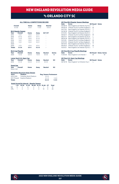### vs ORLANDO CITY SC

#### **ALL-TIME ALL-COMPETITIONS RECORD**

| Overall<br>$6 - 3 - 6$ |                           | Home<br>$5 - 0 - 1$ | Away<br>$1 - 3 - 5$ | <b>Neutral</b><br>$0 - 0 - 0$ |
|------------------------|---------------------------|---------------------|---------------------|-------------------------------|
|                        | <b>MLS Regular Season</b> |                     |                     |                               |
| Year                   | Overall                   | Home                | Away                | SO*/OT                        |
| 2015                   | $1 - 0 - 1$               | $1 - 0 - 0$         | $0 - 0 - 1$         | ۰                             |
| 2016                   | $0 - 1 - 2$               | $0 - 0 - 1$         | $0 - 1 - 1$         | ۰                             |
| 2017                   | $1 - 1 - 0$               | $1 - 0 - 0$         | $0 - 1 - 0$         | ۰                             |
| 2018                   | $1 - 0 - 1$               | $1 - 0 - 0$         | $0 - 0 - 1$         | ۰                             |
| 2019                   | $1 - 0 - 1$               | $1 - 0 - 0$         | $0 - 0 - 1$         | ۰                             |
| 2020                   |                           |                     |                     | ۰                             |
| 2020                   | $1 - 0 - 1$               | $1 - 0 - 0$         | $0 - 0 - 1$         | ۰                             |
| <b>Totals</b>          | $5 - 2 - 6$               | $5 - 0 - 1$         | $0 - 2 - 5$         |                               |

|      | <b>MLS Cup Playoffs</b>         |             |             |                |               |
|------|---------------------------------|-------------|-------------|----------------|---------------|
| Year | Overall                         | Home        | Away        | <b>Neutral</b> | <b>Series</b> |
| 2020 | $1 - 0 - 0$                     | $0 - 0 - 0$ | $1 - 0 - 0$ | $0 - 0 - 0$    | W             |
|      | <b>Lamar Hunt U.S. Open Cup</b> |             |             |                |               |
| Year | Overall                         | Home        | Away        | <b>Neutral</b> | <b>SO</b>     |
| 2019 | $0 - 1 - 0$                     | $0 - 0 - 0$ | $0 - 1 - 0$ | $0 - 0 - 0$    | ۰             |

| <b>SuperLiga</b> |         |      |      |                |           |
|------------------|---------|------|------|----------------|-----------|
| Year             | Overall | Home | Away | <b>Neutral</b> | <b>SO</b> |
| Never met        |         |      |      |                |           |

|               | <b>Revolution Record at Away Venues</b> |                               |             |
|---------------|-----------------------------------------|-------------------------------|-------------|
| <b>Years</b>  | <b>Stadium</b>                          | <b>Reg. Season Postseason</b> |             |
| 2015-2016     | Camping World Stadium                   | $0 - 1 - 2$                   |             |
| 2017-Present  | Exploria Stadium                        | $0 - 1 - 3$                   | $1 - 0 - 0$ |
| <b>Totals</b> |                                         | $0 - 2 - 5$                   | $1 - 0 - 0$ |

#### **Goals Scored by Interval – Regular Season**

|  | 1-15 16-30 31-45 46-60 61-75 76-90 OT Total |  |  |  |
|--|---------------------------------------------|--|--|--|
|  | NF 5 4 6 4 5 7 0 31                         |  |  |  |
|  | ORL 1 4 4 3 3 10 0 25                       |  |  |  |

| <b>All-Time MLS Regular Season Meetings</b> |                                    |           |              |  |  |  |  |  |  |  |  |
|---------------------------------------------|------------------------------------|-----------|--------------|--|--|--|--|--|--|--|--|
| Date                                        | Score                              | NE Result | <b>Notes</b> |  |  |  |  |  |  |  |  |
| 05/08/15                                    | New England 2 at Orlando City SC 2 |           |              |  |  |  |  |  |  |  |  |
| 09/05/15                                    | Orlando City SC 0 at New England 3 | W         |              |  |  |  |  |  |  |  |  |
| 04/17/16                                    | New England 2 at Orlando City SC 2 | т         |              |  |  |  |  |  |  |  |  |
| 04/30/16                                    | Orlando City SC 2 at New England 2 | т         |              |  |  |  |  |  |  |  |  |
| 07/31/16                                    | New England 1 at Orlando City SC 3 | L         |              |  |  |  |  |  |  |  |  |
| 09/02/17                                    | Orlando City SC 0 at New England 4 | w         |              |  |  |  |  |  |  |  |  |
| 09/27/17                                    | New England 1 at Orlando City SC 6 | L         |              |  |  |  |  |  |  |  |  |
| 08/04/18                                    | New England 3 at Orlando City SC 3 | т         |              |  |  |  |  |  |  |  |  |
| 10/13/18                                    | Orlando City SC 0 at New England 2 | w         |              |  |  |  |  |  |  |  |  |
| 07/27/19                                    | Orlando City SC 1 at New England 4 | W         |              |  |  |  |  |  |  |  |  |
| 09/14/19                                    | New England 3 at Orlando City SC 3 | т         |              |  |  |  |  |  |  |  |  |
| 09/25/21                                    | Orlando City SC 1 at New England 2 | W         |              |  |  |  |  |  |  |  |  |
| 10/24/21                                    | New England 2 at Orlando City SC 2 |           |              |  |  |  |  |  |  |  |  |
|                                             |                                    |           |              |  |  |  |  |  |  |  |  |

**All-Time MLS Cup Playoffs Meetings Date Score NE Result Notes Series**  11/29/20 New England 3 at Orlando 1 W W

**All-Time U.S. Open Cup Meetings Date Score NE Result Notes** 06/19/19 New England 1 at Orlando City 2 L

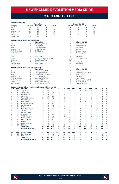## vs ORLANDO CITY SC

|                       |                        |                                                                          | <b>Revolution</b>          |                |               |                |                |                |                | <b>Orlando City SC</b>    |                          |                |                |                |                     |
|-----------------------|------------------------|--------------------------------------------------------------------------|----------------------------|----------------|---------------|----------------|----------------|----------------|----------------|---------------------------|--------------------------|----------------|----------------|----------------|---------------------|
| Category              |                        | 1st Half                                                                 | 2nd Half                   | OT             | <b>Totals</b> |                |                | 1st Half       |                | 2nd Half                  | OT                       |                | <b>Totals</b>  |                |                     |
| Goals                 |                        | 15                                                                       | 16                         | $\mathbf 0$    | 31            |                |                | 9              |                | 16                        | $\mathbf 0$              |                | 25             |                |                     |
| Shots                 |                        | 90                                                                       | 98                         | $\mathbf 0$    | 188           |                |                | 69             |                | 106                       | $\mathbf 0$              |                | 175            |                |                     |
| Shots on Goal         |                        | 26                                                                       | 40                         | $\mathbf 0$    | 66            |                |                | 24             |                | 42                        | $\mathbf 0$              |                | 66             |                |                     |
| Fouls                 |                        | 97                                                                       | 95                         | $\mathbf 0$    | 192           |                |                | 80             |                | 81                        | $\mathbf{0}$             |                | 161            |                |                     |
| Offsides              |                        | $\overline{7}$                                                           | 10                         | $\Omega$       | 17            |                |                | 11             |                | 6                         | $\Omega$                 |                | 17             |                |                     |
| Corner Kicks          |                        | 28                                                                       | 33                         | $\mathbf 0$    | 61            |                |                | 34             |                | 37                        | $\mathbf 0$              |                | 71             |                |                     |
|                       |                        |                                                                          |                            |                |               |                |                |                |                |                           |                          |                |                |                |                     |
|                       |                        | <b>All-Time Regular Season Series Leaders</b>                            | <b>Revolution</b>          |                |               |                |                |                |                | <b>Orlando City SC</b>    |                          |                |                |                |                     |
| Goals                 |                        | 4                                                                        | Three Players Tied         |                |               |                |                | 4              |                | Kevin Molino              |                          |                |                |                |                     |
| Assists               |                        | 9                                                                        | Lee Nguyen                 |                |               |                |                | 5              |                | Yoshimar Yotun            |                          |                |                |                |                     |
| Shots                 |                        | 21                                                                       | Diego Fagundez             |                |               |                |                | 15             |                | Dom Dwyer                 |                          |                |                |                |                     |
| Shots on Goal         |                        | 9                                                                        | Cristian Penilla           |                |               |                |                | 11             |                | Dom Dwyer                 |                          |                |                |                |                     |
|                       | <b>Fouls Committed</b> | 17                                                                       | <b>Teal Bunbury</b>        |                |               |                |                | 11             |                | Cristian Higuita          |                          |                |                |                |                     |
| <b>Fouls Suffered</b> |                        | 14                                                                       | Scott Caldwell             |                |               |                |                | 20             |                | Cristian Higuita          |                          |                |                |                |                     |
|                       |                        |                                                                          |                            |                |               |                |                |                |                |                           |                          |                |                |                |                     |
| Wins                  |                        | $\overline{\mathbf{c}}$                                                  | Matt Turner                |                |               |                |                | $\overline{c}$ |                | Joe Bendik                |                          |                |                |                |                     |
| Losses                |                        | 1                                                                        | C. Cropper/B. Shuttleworth |                |               |                |                | 1              |                | <b>Five Players Tied</b>  |                          |                |                |                |                     |
| Shutouts              |                        | 1                                                                        | Three Players Tied         |                |               |                |                | N/A            |                |                           |                          |                |                |                |                     |
| Saves                 |                        | 19                                                                       | Matt Turner                |                |               |                |                | 17             |                | Joe Bendik                |                          |                |                |                |                     |
| Goals Allowed         |                        | 10                                                                       | Matt Turner                |                |               |                |                | 10             |                | Joe Bendik                |                          |                |                |                |                     |
|                       |                        | <b>All-Time Regular Season Series Game Highs</b>                         |                            |                |               |                |                |                |                |                           |                          |                |                |                |                     |
|                       |                        |                                                                          | <b>Revolution</b>          |                |               |                |                |                |                | <b>Orlando City SC</b>    |                          |                |                |                |                     |
| Goals                 |                        | 3                                                                        | Kei Kamara (9/2/17)        |                |               |                |                | $\overline{c}$ |                | <b>Three Times</b>        |                          |                |                |                |                     |
| Assists               |                        | $\overline{4}$                                                           | Lee Nguyen (9/2/17)        |                |               |                |                | 3              |                | Yoshimar Yotun (8/4/18)   |                          |                |                |                |                     |
| Shots                 |                        | 9                                                                        | Gustavo Bou (7/27/19)      |                |               |                |                | $\overline{7}$ |                | Nani (9/14/19)            |                          |                |                |                |                     |
| Shots on Goal         |                        | 4                                                                        | Kei Kamara (9/2/17)        |                |               |                |                | 3              |                | <b>Four Times</b>         |                          |                |                |                |                     |
|                       | Fouls Committed        | 6                                                                        | Gershon Koffie (9/2/17)    |                |               |                |                | $\overline{4}$ |                | <b>Three Times</b>        |                          |                |                |                |                     |
| <b>Fouls Suffered</b> |                        | 6                                                                        | Kamara/Gil                 |                |               |                |                | 6              |                | Cristian Higuita (8/4/18) |                          |                |                |                |                     |
| Saves                 |                        | $\overline{7}$                                                           | Matt Turner (7/27/19)      |                |               |                |                | 5              |                | Tally Hall (9/5/15)       |                          |                |                |                |                     |
| Goals Allowed         |                        | 6                                                                        | Cody Cropper (9/27/17)     |                |               |                |                | 4              |                | J. Bendik/B. Rowe         |                          |                |                |                |                     |
|                       |                        | <b>Current Revolution Players' Career Statistics vs. Orlando City SC</b> |                            |                |               |                |                |                |                |                           |                          |                |                |                |                     |
| <b>UNF</b>            | <b>POS</b>             | <b>PLAYER</b>                                                            | <b>GP</b>                  | GS             | <b>MIN</b>    | G              | A              | <b>SHT</b>     | <b>SOG</b>     | FC                        | <b>FS</b>                | <b>OFF</b>     | СK             | C              | E                   |
| 14                    | F                      | Jozy Altidore                                                            | 9                          | 6              | 571           | $\overline{7}$ | $\overline{c}$ | 19             | 10             | 16                        | 17                       | 1              | $\Omega$       | 1              | 0                   |
| 9                     | F                      | Adam Buksa                                                               | $\overline{2}$             | 1              | 135           | 3              | $\mathbf 0$    | $\overline{7}$ | 3              | $\overline{2}$            | 4                        | 1              | $\mathbf 0$    | $\mathbf 0$    | $\overline{0}$      |
| 7                     | F                      | Gustavo Bou                                                              | $\overline{4}$             | 3              | 295           | $\overline{c}$ | $\overline{c}$ | 17             | 4              | $\overline{c}$            | 1                        | $\mathbf 0$    | $\overline{c}$ | $\mathbf 0$    | 0                   |
| 10                    | M                      | Carles Gil                                                               | $\overline{4}$             | 3              | 310           | 1              | $\overline{4}$ | $\overline{7}$ | $\mathfrak{p}$ | 1                         | 9                        | $\overline{1}$ | 15             | 1              | 0                   |
| 26                    | M                      | Tommy McNamara                                                           | 13                         | 10             | 752           | 1              | $\overline{c}$ | 6              | $\overline{2}$ | 16                        | 9                        | $\overline{c}$ | $\overline{c}$ | 3              | Ō                   |
| 15                    | D                      | <b>Brandon Bye</b>                                                       | 5                          | 5              | 450           | $\mathbf 0$    | $\overline{c}$ | $\mathbf{1}$   | 0              | 5                         | $\overline{c}$           | $\mathbf{1}$   | $\mathbf 0$    | $\overline{c}$ | $\overline{0}$      |
| 8                     | M                      | Matt Polster                                                             | $\overline{7}$             | $\overline{7}$ | 623           | 0              | $\overline{c}$ | $\overline{2}$ | 0              | 16                        | 10                       | 1              | $\overline{2}$ | 1              | 0                   |
| 11                    | F                      | <b>Emmanuel Boateng</b>                                                  | 3                          | 3              | 203           | $\mathbf 0$    | 1              | 1              | Ō              | 1                         | $\overline{c}$           | $\mathbf 0$    | $\overline{c}$ | $\mathbf 0$    | Ó                   |
| 28                    | D                      | A.J. DeLaGarza                                                           | $\overline{4}$             | 3              | 260           | $\Omega$       | 1              | 1              | 1              | $\overline{4}$            | $\overline{\phantom{a}}$ | $\Omega$       | $\Omega$       | 1              | Ō                   |
| 24                    | D                      | DeJuan Jones                                                             | 3                          | $\overline{c}$ | 206           | 0              | 1              | $\overline{2}$ | 1              | 1                         | 1                        | 0              | 0              | 0              | 0                   |
| 17                    | M                      | Sebastian Lletget                                                        | $\overline{4}$             | $\overline{c}$ | 233           | $\mathbf 0$    | 1              | 3              | $\Omega$       | $\overline{c}$            | 5                        | $\Omega$       | 5              | $\mathbf 0$    | $\overline{0}$      |
| 23                    | D                      | Jon Bell                                                                 | $\overline{2}$             | $\mathbf{1}$   | 91            | 0              | 0              | $\Omega$       | 0              | $\Omega$                  | 1                        | 0              | $\Omega$       | 0              | 0                   |
| $\overline{c}$        | D                      | Andrew Farrell                                                           | 11                         | 11             | 990           | $\mathbf 0$    | $\mathbf 0$    | $\mathbf 0$    | 0              | 6                         | 9                        | $\mathbf 0$    | $\mathbf 0$    | $\mathbf 0$    | $\overline{0}$      |
| 3                     | D                      | Omar Gonzalez                                                            | $\overline{4}$             | 4              | 351           | $\mathbf 0$    | $\mathbf 0$    | $\overline{2}$ | 0              | $\overline{2}$            | 3                        | $\mathbf 0$    | 0              | 1              | $\overline{0}$      |
| 5                     | M                      | Wilfrid Kaptoum                                                          | 1                          | 1              | 90            | 0              | 0              | 1              | 0              | $\overline{c}$            | 0                        | 0              | 0              | 0              | Ō                   |
| 4                     | D                      | Henry Kessler                                                            | 1                          | 1              | 90            | $\mathbf 0$    | $\mathbf 0$    | $\mathbf 0$    | Ō              | 1                         | $\mathbf 0$              | $\mathbf 0$    | $\mathbf 0$    | $\mathbf 0$    | $\overline{0}$      |
| 18                    | GK                     | <b>Brad Knighton</b>                                                     | 1                          | 1              | 90            | 0              | 0              | 0              | 0              | 0                         | 0                        | 0              | 0              | $\mathbf 0$    | 0                   |
| 13                    | M                      | Maciel                                                                   | 1                          | 1              | 90            | $\Omega$       | $\Omega$       | $\Omega$       | 0              | $\Omega$                  | 1                        | $\Omega$       | $\Omega$       | $\Omega$       | 0                   |
| 25                    | M                      | Arnor Traustason                                                         | $\overline{2}$             | $\mathbf{1}$   | 69            | $\mathbf 0$    | $\mathbf 0$    | $\overline{c}$ | 0              | 0                         | $\overline{c}$           | $\mathbf 0$    | $\mathbf 0$    | $\mathbf 0$    | $\overline{0}$      |
| 30                    | GK                     | Matt Turner                                                              | 5                          | 5              | 450           | $\mathbf 0$    | $\mathbf 0$    | $\mathbf 0$    | 0              | $\mathbf 0$               | $\overline{2}$           | $\mathbf 0$    | $\mathbf 0$    | $\mathbf 0$    | $\overline{0}$      |
|                       |                        | <b>TEAM TOTALS</b><br><b>OPPONENT TOTALS</b>                             | 13<br>13                   | 13<br>13       | 1170<br>1170  | 31<br>25       | 33<br>22       | 188<br>175     | 66<br>66       | 192<br>161                | 161<br>192               | 17<br>17       | 61<br>71       | 17<br>29       | 1<br>$\overline{a}$ |
|                       |                        |                                                                          |                            |                |               |                |                |                |                |                           |                          |                |                |                |                     |
| <b>UNF</b>            | POS                    | <b>GOALKEEPER</b>                                                        | <b>GP</b>                  | GS             | <b>MIN</b>    | <b>SHTS</b>    | <b>SV</b>      | GA             | <b>GAA</b>     | PG                        | PA                       | W              | Ц              | т              | SΟ                  |
| 18                    | GK                     | <b>Brad Knighton</b>                                                     | 1                          | $\mathbf{1}$   | 90            | 4              | 3              | 0              | 0.00           | 0                         | 0                        | $\mathbf{1}$   | $\mathbf 0$    | $\mathbf 0$    | 1                   |
| 30                    | GK                     | Matt Turner                                                              | 5                          | 5              | 450           | 29             | 19             | 10             | 2.00           | 1                         | $\mathfrak{p}$           | $\overline{2}$ | 0              | 3              | $\mathbf{0}$        |
|                       |                        | <b>TEAM TOTALS</b>                                                       | 13                         | 13             | 1170          | 66             | 40             | 25             | 1.92           | $\overline{2}$            | 3                        | 5              | $\overline{2}$ | 6              | 3                   |
|                       |                        | <b>OPPONENT TOTALS</b>                                                   | 13                         | 13             | 1170          | 66             | 36             | 31             | 2.38           | $\overline{2}$            | $\overline{2}$           | $\overline{2}$ | 5              | 6              | 0                   |



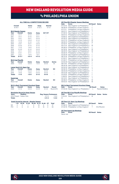### vs PHILADELPHIA UNION

#### **ALL-TIME ALL-COMPETITIONS RECORD**

|                         | Overall     |                           | Home                                             |       | Away         |             | <b>Neutral</b> |                               |  |  |
|-------------------------|-------------|---------------------------|--------------------------------------------------|-------|--------------|-------------|----------------|-------------------------------|--|--|
|                         | $10-19-7$   |                           | $5 - 6 - 4$                                      |       | $5 - 12 - 3$ |             | $0 - 1 - 0$    |                               |  |  |
|                         |             |                           |                                                  |       |              |             |                |                               |  |  |
|                         |             | <b>MLS Regular Season</b> |                                                  |       |              |             |                |                               |  |  |
| Year                    |             | <b>Overall</b>            | Home                                             |       | Away         |             | SO*/OT         |                               |  |  |
| 2010                    |             | $0 - 1 - 1$               | $0 - 1 - 0$                                      |       | $0 - 0 - 1$  |             | Ē,             |                               |  |  |
| 2011                    |             | $0 - 1 - 1$               | $0 - 1 - 0$                                      |       | $0 - 0 - 1$  |             |                |                               |  |  |
| 2012                    |             | $0 - 2 - 1$               | $0 - 0 - 1$                                      |       | $0 - 2 - 0$  |             |                |                               |  |  |
| 2013                    | $2 - 1 - 0$ |                           | $2 - 0 - 0$                                      |       | $0 - 1 - 0$  |             |                |                               |  |  |
| 2014                    |             | $1 - 2 - 0$               | $0 - 1 - 0$                                      |       | $1 - 1 - 0$  |             |                |                               |  |  |
| 2015                    |             | $2 - 0 - 1$               | $0 - 0 - 1$                                      |       | $2 - 0 - 0$  |             |                |                               |  |  |
| 2016                    |             | $0 - 2 - 0$               | $0 - 1 - 0$                                      |       | $0 - 1 - 0$  |             |                |                               |  |  |
| 2017                    |             | $1 - 1 - 0$               | $1 - 0 - 0$                                      |       | $0 - 1 - 0$  |             |                |                               |  |  |
| 2018                    |             | $0 - 3 - 0$               | $0 - 1 - 0$                                      |       | $0 - 2 - 0$  |             |                |                               |  |  |
| 2019                    |             | $0 - 1 - 1$               | $0 - 0 - 1$                                      |       | $0 - 1 - 0$  |             |                |                               |  |  |
| 2020                    |             | $0 - 3 - 1$               | $0 - 1 - 1$                                      |       | $0 - 2 - 0$  |             |                |                               |  |  |
| 2021                    |             | $2 - 0 - 1$               | $1 - 0 - 0$                                      |       | $1 - 0 - 1$  |             |                |                               |  |  |
| <b>Totals</b>           |             | $8 - 17 - 7$              | $4 - 6 - 4$                                      |       | $4 - 11 - 3$ |             |                |                               |  |  |
|                         |             |                           |                                                  |       |              |             |                |                               |  |  |
| <b>MLS Cup Playoffs</b> |             |                           |                                                  |       |              |             |                |                               |  |  |
| Year                    | Overall     |                           | Home                                             |       | Away         |             | <b>Neutral</b> | <b>Series</b>                 |  |  |
| 2020                    |             | $1 - 0 - 0$               | $0 - 0 - 0$                                      |       | $1 - 0 - 0$  |             | $0 - 0 - 0$    | W                             |  |  |
|                         |             |                           | <b>Lamar Hunt U.S. Open Cup</b>                  |       |              |             |                |                               |  |  |
| Year                    |             | Overall                   | Home                                             |       | Away         |             | <b>Neutral</b> | SO                            |  |  |
| 2014                    |             | $0 - 1 - 0$               | $0 - 0 - 0$                                      |       | $0 - 1 - 0$  |             | $0 - 0 - 0$    | ٠                             |  |  |
| 2016                    |             | $1 - 0 - 0$               | $1 - 0 - 0$                                      |       | $0 - 0 - 0$  | $0 - 0 - 0$ |                | ٠                             |  |  |
| <b>Totals</b>           |             | $1 - 1 - 0$               | $1 - 0 - 0$                                      |       | $0 - 1 - 0$  |             | $0 - 0 - 0$    | ٠                             |  |  |
|                         |             |                           |                                                  |       |              |             |                |                               |  |  |
| <b>SuperLiga</b>        |             |                           |                                                  |       |              |             |                |                               |  |  |
| Year                    |             | Overall                   | Home                                             |       | Away         |             | <b>Neutral</b> | SO                            |  |  |
| Never met               |             |                           |                                                  |       |              |             |                |                               |  |  |
|                         |             |                           | <b>MLS is Back Tournament Knockout Stage</b>     |       |              |             |                |                               |  |  |
| Year                    |             | Overall                   | Home                                             |       | Away         |             | <b>Neutral</b> | Round                         |  |  |
| 2020                    |             | $0 - 1 - 0$               | $0 - 0 - 0$                                      |       | $0 - 0 - 0$  |             | $0 - 1 - 0$    | Round of 16                   |  |  |
|                         |             |                           | <b>Revolution Record at Away Venues</b>          |       |              |             |                |                               |  |  |
| Years                   |             | <b>Stadium</b>            |                                                  |       |              |             |                | <b>Reg. Season Postseason</b> |  |  |
|                         |             | 2010-Present Subaru Park  |                                                  |       |              |             | $4 - 11 - 3$   | $1 - 0 - 0$                   |  |  |
| <b>Totals</b>           |             |                           |                                                  |       |              |             | $4 - 11 - 3$   | $1 - 0 - 0$                   |  |  |
|                         |             |                           |                                                  |       |              |             |                |                               |  |  |
|                         |             |                           | <b>Goals Scored by Interval - Regular Season</b> |       |              |             |                |                               |  |  |
|                         | $1 - 15$    | $16 - 30$                 | $31 - 45$                                        | 46-60 | 61-75        | 76-90       | OT             | <b>Total</b>                  |  |  |
| NF                      | 4           | 5                         | 7                                                | 5     | 10           | 6           | $\Omega$       | 37                            |  |  |
| PHI                     | 5<br>6      |                           | 8                                                | 8     | 12           | 16          | $\Omega$       | 55                            |  |  |

| Date     | Score                           | <b>NE Result</b> | <b>Notes</b> |
|----------|---------------------------------|------------------|--------------|
| 07/31/10 | New England 1 at Philadelphia 1 | т                |              |
| 08/28/10 | Philadelphia 2 at New England 1 | L                |              |
| 07/17/11 | Philadelphia 3 at New England 0 | L                |              |
| 09/07/11 | New England 4 at Philadelphia 4 | т                |              |
| 07/29/12 | New England 1 at Philadelphia 2 | L                |              |
| 09/01/12 | Philadelphia 0 at New England 0 | T                |              |
| 10/06/12 | New England 0 at Philadelphia 1 | L                |              |
| 03/16/13 | New England 0 at Philadelphia 1 | L                |              |
| 04/27/13 | Philadelphia 0 at New England 2 | W                |              |
| 08/25/13 | Philadelphia 1 at New England 5 | W                |              |
| 03/15/14 | New England 0 at Philadelphia 1 | L                |              |
| 05/17/14 | New England 5 at Philadelphia 3 | W                |              |
| 06/28/14 | Philadelphia 1 at New England 3 | L                |              |
| 04/19/15 | New England 2 at Philadelphia 1 | W                |              |
| 08/29/15 | New England 1 at Philadelphia 0 | W                |              |
| 09/26/15 | Philadelphia 1 at New England 1 | T                |              |
| 03/20/16 | New England 0 at Philadelphia 3 | L                |              |
| 08/13/16 | Philadelphia 4 at New England 0 | L                |              |
| 07/02/17 | New England 0 at Philadelphia 3 | L                |              |
| 07/29/17 | Philadelphia 0 at New England 3 | W                |              |
| 03/03/18 | New England 0 at Philadelphia 2 | L                |              |
| 08/11/18 | Philadelphia 3 at New England 2 | L                |              |
| 08/25/18 | New England 0 at Philadelphia 1 | L                |              |
| 05/24/19 | New England 1 at Philadelphia 6 | L                |              |
| 06/26/19 | Philadelphia 1 at New England 1 | T                |              |
| 08/20/20 | Philadelphia 0 at New England 0 | T                |              |
| 09/12/20 | New England 1 at Philadelphia 2 | L                |              |
| 10/19/20 | Philadelphia 2 at New England 1 | L                |              |
| 11/08/20 | New England 0 at Philadelphia 2 | L                |              |
| 05/12/21 | New England 1 at Philadelphia 1 | T                |              |
| 08/08/21 | Philadelphia 1 at New England 2 | W                |              |
| 09/03/21 | New England 1 at Philadelphia 0 | W                |              |
|          |                                 |                  |              |

**All-Time MLS Regular Season Meetings**

**MLS is Back Tournament Knockout Stage Date Score NE Result Notes** 07/25/20 New England 0 vs. Philadelphia 1 L Round of 16 (Elim.)

**All-Time MLS Cup Playoffs Meetings Date Score NE Result Notes Series**  11/24/20 New England 2 at Philadelphia 0 W W

#### **All-Time U.S. Open Cup Meetings**

**Date Score NE Result Notes** 07/08/14 New England 0 at Philadelphia 2 L 07/20/16 Philadelphia 1 at New England 1 T W in PKs (4-2)

# **All-Time SuperLiga Meetings Date Score NE Result Notes** Never met



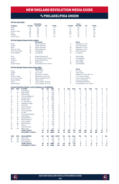### vs PHILADELPHIA UNION

|                  |                        |                                                                       | <b>Revolution</b>                       |                  |                     |               |                     |                               | Union                    |                          |                                  |                            |                                  |                          |                                |                     |
|------------------|------------------------|-----------------------------------------------------------------------|-----------------------------------------|------------------|---------------------|---------------|---------------------|-------------------------------|--------------------------|--------------------------|----------------------------------|----------------------------|----------------------------------|--------------------------|--------------------------------|---------------------|
| Category         |                        | 1st Half                                                              | 2nd Half                                | OT               |                     | <b>Totals</b> |                     |                               | 1st Half                 |                          | 2nd Half                         | OT                         |                                  | <b>Totals</b>            |                                |                     |
| Goals            |                        | 16                                                                    | 21                                      | $\mathbf 0$      |                     | 37            |                     |                               | 19                       |                          | 36                               | $\mathbf 0$                |                                  | 55                       |                                |                     |
| Shots            |                        | 174                                                                   | 253                                     | $\Omega$         |                     | 427           |                     |                               | 177                      |                          | 251                              | $\Omega$                   |                                  | 428                      |                                |                     |
|                  | Shots on Goal          | 56                                                                    | 88                                      | 0                |                     | 144           |                     |                               | 60                       |                          | 111                              | 0                          |                                  | 171                      |                                |                     |
| Fouls            |                        | 190                                                                   | 188                                     | $\mathbf 0$      |                     | 378           |                     |                               | 202                      |                          | 217                              | $\mathbf 0$                |                                  | 419                      |                                |                     |
| Offsides         |                        | 29<br>78                                                              | 22<br>96                                | 0<br>$\mathbf 0$ |                     | 51<br>174     |                     |                               | 27<br>72                 |                          | 28<br>92                         | $\mathbf 0$<br>$\mathbf 0$ |                                  | 55<br>164                |                                |                     |
| Corner Kicks     |                        |                                                                       |                                         |                  |                     |               |                     |                               |                          |                          |                                  |                            |                                  |                          |                                |                     |
|                  |                        | <b>All-Time Regular Season Series Leaders</b>                         |                                         |                  |                     |               |                     |                               |                          |                          | Union                            |                            |                                  |                          |                                |                     |
| Goals            |                        | 4                                                                     | <b>Revolution</b><br>Diego Fagundez     |                  |                     |               |                     |                               | 8                        |                          | Sebastien Le Toux                |                            |                                  |                          |                                |                     |
| <b>Assists</b>   |                        | 5                                                                     | Diego Fagundez                          |                  |                     |               |                     |                               | 6                        |                          | Haris Medunjanin                 |                            |                                  |                          |                                |                     |
| Shots            |                        | 37                                                                    | Diego Fagundez                          |                  |                     |               |                     |                               | 39                       |                          | Sebastien Le Toux                |                            |                                  |                          |                                |                     |
|                  | Shots on Goal          | 16                                                                    | Diego Fagundez                          |                  |                     |               |                     |                               | 19                       |                          | Sebastien Le Toux                |                            |                                  |                          |                                |                     |
|                  | <b>Fouls Committed</b> | 28                                                                    | Lee Nguyen                              |                  |                     |               |                     |                               | 20                       |                          | Jamiro Monteiro                  |                            |                                  |                          |                                |                     |
|                  | <b>Fouls Suffered</b>  | 34                                                                    | Lee Nguyen                              |                  |                     |               |                     |                               | 27                       |                          | CJ Sapong                        |                            |                                  |                          |                                |                     |
| Wins             |                        | 3                                                                     | Bobby Shuttleworth                      |                  |                     |               |                     |                               | 8                        |                          | Andre Blake                      |                            |                                  |                          |                                |                     |
| Losses           |                        | 6                                                                     | B. Shuttleworth/M. Turner               |                  |                     |               |                     |                               | 3                        |                          | Zac MacMath                      |                            |                                  |                          |                                |                     |
| Shutouts         |                        | $\overline{c}$                                                        | <b>Bobby Shuttleworth</b>               |                  |                     |               |                     |                               | 6                        |                          | Andre Blake                      |                            |                                  |                          |                                |                     |
| Saves            |                        | 30                                                                    | Matt Turner                             |                  |                     |               |                     |                               | 51                       |                          | Andre Blake                      |                            |                                  |                          |                                |                     |
|                  | Goals Allowed          | 14                                                                    | B. Shuttleworth/M. Turner               |                  |                     |               |                     |                               | 18                       |                          | Zac MacMath                      |                            |                                  |                          |                                |                     |
|                  |                        | <b>All-Time Regular Season Series Game Highs</b>                      |                                         |                  |                     |               |                     |                               |                          |                          |                                  |                            |                                  |                          |                                |                     |
|                  |                        | $\overline{\mathbf{c}}$                                               | <b>Revolution</b><br><b>Three Times</b> |                  |                     |               |                     |                               | $\overline{2}$           |                          | <b>Union</b><br><b>Six Times</b> |                            |                                  |                          |                                |                     |
| Goals<br>Assists |                        | $\overline{c}$                                                        | <b>Five Times</b>                       |                  |                     |               |                     |                               | $\overline{c}$           |                          | <b>Three Times</b>               |                            |                                  |                          |                                |                     |
| Shots            |                        | 7                                                                     | Saer Sene (7/29/12)                     |                  |                     |               |                     |                               | 8                        |                          | Sebastien Le Toux (9/7/11)       |                            |                                  |                          |                                |                     |
|                  | Shots on Goal          | 4                                                                     | Teal Bunbury (8/11/18)                  |                  |                     |               |                     |                               | 5                        |                          | S. Le Toux/S. Santos             |                            |                                  |                          |                                |                     |
|                  | <b>Fouls Committed</b> | 6                                                                     | Milton Caraglio (9/7/11)                |                  |                     |               |                     |                               | 6                        |                          | Conor Casey (8/25/13)            |                            |                                  |                          |                                |                     |
|                  | <b>Fouls Suffered</b>  | 6                                                                     | <b>Three Times</b>                      |                  |                     |               |                     |                               | $\overline{7}$           |                          | E. Ayuk/T. Barnetta              |                            |                                  |                          |                                |                     |
| Saves            |                        | 9                                                                     | Cody Cropper (5/14/19)                  |                  |                     |               |                     |                               | 10                       |                          | Andre Blake (9/26/15)            |                            |                                  |                          |                                |                     |
|                  | Goals Allowed          | 6                                                                     | Cody Cropper (5/14/19)                  |                  |                     |               |                     |                               | 5                        |                          | Zac MacMath (Two Times)          |                            |                                  |                          |                                |                     |
|                  |                        | <b>Current Revolution Players' Career Statistics vs. Philadelphia</b> |                                         |                  |                     |               |                     |                               |                          |                          |                                  |                            |                                  |                          |                                |                     |
| <b>UNF</b>       | POS                    | <b>PLAYER</b>                                                         |                                         | <b>GP</b>        | GS                  | <b>MIN</b>    | G                   | A                             | <b>SHT</b>               | <b>SOG</b>               | FC                               | <b>FS</b>                  | <b>OFF</b>                       | СK                       | C                              | E                   |
| 14<br>8          | F<br>M                 | Jozy Altidore<br>Matt Polster                                         |                                         | 11<br>13         | 10<br>9             | 833<br>833    | 5<br>$\overline{c}$ | $\mathbf 0$<br>$\overline{c}$ | 21<br>$\overline{7}$     | 8<br>$\overline{c}$      | 17<br>21                         | 14<br>8                    | 10<br>1                          | 0<br>0                   | $\overline{2}$<br>6            | 0<br>1              |
| $\overline{7}$   | F                      | Gustavo Bou                                                           |                                         | 5                | 3                   | 292           | 1                   | $\overline{\phantom{a}}$      | 13                       | 4                        | $\overline{\phantom{a}}$         | 5                          | $\overline{4}$                   | $\overline{\phantom{a}}$ | $\Omega$                       | $\overline{0}$      |
| 26               | Μ                      | Tommy McNamara                                                        |                                         | 9                | 8                   | 633           | 1                   | $\overline{c}$                | 5                        | $\overline{2}$           | 4                                | 9                          | 1                                | 8                        | 1                              | Ó                   |
| $\overline{2}$   | D                      | Andrew Farrell                                                        |                                         | 22               | 22                  | 1980          | 1                   | 1                             | $\overline{4}$           | $\overline{2}$           | 11                               | 22                         | $\mathbf 0$                      | $\Omega$                 | $\overline{2}$                 | $\overline{0}$      |
| 15               | D                      | <b>Brandon Bye</b>                                                    |                                         | 10               | 9                   | 806           | 1                   | $\mathbf 0$                   | $\overline{7}$           | 3                        | 14                               | 4                          | $\mathbf 0$                      | 0                        | $\overline{c}$                 | 0                   |
| 28               | D                      | A.J. DeLaGarza                                                        |                                         | 9                | 8                   | 721           | 1                   | $\mathbf 0$                   | 4                        | 3                        | 6                                | 11                         | $\mathbf 0$                      | 0                        | 3                              | 0                   |
| 17               | M                      | Sebastian Lletget                                                     |                                         | 3                | 1                   | 124           | 1                   | 0                             | $\overline{2}$           | 1                        | 0                                | $\overline{2}$             | 0                                | 0                        | 1                              | 0                   |
| 10               | M                      | Carles Gil                                                            |                                         | 5                | 4                   | 384           | $\mathbf 0$         | 1                             | 6                        | $\overline{c}$           | 1                                | 20                         | 1                                | 17                       | 1                              | Ō                   |
| 3                | D                      | Omar Gonzalez                                                         |                                         | 10               | 10                  | 855           | 0                   | 1                             | 5                        | 0                        | 5                                | $\overline{c}$             | 0                                | 0                        | $\overline{c}$                 | 0                   |
| 24               | M                      | DeJuan Jones                                                          |                                         | 6                | 5<br>$\overline{2}$ | 450           | $\mathbf 0$         | 1<br>1                        | 5                        | $\overline{2}$           | 3                                | 8                          | $\mathbf 0$                      | $\mathbf 0$<br>4         | $\mathbf 0$                    | $\overline{0}$      |
| 25<br>23         | M<br>D                 | Arnor Traustason<br>Jon Bell                                          |                                         | 3<br>1           | 1                   | 183<br>90     | 0<br>0              | $\mathbf 0$                   | 5<br>$\mathbf 0$         | 1<br>Ō                   | $\overline{2}$<br>0              | 0<br>0                     | 1<br>0                           | 0                        | 1<br>$\mathbf 0$               | 1<br>$\overline{0}$ |
| 11               | F                      | <b>Emmanuel Boateng</b>                                               |                                         | $\overline{4}$   | $\mathbf{1}$        | 115           | $\Omega$            | $\Omega$                      | $\overline{\phantom{a}}$ | $\overline{\phantom{a}}$ | $\Omega$                         | 1                          | $\Omega$                         | $\Omega$                 | $\Omega$                       | $\overline{0}$      |
| 9                | F                      | Adam Buksa                                                            |                                         | 6                | 6                   | 487           | 0                   | 0                             | 19                       | $\overline{c}$           | 5                                | 9                          | $\overline{c}$                   | 0                        | 0                              | 0                   |
| 36               | GK                     | Earl Edwards Jr.                                                      |                                         | 1                | 1                   | 90            | $\Omega$            | $\mathbf 0$                   | $\Omega$                 | 0                        | $\Omega$                         | $\Omega$                   | $\Omega$                         | $\Omega$                 | $\Omega$                       | $\overline{0}$      |
| 5                | M                      | Wilfrid Kaptoum                                                       |                                         | 1                | 1                   | 66            | 0                   | 0                             | 1                        | 0                        | 0                                | 1                          | 0                                | 0                        | 0                              | 0                   |
| $\overline{4}$   | D                      | Henry Kessler                                                         |                                         | $\overline{7}$   | 6                   | 541           | $\mathbf 0$         | $\mathbf 0$                   | $\overline{2}$           | 1                        | $\overline{2}$                   | 6                          | $\mathbf 0$                      | $\Omega$                 | 1                              | $\overline{0}$      |
| 18               | GK                     | <b>Brad Knighton</b>                                                  |                                         | 5                | 5                   | 450           | 0                   | $\mathbf 0$                   | $\mathbf 0$              | 0                        | $\Omega$                         | $\overline{2}$             | $\mathbf 0$                      | 0                        | $\mathbf 0$                    | 0                   |
| 13               | M                      | Maciel                                                                |                                         | $\overline{2}$   | $\overline{c}$      | 180           | 0                   | 0                             | 0                        | 0                        | 1                                | 1                          | $\mathbf 0$                      | 0                        | 0                              | Ō                   |
| 12               | F                      | Justin Rennicks                                                       |                                         | 1                | 0                   | 4             | 0                   | 0                             | 0                        | 0                        | 0                                | 0                          | 0                                | 0                        | 0                              | 0                   |
| 30               | GK                     | Matt Turner                                                           |                                         | 9                | 9                   | 810           | 0                   | 0                             | 0                        | 0                        | 0                                | 1                          | 0                                | 0                        | 0                              | 0                   |
|                  |                        | <b>TEAM TOTALS</b><br><b>OPPONENT TOTALS</b>                          |                                         | 32<br>32         | 32<br>32            | 2880<br>2880  | 37<br>55            | 40<br>51                      | 427<br>428               | 144<br>171               | 378<br>419                       | 419<br>378                 | 51<br>55                         | 174<br>166               | 51<br>63                       | 8<br>3              |
|                  |                        |                                                                       |                                         |                  |                     |               |                     |                               |                          |                          |                                  |                            |                                  |                          |                                |                     |
| <b>UNF</b>       | POS                    | <b>GOALKEEPER</b>                                                     |                                         | <b>GP</b>        | GS                  | <b>MIN</b>    | <b>SHTS</b>         | <b>SV</b>                     | GA                       | <b>GAA</b>               | PG                               | PA                         | W                                | L                        | T                              | <b>SO</b>           |
| 30               | GK                     | Matt Turner                                                           |                                         | 9<br>5           | 9<br>5              | 810           | 43<br>29            | 30<br>21                      | 14<br>8                  | 1.56                     | 1                                | 1                          | $\overline{1}$<br>$\overline{c}$ | 6<br>$\overline{c}$      | $\overline{c}$<br>$\mathbf{1}$ | 1<br>1              |
| 18<br>36         | GK<br>GK               | <b>Brad Knighton</b><br>Earl Edwards Jr.                              |                                         | 1                | 1                   | 450<br>90     | 7                   | 1                             | 6                        | 1.60<br>6.00             | 1<br>0                           | 1<br>0                     | 0                                | 1                        | $\circ$                        | $\mathbf{0}$        |
|                  |                        | <b>TEAM TOTALS</b>                                                    |                                         | 32               | 32                  | 2880          | 171                 | 112                           | 55                       | 1.72                     | 5                                | $\overline{7}$             | 8                                | 17                       | $\overline{7}$                 | 6                   |
|                  |                        | <b>OPPONENT TOTALS</b>                                                |                                         | 32               | 32                  | 2880          | 144                 | 102                           | 37                       | 1.16                     | $\overline{2}$                   | 3                          | 17                               | 8                        | 7                              | 12                  |



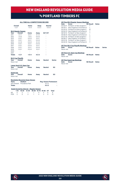### vs Portland timbers fc

#### **ALL-TIME ALL-COMPETITIONS RECORD**

|                  | <b>Overall</b><br>$1 - 2 - 7$<br><b>MLS Regular Season</b> |                                         | Away<br>$0 - 2 - 3$ | <b>Neutral</b><br>$0 - 0 - 0$ |               |  |  |  |
|------------------|------------------------------------------------------------|-----------------------------------------|---------------------|-------------------------------|---------------|--|--|--|
|                  |                                                            |                                         |                     |                               |               |  |  |  |
| Year             | Overall                                                    | Home                                    | Away                | SO*/OT                        |               |  |  |  |
| 2011             | $0 - 1 - 1$                                                | $0 - 0 - 1$                             | $0 - 1 - 0$         |                               |               |  |  |  |
| 2012             | $1 - 0 - 0$                                                | $1 - 0 - 0$                             | $0 - 0 - 0$         |                               |               |  |  |  |
| 2013             | $0 - 0 - 1$                                                |                                         | $0 - 0 - 1$         |                               |               |  |  |  |
| 2014             | $0 - 0 - 1$                                                |                                         | $0 - 0 - 0$         |                               |               |  |  |  |
| 2015             | $0 - 1 - 0$                                                | $0 - 0 - 0$                             | $0 - 1 - 0$         |                               |               |  |  |  |
| 2016             | $0 - 0 - 1$                                                | $0 - 0 - 1$                             | $0 - 0 - 0$         |                               |               |  |  |  |
| 2017             | $0 - 0 - 1$                                                | $0 - 0 - 0$                             | $0 - 0 - 1$         |                               |               |  |  |  |
| 2018             | $0 - 0 - 1$                                                | $0 - 0 - 1$                             | $0 - 0 - 0$         |                               |               |  |  |  |
| 2019             | $0 - 0 - 1$                                                | $0 - 0 - 0$                             | $0 - 0 - 1$         |                               |               |  |  |  |
| 2020             | L,                                                         | i.                                      | i.                  |                               |               |  |  |  |
| 2021             |                                                            |                                         |                     |                               |               |  |  |  |
| <b>Totals</b>    | $1 - 2 - 7$                                                | $1 - 0 - 4$                             | $0 - 2 - 3$         |                               |               |  |  |  |
|                  | <b>MLS Cup Playoffs</b>                                    |                                         |                     |                               |               |  |  |  |
| <b>Year</b>      | Overall                                                    | Home                                    | Away                | <b>Neutral</b>                | <b>Series</b> |  |  |  |
| Never met        |                                                            |                                         |                     |                               |               |  |  |  |
|                  | Lamar Hunt U.S. Open Cup                                   |                                         |                     |                               |               |  |  |  |
| Year             | Overall                                                    | Home                                    | Away                | <b>Neutral</b>                | SO            |  |  |  |
| Never met        |                                                            |                                         |                     |                               |               |  |  |  |
| <b>SuperLiga</b> |                                                            |                                         |                     |                               |               |  |  |  |
| <b>Year</b>      | Overall                                                    | Home                                    | Away                | <b>Neutral</b>                | SΟ            |  |  |  |
| Never met        |                                                            |                                         |                     |                               |               |  |  |  |
|                  |                                                            | <b>Revolution Record at Away Venues</b> |                     |                               |               |  |  |  |
| Years            | <b>Stadium</b>                                             |                                         |                     | <b>Reg. Season Postseason</b> |               |  |  |  |
|                  | 2011-Present Providence Park                               |                                         |                     | $0 - 2 - 3$                   |               |  |  |  |
| <b>Totals</b>    |                                                            |                                         |                     | $0 - 2 - 3$                   | ٠             |  |  |  |
|                  |                                                            |                                         |                     |                               |               |  |  |  |

#### **Goals Scored by Interval – Regular Season**

|  | 1-15 16-30 31-45 46-60 61-75 76-90 OT Total |  |  |  |
|--|---------------------------------------------|--|--|--|
|  | NF 0 2 1 1 0 4 0 8                          |  |  |  |
|  | POR 2 0 2 1 4 3 0 12                        |  |  |  |

|           | <b>All-Time MLS Regular Season Meetings</b> |                  |              |        |  |  |  |  |  |  |  |  |  |  |
|-----------|---------------------------------------------|------------------|--------------|--------|--|--|--|--|--|--|--|--|--|--|
| Date      | Score                                       | <b>NE Result</b> | <b>Notes</b> |        |  |  |  |  |  |  |  |  |  |  |
|           | 04/02/11 Portland 1 at New England 1        | т                |              |        |  |  |  |  |  |  |  |  |  |  |
|           | 09/16/11 New England 0 at Portland 3        | L                |              |        |  |  |  |  |  |  |  |  |  |  |
|           | 03/24/12 Portland 0 at New England 1        | W                |              |        |  |  |  |  |  |  |  |  |  |  |
|           | 05/02/13 New England 0 at Portland 0        | T                |              |        |  |  |  |  |  |  |  |  |  |  |
| 08/16/14  | Portland 1 at New England 1                 | T                |              |        |  |  |  |  |  |  |  |  |  |  |
|           | 06/06/15 New England 0 at Portland 2        | L                |              |        |  |  |  |  |  |  |  |  |  |  |
|           | 04/27/16 Portland 1 at New England 1        | T                |              |        |  |  |  |  |  |  |  |  |  |  |
|           | 06/06/17 New England 1 at Portland 1        | T                |              |        |  |  |  |  |  |  |  |  |  |  |
| 09/01/18  | Portland 1 at New England 1                 | T                |              |        |  |  |  |  |  |  |  |  |  |  |
| 09/25/19  | New England 2 at Portland 2                 | T                |              |        |  |  |  |  |  |  |  |  |  |  |
|           |                                             |                  |              |        |  |  |  |  |  |  |  |  |  |  |
|           | <b>All-Time MLS Cup Playoffs Meetings</b>   |                  |              |        |  |  |  |  |  |  |  |  |  |  |
| Date      | <b>Score</b>                                | <b>NF Result</b> | <b>Notes</b> | Series |  |  |  |  |  |  |  |  |  |  |
| Never met |                                             |                  |              |        |  |  |  |  |  |  |  |  |  |  |
|           |                                             |                  |              |        |  |  |  |  |  |  |  |  |  |  |
|           | <b>All-Time U.S. Open Cup Meetings</b>      |                  |              |        |  |  |  |  |  |  |  |  |  |  |
| Date      | Score                                       | <b>NE Result</b> | <b>Notes</b> |        |  |  |  |  |  |  |  |  |  |  |
| Never met |                                             |                  |              |        |  |  |  |  |  |  |  |  |  |  |
|           |                                             |                  |              |        |  |  |  |  |  |  |  |  |  |  |
|           | <b>All-Time SuperLiga Meetings</b>          |                  |              |        |  |  |  |  |  |  |  |  |  |  |
| Date      | <b>Score</b>                                | <b>NE Result</b> | <b>Notes</b> |        |  |  |  |  |  |  |  |  |  |  |
| Never met |                                             |                  |              |        |  |  |  |  |  |  |  |  |  |  |
|           |                                             |                  |              |        |  |  |  |  |  |  |  |  |  |  |

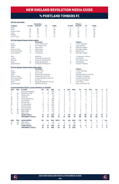### vs Portland timbers fc

### **All-Time Team Stats**

|                |                        |                                                                   | <b>Revolution</b>           |                |               |             |                |                     |                | <b>Timbers</b>             |                |                |                |                |                |
|----------------|------------------------|-------------------------------------------------------------------|-----------------------------|----------------|---------------|-------------|----------------|---------------------|----------------|----------------------------|----------------|----------------|----------------|----------------|----------------|
| Category       |                        | 1st Half                                                          | 2nd Half                    | OT             | <b>Totals</b> |             |                | 1st Half            |                | 2nd Half                   | OT             |                | <b>Totals</b>  |                |                |
| Goals          |                        | 3                                                                 | 5                           | $\Omega$       | 8             |             |                | 4                   |                | 8                          | $\Omega$       |                | 12             |                |                |
| Shots          |                        | 59                                                                | 80                          | $\mathbf 0$    | 139           |             |                | 73                  |                | 77                         | 0              |                | 150            |                |                |
|                | Shots on Goal          | 18                                                                | 26                          | $\Omega$       | 44            |             |                | 19                  |                | 25                         | $\Omega$       |                | 44             |                |                |
| Fouls          |                        | 57                                                                | 59                          | $\mathbf 0$    | 116           |             |                | 63                  |                | 66                         | $\Omega$       |                | 129            |                |                |
| Offsides       |                        | 9                                                                 | 4                           | $\mathbf 0$    | 13            |             |                | 22                  |                | 16                         | $\mathbf 0$    |                | 38             |                |                |
|                | Corner Kicks           | 28                                                                | 45                          | 0              | 73            |             |                | 21                  |                | 35                         | 0              |                | 56             |                |                |
|                |                        | <b>All-Time Regular Season Series Leaders</b>                     |                             |                |               |             |                |                     |                |                            |                |                |                |                |                |
|                |                        |                                                                   | <b>Revolution</b>           |                |               |             |                |                     |                | <b>Timbers</b>             |                |                |                |                |                |
| Goals          |                        | 1                                                                 | Seven Players Tied          |                |               |             |                | 2                   |                | F. Adi/J. Ebobisse         |                |                |                |                |                |
| <b>Assists</b> |                        | 1                                                                 | Four Players Tied           |                |               |             |                | $\overline{c}$      |                | Jorge Villafana            |                |                |                |                |                |
| Shots          |                        | 17                                                                | Kelyn Rowe                  |                |               |             |                | 18                  |                | Darlington Nagbe           |                |                |                |                |                |
|                | Shots on Goal          | 8                                                                 | Kelyn Rowe                  |                |               |             |                | 8                   |                | Darlington Nagbe           |                |                |                |                |                |
|                | <b>Fouls Committed</b> | 14                                                                | Kelyn Rowe                  |                |               |             |                | 20                  |                | Diego Chara                |                |                |                |                |                |
|                | Fouls Suffered         | 17                                                                | Lee Nguyen                  |                |               |             |                | 14                  |                | Darlington Nagbe           |                |                |                |                |                |
| Wins           |                        | 1                                                                 | Matt Reis                   |                |               |             |                | 1                   |                | L. Kwarasey/T. Perkins     |                |                |                |                |                |
| Losses         |                        | 1                                                                 | M. Reis/B. Shuttleworth     |                |               |             |                | 1                   |                | <b>Troy Perkins</b>        |                |                |                |                |                |
| Shutouts       |                        | 1                                                                 | M. Reis/B. Shuttleworth     |                |               |             |                | 1                   |                | <b>Three Players Tied</b>  |                |                |                |                |                |
| Saves          |                        | 16                                                                | <b>Bobby Shuttleworth</b>   |                |               |             |                | 10                  |                | Jake Gleeson               |                |                |                |                |                |
|                | Goals Allowed          | $\overline{4}$                                                    | M. Reis/B. Shuttleworth     |                |               | 3           |                | S. Clark/J. Gleeson |                |                            |                |                |                |                |                |
|                |                        | <b>All-Time Regular Season Series Game Highs</b>                  |                             |                |               |             |                |                     |                |                            |                |                |                |                |                |
|                |                        |                                                                   | <b>Revolution</b>           |                |               |             |                |                     |                | <b>Timbers</b>             |                |                |                |                |                |
| Goals          |                        | 1                                                                 | Seven Times                 |                |               |             |                | 2                   |                | E. Adi/J. Ebobisse         |                |                |                |                |                |
| <b>Assists</b> |                        | 1                                                                 | Four Times                  |                |               |             |                | 1                   |                | 14 Times                   |                |                |                |                |                |
| Shots          |                        | 8                                                                 | Gustavo Bou (9/25/19)       |                |               |             |                | 7                   |                | Sebastian Blanco (9/25/19) |                |                |                |                |                |
|                | Shots on Goal          | 4                                                                 | Gustavo Bou (9/25/19)       |                |               |             |                | 3                   |                | D. Nagbe/J. Ebobisse       |                |                |                |                |                |
|                | <b>Fouls Committed</b> | 4                                                                 | London Woodberry (6/6/15)   |                |               |             |                | 6                   |                | Fanendo Adi (4/27/16)      |                |                |                |                |                |
|                | <b>Fouls Suffered</b>  | $\overline{4}$                                                    | Six Times                   |                |               |             |                | 5                   |                | A. Cooper/D. Nagbe         |                |                |                |                |                |
| Saves          |                        | 9                                                                 | Bobby Shuttleworth (5/2/13) |                |               |             |                | 5                   |                | <b>Three Times</b>         |                |                |                |                |                |
|                | Goals Allowed          | 3                                                                 | Matt Reis (9/16/11)         |                |               |             |                | $\overline{2}$      |                | Steve Clark (9/25/19)      |                |                |                |                |                |
|                |                        | <b>Current Revolution Players' Career Statistics vs. Portland</b> |                             |                |               |             |                |                     |                |                            |                |                |                |                |                |
| <b>UNF</b>     | POS                    | <b>PLAYER</b>                                                     | GP                          | GS             | <b>MIN</b>    | G           | A              | <b>SHT</b>          | <b>SOG</b>     | FC                         | <b>FS</b>      | <b>OFF</b>     | СK             | C              | Е              |
| 11             | F                      | <b>Emmanuel Boateng</b>                                           | 7                           | $\overline{4}$ | 359           | 1           | $\overline{2}$ | 6                   | 1              | 5                          | 5              | 0              | $\mathbf 0$    | 0              | 0              |
| 17             | M                      | Sebastian Lletget                                                 | 15                          | 10             | 961           | 1           | $\mathfrak{p}$ | 19                  | 5              | 11                         | 13             | $\overline{2}$ | 23             | 1              | $\overline{0}$ |
| 7              | F                      | Gustavo Bou                                                       | $\mathbf{1}$                | 1              | 90            | 1           | $\Omega$       | 8                   | 4              | $\Omega$                   | $\overline{2}$ | 1              | $\Omega$       | $\Omega$       | $\overline{0}$ |
| 10             | M                      | Carles Gil                                                        | $\mathbf{1}$                | 1              | 90            | 1           | 0              | 5                   | 1              | $\mathbf 0$                | 1              | 0              | 15             | 0              | $\overline{0}$ |
| 26             | M                      | Tommy McNamara                                                    | 7                           | 4              | 365           | 1           | 0              | 6                   | $\overline{2}$ | 4                          | 6              | 1              | $\overline{2}$ | 0              | 0              |
| 14             | F                      | Jozy Altidore                                                     | 3                           | 3              | 263           | $\mathbf 0$ | $\Omega$       | 6                   | $\overline{2}$ | $\overline{7}$             | $\overline{2}$ | 3              | 0              | 0              | $\overline{0}$ |
| 15             | D                      | <b>Brandon Bye</b>                                                | $\overline{c}$              | $\overline{c}$ | 180           | $\mathbf 0$ | $\Omega$       | 1                   | $\mathbf 0$    | 1                          | 1              | 0              | 0              | 0              | 0              |
| 28             | D                      | A.J. DeLaGarza                                                    | 15                          | 15             | 1342          | $\Omega$    | $\Omega$       | 1                   | $\mathbf 0$    | $\overline{7}$             | 13             | $\Omega$       | $\Omega$       | $\overline{c}$ | $\overline{0}$ |
| 2              | D                      | <b>Andrew Farrell</b>                                             | 6                           | 6              | 540           | $\mathbf 0$ | $\Omega$       | $\mathbf{1}$        | $\mathbf 0$    | $\overline{c}$             | 5              | $\Omega$       | $\Omega$       | $\Omega$       | 0              |
| 3              | D                      | Omar Gonzalez                                                     | 8                           | 8              | 720           | $\mathbf 0$ | $\mathbf 0$    | 8                   | $\overline{2}$ | $\overline{7}$             | 12             | $\mathbf 0$    | 0              | Ō              | $\overline{0}$ |
| 18             | GK                     | <b>Brad Knighton</b>                                              | 3                           | 3              | 270           | $\mathbf 0$ | 0              | 0                   | $\mathbf 0$    | $\mathbf 0$                | 1              | 0              | 0              | 0              | 0              |
| 8              | M                      | Matt Polster                                                      | 3                           | 3              | 214           | $\Omega$    | $\Omega$       | 3                   | 0              | 3                          | $\overline{c}$ | 0              | Ō              | 1              | $\overline{0}$ |
| 30             | GK                     | Matt Turner                                                       | 1                           | $\mathbf{1}$   | 90            | $\Omega$    | $\Omega$       | $\Omega$            | O              | $\Omega$                   | $\Omega$       | Ò              | O              | $\Omega$       | $\overline{0}$ |
|                |                        |                                                                   |                             |                |               |             |                |                     |                |                            |                |                |                |                |                |



 **OPPONENT TOTALS 10 10 900 44 36 8 0.80 1 1 2 1 7 3**

 **TEAM TOTALS 10 10 900 8 4 139 44 116 129 13 74 19 0 OPPONENT TOTALS 10 10 900 12 14 150 44 129 116 38 58 17 0**

**UNF POS GOALKEEPER GP GS MIN SHTS SV GA GAA PG PA W L T SO** 30 GK Matt Turner 1 1 90 1 0 1 1.00 0 0 0 0 1 0 18 GK Brad Knighton 3 3 270 13 8 5 1.67 1 1 0 1 2 0 **TEAM TOTALS 10 10 900 44 31 12 1.20 0 0 1 2 7 2**

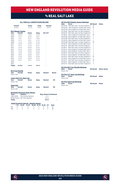# vs real salt lake

### **ALL-TIME ALL-COMPETITIONS RECORD**

|               | Overall<br>$6 - 10 - 6$            | Home<br>$4 - 4 - 3$ | Away<br>$2 - 6 - 3$ | <b>Neutral</b><br>$0 - 0 - 0$ |    |  |
|---------------|------------------------------------|---------------------|---------------------|-------------------------------|----|--|
|               | <b>MLS Regular Season</b>          |                     |                     |                               |    |  |
| Year          | Overall                            | Home                | Away                | SO*/OT                        |    |  |
| 2005          | $2 - 0 - 0$                        | $1 - 0 - 0$         | $1 - 0 - 0$         |                               |    |  |
| 2006          | $0 - 1 - 1$                        | $0 - 1 - 0$         | $0 - 0 - 1$         |                               |    |  |
| 2007          | $1 - 0 - 1$                        | $0 - 0 - 1$         | $1 - 0 - 0$         |                               |    |  |
| 2008          | $0 - 1 - 1$                        | $0 - 0 - 1$         | $0 - 1 - 0$         |                               |    |  |
| 2009          | $1 - 1 - 0$                        | $1 - 0 - 0$         | $0 - 1 - 0$         |                               |    |  |
| 2010          | $0 - 2 - 0$                        | $0 - 1 - 0$         | $0 - 1 - 0$         |                               |    |  |
| 2011          | $0 - 1 - 1$                        | $0 - 1 - 0$         | $0 - 0 - 1$         |                               |    |  |
| 2012          | $0 - 1 - 0$                        | $0 - 0 - 0$         | $0 - 1 - 0$         |                               |    |  |
| 2013          | $0 - 1 - 0$                        | $0 - 1 - 0$         | $0 - 0 - 0$         |                               |    |  |
| 2014          | $0 - 1 - 0$                        | $0 - 0 - 0$         | $0 - 1 - 0$         |                               |    |  |
| 2015          | $1 - 0 - 0$                        | $1 - 0 - 0$         | $0 - 0 - 0$         | ۰                             |    |  |
| 2016          | $0 - 0 - 1$                        | $0 - 0 - 0$         | $0 - 0 - 1$         |                               |    |  |
| 2017          | $1 - 0 - 0$                        | $1 - 0 - 0$         | $0 - 0 - 0$         |                               |    |  |
| 2018          | $0 - 1 - 0$                        | $0 - 0 - 0$         | $0 - 1 - 0$         | ۰                             |    |  |
| 2019          | $0 - 0 - 1$                        | $0 - 0 - 1$         | $0 - 0 - 0$         |                               |    |  |
| 2020          |                                    |                     |                     |                               |    |  |
| 2021          |                                    |                     |                     | ٠                             |    |  |
| <b>Totals</b> | $6-10-6$                           | $4 - 4 - 3$         | $2 - 6 - 3$         |                               |    |  |
| Year          | <b>MLS Cup Playoffs</b><br>Overall | Home                | Away                | <b>Neutral</b>                | S۵ |  |

| Year             | Overall                  | Home | Away | <b>Neutral</b> | <b>Series</b> |
|------------------|--------------------------|------|------|----------------|---------------|
| Never met        |                          |      |      |                |               |
|                  | Lamar Hunt U.S. Open Cup |      |      |                |               |
| Year             | Overall                  | Home | Away | <b>Neutral</b> | <b>SO</b>     |
| Never met        |                          |      |      |                |               |
| <b>SuperLiga</b> |                          |      |      |                |               |
| Year             | Overall                  | Home | Away | <b>Neutral</b> | <b>SO</b>     |
| Never met        |                          |      |      |                |               |

### **Revolution Record at Away Venues**

|                                | <b>Revolution Record at Away Venues</b> |                               |    |  |  |  |  |  |  |  |  |  |  |
|--------------------------------|-----------------------------------------|-------------------------------|----|--|--|--|--|--|--|--|--|--|--|
| <b>Years</b><br><b>Stadium</b> |                                         | <b>Reg. Season Postseason</b> |    |  |  |  |  |  |  |  |  |  |  |
| 2005-2008                      | Rice-Eccles Stadium                     | $2 - 1 - 1$                   | ۰  |  |  |  |  |  |  |  |  |  |  |
|                                | 2008-Present Rio Tinto Stadium          | $0 - 5 - 2$                   | ÷. |  |  |  |  |  |  |  |  |  |  |
| <b>Totals</b>                  |                                         | $2 - 6 - 3$                   | ۰  |  |  |  |  |  |  |  |  |  |  |

#### **Goals Scored by Interval – Regular Season**

|  | 1-15 16-30 31-45 46-60 61-75 76-90 OT Total |  |  |  |
|--|---------------------------------------------|--|--|--|
|  | NF 6 4 6 3 3 8 0 30                         |  |  |  |
|  | RSI 4 5 4 11 5 9 0 38                       |  |  |  |

| Date      | <b>All-Time MLS Regular Season Meetings</b><br><b>Score</b> | <b>NE Result</b> | <b>Notes</b> |
|-----------|-------------------------------------------------------------|------------------|--------------|
|           |                                                             | W                |              |
|           | 08/10/05 Real Salt Lake 1 at New England 4                  |                  |              |
|           | 09/03/05 New England 1 at Real Salt Lake 0                  | W                |              |
|           | 06/24/06 New England 0 at Real Salt Lake 0                  | T                |              |
| 07/19/06  | Real Salt Lake 3 at New England 1                           | L                |              |
| 06/02/07  | Real Salt Lake 0 at New England 0                           | T                |              |
| 07/28/07  | New England 2 at Real Salt Lake 1                           | W                |              |
| 06/21/08  | New England 1 at Real Salt Lake 2                           | L                |              |
| 10/04/08  | Real Salt Lake 2 at New England 2                           | T                |              |
| 04/25/09  | New England 0 at Real Salt Lake 6                           | г                |              |
| 08/23/09  | Real Salt Lake 1 at New England 3                           | W                |              |
| 07/02/10  | New England 0 at Real Salt Lake 5                           | L                |              |
| 10/02/10  | Real Salt Lake 2 at New England 1                           | L                |              |
| 04/09/11  | Real Salt Lake 2 at New England 0                           | г                |              |
| 07/04/11  | New England 3 at Real Salt Lake 3                           | T                |              |
| 05/05/12  | New England 1 at Real Salt Lake 2                           | L                |              |
| 05/08/13  | Real Salt Lake 2 at New England 1                           | L                |              |
| 07/04/14  | New England 1 at Real Salt Lake 2                           | L                |              |
| 04/25/15  | Real Salt Lake 0 at New England 4                           | W                |              |
| 07/16/16  | New England 0 at Real Salt Lake 0                           | T                |              |
| 05/13/17  | Real Salt Lake 0 at New England 4                           | W                |              |
| 10/18/18  | New England 1 at Real Salt Lake 4                           | L                |              |
| 09/21/19  | Real Salt Lake 0 at New England 0                           | T                |              |
|           |                                                             |                  |              |
|           | <b>All-Time MLS Cup Playoffs Meetings</b>                   |                  |              |
| Date      | <b>Score</b>                                                | <b>NE Result</b> | <b>Notes</b> |
| Never met |                                                             |                  |              |
|           |                                                             |                  |              |

| Date      | <b>All-Time U.S. Open Cup Meetings</b><br>Score | <b>NE Result</b> | <b>Notes</b> |
|-----------|-------------------------------------------------|------------------|--------------|
| Never met |                                                 |                  |              |
|           | <b>All-Time SuperLiga Meetings</b>              |                  |              |
| Date      | Score                                           | <b>NE Result</b> | <b>Notes</b> |

Never met

 $Series$ 

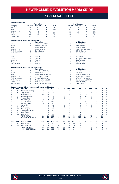## vs real salt lake

|                     |                        |                                                                         | <b>Revolution</b>        |                |               |                |                |                |                | <b>Real Salt Lake</b>     |                |                |                |                |                |
|---------------------|------------------------|-------------------------------------------------------------------------|--------------------------|----------------|---------------|----------------|----------------|----------------|----------------|---------------------------|----------------|----------------|----------------|----------------|----------------|
| Category            |                        | 1st Half                                                                | 2nd Half                 | OT             | <b>Totals</b> |                |                | 1st Half       |                | 2nd Half                  | OT             |                | <b>Totals</b>  |                |                |
| Goals               |                        | 16                                                                      | 14                       | $\mathbf 0$    | 30            |                |                | 13             |                | 25                        | $\mathbf 0$    |                | 38             |                |                |
| Shots               |                        | 120                                                                     | 163                      | $\mathbf 0$    | 283           |                |                | 130            |                | 159                       | $\mathbf 0$    |                | 289            |                |                |
|                     | Shots on Goal          | 49                                                                      | 63                       | $\mathbf 0$    | 112           |                |                | 55             |                | 75                        | $\mathbf 0$    |                | 130            |                |                |
| Fouls               |                        | 137                                                                     | 161                      | $\mathbf 0$    | 298           |                |                | 151            |                | 154                       | $\mathbf 0$    |                | 305            |                |                |
| Offsides            |                        | 19                                                                      | 27                       | $\mathbf 0$    | 46            |                |                | 38             |                | 21                        | $\mathbf 0$    |                | 59             |                |                |
| <b>Corner Kicks</b> |                        | 59                                                                      | 71                       | $\Omega$       | 130           |                |                | 40             |                | 53                        | $\Omega$       |                | 93             |                |                |
|                     |                        |                                                                         |                          |                |               |                |                |                |                |                           |                |                |                |                |                |
|                     |                        | <b>All-Time Regular Season Series Leaders</b>                           |                          |                |               |                |                |                |                |                           |                |                |                |                |                |
|                     |                        |                                                                         | <b>Revolution</b>        |                |               |                |                |                |                | <b>Real Salt Lake</b>     |                |                |                |                |                |
| Goals               |                        | 3                                                                       | K. Dube/T. Twellman      |                |               |                |                | 6              |                | Alvaro Saborio            |                |                |                |                |                |
| <b>Assists</b>      |                        | 3                                                                       | Three Players Tied       |                |               |                |                | 8              |                | Javier Morales            |                |                |                |                |                |
| Shots               |                        | 22                                                                      | Taylor Twellman          |                |               |                |                | 24             |                | Andy Williams             |                |                |                |                |                |
|                     | Shots on Goal          | 10                                                                      | Taylor Twellman          |                |               |                |                | 10             |                | K. Beckerman/A. Williams  |                |                |                |                |                |
|                     | <b>Fouls Committed</b> | 19                                                                      | Scott Caldwell           |                |               |                |                | 22             |                | Kyle Beckerman            |                |                |                |                |                |
|                     | <b>Fouls Suffered</b>  | 21                                                                      | Shalrie Joseph           |                |               |                |                | 24             |                | Javier Morales            |                |                |                |                |                |
| Wins                |                        | 4                                                                       | Matt Reis                |                |               |                |                | 8              |                | Nick Rimando              |                |                |                |                |                |
| Losses              |                        | 5                                                                       | <b>Matt Reis</b>         |                |               |                |                | $\overline{2}$ |                | D. J. Countess/N. Rimando |                |                |                |                |                |
| Shutouts            |                        | 3                                                                       | <b>Matt Reis</b>         |                |               |                |                | 4              |                | Nick Rimando              |                |                |                |                |                |
| Saves               |                        | 53                                                                      | <b>Matt Reis</b>         |                |               |                |                | 54             |                | Nick Rimando              |                |                |                |                |                |
|                     | Goals Allowed          | 22                                                                      | Matt Reis                |                |               |                |                | 16             |                | Nick Rimando              |                |                |                |                |                |
|                     |                        | <b>All-Time Regular Season Series Game Highs</b>                        |                          |                |               |                |                |                |                |                           |                |                |                |                |                |
|                     |                        |                                                                         | <b>Revolution</b>        |                |               |                |                |                |                | <b>Real Salt Lake</b>     |                |                |                |                |                |
| Goals               |                        | 3                                                                       | Kheli Dube (8/23/09)     |                |               |                |                | $\overline{c}$ |                | Alvaro Saborio (twice)    |                |                |                |                |                |
| Assists             |                        | $\overline{c}$                                                          | <b>Three Times</b>       |                |               |                |                | $\overline{c}$ |                | <b>Six Times</b>          |                |                |                |                |                |
| Shots               |                        | 7                                                                       | Taylor Twellman (6/2/07) |                |               |                |                | 7              |                | Andy Williams (7/4/11)    |                |                |                |                |                |
|                     | Shots on Goal          | 5                                                                       |                          |                |               |                |                | $\overline{4}$ |                |                           |                |                |                |                |                |
|                     | <b>Fouls Committed</b> | 6                                                                       | Kheli Dube (8/23/09)     |                |               |                |                | 5              |                | A. Williams/A. Saborio    |                |                |                |                |                |
|                     |                        |                                                                         | F. Coria/A. Delamea      |                |               |                |                |                |                | C. Talley/J. Hernandez    |                |                |                |                |                |
|                     | <b>Fouls Suffered</b>  | 9                                                                       | Jose Cancela (6/24/06)   |                |               |                |                | 6              |                | Ricardo Velazco (5/13/17) |                |                |                |                |                |
| Saves               |                        | 9                                                                       | Matt Reis (7/4/11)       |                |               |                |                | 13             |                | Nick Rimando (6/2/07)     |                |                |                |                |                |
|                     | Goals Allowed          | 6                                                                       | Brad Knighton (4/25/09)  |                |               |                |                | 4              |                | <b>Three Times</b>        |                |                |                |                |                |
|                     |                        | <b>Current Revolution Players' Career Statistics vs. Real Salt Lake</b> |                          |                |               |                |                |                |                |                           |                |                |                |                |                |
| <b>UNF</b>          | POS                    | <b>PLAYER</b>                                                           | <b>GP</b>                | GS             | <b>MIN</b>    | G              | A              | <b>SHT</b>     | <b>SOG</b>     | FC                        | <b>FS</b>      | <b>OFF</b>     | CК             | c              | Е              |
| 11                  | F                      | <b>Emmanuel Boateng</b>                                                 | $\overline{7}$           | 5              | 467           | 3              | $\overline{2}$ | 8              | 5              | $\overline{4}$            | $\overline{4}$ | $\overline{2}$ | $\Omega$       | $\Omega$       | 0              |
| 14                  | F                      | Jozy Altidore                                                           | 6                        | 3              | 39            | $\overline{c}$ | $\mathbf{1}$   | 14             | 5              | 13                        | 8              | $\overline{4}$ | 0              | 3              | 0              |
| 3                   | D                      | Omar Gonzalez                                                           | 13                       | 13             | 1170          | $\mathbf{1}$   | $\mathbf 0$    | 10             | $\overline{2}$ | 11                        | 8              | $\mathbf 0$    | 0              | $\overline{4}$ | $\overline{0}$ |
| 17                  | M                      | Sebastian Lletget                                                       | 11                       | 9              | 748           | $\Omega$       | $\overline{c}$ | $\overline{7}$ | $\overline{2}$ | 3                         | 12             | $\Omega$       | 8              | $\Omega$       | 0              |
| 7                   | F                      | Gustavo Bou                                                             | $\overline{1}$           | $\Omega$       | 45            | $\Omega$       | $\Omega$       | 6              | $\mathbf{1}$   | $\Omega$                  | 1              | $\Omega$       | $\overline{c}$ | $\Omega$       | Ō              |
| 15                  | D                      | <b>Brandon Bye</b>                                                      | $\overline{c}$           | $\overline{c}$ | 180           | 0              | 0              | $\overline{c}$ | 0              | 1                         | 0              | 0              | 0              | 0              | 0              |
| 28                  | D                      | A.J. DeLaGarza                                                          | 17                       | 17             | 1503          | 0              | $\mathbf 0$    | $\mathbf{1}$   | 0              | 21                        | 17             | $\mathbf 0$    | $\mathbf 0$    | 1              | Ō              |
| $\overline{c}$      | D                      | Andrew Farrell                                                          | 6                        | 6              | 540           | 0              | $\mathbf 0$    | $\mathbf 0$    | 0              | 4                         | 6              | $\mathbf 0$    | 0              | 1              | 0              |
| 10                  | M                      | Carles Gil                                                              | 1                        | 1              | 90            | 0              | 0              | $\overline{2}$ | 0              | 0                         | $\overline{2}$ | 0              | 5              | 0              | 0              |
| 24                  | D                      | DeJuan Jones                                                            | 1                        | 1              | 90            | $\mathbf 0$    | $\mathbf 0$    | $\overline{2}$ | 0              | 0                         | 1              | $\mathbf 0$    | $\mathbf 0$    | $\mathbf 0$    | Ō              |
| 18                  | GK                     | <b>Brad Knighton</b>                                                    | 5                        | 4              | 373           | $\Omega$       | $\mathbf 0$    | $\Omega$       | $\Omega$       | 1                         | 1              | $\Omega$       | $\Omega$       | $\mathbf 0$    | Ō              |
| 26                  | M                      | Tommy McNamara                                                          | $\overline{4}$           | $\overline{2}$ | 203           | 0              | 0              | 5              | 3              | 3                         | 5              | 0              | 0              | $\overline{c}$ | 0              |
| 8                   | M                      |                                                                         | 1                        | $\mathbf{1}$   | 90            | $\mathbf 0$    | $\mathbf 0$    | $\mathbf 0$    | 0              | 4                         | $\mathbf 0$    | $\mathbf 0$    | $\mathbf 0$    | $\mathbf{1}$   | $\overline{0}$ |
|                     |                        | Matt Polster                                                            |                          | $\mathbf{1}$   |               |                | $\Omega$       | $\Omega$       |                | $\Omega$                  | $\Omega$       | $\Omega$       | $\Omega$       | $\Omega$       |                |
| 30                  | GK                     | Matt Turner                                                             | 1                        |                | 90            | $\Omega$       |                |                | 0              |                           |                |                |                |                | 0              |
|                     |                        | <b>TEAM TOTALS</b><br><b>OPPONENT TOTALS</b>                            | 22<br>22                 | 22<br>22       | 1980<br>1980  | 30<br>38       | 26<br>27       | 283<br>289     | 112<br>130     | 298<br>305                | 305<br>298     | 46<br>59       | 130<br>93      | 38<br>44       | 4<br>7         |
|                     |                        |                                                                         |                          |                |               |                |                |                |                |                           |                |                |                |                |                |
| <b>UNF</b>          | POS                    | <b>GOALKEEPER</b>                                                       | GP                       | GS             | <b>MIN</b>    | <b>SHTS</b>    | <b>SV</b>      | <b>GA</b>      | GAA            | PG                        | PA             | W              | L              | т              | <b>SO</b>      |
| 30                  | GK                     | Matt Turner                                                             | 1                        | $\mathbf{1}$   | 90            | 3              | 3              | $\Omega$       | 0.00           | $\Omega$                  | 0              | 0              | $\Omega$       | 1              | 1              |
| 18                  | GK                     | <b>Brad Knighton</b>                                                    | 5                        | $\overline{4}$ | 373           | 30             | 18             | 11             | 2.65           | $\Omega$                  | 0              | 1              | $\overline{c}$ | 1              | 1              |
|                     |                        | <b>TEAM TOTALS</b>                                                      | 22                       | 22             | 1980          | 130            | 86             | 38             | 1.73           | 4                         | 4              | 6              | 10             | 6              | 7              |
|                     |                        | <b>OPPONENT TOTALS</b>                                                  | 22                       | 22             | 1980          | 112            | 80             | 30             | 1.36           | 1                         | 3              | 10             | 6              | 6              | 7              |



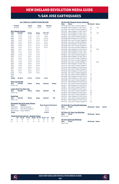# vs SAN JOSE EARTHQUAKES

#### **ALL-TIME ALL-COMPETITIONS RECORD**

| Overall<br>$15 - 20 - 8$ |                                    | Home<br>$9 - 10 - 3$                    | Away<br>$6 - 10 - 5$ | Neutral<br>$0 - 0 - 0$        |               |
|--------------------------|------------------------------------|-----------------------------------------|----------------------|-------------------------------|---------------|
|                          | <b>MLS Regular Season</b>          |                                         |                      |                               |               |
| Year                     | Overall                            | Home                                    | Away                 | SO*/OT                        |               |
| 1996                     | $2 - 2 - 0$                        | $1 - 1 - 0$                             | $1 - 1 - 0$          | $1 - 0 - 0*$                  |               |
| 1997                     | $1 - 2 - 0$                        | $0 - 1 - 0$                             | $1 - 1 - 0$          | $1 - 0 - 0*$                  |               |
| 1998                     | $2 - 0 - 0$                        | $1 - 0 - 0$                             | $1 - 0 - 0$          | $0 - 0 - 0*$                  |               |
| 1999                     | $0 - 2 - 0$                        | $0 - 1 - 0$                             | $0 - 1 - 0$          | $0 - 0 - 0*$                  |               |
| 2000                     | $3 - 0 - 1$                        | $2 - 0 - 0$                             | $1 - 0 - 1$          | $0 - 0 - 1$                   |               |
| 2001                     | $0 - 2 - 0$                        | $0 - 1 - 0$                             | $0 - 1 - 0$          | $0 - 0 - 0$                   |               |
| 2002                     | $0 - 2 - 0$                        | $0 - 1 - 0$                             | $0 - 1 - 0$          | $0 - 0 - 0$                   |               |
| 2003                     | $0 - 2 - 1$                        | $0 - 1 - 1$                             | $0 - 1 - 0$          | $0 - 0 - 1$                   |               |
| 2004                     | $0 - 2 - 1$                        | $0 - 2 - 0$                             | $0 - 0 - 1$          | ä,                            |               |
| 2005                     | $0 - 1 - 1$                        | $0 - 1 - 0$                             | $0 - 0 - 1$          |                               |               |
| 2008                     | $1 - 1 - 0$                        | $1 - 0 - 0$                             | $0 - 1 - 0$          | L,                            |               |
| 2009                     | $2 - 0 - 0$                        | $1 - 0 - 0$                             | $1 - 0 - 0$          | Ē,                            |               |
| 2010                     | $0 - 1 - 1$                        | $0 - 0 - 1$                             | $0 - 1 - 0$          | ż                             |               |
| 2011                     | $0 - 2 - 0$                        | $0 - 1 - 0$                             | $0 - 1 - 0$          | ż                             |               |
| 2012                     | $0 - 1 - 0$                        | $0 - 0 - 0$                             | $0 - 1 - 0$          |                               |               |
| 2013                     | $1 - 0 - 0$                        | $1 - 0 - 0$                             | $0 - 0 - 0$          | L,                            |               |
| 2014                     | $1 - 0 - 0$                        | $0 - 0 - 0$                             | $1 - 0 - 0$          | ٠                             |               |
| 2015                     | $1 - 0 - 0$                        | $1 - 0 - 0$                             | $0 - 0 - 0$          | ż                             |               |
| 2016                     | $0 - 0 - 1$                        | $0 - 0 - 0$                             | $0 - 0 - 1$          | ä,                            |               |
| 2017                     | $0 - 0 - 1$                        | $0 - 0 - 1$                             | $0 - 0 - 0$          |                               |               |
| 2018                     | $0 - 0 - 1$                        | $0 - 0 - 0$                             | $0 - 0 - 1$          | ż                             |               |
| 2019                     | $1 - 0 - 0$                        | $1 - 0 - 0$                             | $0 - 0 - 0$          | ÷                             |               |
| 2020                     | ÷,                                 | ÷,                                      | ÷,                   | ä,                            |               |
| 2021                     |                                    | Ē,                                      |                      | ä,                            |               |
| <b>Totals</b>            | $15 - 20 - 8$                      | $9 - 10 - 3$                            | $6 - 10 - 5$         | $2 - 0 - 2$                   |               |
| Year                     | <b>MLS Cup Playoffs</b><br>Overall | Home                                    | Away                 | Neutral                       | <b>Series</b> |
| Never met                |                                    |                                         |                      |                               |               |
|                          | Lamar Hunt U.S. Open Cup           |                                         |                      |                               |               |
| Year                     | Overall                            | Home                                    | Away                 | <b>Neutral</b>                | SO            |
| Never met                |                                    |                                         |                      |                               |               |
| <b>SuperLiga</b>         |                                    |                                         |                      |                               |               |
| Year                     | Overall                            | Home                                    | Away                 | <b>Neutral</b>                | SO            |
| Never met                |                                    |                                         |                      |                               |               |
|                          |                                    | <b>Revolution Record at Away Venues</b> |                      |                               |               |
| Years                    | <b>Stadium</b>                     |                                         |                      | <b>Reg. Season Postseason</b> |               |
| 1996-2005                |                                    | Spartan Stadium                         |                      | $4 - 6 - 3$                   |               |

| <b>Goals Scored by Interval - Regular Season</b> |                            |              |  |  |  |  |  |  |  |
|--------------------------------------------------|----------------------------|--------------|--|--|--|--|--|--|--|
| <b>Totals</b>                                    |                            | $6 - 10 - 5$ |  |  |  |  |  |  |  |
|                                                  | 2015-Present Avaya Stadium | $0 - 0 - 2$  |  |  |  |  |  |  |  |
| 2008-2014                                        | <b>Buck Shaw Stadium</b>   | $2 - 4 - 0$  |  |  |  |  |  |  |  |
| TUUU LUUU                                        | <b>UDUI MII UMUHII</b>     | -            |  |  |  |  |  |  |  |

|    |       | 1-15 16-30 31-45 46-60 61-75 76-90 OT Total |                 |  |    |      |  |  |
|----|-------|---------------------------------------------|-----------------|--|----|------|--|--|
| NF | - 5 - |                                             | 10 10 11 9 10 0 |  |    | - 55 |  |  |
| SΙ |       |                                             |                 |  | 17 |      |  |  |

|                   | <b>All-Time MLS Regular Season Meetings</b>            |                        |           |               |
|-------------------|--------------------------------------------------------|------------------------|-----------|---------------|
| <b>Date</b>       | <b>Score</b>                                           | <b>NE Result Notes</b> |           |               |
|                   | 05/04/96 San Jose 2 at New England 1                   | L                      |           |               |
|                   | 07/06/96 New England 1 at San Jose 1                   | W                      | <b>SO</b> |               |
|                   | 07/31/96 San Jose 0 at New England 2                   | W                      |           |               |
|                   | 08/11/96 New England 1 at San Jose 6                   | L                      |           |               |
|                   | 05/16/97 New England 1 at San Jose 1                   | W                      | <b>SO</b> |               |
|                   | 07/06/97 New England 2 at San Jose 3                   | L                      |           |               |
|                   | 08/03/97 San Jose 5 at New England 1                   | L                      |           |               |
|                   | 05/03/98 New England 3 at San Jose 1                   | W                      |           |               |
|                   | 08/05/98 San Jose 0 at New England 3                   | W                      |           |               |
|                   | 08/12/99 San Jose 2 at New England 1                   | L                      |           |               |
|                   | 08/21/99 New England 1 at San Jose 2                   | L                      |           |               |
|                   | 05/06/00 San Jose 1 at New England 2                   | W                      |           |               |
|                   | 06/10/00 San Jose 0 at New England 3                   | W                      |           |               |
|                   | 06/21/00 New England 2 at San Jose 2                   | т                      | 2OT       |               |
|                   | 07/22/00 New England 2 at San Jose 1                   | W                      |           |               |
|                   | 05/05/01 New England 2 at San Jose 3                   | L                      |           |               |
|                   | 08/08/01 San Jose 5 at New England 1                   | L                      |           |               |
|                   | 04/06/02 New England 1 at San Jose 2                   | L                      |           |               |
|                   | 06/01/02 San Jose 2 at New England 0                   | L                      |           |               |
|                   | 05/03/03 San Jose 2 at New England 0                   | L                      |           |               |
|                   | 08/16/03 San Jose 1 at New England 1                   | T                      | 2OT       |               |
|                   | 09/07/03 New England 1 at San Jose 2                   | L                      |           |               |
|                   | 04/17/04 San Jose 3 at New England 1                   | г                      |           |               |
|                   | 07/24/04 New England 2 at San Jose 2                   | T                      |           |               |
|                   | 09/04/04 San Jose 1 at New England 0                   | L                      |           |               |
|                   | 04/02/05 New England 2 at San Jose 2                   | T                      |           |               |
|                   | 10/01/05 San Jose 2 at New England 0                   | L                      |           |               |
|                   | 05/17/08 San Jose 0 at New England 2                   | W                      |           |               |
|                   | 08/16/08 New England 0 at San Jose 4                   | L                      |           |               |
|                   | 03/21/09 New England 1 at San Jose 0                   | W                      |           |               |
|                   | 08/29/09 San Jose 1 at New England 2                   | W                      |           |               |
| 04/17/10          | New England 0 at San Jose 2                            | L                      |           |               |
| 05/15/10          | San Jose 0 at New England 0                            | T                      |           |               |
| 05/21/11          | New England 1 at San Jose 2                            | L                      |           |               |
| 10/08/11          | San Jose 2 at New England 1                            | L                      |           |               |
| 03/10/12          | New England 0 at San Jose 1                            | L                      |           |               |
| 07/06/13          | San Jose 0 at New England 2                            | W                      |           |               |
| 03/29/14          | New England 2 at San Jose 1                            | W<br>W                 |           |               |
| 03/28/15          | San Jose 1 at New England 2                            |                        |           |               |
| 08/24/16          | New England 0 at San Jose 0                            | т<br>T                 |           |               |
| 04/19/17          | San Jose 0 at New England 0                            | т                      |           |               |
| 06/13/18          | New England 2 at San Jose 2                            | W                      |           |               |
| 05/11/19          | San Jose 1 at New England 3                            |                        |           |               |
|                   | <b>All-Time MLS Cup Playoffs Meetings</b>              |                        |           |               |
| Date              | <b>Score</b>                                           | <b>NE Result Notes</b> |           | <b>Series</b> |
| Never met         |                                                        |                        |           |               |
| Date<br>Never met | <b>All-Time U.S. Open Cup Meetings</b><br><b>Score</b> | <b>NE Result Notes</b> |           |               |
|                   |                                                        |                        |           |               |

### **All-Time SuperLiga Meetings Date Score NE Result Notes**

Never met

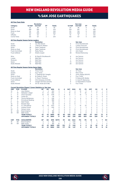# vs SAN JOSE EARTHQUAKES

|              |                        |                                                                   | <b>Revolution</b>       |                |            |                |                |                |                          | San Jose                 |                         |             |                |                |                |
|--------------|------------------------|-------------------------------------------------------------------|-------------------------|----------------|------------|----------------|----------------|----------------|--------------------------|--------------------------|-------------------------|-------------|----------------|----------------|----------------|
| Category     |                        | 1st Half                                                          | 2nd Half                | OT             | Totals     |                |                | 1st Half       |                          | 2nd Half                 | OT                      |             | <b>Totals</b>  |                |                |
| Goals        |                        | 25                                                                | 30                      | $\Omega$       | 55         |                |                | 23             |                          | 48                       | $\Omega$                |             | 71             |                |                |
| Shots        |                        | 289                                                               | 285                     | $\overline{2}$ | 576        |                |                | 224            |                          | 267                      | $\overline{\mathbf{c}}$ |             | 493            |                |                |
|              | Shots on Goal          | 115                                                               | 119                     | 1              | 235        |                |                | 101            |                          | 134                      | $\mathbf 0$             |             | 235            |                |                |
| Fouls        |                        | 315                                                               | 305                     | 5              | 625        |                |                | 315            |                          | 308                      | $\overline{c}$          |             | 625            |                |                |
| Offsides     |                        | 62                                                                | 53                      | $\overline{c}$ | 117        |                |                | 70             |                          | 72                       | $\overline{c}$          |             | 144            |                |                |
| Corner Kicks |                        | 120                                                               | 121                     | $\overline{a}$ | 244        |                |                | 102            |                          | 127                      | $\Omega$                |             | 229            |                |                |
|              |                        | <b>All-Time Regular Season Series Leaders</b>                     |                         |                |            |                |                |                |                          |                          |                         |             |                |                |                |
|              |                        |                                                                   | <b>Revolution</b>       |                |            |                |                |                |                          | San Jose                 |                         |             |                |                |                |
| Goals        |                        | 5                                                                 | Joe-Max Moore           |                |            |                |                | 6              |                          | Chris Wondolowski        |                         |             |                |                |                |
| Assists      |                        | 5                                                                 | J. Moore/S. Ralston     |                |            |                |                | 5              |                          | Landon Donovan           |                         |             |                |                |                |
| Shots        |                        | 28                                                                | <b>Taylor Twellman</b>  |                |            |                |                | 33             |                          | Chris Wondolowski        |                         |             |                |                |                |
|              | Shots on Goal          | 15                                                                | Taylor Twellman         |                |            |                |                | 15             |                          | Chris Wondolowski        |                         |             |                |                |                |
|              | <b>Fouls Committed</b> | 22                                                                | <b>Rusty Pierce</b>     |                |            |                |                | 31             |                          | John Doyle               |                         |             |                |                |                |
|              | <b>Fouls Suffered</b>  | 27                                                                | Shalrie Joseph          |                |            |                |                | 28             |                          | <b>Richard Mulrooney</b> |                         |             |                |                |                |
| Wins         |                        | 3                                                                 | M. Reis/B. Shuttleworth |                |            |                |                | 8              |                          | Joe Cannon               |                         |             |                |                |                |
| Losses       |                        | 5                                                                 | <b>Matt Reis</b>        |                |            |                |                | 6              |                          | Joe Cannon               |                         |             |                |                |                |
| Shutouts     |                        | $\overline{c}$                                                    | Matt Reis               |                |            |                |                | 4              |                          | Joe Cannon               |                         |             |                |                |                |
| Saves        |                        | 27                                                                | <b>Matt Reis</b>        |                |            |                |                | 74             |                          | Joe Cannon               |                         |             |                |                |                |
|              | Goals Allowed          | 12                                                                | <b>Matt Reis</b>        |                |            |                |                | 20             |                          | Joe Cannon               |                         |             |                |                |                |
|              |                        | <b>All-Time Regular Season Series Game Highs</b>                  |                         |                |            |                |                |                |                          |                          |                         |             |                |                |                |
|              |                        |                                                                   | <b>Revolution</b>       |                |            |                |                |                |                          | San Jose                 |                         |             |                |                |                |
| Goals        |                        | $\overline{c}$                                                    | <b>Three Times</b>      |                |            |                |                | $\overline{2}$ |                          | 10 Times                 |                         |             |                |                |                |
| Assists      |                        | $\overline{c}$                                                    | Four Times              |                |            |                |                | $\overline{2}$ |                          | Nine Times               |                         |             |                |                |                |
| Shots        |                        | 8                                                                 | T. Twellman/M. Caraglio |                |            |                |                | 6              |                          | Junior Agogo (8/8/01)    |                         |             |                |                |                |
|              | Shots on Goal          | 5                                                                 | M. Diallo/K. Rowe       |                |            |                |                | 4              |                          | <b>Four Times</b>        |                         |             |                |                |                |
|              | <b>Fouls Committed</b> | 6                                                                 | C. Parra/T. Bunbury     |                |            |                |                | 7              |                          | R. Ekelund/B. Mullan     |                         |             |                |                |                |
|              | <b>Fouls Suffered</b>  | 10                                                                | Clint Dempsey (4/2/05)  |                |            |                |                | 6              |                          | K. Azizi/R. Mulrooney    |                         |             |                |                |                |
| Saves        |                        | 11                                                                | Juergen Sommer (5/5/01) |                |            |                |                | 8              |                          | D. Salzwedel/D. Kramer   |                         |             |                |                |                |
|              | Goals Allowed          | 6                                                                 | Jim St. Andre (8/11/96) |                |            |                |                | 3              |                          | <b>Four Times</b>        |                         |             |                |                |                |
|              |                        | <b>Current Revolution Players' Career Statistics vs. San Jose</b> |                         |                |            |                |                |                |                          |                          |                         |             |                |                |                |
| <b>UNF</b>   | POS                    | <b>PLAYER</b>                                                     | GP                      | GS             | <b>MIN</b> | G              | A              | <b>SHT</b>     | SOG                      | FC                       | <b>FS</b>               | OFF         | СK             | C              | E              |
| 14           | F                      | Jozy Altidore                                                     | 4                       | 4              | 324        | 3              | 1              | 9              | 4                        | 10                       | 11                      | 3           | 0              | 1              | 0              |
| 17           | M                      | Sebastian Lletget                                                 | 14                      | 12             | 955        | 3              | $\mathbf{1}$   | 19             | 8                        | 11                       | 20                      | 1           | 17             | $\mathbf 0$    | $\overline{0}$ |
| 3            | D                      | Omar Gonzalez                                                     | 16                      | 16             | 1378       | $\overline{c}$ | $\mathbf 0$    | 12             | 7                        | 19                       | 9                       | $\mathbf 0$ | $\mathbf 0$    | 3              | Ō              |
| 10           | M                      | Carles Gil                                                        | 1                       | 1              | 90         | 1              | $\mathbf 0$    | 1              | 1                        | 1                        | 1                       | 0           | $\overline{c}$ | Ō              | 0              |
| 26           | M                      | Tommy McNamara                                                    | 4                       | $\overline{c}$ | 226        | 1              | $\Omega$       | 3              | $\overline{\phantom{a}}$ | 8                        | 3                       | $\Omega$    | Ō              | 1              | $\overline{0}$ |
| 11           | F                      | <b>Emmanuel Boateng</b>                                           | $\overline{7}$          | 4              | 388        | $\mathbf 0$    | 1              | 3              | 1                        | 5                        | 1                       | 2           | 1              | Ō              | Ō              |
| 8            | M                      | Matt Polster                                                      | $\overline{c}$          | $\overline{c}$ | 156        | $\mathbf 0$    | 1              | 0              | $\overline{0}$           | 3                        | 3                       | $\mathbf 0$ | Ō              | 1              | 0              |
| 15           | D                      | <b>Brandon Bye</b>                                                | $\mathbf{1}$            | $\mathbf{1}$   | 90         | $\Omega$       | $\Omega$       | $\Omega$       | $\Omega$                 | $\mathbf{1}$             | 1                       | $\Omega$    | $\overline{0}$ | $\Omega$       | Ō              |
| 28           | D                      | A.J. DeLaGarza                                                    | 19                      | 18             | 1573       | $\mathbf 0$    | $\mathbf 0$    | $\overline{c}$ | 1                        | 19                       | 23                      | 1           | 0              | $\overline{c}$ | Ō              |
| 2            | D                      | <b>Andrew Farrell</b>                                             | $\overline{7}$          | $\overline{7}$ | 630        | $\mathbf 0$    | $\mathbf 0$    | 5              | 1                        | $\overline{c}$           | 3                       | $\mathbf 0$ | Ō              | 1              | Ō              |
| 24           | D                      | DeJuan Jones                                                      | $\mathbf{1}$            | $\mathbf 0$    | 11         | $\mathbf 0$    | $\mathbf 0$    | $\mathbf 0$    | $\mathbf 0$              | $\mathbf 0$              | 1                       | $\mathbf 0$ | Ō              | Ō              | 0              |
| 18           | GK                     | <b>Brad Knighton</b>                                              | $\overline{c}$          | $\overline{2}$ | 180        | $\mathbf 0$    | $\Omega$       | $\Omega$       | $\mathbf 0$              | $\Omega$                 | $\Omega$                | $\mathbf 0$ | Ō              | $\Omega$       | $\overline{0}$ |
| 30           | GK                     | Matt Turner                                                       | $\overline{c}$          | $\overline{c}$ | 180        | $\mathbf 0$    | $\Omega$       | $\mathbf 0$    | $\circ$                  | $\mathbf 0$              | $\mathbf 0$             | $\mathbf 0$ | $\Omega$       | $\mathbf{1}$   | $\overline{0}$ |
|              |                        | <b>TEAM TOTALS</b>                                                | 43                      | 43             | 3890       | 55             | 60             | 576            | 235                      | 625                      | 609                     | 117         | 244            | 73             | 6              |
|              |                        | <b>OPPONENT TOTALS</b>                                            | 43                      | 43             | 3890       | 71             | 82             | 493            | 235                      | 625                      | 605                     | 144         | 229            | 73             | 3              |
| <b>UNF</b>   | POS                    | <b>GOALKEEPER</b>                                                 | GP                      | GS             | <b>MIN</b> | <b>SHTS</b>    | <b>SV</b>      | GA             | GAA                      | PG                       | PA                      | W           | L              | т              | <b>SO</b>      |
| 18           | GK                     | <b>Brad Knighton</b>                                              | $\overline{\mathbf{c}}$ | $\overline{2}$ | 180        | $\overline{7}$ | 6              | 1              | 0.50                     | $\Omega$                 | $\Omega$                | $\Omega$    | 1              | 1              | 1              |
| 30           | GK                     | Matt Turner                                                       | $\overline{c}$          | $\overline{2}$ | 180        | 10             | $\overline{7}$ | 3              | 1.50                     | 0                        | 0                       | 1           | 0              | 1              | $\circ$        |
|              |                        | <b>TEAM TOTALS</b>                                                | 43                      | 43             | 3890       | 235            | 153            | 71             | 1.64                     | 4                        | 4                       | 15          | 20             | 8              | 9              |
|              |                        | <b>OPPONENT TOTALS</b>                                            | 43                      | 43             | 3890       | 235            | 177            | 55             | 1.27                     | 3                        | 5                       | 20          | 15             | 8              | 10             |



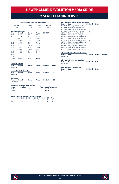# **V<sub>S</sub> SEATTLE SOUNDERS FC**

#### **ALL-TIME ALL-COMPETITIONS RECORD**

| <b>MLS Regular Season</b>                                                                                                    | Home<br>$1 - 0 - 0$ | Away        |                                                             |               |
|------------------------------------------------------------------------------------------------------------------------------|---------------------|-------------|-------------------------------------------------------------|---------------|
|                                                                                                                              |                     |             |                                                             |               |
| Overall<br>Year                                                                                                              |                     |             | SO*/OT                                                      |               |
| 2009<br>$2 - 0 - 0$                                                                                                          |                     | $1 - 0 - 0$ |                                                             |               |
| 2010<br>$1 - 1 - 0$                                                                                                          | $1 - 0 - 0$         | $0 - 1 - 0$ |                                                             |               |
| 2011<br>$0 - 2 - 0$                                                                                                          | $0 - 1 - 0$         | $0 - 1 - 0$ |                                                             |               |
| 2012<br>$0 - 0 - 1$                                                                                                          | $0 - 0 - 1$         | $0 - 0 - 0$ | ä,                                                          |               |
| 2013<br>$0 - 0 - 1$                                                                                                          | $0 - 0 - 0$         | $0 - 0 - 1$ | ä,                                                          |               |
| 2014<br>$1 - 0 - 0$                                                                                                          | $1 - 0 - 0$         | $0 - 0 - 0$ | ä,                                                          |               |
| 2015<br>$0 - 1 - 0$                                                                                                          | $0 - 0 - 0$         | $0 - 1 - 0$ |                                                             |               |
| 2016<br>$1 - 0 - 0$                                                                                                          | $1 - 0 - 0$         | $0 - 0 - 0$ |                                                             |               |
| 2017<br>$0 - 0 - 1$                                                                                                          | $0 - 0 - 0$         | $0 - 0 - 1$ |                                                             |               |
| 2018<br>$0 - 0 - 1$                                                                                                          | $0 - 0 - 1$         | $0 - 0 - 0$ |                                                             |               |
| 2019<br>$0 - 0 - 1$                                                                                                          | $0 - 0 - 0$         | $0 - 0 - 1$ |                                                             |               |
| 2020<br>L,                                                                                                                   | ٠                   |             |                                                             |               |
| 2021<br>۰                                                                                                                    |                     |             |                                                             |               |
| <b>Totals</b><br>$5 - 4 - 5$                                                                                                 | $4 - 1 - 2$         | $1 - 3 - 3$ |                                                             |               |
| <b>MLS Cup Playoffs</b><br>Overall<br>Year<br>Never met                                                                      | Home                | Away        | <b>Neutral</b>                                              | <b>Series</b> |
| Lamar Hunt U.S. Open Cup<br>Overall<br>Year<br>Never met                                                                     | Home                | Away        | <b>Neutral</b>                                              | <b>SO</b>     |
| <b>SuperLiga</b><br>Year<br>Overall<br>Never met                                                                             | Home                | Away        | <b>Neutral</b>                                              | <b>SO</b>     |
| <b>Revolution Record at Away Venues</b><br><b>Stadium</b><br><b>Years</b><br>2009-Present CenturvLink Field<br><b>Totals</b> |                     |             | <b>Reg. Season Postseason</b><br>$1 - 3 - 3$<br>$1 - 3 - 3$ | ٠             |

|            | <b>Goals Scored by Interval - Regular Season</b> |                                       |   |  |    |          |       |
|------------|--------------------------------------------------|---------------------------------------|---|--|----|----------|-------|
|            |                                                  | 1-15 16-30 31-45 46-60 61-75 76-90 OT |   |  |    |          | Total |
| NF         | л                                                | -5.                                   | 4 |  | 6. | $\Omega$ | 23    |
| <b>SFA</b> | Λ                                                |                                       |   |  |    |          | 21    |

| Date      | Score                                     | <b>NE Result</b> | <b>Notes</b> |               |
|-----------|-------------------------------------------|------------------|--------------|---------------|
|           | 08/20/09 New England 1 at Seattle 0       | W                |              |               |
|           | 09/26/09 Seattle 1 at New England 2       | W                |              |               |
|           | 06/05/10 New England 0 at Seattle 3       | L                |              |               |
|           | 09/04/10 Seattle 1 at New England 3       | W                |              |               |
|           | 06/26/11 New England 1 at Seattle 2       | L                |              |               |
| 10/01/11  | Seattle 2 at New England 1                | L                |              |               |
|           | 06/30/12 Seattle 2 at New England 2       | T                |              |               |
|           | 04/13/13 New England 0 at Seattle 0       | T                |              |               |
| 05/11/14  | Seattle 0 at New England 5                | W                |              |               |
|           | 03/08/15 New England 0 at Seattle 3       | L                |              |               |
|           | 05/28/16 Seattle 1 at New England 2       | W                |              |               |
|           | 04/29/17 New England 3 at Seattle 3       | T                |              |               |
|           | 07/07/18 Seattle 0 at New England 0       | T                |              |               |
| 08/10/19  | New England 3 at Seattle 3                | T                |              |               |
|           | <b>All-Time MLS Cup Playoffs Meetings</b> |                  |              |               |
| Date      | Score                                     | <b>NE Result</b> | <b>Notes</b> | <b>Series</b> |
| Never met |                                           |                  |              |               |
|           | <b>All-Time U.S. Open Cup Meetings</b>    |                  |              |               |
| Date      | Score                                     | <b>NE Result</b> | <b>Notes</b> |               |
| Never met |                                           |                  |              |               |
|           | <b>All-Time SuperLiga Meetings</b>        |                  |              |               |
| Date      | Score                                     | <b>NE Result</b> | <b>Notes</b> |               |
| Never met |                                           |                  |              |               |

**All-Time MLS Regular Season Meetings**

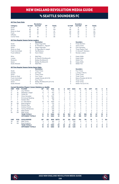### **V<sub>S</sub> SEATTLE SOUNDERS FC**

|                       |                        |                                                                                   | <b>Revolution</b>            |                |               |                |             |                |                | <b>Sounders</b>           |                |             |               |                |                |
|-----------------------|------------------------|-----------------------------------------------------------------------------------|------------------------------|----------------|---------------|----------------|-------------|----------------|----------------|---------------------------|----------------|-------------|---------------|----------------|----------------|
| Category              |                        | 1st Half                                                                          | 2nd Half                     | OT             | <b>Totals</b> |                |             | 1st Half       |                | 2nd Half                  | OT             |             | <b>Totals</b> |                |                |
| Goals                 |                        | 13                                                                                | 10                           | $\mathbf 0$    | 23            |                |             | 13             |                | 8                         | 0              |             | 21            |                |                |
| Shots                 |                        | 82                                                                                | 82                           | $\mathbf 0$    | 164           |                |             | 85             |                | 91                        | $\mathbf 0$    |             | 176           |                |                |
| Shots on Goal         |                        | 30                                                                                | 31                           | $\mathbf 0$    | 61            |                |             | 24             |                | 29                        | 0              |             | 53            |                |                |
| Fouls                 |                        | 74                                                                                | 83                           | $\mathbf 0$    | 157           |                |             | 86             |                | 83                        | 0              |             | 169           |                |                |
| Offsides              |                        | 15                                                                                | $\overline{7}$               | $\overline{0}$ | 22            |                |             | 13             |                | 21                        | $\Omega$       |             | 34            |                |                |
| <b>Corner Kicks</b>   |                        | 36                                                                                | 30                           | $\mathbf 0$    | 66            |                |             | 41             |                | 32                        | 0              |             | 73            |                |                |
|                       |                        |                                                                                   |                              |                |               |                |             |                |                |                           |                |             |               |                |                |
|                       |                        | <b>All-Time Regular Season Series Leaders</b>                                     |                              |                |               |                |             |                |                |                           |                |             |               |                |                |
|                       |                        |                                                                                   | <b>Revolution</b>            |                |               |                |             |                |                | <b>Sounders</b>           |                |             |               |                |                |
| Goals                 |                        | $\overline{4}$                                                                    | Diego Fagundez               |                |               |                |             | 4              |                | Fredy Montero             |                |             |               |                |                |
| <b>Assists</b>        |                        | $\overline{c}$                                                                    | B. Feilhaber/L. Nguyen       |                |               |                |             | 3              |                | Joevin Jones              |                |             |               |                |                |
| Shots                 |                        | 18                                                                                | Diego Fagundez               |                |               |                |             | 18             |                | <b>Clint Dempsey</b>      |                |             |               |                |                |
| Shots on Goal         |                        | $\overline{7}$                                                                    | D. Fagundez/S. Joseph        |                |               |                |             | 5              |                | <b>Three Players Tied</b> |                |             |               |                |                |
|                       | <b>Fouls Committed</b> | 12                                                                                | <b>Teal Bunbury</b>          |                |               |                |             | 15             |                | O. Alonso/F. Montero      |                |             |               |                |                |
| <b>Fouls Suffered</b> |                        | 10                                                                                | Kevin Alston                 |                |               |                |             | 11             |                | Nicolas Lodeiro           |                |             |               |                |                |
| Wins                  |                        | 3                                                                                 | Matt Reis                    |                |               |                |             | 3              |                | Kasey Keller              |                |             |               |                |                |
| Losses                |                        | $\overline{c}$                                                                    | M. Reis/B. Shuttleworth      |                |               |                |             | 3              |                | Kasey Keller              |                |             |               |                |                |
| Shutouts              |                        | $\overline{c}$                                                                    | <b>Bobby Shuttleworth</b>    |                |               |                |             | 2              |                | Stefan Frei               |                |             |               |                |                |
| Saves                 |                        | 15                                                                                | <b>Bobby Shuttleworth</b>    |                |               |                |             | 18             |                | Kasey Keller              |                |             |               |                |                |
| Goals Allowed         |                        | 8                                                                                 | <b>Matt Reis</b>             |                |               |                |             | 13             |                | Stefan Frei               |                |             |               |                |                |
|                       |                        | <b>All-Time Regular Season Series Game Highs</b>                                  |                              |                |               |                |             |                |                |                           |                |             |               |                |                |
|                       |                        |                                                                                   | <b>Revolution</b>            |                |               |                |             |                |                | <b>Sounders</b>           |                |             |               |                |                |
| Goals                 |                        | $\overline{c}$                                                                    | <b>Three Times</b>           |                |               |                |             | $\overline{c}$ |                | Four Times                |                |             |               |                |                |
| <b>Assists</b>        |                        | $\mathbf{1}$                                                                      | 20 Times                     |                |               |                |             | $\overline{c}$ |                | J. Jones/J. Morris        |                |             |               |                |                |
| Shots                 |                        | 5                                                                                 | <b>Three Times</b>           |                |               |                |             | 7              |                | <b>Three Times</b>        |                |             |               |                |                |
| Shots on Goal         |                        | 3                                                                                 | <b>Four Times</b>            |                |               |                |             | 3              |                | <b>Three Times</b>        |                |             |               |                |                |
|                       | <b>Fouls Committed</b> | 5                                                                                 | Joseph Niouky (6/5/10)       |                |               |                |             | 5              |                | Mauro Rosales (6/30/12)   |                |             |               |                |                |
| <b>Fouls Suffered</b> |                        | $\overline{4}$                                                                    | Four Times                   |                |               |                |             | 5              |                | <b>Three Times</b>        |                |             |               |                |                |
| Saves                 |                        | 6                                                                                 | Bobby Shuttleworth (5/11/14) |                |               |                |             | 6              |                | <b>Three Times</b>        |                |             |               |                |                |
| Goals Allowed         |                        | 3                                                                                 | Four Times                   |                |               |                |             | 5              |                | Stefan Frei (5/11/14)     |                |             |               |                |                |
|                       |                        |                                                                                   |                              |                |               |                |             |                |                |                           |                |             |               |                |                |
| <b>UNF</b>            | POS                    | <b>Current Revolution Players' Career Statistics vs. Seattle</b><br><b>PLAYER</b> | GP                           | GS             | <b>MIN</b>    | G              | A           | <b>SHT</b>     | <b>SOG</b>     | FC                        | FS             | <b>OFF</b>  | CK            | с              | Е              |
| 14                    | F                      | Jozy Altidore                                                                     | 2                            | $\overline{2}$ | 170           | 3              | 0           | 6              | $\overline{a}$ | 6                         | 5              | 1           | $\mathbf 0$   | 0              | 0              |
| 17                    | M                      | Sebastian Lletget                                                                 | 13                           | 11             | 973           | $\overline{c}$ | 5           | 15             | $\overline{7}$ | 12                        | 6              | 0           | 13            | 1              | $\mathbf 0$    |
| 10                    | M                      | Carles Gil                                                                        | $\mathbf{1}$                 | 1              | 90            | 1              | 1           | $\overline{2}$ | $\overline{2}$ | $\mathbf 0$               | $\overline{c}$ | $\mathbf 0$ | 4             | $\mathbf 0$    | $\mathbf 0$    |
|                       |                        |                                                                                   |                              |                |               |                |             | $\overline{4}$ | $\overline{2}$ |                           |                |             |               |                |                |
| 3                     | D<br>F                 | Omar Gonzalez                                                                     | 15                           | 15             | 1337          | 1              | 1           | 6              | $\overline{2}$ | 13                        | 5              | 0           | 0             | 3              | 1              |
| 11                    |                        | <b>Emmanuel Boateng</b>                                                           | 8                            | $\overline{7}$ | 486           | 1              | $\mathbf 0$ |                |                | $\overline{4}$            | 3              | $\Omega$    | $\mathbf 0$   | $\Omega$       | $\mathbf 0$    |
| $\overline{7}$        | F                      | Gustavo Bou                                                                       | $\mathbf{1}$                 | 1              | 90            | 1              | $\Omega$    | $\overline{4}$ | 3              | $\Omega$                  | 4              | 1           | $\Omega$      | $\Omega$       | 0              |
| 28                    | D                      | A.J. DeLaGarza                                                                    | 19                           | 19             | 1625          | 0              | 1           | 1              | $\mathbf 0$    | 24                        | 17             | 0           | 0             | 3              | 0              |
| 18                    | GK                     | <b>Brad Knighton</b>                                                              | 3                            | 3              | 270           | 0              | 1           | $\Omega$       | $\mathbf 0$    | $\mathbf 0$               | Ō              | $\mathbf 0$ | $\mathbf 0$   | $\mathbf 0$    | 0              |
| 15                    | D                      | <b>Brandon Bye</b>                                                                | $\mathbf{1}$                 | 1              | 82            | $\Omega$       | $\Omega$    | $\Omega$       | $\Omega$       | $\Omega$                  | 1              | $\Omega$    | $\Omega$      | $\Omega$       | $\mathbf 0$    |
| $\overline{2}$        | D                      | <b>Andrew Farrell</b>                                                             | $\overline{7}$               | 7              | 630           | 0              | 0           | 1              | $\mathbf 0$    | $\overline{2}$            | 3              | 0           | 0             | 1              | 0              |
| 26                    | M                      | Tommy McNamara                                                                    | 4                            | 3              | 246           | $\Omega$       | $\Omega$    | $\overline{2}$ | 1              | 3                         | $\overline{2}$ | 1           | $\Omega$      | 1              | 0              |
| 8                     | M                      | Matt Polster                                                                      | 3                            | $\overline{2}$ | 199           | $\Omega$       | $\mathbf 0$ | $\overline{2}$ | $\mathbf 0$    | $\overline{7}$            | 3              | $\mathbf 0$ | $\Omega$      | 0              | $\mathbf 0$    |
| 30                    | GK                     | Matt Turner                                                                       | $\overline{c}$               | $\overline{2}$ | 180           | 0              | 0           | $\mathbf 0$    | $\mathbf 0$    | 0                         | 1              | $\mathbf 0$ | 0             | 0              | 0              |
|                       |                        | <b>TEAM TOTALS</b>                                                                | 14                           | 14             | 1260          | 23             | 20          | 163            | 61             | 157                       | 169            | 22          | 67            | 19             | $\mathbf 0$    |
|                       |                        | <b>OPPONENT TOTALS</b>                                                            | 14                           | 14             | 1260          | 21             | 26          | 176            | 53             | 169                       | 157            | 34          | 63            | 21             | $\mathbf 0$    |
| <b>UNF</b>            | POS                    | <b>GOALKEEPER</b>                                                                 | GP                           | GS             | <b>MIN</b>    | <b>SHTS</b>    | <b>SV</b>   | GA             | <b>GAA</b>     | PG                        | PA             | W           | L             | т              | <b>SO</b>      |
| 30                    | GK                     | Matt Turner                                                                       | $\overline{\mathbf{c}}$      | $\overline{c}$ | 180           | 8              | 5           | 3              | 1.50           | $\Omega$                  | Ō              | $\Omega$    | $\Omega$      | $\overline{c}$ | 1              |
| 18                    | GK                     | <b>Brad Knighton</b>                                                              | 3                            | 3              | 270           | 16             | 12          | 3              | 1.00           | 1                         | 1              | 1           | 1             | 1              | $\overline{c}$ |
|                       |                        | <b>TEAM TOTALS</b>                                                                | 14                           | 14             | 1260          | 53             | 32          | 21             | 1.50           | $\mathbf{1}$              | $\overline{2}$ | 5           | 4             | 5              | 4              |
|                       |                        | <b>OPPONENT TOTALS</b>                                                            | 14                           | 14             | 1260          | 61             | 37          | 23             | 1.64           | 3                         | 3              | 4           | 5             | 5              | 4              |



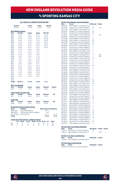## vs Sporting kansas city

#### **ALL-TIME ALL-COMPETITIONS RECORD**

| 19-27-13           | Overall                                 | Home<br>$12 - 11 - 7$          | Away<br>$7 - 16 - 6$ | <b>Neutral</b><br>$0 - 0 - 0$          |               |
|--------------------|-----------------------------------------|--------------------------------|----------------------|----------------------------------------|---------------|
|                    | <b>MLS Regular Season</b>               |                                |                      |                                        |               |
| Year               | Overall                                 | Home                           | Away                 | SO*/OT                                 |               |
| 1996               | $1 - 2 - 0$                             | $1 - 0 - 0$                    | $0 - 2 - 0$          | $1 - 0 - 0*$                           |               |
| 1997               | $2 - 1 - 0$                             | $2 - 0 - 0$                    | $0 - 1 - 0$          | $0 - 1 - 0*$                           |               |
| 1998               | $0 - 2 - 0$                             | $0 - 1 - 0$                    | $0 - 1 - 0$          | $0 - 0 - 0*$                           |               |
| 1999               | $2 - 0 - 0$                             | $1 - 0 - 0$                    | $1 - 0 - 0$          | $0 - 0 - 0*$                           |               |
| 2000               | $1 - 1 - 0$                             | $0 - 1 - 0$                    | $1 - 0 - 0$          | $0 - 0 - 0$                            |               |
| 2001               | $0 - 2 - 0$                             | $0 - 1 - 0$                    | $0 - 1 - 0$          | $0 - 0 - 0$                            |               |
| 2002               | $0 - 2 - 0$                             | $0 - 1 - 0$                    | $0 - 1 - 0$          | $0 - 0 - 0$                            |               |
| 2003               | $0 - 0 - 2$                             | $0 - 0 - 1$                    | $0 - 0 - 1$          | $0 - 0 - 2$                            |               |
| 2004               | $1 - 2 - 0$                             | $0 - 2 - 0$                    | $1 - 0 - 0$          | ä,                                     |               |
| 2005               | $1 - 1 - 2$                             | $0 - 1 - 1$                    | $1 - 0 - 1$          |                                        |               |
|                    |                                         |                                |                      | J,                                     |               |
| 2006               | $0 - 1 - 3$                             | $0 - 0 - 2$                    | $0 - 1 - 1$          |                                        |               |
| 2007               | $2 - 1 - 0$                             | $1 - 1 - 0$                    | $1 - 0 - 0$          | Ē,                                     |               |
| 2008               | $1 - 2 - 0$                             | $0 - 1 - 0$                    | $1 - 1 - 0$          | Ē,                                     |               |
| 2009               | $0 - 2 - 1$                             | $0 - 1 - 1$                    | $0 - 1 - 0$          | ä,                                     |               |
| 2010               | $1 - 1 - 0$                             | $1 - 0 - 0$                    | $0 - 1 - 0$          | ż                                      |               |
| 2011               | $1 - 0 - 1$                             | $1 - 0 - 0$                    | $0 - 0 - 1$          | ż                                      |               |
| 2012               | $0 - 2 - 1$                             | $0 - 1 - 0$                    | $0 - 1 - 1$          | Ē,                                     |               |
| 2013               | $0 - 1 - 1$                             | $0 - 0 - 1$                    | $0 - 1 - 0$          |                                        |               |
| 2014               | $3 - 0 - 0$                             | $2 - 0 - 0$                    | $1 - 0 - 0$          | Ē,                                     |               |
| 2015               | $0 - 1 - 0$                             | $0 - 0 - 0$                    | $0 - 1 - 0$          | L,                                     |               |
| 2016               | $1 - 0 - 0$                             | $1 - 0 - 0$                    | $0 - 0 - 0$          | Ē,                                     |               |
| 2017               | $0 - 1 - 0$                             | $0 - 0 - 0$                    | $0 - 1 - 0$          | Ē,                                     |               |
| 2018               | $1 - 0 - 0$                             | $1 - 0 - 0$                    | $0 - 0 - 0$          | ż                                      |               |
| 2019               | $0 - 0 - 1$                             | $0 - 0 - 0$                    | $0 - 0 - 1$          | L.                                     |               |
| 2020               | ÷,                                      | ÷                              | ÷                    | ä,                                     |               |
| 2021               |                                         |                                |                      |                                        |               |
| <b>Totals</b>      | $18 - 25 - 12$                          | $11 - 11 - 6$                  | $7-14-6$             | $1 - 1 - 2$                            |               |
|                    | <b>MLS Cup Playoffs</b>                 |                                |                      |                                        |               |
| Year               | Overall                                 | Home                           | Away                 | <b>Neutral</b>                         | <b>Series</b> |
| 2013               | $1 - 1 - 0$                             | $1 - 0 - 0$                    | $0 - 1 - 0$          | $0 - 0 - 0$                            | L             |
|                    | Lamar Hunt U.S. Open Cup                |                                |                      |                                        |               |
| Year               | Overall                                 | Home                           | Away                 | <b>Neutral</b>                         | SO            |
| 2011               | $0 - 1 - 0$                             | $0 - 0 - 0$                    | $0 - 1 - 0$          | $0 - 0 - 0$                            | ٠             |
| <b>SuperLiga</b>   |                                         |                                |                      |                                        |               |
| Year               | Overall                                 | Home                           | Away                 | <b>Neutral</b>                         | <b>SO</b>     |
| 2009               | $0 - 0 - 1$                             | $0 - 0 - 1$                    | $0 - 0 - 0$          | $0 - 0 - 0$                            |               |
|                    | <b>Revolution Record at Away Venues</b> |                                |                      |                                        |               |
| Years<br>1000 0007 | <b>Stadium</b>                          | A monocological Characteristic |                      | <b>Reg. Season Postseason</b><br>$-70$ |               |
|                    |                                         |                                |                      |                                        |               |

|               | <b>Goals Scored by Interval - Regular Season</b> |              |             |
|---------------|--------------------------------------------------|--------------|-------------|
| <b>Totals</b> |                                                  | $7 - 14 - 6$ | $0 - 1 - 0$ |
| 2011-Present  | Sporting Park                                    | $1 - 4 - 3$  | $0 - 1 - 0$ |
| 2008-2010     | Community America Ballpark                       | $1 - 3 - 0$  |             |
| 1996-2007     | Arrowhead Stadium                                | $5 - 7 - 3$  |             |

|     |              | 1-15 16-30 31-45 46-60 61-75 76-90 OT Total |     |      |     |      |      |
|-----|--------------|---------------------------------------------|-----|------|-----|------|------|
| NF. |              | -9 -9 -17 -7 -12 -19 -0                     |     |      |     |      | - 73 |
| KC  | $\mathbf{q}$ | 16                                          | 16. | - 15 | 16. | 17 O | 89   |

|                      | <u> All-Time MLS Regular Season Meetings</u>                     |                  |                     |  |
|----------------------|------------------------------------------------------------------|------------------|---------------------|--|
| Date                 | Score                                                            | NE Result        | <b>Notes</b>        |  |
| 06/01/96             | New England 1 at Kansas City 2                                   | н                | SO                  |  |
| 06/15/96             | Kansas City 1 at New England 1                                   | W<br>L           |                     |  |
| 07/27/96<br>05/03/97 | New England 2 at Kansas City 4<br>Kansas City 1 at New England 2 | W                |                     |  |
| 07/12/97             | Kansas City 0 at New England 2                                   | W                |                     |  |
| 07/26/97             | New England 0 at Kansas City 0                                   | L                | SO                  |  |
| 05/16/98             | Kansas City 3 at New England 1                                   | L                |                     |  |
| 07/01/98             | New England 0 at Kansas City 1                                   | L                |                     |  |
| 04/03/99             | New England 1 at Kansas City 0                                   | W                |                     |  |
| 09/07/99             | Kansas City 2 at New England 3                                   | W                |                     |  |
| 07/19/00             | New England 1 at Kansas City 0                                   | W                |                     |  |
| 09/06/00             | Kansas City 1 at New England 0                                   | н                |                     |  |
| 07/07/01             | Kansas City 2 at New England 1                                   | L                |                     |  |
| 07/29/01             | New England 0 at Kansas City 2                                   | L                |                     |  |
| 06/22/02             | New England 2 at Kansas City 3                                   | L                |                     |  |
| 07/13/02             | Kansas City 4 at New England 2                                   | L                |                     |  |
| 05/14/03             | New England 1 at Kansas City 1                                   | T                | 2OT                 |  |
| 05/31/03             | Kansas City 2 at New England 2                                   | т                | 2OT                 |  |
| 06/02/04             | New England 3 at Kansas City 2                                   | W                |                     |  |
| 06/19/04             | Kansas City 3 at New England 1                                   | L                |                     |  |
| 08/21/04             | Kansas City 2 at New England 1                                   | L                |                     |  |
| 06/04/05             | Kansas City 1 at New England 1                                   | т                |                     |  |
| 06/11/05             | New England 2 at Kansas City 0                                   | W                |                     |  |
| 08/06/05             | Kansas City 2 at New England 1                                   | L                |                     |  |
| 10/08/05             | New England 2 at Kansas City 2                                   | т                |                     |  |
| 04/15/06             | New England 0 at Kansas City 1                                   | L                |                     |  |
| 07/29/06             | New England 1 at Kansas City 1                                   | т                |                     |  |
| 08/09/06             | Kansas City 0 at New England 0                                   | т                |                     |  |
| 09/23/06             | Kansas City 1 at New England 1                                   | т                |                     |  |
| 05/26/07             | Kansas City 4 at New England 3                                   | L                |                     |  |
| 08/02/07             | Kansas City 0 at New England 2                                   | W                |                     |  |
| 08/19/07             | New England 1 at Kansas City 0                                   | W                |                     |  |
| 04/09/08             | New England 3 at Kansas City 1                                   | W                |                     |  |
| 10/11/08             | New England 0 at Kansas City 1                                   | L                |                     |  |
| 10/25/08             | Kansas City 3 at New England 1                                   | L                |                     |  |
| 06/13/09             | New England 1 at Kansas City 3                                   | L                |                     |  |
| 07/11/09             | Kansas City 0 at New England 0                                   | т                |                     |  |
| 09/05/09             | Kansas City 4 at New England 2                                   | L                |                     |  |
| 08/21/10             | New England 1 at Kansas City 4                                   | L                |                     |  |
| 10/16/10             | Kansas City 0 at New England 1                                   | W                |                     |  |
| 04/23/11             | Sporting KC 2 at New England 3                                   | W                |                     |  |
| 07/30/11             | New England 1 at Sporting KC 1                                   | т                |                     |  |
| 03/17/12             | New England 0 at Sporting KC 3                                   | L<br>т           |                     |  |
| 07/21/12             | New England 0 at Sporting KC 0                                   | L                |                     |  |
| 08/04/12<br>03/23/13 | Sporting KC 1 at New England 0<br>Sporting KC 0 at New England 0 | т                |                     |  |
| 08/10/13             | New England 0 at Sporting KC 3                                   | L                |                     |  |
| 04/26/14             | Sporting KC 0 at New England 2                                   | W                |                     |  |
| 09/03/14             | Sporting KC 1 at New England 3                                   | W                |                     |  |
| 09/26/14             | New England 3 at Sporting KC 2                                   | W                |                     |  |
| 05/20/15             | Sporting KC 4 at New England 2                                   | L                |                     |  |
| 10/01/16             | Sporting KC 1 at New England 3                                   | W                |                     |  |
| 09/16/17             | New England 1 at Sporting KC 3                                   | L                |                     |  |
| 04/28/18             | Sporting KC 0 at New England 1                                   | W                |                     |  |
| 04/27/19             | New England 4 at Kansas City 4                                   | Т                |                     |  |
|                      | <b>All-Time MLS Cup Playoffs Meetings</b>                        |                  |                     |  |
| Date                 | <b>Score</b>                                                     | <b>NE Result</b> | <b>Notes Series</b> |  |
| 11/02/13             | Sporting KC 1 at New England 2                                   | W                |                     |  |

| ----     | -----                          | . |
|----------|--------------------------------|---|
| 11/02/13 | Sporting KC 1 at New England 2 | W |

| 11/06/13 | New England 1 at Sporting KC 3         | AFT |  |
|----------|----------------------------------------|-----|--|
|          | <b>All-Time U.S. Open Cup Meetings</b> |     |  |

| <b>Date</b> | Score                                   | <b>NE Result Notes</b> |  |
|-------------|-----------------------------------------|------------------------|--|
|             | 05/25/11 New England 0 at Kansas City 5 |                        |  |

### **All-Time SuperLiga Meetings**

|      | All-Time SuperLiga Meetings             |                  |              |
|------|-----------------------------------------|------------------|--------------|
| Date | Score                                   | <b>NE Result</b> | <b>Notes</b> |
|      | 06/24/09 Kansas City 1 at New England 1 |                  |              |



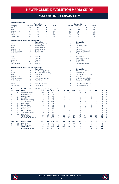### vs Sporting kansas city

### **All-Time Team Stats**

|                       |                        |                                                                               | <b>Revolution</b>      |                |               |                |                |                |                | <b>Kansas City</b>        |                |             |               |                |             |
|-----------------------|------------------------|-------------------------------------------------------------------------------|------------------------|----------------|---------------|----------------|----------------|----------------|----------------|---------------------------|----------------|-------------|---------------|----------------|-------------|
| Category              |                        | 1st Half                                                                      | 2nd Half               | OT             | <b>Totals</b> |                |                | 1st Half       |                | 2nd Half                  | OT             |             | <b>Totals</b> |                |             |
| Goals                 |                        | 35                                                                            | 38                     | $\Omega$       | 73            |                |                | 41             |                | 48                        | $\Omega$       |             | 89            |                |             |
| Shots                 |                        | 295                                                                           | 331                    | 3              | 629           |                |                | 355            |                | 399                       | 3              |             | 757           |                |             |
| Shots on Goal         |                        | 119                                                                           | 152                    | $\mathbf 0$    | 271           |                |                | 145            |                | 160                       | $\overline{c}$ |             | 307           |                |             |
| Fouls                 |                        | 348                                                                           | 361                    | 1              | 710           |                |                | 379            |                | 374                       | $\overline{4}$ |             | 757           |                |             |
| Offsides              |                        | 75                                                                            | 62                     | 1              | 138           |                |                | 77             |                | 99                        | 1              |             | 177           |                |             |
| <b>Corner Kicks</b>   |                        | 119                                                                           | 131                    | 1              | 251           |                |                | 94             |                | 143                       | 1              |             | 238           |                |             |
|                       |                        |                                                                               |                        |                |               |                |                |                |                |                           |                |             |               |                |             |
|                       |                        | <b>All-Time Regular Season Series Leaders</b>                                 |                        |                |               |                |                |                |                |                           |                |             |               |                |             |
|                       |                        |                                                                               | <b>Revolution</b>      |                |               |                |                |                |                | <b>Kansas City</b>        |                |             |               |                |             |
| Goals                 |                        | 5                                                                             | Three Players Tied     |                |               |                |                | 8              |                | Preki                     |                |             |               |                |             |
| Assists               |                        | $\overline{7}$                                                                | <b>Steve Ralston</b>   |                |               |                |                | 5              |                | J. Jewsbury/Preki         |                |             |               |                |             |
| Shots                 |                        | 42                                                                            | Taylor Twellman        |                |               |                |                | 44             |                | Preki                     |                |             |               |                |             |
| Shots on Goal         |                        | 23                                                                            | Taylor Twellman        |                |               |                |                | 23             |                | Josh Wolff                |                |             |               |                |             |
|                       | <b>Fouls Committed</b> | 35                                                                            | Shalrie Joseph         |                |               |                |                | 29             |                | D. Arnaud/K. Zavagnin     |                |             |               |                |             |
| Fouls Suffered        |                        | 24                                                                            | Shalrie Joseph         |                |               |                |                | 40             |                | Davy Arnaud               |                |             |               |                |             |
|                       |                        |                                                                               |                        |                |               |                |                |                |                |                           |                |             |               |                |             |
| Wins                  |                        | 6                                                                             | <b>Matt Reis</b>       |                |               |                |                | 6              |                | Bo Oshoniyi               |                |             |               |                |             |
| Losses                |                        | 10                                                                            | <b>Matt Reis</b>       |                |               |                |                | 3              |                | K. Hartman/T. Meola       |                |             |               |                |             |
| Shutouts              |                        | $\overline{7}$                                                                | <b>Matt Reis</b>       |                |               |                |                | 5              |                | Jimmy Nielsen             |                |             |               |                |             |
| Saves                 |                        | 108                                                                           | <b>Matt Reis</b>       |                |               |                |                | 43             |                | Bo Oshoniyi               |                |             |               |                |             |
| Goals Allowed         |                        | 35                                                                            | <b>Matt Reis</b>       |                |               |                |                | 13             |                | K. Hartman/T. Meola       |                |             |               |                |             |
|                       |                        | <b>All-Time Regular Season Series Game Highs</b>                              |                        |                |               |                |                |                |                |                           |                |             |               |                |             |
|                       |                        |                                                                               | <b>Revolution</b>      |                |               |                |                |                |                | <b>Kansas City</b>        |                |             |               |                |             |
| Goals                 |                        | 3                                                                             | Pat Noonan (6/2/04)    |                |               |                |                | 3              |                | V. Takawira/E. Johnson    |                |             |               |                |             |
| <b>Assists</b>        |                        | $\overline{c}$                                                                | Joe-Max Moore (9/7/99) |                |               |                |                | $\overline{c}$ |                | Seven Times               |                |             |               |                |             |
| Shots                 |                        | 6                                                                             | Four Times             |                |               |                |                | 8              |                | Igor Simutenkov (6/22/02) |                |             |               |                |             |
| Shots on Goal         |                        | $\overline{4}$                                                                | <b>Four Times</b>      |                |               |                |                | 4              |                | <b>Six Times</b>          |                |             |               |                |             |
|                       | <b>Fouls Committed</b> | $\overline{7}$                                                                | Alexi Lalas (7/27/96)  |                |               |                |                | 6              |                | M. Harrington/A. Collin   |                |             |               |                |             |
| <b>Fouls Suffered</b> |                        | 6                                                                             | Four Times             |                |               |                |                | 9              |                | Onandi Lowe (7/7/01)      |                |             |               |                |             |
|                       |                        |                                                                               |                        |                |               |                |                |                |                |                           |                |             |               |                |             |
| Saves                 |                        | 11                                                                            | Matt Reis (7/11/09)    |                |               |                |                | 8              |                | Kevin Hartman (8/2/07)    |                |             |               |                |             |
| Goals Allowed         |                        | $\overline{4}$                                                                | Seven Times            |                |               |                |                | 4              |                | Tim Melia (4/27/19)       |                |             |               |                |             |
|                       |                        | <b>Current Revolution Players' Career Statistics vs. Sporting Kansas City</b> |                        |                |               |                |                |                |                |                           |                |             |               |                |             |
| <b>UNF</b>            | POS                    | <b>PLAYER</b>                                                                 | GP                     | GS             | <b>MIN</b>    | G              | A              | <b>SHT</b>     | SOG            | FC                        | FS             | OFF         | CK            | C              | E           |
| 17                    | M                      | Sebastian Lletget                                                             | 10                     | 9              | 771           | $\overline{c}$ | $\overline{c}$ | 9              | 3              | 10                        | 12             | 1           | 9             | 0              | 0           |
| 3                     | D                      | Omar Gonzalez                                                                 | 9                      | 8              | 732           | 1              | 1              | $\overline{c}$ | 1              | $\overline{7}$            | $\overline{c}$ | $\mathbf 0$ | 0             | 1              | $\mathbf 0$ |
| 24                    | D                      | DeJuan Jones                                                                  | $\mathbf{1}$           | 1              | 88            | 1              | 0              | 1              | $\mathbf{1}$   | $\mathbf{1}$              | 1              | $\mathbf 0$ | $\mathbf 0$   | $\mathbf 0$    | 0           |
| 14                    | F                      | Jozy Altidore                                                                 | 8                      | 4              | 420           | 0              | 1              | $\overline{7}$ | 3              | 9                         | 11             | 3           | 0             | 1              | 0           |
| 11                    | F                      | <b>Emmanuel Boateng</b>                                                       | 8                      | 6              | 518           | $\Omega$       | 1              | 3              | 1              | $\overline{4}$            | 3              | 3           | $\Omega$      | $\Omega$       | 0           |
| 28                    | D                      | A.J. DeLaGarza                                                                | 16                     | 16             | 1395          | $\Omega$       | 1              | 1              | 1              | 19                        | 17             | 0           | $\mathbf 0$   | $\overline{4}$ | 0           |
|                       | M                      | Matt Polster                                                                  | 4                      | $\overline{4}$ | 359           | $\Omega$       | 1              | $\overline{2}$ | $\Omega$       | $\overline{2}$            | 4              | $\Omega$    | $\Omega$      | $\Omega$       |             |
| 8                     |                        |                                                                               |                        |                |               |                |                |                |                |                           |                |             |               |                | 0           |
| 15                    | D                      | <b>Brandon Bye</b>                                                            | $\overline{c}$         | $\mathbf{1}$   | 56            | $\mathbf 0$    | $\mathbf 0$    | $\Omega$       | $\mathbf 0$    | $\overline{4}$            | 1              | $\mathbf 0$ | 1             | 1              | 1           |
| $\overline{2}$        | D                      | Andrew Farrell                                                                | 9                      | 9              | 810           | $\Omega$       | $\Omega$       | $\Omega$       | $\Omega$       | 6                         | 10             | $\Omega$    | $\Omega$      | $\mathbf 0$    | 0           |
| 10                    | M                      | Carles Gil                                                                    | $\mathbf{1}$           | $\mathbf{1}$   | 90            | $\Omega$       | $\Omega$       | $\mathbf{1}$   | 1              | $\mathbf{1}$              | 5              | $\Omega$    | $\Omega$      | 1              | $\mathbf 0$ |
| 18                    | GK                     | <b>Brad Knighton</b>                                                          | 5                      | 5              | 450           | $\mathbf 0$    | $\mathbf 0$    | $\mathbf 0$    | $\mathbf 0$    | $\mathbf 0$               | 1              | $\mathbf 0$ | $\mathbf 0$   | $\mathbf 0$    | $\mathbf 0$ |
| 26                    | M                      | Tommy McNamara                                                                | 6                      | 3              | 308           | $\Omega$       | $\Omega$       | $\overline{7}$ | $\overline{2}$ | $\overline{2}$            | 3              | Ō           | 1             | $\Omega$       | 0           |
| 30                    | GK                     | Matt Turner                                                                   | 1                      | 1              | 90            | $\Omega$       | $\Omega$       | $\Omega$       | $\Omega$       | $\Omega$                  | 0              | $\Omega$    | $\Omega$      | $\Omega$       | $\Omega$    |

30 GK Matt Turner 1 1 90 0 0 0 0 0 0 0 0 0 0  **TEAM TOTALS 55 55 4970 73 72 629 271 710 743 138 251 84 13**

**UNF POS GOALKEEPER GP GS MIN SHTS SV GA GAA PG PA W L T SO** 30 GK Matt Turner 1 1 90 3 3 0 0.00 0 0 1 0 0 1 18 GK Brad Knighton 5 5 450 26 13 13 2.60 1 1 1 3 1 0  **TEAM TOTALS 55 55 4970 307 213 89 1.61 7 9 18 25 12 14**



 **OPPONENT TOTALS 55 55 4970 89 85 757 307 757 698 177 240 92 5**

 **OPPONENT TOTALS 55 55 4970 271 190 73 1.32 3 5 25 18 12 13**

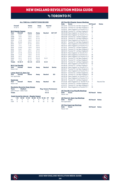### **Vs TORONTO FC**

#### **ALL-TIME ALL-COMPETITIONS RECORD**

|                        | <b>Overall</b><br>$14 - 10 - 11$                          | Home<br>$10 - 4 - 5$ | Away<br>$4 - 6 - 5$ |                | <b>Neutral</b><br>$0 - 0 - 1$ |                               |  |
|------------------------|-----------------------------------------------------------|----------------------|---------------------|----------------|-------------------------------|-------------------------------|--|
|                        | <b>MLS Regular Season</b>                                 |                      |                     |                |                               |                               |  |
| Year                   | <b>Overall</b>                                            | Home                 | Away                | <b>Neutral</b> |                               | SO*/OT                        |  |
| 2007                   | $2 - 0 - 1$                                               | $2 - 0 - 0$          | $0 - 0 - 1$         | ä,             |                               |                               |  |
| 2008                   | $1 - 0 - 1$                                               | $1 - 0 - 0$          | $0 - 0 - 1$         | J,             |                               |                               |  |
| 2009                   | $0 - 1 - 1$                                               | $0 - 0 - 1$          | $0 - 1 - 0$         | L,             |                               |                               |  |
| 2010                   | $1 - 1 - 0$                                               | $1 - 0 - 0$          | $0 - 1 - 0$         | L,             |                               |                               |  |
| 2011                   | $0 - 0 - 2$                                               | $0 - 0 - 1$          | $0 - 0 - 1$         | ٠              |                               |                               |  |
| 2012                   | $0 - 1 - 1$                                               | $0 - 1 - 0$          | $0 - 0 - 1$         | L,             |                               |                               |  |
| 2013                   | $1 - 1 - 1$                                               | $1 - 1 - 0$          | $0 - 0 - 1$         |                |                               |                               |  |
| 2014                   | $3 - 0 - 0$                                               | $1 - 0 - 0$          | $2 - 0 - 0$         | J,             |                               |                               |  |
| 2015                   | $2 - 0 - 1$                                               | $1 - 0 - 1$          | $1 - 0 - 0$         |                |                               |                               |  |
| 2016                   | $0 - 1 - 1$                                               | $0 - 0 - 1$          | $0 - 1 - 0$         | ä,             |                               |                               |  |
| 2017                   | $2 - 1 - 0$                                               | $2 - 0 - 0$          | $0 - 1 - 0$         | ż              |                               |                               |  |
| 2018                   | $1 - 1 - 0$                                               | $1 - 0 - 0$          | $0 - 1 - 0$         | ä,             |                               |                               |  |
| 2019                   | $0 - 1 - 1$                                               | $0 - 0 - 1$          | $0 - 1 - 0$         |                |                               |                               |  |
| 2020                   | $0 - 1 - 1$                                               | $0 - 1 - 0$          | $0 - 0 - 0$         | $0 - 0 - 1$    |                               |                               |  |
| 2021                   | $1 - 1 - 0$                                               | $0 - 1 - 0$          | $1 - 0 - 0$         | ٠              |                               |                               |  |
| <b>Totals</b>          | 14-10-11                                                  | $10 - 4 - 5$         | $4 - 6 - 5$         | $0 - 0 - 1$    |                               |                               |  |
|                        | <b>MLS Cup Playoffs</b>                                   |                      |                     |                |                               |                               |  |
| Year                   | Overall                                                   | Home                 | Away                | <b>Neutral</b> |                               | <b>Series</b>                 |  |
| Never met              |                                                           |                      |                     |                |                               |                               |  |
|                        | Lamar Hunt U.S. Open Cup                                  |                      |                     |                |                               |                               |  |
| Year<br>Not applicable | Overall                                                   | Home                 | Away                | <b>Neutral</b> |                               | SO                            |  |
|                        |                                                           |                      |                     |                |                               |                               |  |
| <b>SuperLiga</b>       |                                                           |                      |                     |                |                               |                               |  |
| Year<br>Never met      | Overall                                                   | Home                 | Away                | <b>Neutral</b> |                               | SO                            |  |
|                        |                                                           |                      |                     |                |                               |                               |  |
| <b>Years</b>           | <b>Revolution Record at Away Venues</b><br><b>Stadium</b> |                      |                     |                |                               | <b>Reg. Season Postseason</b> |  |
|                        | 2007-Present BMO Field                                    |                      |                     |                | $4 - 5 - 5$                   |                               |  |
| <b>Totals</b>          |                                                           |                      |                     |                | $4 - 5 - 5$                   |                               |  |
|                        |                                                           |                      |                     |                |                               |                               |  |
|                        | <b>Goals Scored by Interval - Regular Season</b>          |                      |                     |                |                               |                               |  |
|                        | $1-15$<br>$16 - 30$                                       | $31 - 45$            | 46-60<br>61-75      | 76-90          | OT                            | <b>Total</b>                  |  |
| NF                     | 12<br>6                                                   | 9                    | 9<br>6              | 14             | 0                             | 56                            |  |
| <b>TOR</b>             | 9<br>6                                                    | 5                    | 8<br>6              | 10             | Ō                             | 44                            |  |

|                        | <b>All-Time MLS Regular Season Meetings</b>               |                  |              |
|------------------------|-----------------------------------------------------------|------------------|--------------|
| Date                   | <b>Score</b>                                              | <b>NE Result</b> | <b>Notes</b> |
|                        | 04/14/07 Toronto FC 0 at New England 4                    | W                |              |
|                        | 06/23/07 Toronto FC 0 at New England 3                    | W                |              |
|                        | 10/20/07 New England 2 at Toronto FC 2                    | T                |              |
|                        | 06/28/08 Toronto FC 1 at New England 2                    | W                |              |
|                        | 08/23/08 New England 1 at Toronto FC 1                    | т                |              |
|                        | 05/23/09 New England 1 at Toronto FC 3                    | L                |              |
|                        | 08/01/09 Toronto FC 1 at New England 1                    | T                |              |
|                        | 04/10/10 Toronto FC 1 at New England 4                    | W                |              |
|                        | 05/22/10 New England 0 at Toronto FC 1                    | L                |              |
| 06/15/11               | Toronto FC 0 at New England 0                             | T                |              |
| 10/22/11               | New England 2 at Toronto FC 2                             | T                |              |
|                        | 06/23/12 New England 2 at Toronto FC 2                    | T                |              |
| 07/14/12               | Toronto FC 1 at New England 1                             | L                |              |
| 05/25/13               | Toronto FC 0 at New England 2                             | W                |              |
|                        | 08/04/13 Toronto FC 1 at New England 0                    | L                |              |
|                        | 08/30/13 New England 1 at Toronto FC 1                    | т                |              |
| 05/03/14               | New England 2 at Toronto FC 1                             | W                |              |
|                        | 08/30/14 New England 3 at Toronto FC 0                    | W                |              |
| 10/25/14               | Toronto FC 0 at New England 1                             | W                |              |
| 05/16/15               | Toronto FC 1 at New England 1                             | T                |              |
| 08/01/15               | Toronto FC 1 at New England 3                             | W                |              |
| 09/13/15               | New England 3 at Toronto FC 1                             | W                |              |
|                        | 04/09/16 Toronto FC 1 at New England 1                    | т                |              |
|                        | 08/06/16 New England 1 at Toronto FC 4                    | L                |              |
| 06/03/17               | Toronto FC 0 at New England 3                             | W                |              |
| 06/23/17               | New England 0 at Toronto FC 2                             | L                |              |
| 09/23/17               | Toronto FC 1 at New England 2                             | W                |              |
| 05/12/18               | Toronto FC 2 at New England 3                             | W                |              |
| 09/29/18               | New England 1 at Toronto FC 4                             | L                |              |
| 03/17/19               | New England 2 at Toronto FC 3                             | L                |              |
| 08/31/19               | Toronto FC 1 at New England 1                             | T                |              |
| 07/21/20               | New England 0 vs. Toronto FC 0                            | T                | Neutral Site |
| 10/07/20               | Toronto FC 1 at New England 0                             | L                |              |
| 07/07/21               | Toronto FC 3 at New England 2                             | L                |              |
| 08/14/21               | New England 2 at Toronto FC 1                             | W                |              |
| Date                   | <b>All-Time MLS Cup Playoffs Meetings</b><br><b>Score</b> | <b>NE Result</b> | <b>Notes</b> |
| Never met              |                                                           |                  |              |
| Date<br>Not applicable | <b>All-Time U.S. Open Cup Meetings</b><br><b>Score</b>    | <b>NE Result</b> | <b>Notes</b> |

#### **All-Time SuperLiga Meetings**

| Date      | <b>Score</b> | <b>NE Result</b> | <b>Notes</b> |
|-----------|--------------|------------------|--------------|
| Never met |              |                  |              |

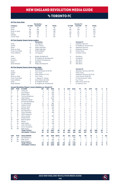### **Vs TORONTO FC**

|                  |                        |                                                                     | <b>Revolution</b>                 |                     |               |                |             |                     |                | <b>Toronto FC</b>                                  |                     |                     |                  |                |              |
|------------------|------------------------|---------------------------------------------------------------------|-----------------------------------|---------------------|---------------|----------------|-------------|---------------------|----------------|----------------------------------------------------|---------------------|---------------------|------------------|----------------|--------------|
| Category         |                        | 1st Half                                                            | 2nd Half                          | OT                  | <b>Totals</b> |                |             | 1st Half            |                | 2nd Half                                           | OT                  |                     | <b>Totals</b>    |                |              |
| Goals            |                        | 27                                                                  | 29                                | 0                   | 56            |                |             | 20                  |                | 24                                                 | 0                   |                     | 44               |                |              |
| Shots            |                        | 195                                                                 | 260                               | $\mathbf 0$         | 455           |                |             | 194                 |                | 209                                                | $\mathbf 0$         |                     | 403              |                |              |
|                  | Shots on Goal          | 80                                                                  | 106                               | $\mathbf 0$         | 186           |                |             | 73                  |                | 87                                                 | 0                   |                     | 160              |                |              |
| Fouls            |                        | 199                                                                 | 228                               | $\mathbf 0$         | 427           |                |             | 186                 |                | 237                                                | 0                   |                     | 423              |                |              |
| Offsides         |                        | 40                                                                  | 45                                | $\mathbf 0$         | 85            |                |             | 43                  |                | 33                                                 | 0                   |                     | 76               |                |              |
| Corner Kicks     |                        | 86                                                                  | 121                               | $\mathbf 0$         | 207           |                |             | 78                  |                | 77                                                 | 0                   |                     | 155              |                |              |
|                  |                        | All-Time Regular Season Series Leaders                              |                                   |                     |               |                |             |                     |                |                                                    |                     |                     |                  |                |              |
| Goals            |                        | 5                                                                   | <b>Revolution</b>                 |                     |               |                |             | $\overline{7}$      |                | <b>Toronto FC</b><br>Sebastian Giovinco            |                     |                     |                  |                |              |
| Assists          |                        | $\overline{7}$                                                      | Lee Nguyen<br>Chris Tierney       |                     |               |                |             | 3                   |                | M. Bradley/D. Koevermans                           |                     |                     |                  |                |              |
| Shots            |                        | 44                                                                  | Diego Fagundez                    |                     |               |                |             | 45                  |                | Sebastian Giovinco                                 |                     |                     |                  |                |              |
|                  | Shots on Goal          | 17                                                                  | Diego Fagundez                    |                     |               |                |             | 17                  |                | Sebastian Giovinco                                 |                     |                     |                  |                |              |
|                  | <b>Fouls Committed</b> | 27                                                                  | <b>Scott Caldwell</b>             |                     |               |                |             | 20                  |                | Doneil Henry                                       |                     |                     |                  |                |              |
|                  | <b>Fouls Suffered</b>  | 32                                                                  | Lee Nguyen                        |                     |               |                |             | 31                  |                | Jonathan Osorio                                    |                     |                     |                  |                |              |
| Wins             |                        | 6                                                                   | Bobby Shuttleworth                |                     |               |                |             | 6                   |                | Alex Bono                                          |                     |                     |                  |                |              |
| Losses           |                        | 3                                                                   | B. Knighton/B. Shuttleworth       |                     |               |                |             | 4                   |                | Joe Bendik                                         |                     |                     |                  |                |              |
| Shutouts         |                        | 3                                                                   | M. Reis/B. Shuttleworth           |                     |               |                |             | 3                   |                | Alex Bono                                          |                     |                     |                  |                |              |
| Saves            |                        | 36                                                                  | Matt Reis                         |                     |               |                |             | 28                  |                | Alex Bono                                          |                     |                     |                  |                |              |
|                  | Goals Allowed          | 13                                                                  | Bobby Shuttleworth                |                     |               |                |             | 14                  |                | Alex Bono                                          |                     |                     |                  |                |              |
|                  |                        | All-Time Regular Season Series Game Highs                           |                                   |                     |               |                |             |                     |                |                                                    |                     |                     |                  |                |              |
|                  |                        |                                                                     | <b>Revolution</b>                 |                     |               |                |             |                     |                | <b>Toronto FC</b>                                  |                     |                     |                  |                |              |
| Goals            |                        | 3<br>$\overline{c}$                                                 | Zack Schilawski (4/10/10)         |                     |               |                |             | 3<br>$\overline{2}$ |                | Sebastian Giovinco (8/6/16)                        |                     |                     |                  |                |              |
| Assists<br>Shots |                        | 8                                                                   | Four Times<br>Adam Buksa (7/7/21) |                     |               |                |             | 11                  |                | <b>Three Times</b><br>Sebastian Giovinco (9/13/15) |                     |                     |                  |                |              |
|                  | Shots on Goal          | 4                                                                   | Four Times                        |                     |               |                |             | 6                   |                | Lucas Janson (9/29/18)                             |                     |                     |                  |                |              |
|                  | Fouls Committed        | 5                                                                   | L. Nguyen/C. Davies               |                     |               |                |             | 6                   |                | D. Koevermans/D. Henry                             |                     |                     |                  |                |              |
|                  | Fouls Suffered         | 8                                                                   | Kevin Alston (8/1/09)             |                     |               |                |             | 5                   |                | Four Times                                         |                     |                     |                  |                |              |
| Saves            |                        | $\overline{7}$                                                      | B. Knighton/M. Reis               |                     |               |                |             | 8                   |                | Milos Kocic (6/23/12)                              |                     |                     |                  |                |              |
|                  | Goals Allowed          | 4                                                                   | B. Knighton/B. Shuttleworth       |                     |               |                |             | 4                   |                | G. Sutton/S. Frei                                  |                     |                     |                  |                |              |
|                  |                        | <b>Current Revolution Players' Career Statistics vs. Toronto FC</b> |                                   |                     |               |                |             |                     |                |                                                    |                     |                     |                  |                |              |
| <b>UNF</b>       | POS                    | <b>PLAYER</b>                                                       | GP                                | GS                  | <b>MIN</b>    | G              | Α           | SHT                 | SOG            | FC                                                 | FS                  | <b>OFF</b>          | CK               | C              | Е            |
| 10               | M                      | Carles Gil                                                          | 3                                 | 3                   | 270           | 3              | $\mathbf 0$ | 5                   | 5              | $\mathbf 0$                                        | $\overline{4}$      | $\mathbf 0$         | 13               | $\mathbf{1}$   | $\mathbf 0$  |
| 14               | F                      | Jozy Altidore                                                       | $\overline{4}$                    | 4                   | 350           | $\overline{2}$ | $\mathbf 0$ | $\overline{7}$      | 4              | 16                                                 | 11                  | 1                   | 0                | 1              | 0            |
| 7                | F                      | Gustavo Bou                                                         | 4                                 | 3                   | 300           | $\overline{2}$ | 0           | 15                  | 4              | 4                                                  | 3                   | 6                   | 5                | 0              | 0            |
| 26               | M                      | Tommy McNamara                                                      | 10                                | $\overline{7}$      | 616           | 1              | 3           | $\overline{7}$      | $\overline{2}$ | 6                                                  | 10                  | 1                   | $\mathbf 0$      | 3              | $\mathbf 0$  |
| 9<br>17          | F<br>M                 | Adam Buksa                                                          | 4<br>$\overline{2}$               | 4<br>$\overline{c}$ | 3447<br>180   | 1<br>1         | 0<br>0      | 15<br>6             | 6<br>4         | $\overline{c}$<br>Ō                                | 5<br>$\overline{c}$ | $\overline{c}$<br>0 | 0<br>$\mathbf 0$ | 0<br>0         | 0<br>0       |
| 11               | F                      | Sebastian Lletget<br><b>Emmanuel Boateng</b>                        | 5                                 | 1                   | 170           | $\Omega$       | 1           | $\overline{c}$      | $\mathbf 0$    | 6                                                  | 1                   | 1                   | $\Omega$         | $\mathbf{1}$   | $\mathbf 0$  |
| 28               | D                      | A.J. DeLaGarza                                                      | 12                                | 11                  | 963           | Ō              | 1           | 1                   | 0              | 10                                                 | 8                   | 1                   | 0                | 3              | 0            |
| 2                | D                      | <b>Andrew Farrell</b>                                               | 19                                | 19                  | 1698          | Ō              | 1           | 1                   | Ō              | 13                                                 | 12                  | $\mathbf 0$         | $\mathbf 0$      | 3              | 0            |
| 24               | D                      | DeJuan Jones                                                        | 5                                 | 5                   | 422           | 0              | 1           | $\overline{7}$      | 3              | 3                                                  | 4                   | 0                   | 0                | 0              | 0            |
| 15               | D                      | <b>Brandon Bye</b>                                                  | 7                                 | 6                   | 523           | Ō              | $\mathbf 0$ | 6                   | 1              | 7                                                  | $\overline{2}$      | 1                   | 0                | $\overline{2}$ | 0            |
| 36               | GK                     | Earl Edwards Jr.                                                    | 1                                 | $\mathbf{1}$        | 90            | $\Omega$       | $\Omega$    | $\Omega$            | Ō              | $\overline{0}$                                     | $\Omega$            | $\Omega$            | $\Omega$         | $\Omega$       | $\mathbf 0$  |
| 3                | D                      | Omar Gonzalez                                                       | 9                                 | 9                   | 810           | Ō              | 0           | 4                   | 0              | 7                                                  | 12                  | 0                   | 0                | $\overline{2}$ | 0            |
| 5                | M                      | Wilfrid Kaptoum                                                     | 1                                 | 0                   | $\Delta$      | Ō              | $\mathbf 0$ | $\mathbf{1}$        | $\mathbf 0$    | Ō                                                  | $\mathbf 0$         | $\mathbf 0$         | $\mathbf 0$      | $\mathbf 0$    | 0            |
| 4                | D                      | Henry Kessler                                                       | 4                                 | 4                   | 360           | Ō              | 0           | 0                   | 0              | 5                                                  | 3                   | 0                   | 0                | 1              | 0            |
| 19               | F                      | <b>Edward Kizza</b>                                                 |                                   | $\mathbf 0$<br>1    | 4             | Ō              | 0           | 0                   | Ō              | Ō                                                  | 0                   | 0                   | $\mathbf 0$      | 0              | 0            |
| 18               | GK                     | <b>Brad Knighton</b>                                                | 3                                 | 3                   | 270           | $\overline{0}$ | $\mathbf 0$ | $\mathbf 0$         | Ō              | Ō                                                  | $\overline{c}$      | $\mathbf 0$         | $\mathbf 0$      | $\mathbf 0$    | $\mathbf 0$  |
| 13               | M                      | Maciel                                                              | $\overline{c}$                    | $\overline{c}$      | 176           | Ō              | 0           | 0                   | 0              | 4                                                  | 1                   | 0                   | 0                | 0              | 0            |
| 8                | M                      | Matt Polster                                                        | 6                                 | 6                   | 349           | 0              | $\mathbf 0$ | 1                   | Ō              | 5                                                  | 6                   | $\mathbf 0$         | $\mathbf 0$      | $\mathbf 0$    | 0            |
| 12               | F                      | <b>Justin Rennicks</b>                                              |                                   | 1<br>0              | 13            | 0              | 0           | 1                   | 0              | Ō                                                  | 1                   | 0                   | $\mathbf 0$      | $\mathbf 0$    | 0            |
| 25               | M                      | Arnor Traustason                                                    | $\overline{c}$                    | 1                   | 93            | 0              | $\mathbf 0$ | 1                   | $\mathbf 0$    | 3                                                  | $\mathbf 0$         | 0                   | 5                | 0              | 0            |
| 30               | GK                     | Matt Turner                                                         | 5                                 | 5                   | 450           | $\Omega$       | $\mathbf 0$ | $\mathbf 0$         | $\mathbf 0$    | $\mathbf 0$                                        | $\overline{c}$      | $\mathbf 0$         | $\mathbf 0$      | $\mathbf 0$    | $\mathbf{0}$ |
|                  |                        | <b>TEAM TOTALS</b><br><b>OPPONENT TOTALS</b>                        | 35<br>35                          | 35<br>35            | 3150<br>3150  | 56<br>44       | 49<br>40    | 455<br>403          | 186<br>160     | 427<br>423                                         | 423<br>427          | 85<br>76            | 208<br>155       | 55<br>70       | 1<br>4       |
| <b>UNF</b>       | POS                    | <b>GOALKEEPER</b>                                                   | <b>GP</b>                         | GS                  | <b>MIN</b>    | <b>SHTS</b>    | <b>SV</b>   | GA                  | GAA            | PG                                                 | PA                  | W                   | L                | T              | SO           |
| 36               | GK                     | Earl Edwards Jr.                                                    | 1                                 | 1                   | 90            | $\overline{4}$ | 3           | $\mathbf{1}$        | 1.00           | Ō                                                  | 0                   | 10                  | $\mathbf 0$      | $\mathbf 0$    | 0            |
| 30               | GK                     | Matt Turner                                                         | 5                                 | 5                   | 450           | 24             | 20          | 5                   | 1.00           | 1                                                  | $\mathbf{1}$        | $\overline{2}$      | $\overline{1}$   | $\overline{2}$ | 1            |
| 18               | GK                     | <b>Brad Knighton</b>                                                | 3                                 | 3                   | 270           | 21             | 11          | 10                  | 3.33           | 1                                                  | 1                   | $\mathbf 0$         | 3                | $\mathbf 0$    | $\circ$      |
|                  |                        | <b>TEAM TOTALS</b>                                                  | 35                                | 35                  | 3150          | 160            | 110         | 44                  | 1.26           | 3                                                  | 3                   | 14                  | 10               | 11             | 8            |
|                  |                        | <b>OPPONENT TOTALS</b>                                              | 35                                | 35                  | 3150          | 186            | 127         | 56                  | 1.60           | 5                                                  | 6                   | 10                  | 14               | 11             | 7            |



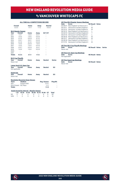### vs VANCOUVER WHITECAPS FC

#### **ALL-TIME ALL-COMPETITIONS RECORD**

|                                                                                                    | Overall<br>$5 - 2 - 3$   |                                       | Home<br>$4 - 1 - 1$                              |       | Away<br>$1 - 1 - 2$ |                                  | Neutral<br>$0 - 0 - 0$                    |                     |   |
|----------------------------------------------------------------------------------------------------|--------------------------|---------------------------------------|--------------------------------------------------|-------|---------------------|----------------------------------|-------------------------------------------|---------------------|---|
| <b>MLS Regular Season</b>                                                                          |                          |                                       |                                                  |       |                     |                                  |                                           |                     |   |
| Year                                                                                               | Overall                  |                                       | Home                                             |       | Away                | SO*/OT                           |                                           |                     |   |
| 2011                                                                                               | $1 - 0 - 1$              |                                       | $1 - 0 - 0$                                      |       | $0 - 0 - 1$         | i.                               |                                           |                     |   |
| 2012                                                                                               | $1 - 0 - 0$              |                                       | $1 - 0 - 0$                                      |       | $0 - 0 - 0$         |                                  |                                           |                     |   |
| 2013                                                                                               | $0 - 1 - 0$              |                                       | $0 - 0 - 0$                                      |       | $0 - 1 - 0$         |                                  |                                           |                     |   |
| 2014                                                                                               | $0 - 0 - 1$              |                                       | $0 - 0 - 1$                                      |       | $0 - 0 - 0$         |                                  |                                           |                     |   |
| 2015                                                                                               | $0 - 1 - 0$              |                                       | $0 - 1 - 0$                                      |       | $0 - 0 - 0$         |                                  |                                           |                     |   |
| 2016                                                                                               | $1 - 0 - 0$              |                                       | $0 - 0 - 0$                                      |       | $1 - 0 - 0$         | ٠                                |                                           |                     |   |
| 2017                                                                                               | $1 - 0 - 0$              |                                       | $1 - 0 - 0$                                      |       | $0 - 0 - 0$         |                                  |                                           |                     |   |
| 2018                                                                                               | $0 - 0 - 1$              |                                       | $0 - 0 - 0$                                      |       | $0 - 0 - 1$         |                                  |                                           |                     |   |
| 2019                                                                                               | $1 - 0 - 0$              |                                       | $1 - 0 - 0$                                      |       | $0 - 0 - 0$         | L,                               |                                           |                     |   |
| 2020                                                                                               | ×,                       |                                       | ä,                                               |       | ä,                  |                                  |                                           |                     |   |
| 2021                                                                                               |                          |                                       | ÷                                                |       | ä,                  | ä,                               |                                           |                     |   |
| <b>Totals</b>                                                                                      | $5 - 2 - 3$              |                                       | $3 - 1 - 1$                                      |       | $1 - 1 - 2$         |                                  |                                           |                     |   |
| <b>MLS Cup Playoffs</b><br>Year<br>Never met<br>Lamar Hunt U.S. Open Cup<br>Year<br>Not applicable | Overall<br>Overall       |                                       | Home<br>Home                                     |       | Away<br>Away        | <b>Neutral</b><br><b>Neutral</b> |                                           | <b>Series</b><br>SO |   |
| <b>SuperLiga</b><br>Year<br>Never met                                                              | Overall                  |                                       | Home                                             |       | Away                | <b>Neutral</b>                   |                                           | SO                  |   |
| Years<br>2011<br>2012-Present BC Place<br><b>Totals</b>                                            |                          | <b>Stadium</b><br><b>Empire Field</b> | <b>Revolution Record at Away Venues</b>          |       |                     | Reg. Season                      | $0 - 0 - 1$<br>$1 - 1 - 1$<br>$1 - 1 - 2$ | Playoffs            | ċ |
|                                                                                                    |                          |                                       | <b>Goals Scored by Interval - Regular Season</b> |       |                     |                                  |                                           |                     |   |
|                                                                                                    | $1-15$                   | $16 - 30$                             | $31 - 45$                                        | 46-60 | 61-75               | 76-90                            | ΟТ                                        | <b>Total</b>        |   |
| NF                                                                                                 | $\overline{\phantom{a}}$ | 4                                     | $\overline{c}$                                   | 5     | 1                   | 6                                | 0                                         | 20                  |   |
| VAN                                                                                                | 1                        | 3                                     | 3                                                | 3     | $\overline{2}$      | $\Omega$                         | $\Omega$                                  | 12                  |   |

| Date           | Score                                     | <b>NE Result Notes</b> |               |
|----------------|-------------------------------------------|------------------------|---------------|
| 04/06/11       | New England 1 at Vancouver 1              | т                      |               |
| 05/14/11       | Vancouver 0 at New England 1              | W                      |               |
| 05/12/12       | Vancouver 1 at New England 4              | W                      |               |
| 06/15/13       | New England 3 at Vancouver 4              | L                      |               |
|                | 03/22/14 Vancouver 0 at New England 0     | T                      |               |
|                | 06/27/15 Vancouver 2 at New England 1     | г                      |               |
| 06/18/16       | New England 3 at Vancouver 1              | W                      |               |
|                | 08/12/17 Vancouver 0 at New England 1     | W                      |               |
|                | 05/26/18 New England 3 at Vancouver 3     | T                      |               |
| 07/17/19       | Vancouver 0 at New England 4              | W                      |               |
|                | <b>All-Time MLS Cup Playoffs Meetings</b> |                        |               |
| Date           | <b>Score</b>                              | <b>NE Result Notes</b> | <b>Series</b> |
| Never met      |                                           |                        |               |
|                | <b>All-Time U.S. Open Cup Meetings</b>    |                        |               |
|                |                                           |                        |               |
|                |                                           |                        |               |
| Date           | <b>Score</b>                              | <b>NE Result Notes</b> |               |
| Not applicable |                                           |                        |               |
|                | <b>All-Time SuperLiga Meetings</b>        |                        |               |
| Date           | <b>Score</b>                              | <b>NE Result Notes</b> |               |
| Never met      |                                           |                        |               |
|                |                                           |                        |               |

**All-Time MLS Regular Season Meetings**

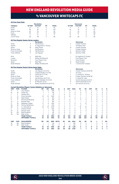### vs VANCOUVER WHITECAPS FC

|            |                        |                                                                    | <b>Revolution</b>            |                |               |              |                |                |                | <b>Vancouver</b>           |                               |                            |                         |                         |                     |
|------------|------------------------|--------------------------------------------------------------------|------------------------------|----------------|---------------|--------------|----------------|----------------|----------------|----------------------------|-------------------------------|----------------------------|-------------------------|-------------------------|---------------------|
| Category   |                        | 1st Half                                                           | 2nd Half                     | OT             | <b>Totals</b> |              |                | 1st Half       |                | 2nd Half                   | OT                            |                            | <b>Totals</b>           |                         |                     |
| Goals      |                        | 8                                                                  | 12                           | $\mathbf 0$    | 20            |              |                | $\overline{7}$ |                | 5                          | 0                             |                            | 12                      |                         |                     |
| Shots      |                        | 66                                                                 | 87                           | $\mathbf 0$    | 153           |              |                | 42             |                | 79                         | 0                             |                            | 121                     |                         |                     |
|            | Shots on Goal          | 22                                                                 | 33                           | $\mathbf 0$    | 55            |              |                | 17             |                | 23                         | 0                             |                            | 40                      |                         |                     |
| Fouls      |                        | 63                                                                 | 67                           | $\mathbf 0$    | 130           |              |                | 61             |                | 67                         | 0                             |                            | 128                     |                         |                     |
| Offsides   |                        | 3                                                                  | 8                            | $\Omega$       | 11            |              |                | 8              |                | $\overline{7}$             | $\Omega$                      |                            | 15                      |                         |                     |
|            | Corner Kicks           | 30                                                                 | 38                           | $\Omega$       | 68            |              |                | 20             |                | 28                         | $\Omega$                      |                            | 48                      |                         |                     |
|            |                        | <b>All-Time Regular Season Series Leaders</b>                      |                              |                |               |              |                |                |                |                            |                               |                            |                         |                         |                     |
|            |                        |                                                                    | <b>Revolution</b>            |                |               |              |                |                |                | <b>Vancouver</b>           |                               |                            |                         |                         |                     |
| Goals      |                        | 4                                                                  | <b>Teal Bunbury</b>          |                |               |              |                | 4              |                | Cristian Techera           |                               |                            |                         |                         |                     |
| Assists    |                        | 3                                                                  | D. Fagundez/C. Tierney       |                |               |              |                | $\mathbf{1}$   |                | 10 Players Tied            |                               |                            |                         |                         |                     |
| Shots      |                        | 16                                                                 | Kelyn Rowe                   |                |               |              |                | 14             |                | Cristian Techera           |                               |                            |                         |                         |                     |
|            | Shots on Goal          | $\overline{7}$                                                     | <b>Teal Bunbury</b>          |                |               |              |                | $\overline{7}$ |                | Cristian Techera           |                               |                            |                         |                         |                     |
|            | <b>Fouls Committed</b> | 14                                                                 | <b>Teal Bunbury</b>          |                |               |              |                | 9              |                | Gershon Koffie             |                               |                            |                         |                         |                     |
|            | Fouls Suffered         | 11                                                                 | Lee Nguyen                   |                |               |              |                | 10             |                | Gershon Koffie             |                               |                            |                         |                         |                     |
| Wins       |                        | $\overline{c}$                                                     | Matt Reis                    |                |               |              |                | 1              |                | B. Knighton/D. Ousted      |                               |                            |                         |                         |                     |
| Losses     |                        | $\overline{c}$                                                     | <b>Bobby Shuttleworth</b>    |                |               |              |                | 1              |                | <b>Five Players Tied</b>   |                               |                            |                         |                         |                     |
| Shutouts   |                        | 1                                                                  | Four Players Tied            |                |               |              |                | 1              |                | David Ousted               |                               |                            |                         |                         |                     |
| Saves      |                        | 9                                                                  | Matt Reis                    |                |               |              |                | 13             |                | David Ousted               |                               |                            |                         |                         |                     |
|            | Goals Allowed          | $\overline{7}$                                                     | Bobby Shuttleworth           |                |               |              |                | 4              |                | J. Cannon/M. Crepeau       |                               |                            |                         |                         |                     |
|            |                        | <b>All-Time Regular Season Series Game Highs</b>                   |                              |                |               |              |                |                |                |                            |                               |                            |                         |                         |                     |
|            |                        |                                                                    | <b>Revolution</b>            |                |               |              |                |                |                | <b>Vancouver</b>           |                               |                            |                         |                         |                     |
| Goals      |                        | $\overline{c}$                                                     | Lee Nguyen (5/12/12)         |                |               |              |                | 3              |                | Cristian Techera (5/26/18) |                               |                            |                         |                         |                     |
| Assists    |                        | $\overline{c}$                                                     | Cristian Penilla (7/17/19)   |                |               |              |                | 1              |                | 10 Times                   |                               |                            |                         |                         |                     |
| Shots      |                        | 9                                                                  | Carles Gil (7/17/19)         |                |               |              |                | $\overline{7}$ |                | K. Kamara/C. Techera       |                               |                            |                         |                         |                     |
|            | Shots on Goal          | 3                                                                  | <b>Three Times</b>           |                |               |              |                | 6              |                | Cristian Techera (5/26/18) |                               |                            |                         |                         |                     |
|            | <b>Fouls Committed</b> | 6                                                                  | Teal Bunbury (6/27/15)       |                |               |              |                | 5              |                | E. Hassli/M. Laba          |                               |                            |                         |                         |                     |
|            | Fouls Suffered         | 6                                                                  | Benny Feilhaber (5/12/12)    |                |               |              |                | 6              |                | Camilo Sanvezzo (4/6/11)   |                               |                            |                         |                         |                     |
| Saves      |                        | 5                                                                  | M. Reis/M. Turner            |                |               |              |                | 8              |                | David Ousted (6/27/15)     |                               |                            |                         |                         |                     |
|            | Goals Allowed          | $\overline{4}$                                                     | Bobby Shuttleworth (6/15/13) |                |               |              |                | 4              |                | Joe Cannon (5/12/12)       |                               |                            |                         |                         |                     |
|            |                        | <b>Current Revolution Players' Career Statistics vs. Vancouver</b> |                              |                |               |              |                |                |                |                            |                               |                            |                         |                         |                     |
| <b>UNF</b> | POS<br>F               | <b>PLAYER</b>                                                      | GP                           | GS             | <b>MIN</b>    | G            | A              | <b>SHT</b>     | <b>SOG</b>     | FC                         | FS                            | OFF                        | CK                      | c                       | E<br>$\mathbf 0$    |
| 14         |                        | Jozy Altidore                                                      | 9                            | 6              | 498           | 4            | $\overline{c}$ | 12             | 7              | 9                          | 12                            | $\mathbf 0$                | $\mathbf 0$             | 0                       |                     |
| 10         | M                      | Carles Gil                                                         | 1                            | 1              | 90            | 1            | 1              | 9              | 3              | 0                          | 2                             | $\mathbf 0$                | 7                       | 0                       | 0                   |
| 7          | F                      | Gustavo Bou                                                        | 1                            | 1              | 79            | $\mathbf{1}$ | $\mathbf 0$    | 6              | 3              | $\mathbf 0$                | 1                             | $\mathbf 0$                | $\mathbf 0$             | $\mathbf 0$             | $\mathbf 0$         |
| 3          | D                      | Omar Gonzalez                                                      | 15                           | 15             | 1350          | $\Omega$     | $\overline{c}$ | 10             | 1              | 7                          | 7                             | $\mathbf 0$                | $\Omega$                | 3                       | 0                   |
| 8          | M                      | Matt Polster                                                       | 3                            | $\overline{2}$ | 194           | 0            | $\overline{c}$ | 1              | $\mathbf 0$    | 6                          | 3                             | $\mathbf 0$                | 0                       | 1                       | 0                   |
| 11         | F                      | <b>Emmanuel Boateng</b>                                            | 8                            | 6              | 515           | 0            | $\mathbf{1}$   | 8<br>3         | 1              | 4<br>$\mathbf{1}$          | $\mathbf 0$<br>$\overline{c}$ | $\overline{c}$<br>$\Omega$ | $\mathbf 0$<br>$\Omega$ | $\mathbf 0$<br>$\Omega$ | $\mathbf 0$         |
| 15         | D                      | <b>Brandon Bye</b>                                                 | $\overline{c}$               | $\overline{c}$ | 180           | $\Omega$     | $\mathbf{1}$   |                | 1              |                            |                               |                            |                         |                         | $\mathbf 0$         |
| 17         | M                      | Sebastian Lletget                                                  | 11                           | 9              | 844           | $\Omega$     | $\mathbf{1}$   | 11             | 5              | 4                          | 12                            | 1                          | $\overline{7}$          | 1                       | 0                   |
| 26         | M                      | Tommy McNamara                                                     | 5                            | 4              | 335           | 0            | 1              | 6              | $\overline{2}$ | 0                          | $\overline{7}$                | $\mathbf 0$                | 0                       | 0                       | 0                   |
| 28         | D                      | A.J. DeLaGarza                                                     | 16                           | 16             | 1440          | 0            | 0              | $\overline{2}$ | $\mathbf{1}$   | 16                         | 16                            | $\mathbf 0$                | $\mathbf 0$             | 3                       | $\mathbf 0$         |
| 2          | D                      | <b>Andrew Farrell</b>                                              | 7                            | $\overline{7}$ | 502           | $\Omega$     | $\Omega$       | $\Omega$       | $\Omega$       | 6                          | 5                             | $\Omega$                   | $\Omega$                | $\overline{2}$          | $\overline{c}$      |
| 24         | D                      | DeJuan Jones                                                       | 1                            | 1              | 90            | $\Omega$     | 0              | $\overline{2}$ | $\mathbf 0$    | $\Omega$                   | $\Omega$                      | $\mathbf 0$                | 0                       | 0                       | 0                   |
| 18         | GK                     | <b>Brad Knighton</b>                                               | 1                            | 1              | 90            | 0            | $\mathbf 0$    | $\mathbf 0$    | $\mathbf 0$    | $\mathbf 0$                | 1                             | $\mathbf 0$                | $\mathbf 0$             | $\Omega$                | 0                   |
| 30         | GK                     | Matt Turner                                                        | $\overline{c}$               | $\overline{2}$ | 180           | $\Omega$     | 0              | 0              | $\mathbf 0$    | 0                          | $\Omega$                      | $\mathbf 0$                | $\Omega$                | $\Omega$                | 0                   |
|            |                        | <b>TEAM TOTALS</b><br><b>OPPONENT TOTALS</b>                       | 10<br>10                     | 10<br>10       | 900<br>900    | 20<br>12     | 19<br>10       | 153<br>121     | 55<br>40       | 130<br>128                 | 128<br>130                    | 11<br>15                   | 69<br>49                | 21<br>25                | 3<br>$\overline{2}$ |
| <b>UNF</b> | POS                    | <b>GOALKEEPER</b>                                                  | GP                           | GS             | <b>MIN</b>    | <b>SHTS</b>  | <b>SV</b>      | GA             | <b>GAA</b>     | PG                         | PA                            | W                          | г                       | т                       | <b>SO</b>           |
| 18         | GK                     | <b>Brad Knighton</b>                                               | 1                            | 1              | 90            | 4            | 3              | 1              | 1.00           | 0                          | 0                             | 1                          | $\mathbf 0$             | 0                       | 0                   |
| 30         | GK                     | Matt Turner                                                        | $\overline{c}$               | $\overline{2}$ | 180           | 8            | 5              | 3              | 1.50           | 0                          | 0                             | 1                          | $\mathbf 0$             | 1                       | $\mathbf 0$         |
|            |                        | <b>TEAM TOTALS</b>                                                 | 10                           | 10             | 900           | 40           | 27             | 12             | 1.20           | 3                          | 3                             | 5                          | $\overline{2}$          | 3                       | 4                   |
|            |                        | <b>OPPONENT TOTALS</b>                                             | 10                           | 10             | 900           | 55           | 35             | 20             | 2.00           | 1                          | 1                             | $\overline{2}$             | 5                       | 3                       | 1                   |

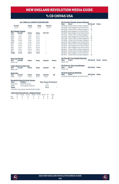### vs CD CHIVAS USA

#### **ALL-TIME ALL-COMPETITIONS RECORD**

| Overall<br>$6 - 7 - 5$ |                           | Home<br>$5 - 2 - 2$ | Away<br>$1 - 5 - 3$ | <b>Neutral</b><br>$0 - 0 - 0$ |
|------------------------|---------------------------|---------------------|---------------------|-------------------------------|
|                        | <b>MLS Regular Season</b> |                     |                     |                               |
| Year                   | Overall                   | Home                | Away                | SO*/OT                        |
| 2005                   | $1 - 1 - 0$               | $1 - 0 - 0$         | $0 - 1 - 0$         |                               |
| 2006                   | $1 - 0 - 1$               | $1 - 0 - 0$         | $0 - 0 - 1$         |                               |
| 2007                   | $0 - 1 - 1$               | $0 - 0 - 1$         | $0 - 1 - 0$         |                               |
| 2008                   | $2 - 0 - 0$               | $1 - 0 - 0$         | $1 - 0 - 0$         | ٠                             |
| 2009                   | $1 - 1 - 0$               | $1 - 0 - 0$         | $0 - 1 - 0$         |                               |
| 2010                   | $0 - 2 - 0$               | $0 - 1 - 0$         | $0 - 1 - 0$         |                               |
| 2011                   | $0 - 2 - 0$               | $0 - 1 - 0$         | $0 - 1 - 0$         | ٠                             |
| 2012                   | $0 - 0 - 1$               | $0 - 0 - 1$         | $0 - 0 - 0$         |                               |
| 2013                   | $0 - 0 - 1$               | $0 - 0 - 0$         | $0 - 0 - 1$         | ۰                             |
| 2014                   | $1 - 0 - 0$               | $1 - 0 - 0$         | $0 - 0 - 0$         |                               |
| <b>Totals</b>          | $6 - 7 - 4$               | $5 - 2 - 2$         | $1 - 5 - 2$         |                               |

| Year<br>Never met | <b>MLS Cup Playoffs</b><br>Overall         | Home | Away | <b>Neutral</b> | <b>Series</b> |
|-------------------|--------------------------------------------|------|------|----------------|---------------|
| Year<br>Never met | <b>Lamar Hunt U.S. Open Cup</b><br>Overall | Home | Away | <b>Neutral</b> | <b>SO</b>     |

#### **SuperLiga**

| Year | Overall                              | Home        | Away        | <b>Neutral</b> | SΟ |
|------|--------------------------------------|-------------|-------------|----------------|----|
| 2008 | $0 - 0 - 1$                          | $0 - 0 - 0$ | $0 - 0 - 1$ | $0 - 0 - 0$    | ٠  |
|      | Barrelisten Bauerd at Arrest Henrice |             |             |                |    |

|               | <b>REVOIGUOIL RECOLU AL AWAY VEILUES</b>    |                               |    |
|---------------|---------------------------------------------|-------------------------------|----|
| <b>Years</b>  | <b>Stadium</b>                              | <b>Reg. Season Postseason</b> |    |
| 2005-2014     | StubHub Center                              | $1 - 5 - 1$                   |    |
| 2006*         | Los Angeles Coliseum                        | $0 - 0 - 1$                   | н. |
| <b>Totals</b> |                                             | $1 - 5 - 2$                   |    |
|               | * Denotes a one-game, special double-header |                               |    |

#### **Goals Scored by Interval – Regular Season**

|  | 1-15 16-30 31-45 46-60 61-75 76-90 OT Total |  |  |  |
|--|---------------------------------------------|--|--|--|
|  | NE 2 4 0 4 3 8 0 21                         |  |  |  |
|  | CHV 3 7 5 5 0 5 0 25                        |  |  |  |

| All-Time MLS Regular Season Meetings   |                               |                  |              |  |  |  |  |
|----------------------------------------|-------------------------------|------------------|--------------|--|--|--|--|
| Score<br>Date                          |                               | <b>NE Result</b> | <b>Notes</b> |  |  |  |  |
| 04/30/05 Chivas USA 0 at New England 1 |                               | W                |              |  |  |  |  |
| 07/22/05 New England 0 at Chivas USA 1 |                               | L                |              |  |  |  |  |
| 05/13/06 Chivas USA 1 at New England 3 |                               | W                |              |  |  |  |  |
| 08/06/06 New England 1 at Chivas USA 1 |                               | T                |              |  |  |  |  |
| 06/30/07 New England 0 at Chivas USA 2 |                               | L                |              |  |  |  |  |
| 07/07/07 Chivas USA 1 at New England 1 |                               | T                |              |  |  |  |  |
| 05/11/08                               | New England 2 at Chivas USA 1 | W                |              |  |  |  |  |
| 09/11/08                               | Chivas USA 0 at New England 4 | W                |              |  |  |  |  |
| 07/19/09                               | Chivas USA 0 at New England 2 | W                |              |  |  |  |  |
| 09/13/09                               | New England 0 at Chivas USA 2 | L                |              |  |  |  |  |
| 05/05/10                               | Chivas USA 4 at New England 0 | L                |              |  |  |  |  |
| 09/10/10                               | New England 0 at Chivas USA 2 | L                |              |  |  |  |  |
| 04/30/11                               | New England 0 at Chivas USA 3 | L                |              |  |  |  |  |
| 08/06/11                               | Chivas USA 3 at New England 2 | L                |              |  |  |  |  |
| 08/29/12                               | Chivas USA 3 at New England 3 | T                |              |  |  |  |  |
| 06/29/13                               | New England 1 at Chivas USA 1 | T                |              |  |  |  |  |
| 08/16/14                               | Chivas USA 0 at New England 1 | W                |              |  |  |  |  |

**All-Time MLS Cup Playoffs Meetings Date Score NE Result Notes Series**  Never met

**All-Time U.S. Open Cup Meetings Date Score NE Result Notes** Never met

### **All-Time SuperLiga Meetings**

**Date Score NE Result Notes** 07/20/08 New England 1 at Chivas USA 1 T

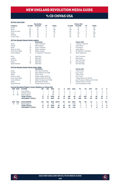### vs CD CHIVAS USA

|                         |                        |                                                                     | <b>Revolution</b>        |             |               |             |             |                  |             | <b>Chivas USA</b>                 |             |                |               |             |                |
|-------------------------|------------------------|---------------------------------------------------------------------|--------------------------|-------------|---------------|-------------|-------------|------------------|-------------|-----------------------------------|-------------|----------------|---------------|-------------|----------------|
| Category                |                        | 1st Half                                                            | 2nd Half                 | OT          | <b>Totals</b> |             |             | 1st Half         |             | 2nd Half                          | OT          |                | <b>Totals</b> |             |                |
| Goals                   |                        | 6                                                                   | 15                       | $\mathbf 0$ | 21            |             |             | 15               |             | 10                                | 0           |                | 25            |             |                |
| Shots                   |                        | 83                                                                  | 113                      | $\Omega$    | 196           |             |             | 108              |             | 82                                | $\Omega$    |                | 190           |             |                |
| Shots on Goal           |                        | 29                                                                  | 51                       | $\mathbf 0$ | 80            |             |             | 50               |             | 41                                | 0           |                | 91            |             |                |
| Fouls                   |                        | 86                                                                  | 91                       | $\Omega$    | 177           |             |             | 114              |             | 145                               | $\Omega$    |                | 259           |             |                |
| Offsides                |                        | 25                                                                  | 16                       | $\mathbf 0$ | 41            |             |             | 22               |             | 31                                | 0           |                | 53            |             |                |
| Corner Kicks            |                        | 41                                                                  | 50                       | $\Omega$    | 91            |             |             | 46               |             | 34                                | $\Omega$    |                | 80            |             |                |
|                         |                        | <b>All-Time Regular Season Series Leaders</b>                       |                          |             |               |             |             |                  |             |                                   |             |                |               |             |                |
|                         |                        |                                                                     | <b>Revolution</b>        |             |               |             |             |                  |             | <b>Chivas USA</b>                 |             |                |               |             |                |
| Goals                   |                        | 4                                                                   | Taylor Twellman          |             |               |             |             | 3                |             | I. Braun/A. Moreno                |             |                |               |             |                |
| Assists                 |                        | 5                                                                   | <b>Steve Ralston</b>     |             |               |             |             | 4                |             | <b>Justin Braun</b>               |             |                |               |             |                |
| Shots                   |                        | 24                                                                  | <b>Taylor Twellman</b>   |             |               |             |             | 17               |             | Ante Razov                        |             |                |               |             |                |
| Shots on Goal           |                        | 10 <sup>10</sup>                                                    | Taylor Twellman          |             |               |             |             | 8                |             | Justin Braun                      |             |                |               |             |                |
|                         | <b>Fouls Committed</b> | 18                                                                  | Shalrie Joseph           |             |               |             |             | 10 <sup>10</sup> |             | M. Galindo/F. Mendoza             |             |                |               |             |                |
|                         | <b>Fouls Suffered</b>  | 14                                                                  | S. Joseph/W. Thompson    |             |               |             |             | 12               |             | Paulo Nagamura                    |             |                |               |             |                |
| Wins                    |                        | 5                                                                   | Matt Reis                |             |               |             |             | 3                |             | Zach Thornton                     |             |                |               |             |                |
| Losses                  |                        | 5                                                                   | Matt Reis                |             |               |             |             | 3                |             | <b>Brad Guzan</b>                 |             |                |               |             |                |
| Shutouts                |                        | 3                                                                   | Matt Reis                |             |               |             |             | 3                |             | Zach Thornton                     |             |                |               |             |                |
| Saves                   |                        | 46                                                                  | Matt Reis                |             |               |             |             | 24               |             | Dan Kennedy                       |             |                |               |             |                |
|                         | Goals Allowed          | 17                                                                  | Matt Reis                |             |               |             |             | 11               |             | Dan Kennedy                       |             |                |               |             |                |
|                         |                        | <b>All-Time Regular Season Series Game Highs</b>                    |                          |             |               |             |             |                  |             |                                   |             |                |               |             |                |
|                         |                        |                                                                     | <b>Revolution</b>        |             |               |             |             |                  |             | <b>Chivas USA</b>                 |             |                |               |             |                |
| Goals                   |                        | $\overline{c}$                                                      | Saer Sene (8/29/12)      |             |               |             |             | $\overline{2}$   |             | <b>Three Times</b>                |             |                |               |             |                |
| Assists                 |                        | $\overline{c}$                                                      | Steve Ralston (9/11/08)  |             |               |             |             | $\overline{2}$   |             | Four Times                        |             |                |               |             |                |
| Shots                   |                        | 6                                                                   | <b>Three Times</b>       |             |               |             |             | 5                |             | <b>Three Times</b>                |             |                |               |             |                |
| Shots on Goal           |                        | 4                                                                   | Shalrie Joseph (8/6/11)  |             |               |             |             | 3                |             | <b>Five Times</b>                 |             |                |               |             |                |
|                         | <b>Fouls Committed</b> | 5                                                                   | Shalrie Joseph (5/13/06) |             |               |             |             | 6                |             | Thiago Martins (4/30/05)          |             |                |               |             |                |
|                         | <b>Fouls Suffered</b>  | 6                                                                   | Wells Thompson (5/11/08) |             |               |             |             | 6                |             | Juan Francisco Palencia (5/13/06) |             |                |               |             |                |
| Saves                   |                        | 8                                                                   | Matt Reis (9/13/09)      |             |               |             |             | 8                |             | Preston Burpo (7/7/07)            |             |                |               |             |                |
|                         | Goals Allowed          | $\overline{4}$                                                      | Preston Burpo (5/5/10)   |             |               |             |             | $\overline{4}$   |             | Dan Kennedy (9/11/08)             |             |                |               |             |                |
|                         |                        | <b>Current Revolution Players' Career Statistics vs. Chivas USA</b> |                          |             |               |             |             |                  |             |                                   |             |                |               |             |                |
| <b>UNF</b>              | POS                    | <b>PLAYER</b>                                                       | GP                       | GS          | <b>MIN</b>    | G           | A           | <b>SHT</b>       | SOG         | FC                                | <b>FS</b>   | OFF            | CК            | c           | Е              |
| 14                      | F                      | Jozy Altidore                                                       | 1                        | 1           | 59            | $\mathbf 0$ | $\mathbf 0$ | $\overline{2}$   | 1           | 1                                 | 1           | 0              | 0             | $\mathbf 0$ | 0              |
| $\overline{\mathbf{c}}$ | D                      | Andrew Farrell                                                      | $\mathbf{1}$             | 1           | 90            | $\Omega$    | $\Omega$    | $\Omega$         | $\Omega$    | 1                                 | 1           | $\Omega$       | $\Omega$      | $\Omega$    | $\mathbf 0$    |
| 18                      | GK                     | <b>Brad Knighton</b>                                                | 4                        | 3           | 319           | $\mathbf 0$ | $\mathbf 0$ | 0                | $\mathbf 0$ | $\mathbf 0$                       | $\mathbf 0$ | 0              | 0             | $\mathbf 0$ | $\mathbf 0$    |
|                         |                        | <b>TEAM TOTALS</b>                                                  | 17                       | 17          | 1530          | 21          | 19          | 196              | 80          | 177                               | 253         | 41             | 92            | 23          | 2              |
|                         |                        | <b>OPPONENT TOTALS</b>                                              | 17                       | 17          | 1530          | 25          | 31          | 190              | 91          | 259                               | 174         | 53             | 80            | 34          | $\overline{a}$ |
| UNF                     | <b>POS</b>             | <b>GOALKEEPER</b>                                                   | GP                       | GS          | <b>MIN</b>    | <b>SHTS</b> | <b>SV</b>   | GA               | <b>GAA</b>  | PG                                | PA          | W              | L             | т           | <b>SO</b>      |
| 18                      | GK                     | <b>Brad Knighton</b>                                                | 4                        | 3           | 319           | 5           | 4           | $\mathbf{1}$     | 0.28        | $\Omega$                          | $\mathbf 0$ | 4              | 0             | 0           | $\overline{c}$ |
|                         |                        | <b>TEAM TOTALS</b>                                                  | 17                       | 17          | 1530          | 91          | 63          | 25               | 1.47        | 1                                 | 1           | 6              | 7             | 4           | 4              |
|                         |                        | <b>OPPONENT TOTALS</b>                                              | 17                       | 17          | 1530          | 80          | 58          | 21               | 1.24        | 1                                 | 1           | $\overline{7}$ | 6             | 4           | 6              |



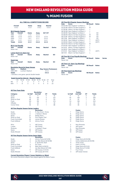### vs MIAMI FUSION

#### **ALL-TIME ALL-COMPETITIONS RECORD**

| Overall<br>$4 - 9 - 3$                                                                                                                        |                                                                                                                 | Home<br>$4 - 3 - 1$                                                                                        | Away<br>$0 - 6 - 2$                                                             | <b>Neutral</b><br>$0 - 0 - 0$                                           |           |  |  |
|-----------------------------------------------------------------------------------------------------------------------------------------------|-----------------------------------------------------------------------------------------------------------------|------------------------------------------------------------------------------------------------------------|---------------------------------------------------------------------------------|-------------------------------------------------------------------------|-----------|--|--|
| Year<br>1998<br>1999<br>2000<br>2001<br><b>Totals</b>                                                                                         | <b>MLS Regular Season</b><br>Overall<br>$1 - 3 - 0$<br>$2 - 2 - 0$<br>$1 - 1 - 2$<br>$0 - 3 - 1$<br>$4 - 9 - 3$ | Home<br>$1 - 1 - 0$<br>$2 - 0 - 0$<br>$1 - 0 - 1$<br>$0 - 2 - 0$<br>$4 - 3 - 1$                            | Away<br>$0 - 2 - 0$<br>$0 - 2 - 0$<br>$0 - 1 - 1$<br>$0 - 1 - 1$<br>$0 - 6 - 2$ | SO*/OT<br>٠<br>$2 - 2 - 0$<br>$0 - 0 - 2$<br>$0 - 0 - 1$<br>$2 - 2 - 3$ |           |  |  |
| <b>MLS Cup Playoffs</b><br>Overall<br><b>Series</b><br><b>Year</b><br>Home<br><b>Neutral</b><br>Away<br>Never met<br>Lamar Hunt U.S. Open Cup |                                                                                                                 |                                                                                                            |                                                                                 |                                                                         |           |  |  |
| Year<br>Never met                                                                                                                             | Overall                                                                                                         | Home                                                                                                       | Away                                                                            | <b>Neutral</b>                                                          | <b>SO</b> |  |  |
| <b>SuperLiga</b><br>Year<br>Never met                                                                                                         | Overall                                                                                                         | Home                                                                                                       | Away                                                                            | <b>Neutral</b>                                                          | <b>SO</b> |  |  |
| <b>Years</b><br>1998-2001<br><b>Totals</b>                                                                                                    | <b>Stadium</b>                                                                                                  | <b>Revolution Record at Away Venues</b><br>Lockhart Stadium<br>* Denotes a one-game, special double-header |                                                                                 | <b>Reg. Season Postseason</b><br>$0 - 6 - 2$<br>$0 - 6 - 2$             | ٠         |  |  |

|     | <b>Goals Scored by Interval - Regular Season</b> |                                             |  |                           |           |                               |          |       |  |  |
|-----|--------------------------------------------------|---------------------------------------------|--|---------------------------|-----------|-------------------------------|----------|-------|--|--|
|     |                                                  | 1-15  16-30  31-45  46-60  61-75  76-90  OT |  |                           |           |                               |          | Total |  |  |
| NF  |                                                  | $-3$                                        |  | $\mathbb{R}$ $\mathbb{R}$ |           | $\overline{4}$ $\overline{4}$ | $\Omega$ | 19    |  |  |
| MIA |                                                  |                                             |  |                           | $\Lambda$ | - 5 -                         |          | 23    |  |  |

| <b>All-Time MLS Regular Season Meetings</b> |                  |                 |               |  |  |  |  |  |
|---------------------------------------------|------------------|-----------------|---------------|--|--|--|--|--|
| Date<br>Score                               | <b>NE Result</b> | <b>Notes</b>    |               |  |  |  |  |  |
| 04/04/98 New England 1 at Miami 2           | L.               |                 |               |  |  |  |  |  |
| 04/25/98 Miami 0 at New England 3           | W                |                 |               |  |  |  |  |  |
| 07/26/98 Miami 2 at New England 1           | L                |                 |               |  |  |  |  |  |
| 08/30/98 New England 2 at Miami 3           | L                |                 |               |  |  |  |  |  |
| 03/28/99 New England 1 at Miami 1           | L                | SO <sub>2</sub> |               |  |  |  |  |  |
| 05/08/99 Miami 0 at New England 0           | W                | SO <sub>2</sub> |               |  |  |  |  |  |
| 06/13/99 Miami 3 at New England 3           | W                | SO.             |               |  |  |  |  |  |
| New England 1 at Miami 1<br>09/11/99        | L                | SO.             |               |  |  |  |  |  |
| 03/18/00 New England 1 at Miami 1           | T                | (2OT)           |               |  |  |  |  |  |
| 04/29/00 Miami 1 at New England 1           | т                | (2OT)           |               |  |  |  |  |  |
| 06/03/00 Miami 0 at New England 2           | W                |                 |               |  |  |  |  |  |
| 07/04/00 New England 1 at Miami 2           | L                |                 |               |  |  |  |  |  |
| 04/14/01 Miami 1 at New England 0           | L                |                 |               |  |  |  |  |  |
| 04/28/01 New England 0 at Miami 1           | L                |                 |               |  |  |  |  |  |
| New England 1 at Miami 1<br>07/21/01        | T                | (2OT)           |               |  |  |  |  |  |
| Miami 4 at New England 1<br>08/11/01        | L                |                 |               |  |  |  |  |  |
| <b>All-Time MLS Cup Playoffs Meetings</b>   |                  |                 |               |  |  |  |  |  |
| Date<br>Score                               | <b>NE Result</b> | <b>Notes</b>    | <b>Series</b> |  |  |  |  |  |
| Never met                                   |                  |                 |               |  |  |  |  |  |
|                                             |                  |                 |               |  |  |  |  |  |
| <b>All-Time U.S. Open Cup Meetings</b>      |                  |                 |               |  |  |  |  |  |
| Date<br><b>Score</b>                        | <b>NE Result</b> | <b>Notes</b>    |               |  |  |  |  |  |
| Never met                                   |                  |                 |               |  |  |  |  |  |
| <b>All-Time SuperLiga Meetings</b>          |                  |                 |               |  |  |  |  |  |
| Date<br><b>Score</b>                        | <b>NE Result</b> | <b>Notes</b>    |               |  |  |  |  |  |
| Never met                                   |                  |                 |               |  |  |  |  |  |
|                                             |                  |                 |               |  |  |  |  |  |
|                                             |                  |                 |               |  |  |  |  |  |

**Revolution Fusion**

#### **All-Time Team Stats**

|                      | <b>Revolution</b> |    |               |          | <b>Fusion</b> |    |               |
|----------------------|-------------------|----|---------------|----------|---------------|----|---------------|
| 1st Half<br>Category | 2nd Half          | ΟТ | <b>Totals</b> | 1st Half | 2nd Half      | OT | <b>Totals</b> |
| Goals<br>8           |                   |    | 19            |          | 12            |    | 23            |
| Shots<br>113         | 120               | Δ  | 237           | 94       | 109           |    | 206           |
| Shots on Goal<br>48  | 53                |    | 101           | 41       | 52            |    | 94            |
| <b>Fouls</b><br>120  | 152               |    | 274           | 114      | 108           |    | 223           |
| Offsides<br>25       | 23                |    | 49            | 32       | 30            |    | 64            |
| Corner Kicks<br>36   | 51                |    | 88            | 54       | 48            |    | 105           |

### **All-Time Regular Season Series Leaders**

|                        |    | Revolution             |                | <b>Fusion</b> |
|------------------------|----|------------------------|----------------|---------------|
| Goals                  | 3  | R. Diaz Arce/J. Torres | 7              | Diego Serna   |
| Assists                | 3  | J. Harkes/J. Moore     | 5              | Diego Serna   |
| Shots                  | 27 | <b>Wolde Harris</b>    | 37             | Diego Serna   |
| Shots on Goal          | 10 | Four Players Tied      | 16             | Diego Serna   |
| <b>Fouls Committed</b> | 20 | Leonel Alvarez         | 27             | Diego Serna   |
| <b>Fouls Suffered</b>  | 15 | Johnny Torres          | 31             | Diego Serna   |
| Wins                   | 3  | Jeff Causey            | 3              | Nick Rimando  |
| Losses                 | 4  | Jeff Causey            | 3              | Jeff Cassar   |
| Shutouts               |    | J. Causey/I. Feuer     | $\overline{c}$ | Nick Rimando  |
| <b>Saves</b>           | 35 | Jeff Causey            | 30             | Jeff Cassar   |
| Goals Allowed          | 11 | Jeff Causev            | 10             | Jeff Cassar   |
|                        |    |                        |                |               |

#### **All-Time Regular Season Series Game Highs**

|   | <b>Fusion</b>               |
|---|-----------------------------|
|   | Diego Serna (8/30/98)       |
| 3 | Carlos Valderrama (8/30/98) |
| 6 | Three Times                 |
| 5 | Preki (7/21/01)             |
| 8 | Diego Serna (8/11/01)       |
| 8 | Diego Serna (7/4/00)        |
|   | Four Times                  |
|   | Jeff Cassar (twice)         |
|   |                             |

**Current Revolution Players' Career Statistics vs. Miami** No current Revolution players have played against the Miami Fusion.

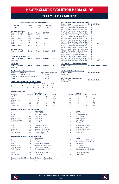### vs tampa bay mutiny

#### **ALL-TIME ALL-COMPETITIONS RECORD**

| Overall<br>$10 - 9 - 1$                                                                                        |                           | Home<br>$7 - 3 - 0$ | Away<br>$3 - 6 - 1$ | <b>Neutral</b><br>$0 - 0 - 0$ |               |  |  |
|----------------------------------------------------------------------------------------------------------------|---------------------------|---------------------|---------------------|-------------------------------|---------------|--|--|
|                                                                                                                | <b>MLS Regular Season</b> |                     |                     |                               |               |  |  |
| <b>Year</b>                                                                                                    | Overall                   | Home                | Away                | <b>SO*/OT</b>                 |               |  |  |
| 1996                                                                                                           | $1 - 3 - 0$               | $1 - 1 - 0$         | $0 - 2 - 0$         |                               |               |  |  |
| 1997                                                                                                           | $2 - 2 - 0$               | $2 - 0 - 0$         | $0 - 2 - 0$         |                               |               |  |  |
| 1998                                                                                                           | $4 - 0 - 0$               | $2 - 0 - 0$         | $2 - 0 - 0$         | $1 - 0 - 0$                   |               |  |  |
| 1999                                                                                                           | $1 - 3 - 0$               | $0 - 2 - 0$         | $1 - 1 - 0$         |                               |               |  |  |
| 2000                                                                                                           | $1 - 1 - 0$               | $1 - 0 - 0$         | $0 - 1 - 0$         |                               |               |  |  |
| 2001                                                                                                           | $1 - 0 - 1$               | $1 - 0 - 0$         | $0 - 0 - 1$         | $0 - 0 - 1$                   |               |  |  |
| <b>Totals</b>                                                                                                  | $10 - 9 - 1$              | $7 - 3 - 0$         | $3 - 6 - 1$         | $1 - 0 - 1$                   |               |  |  |
| <b>MLS Cup Playoffs</b><br><b>Year</b><br>Never met                                                            | Overall                   | Home                | Away                | <b>Neutral</b>                | <b>Series</b> |  |  |
| Lamar Hunt U.S. Open Cup<br>Overall<br><b>Neutral</b><br><b>Year</b><br>Home<br><b>SO</b><br>Away<br>Never met |                           |                     |                     |                               |               |  |  |
| <b>SuperLiga</b><br>Year<br>Never met                                                                          | Overall                   | Home                | Away                | <b>Neutral</b>                | <b>SO</b>     |  |  |

| Date<br>Never met    | <b>All-Time U.S. Open Cup Meetings</b><br>Score                                                                                                                                                                                                                                                                                                                                                      | <b>NE Result</b>                               | <b>Notes</b> |               |
|----------------------|------------------------------------------------------------------------------------------------------------------------------------------------------------------------------------------------------------------------------------------------------------------------------------------------------------------------------------------------------------------------------------------------------|------------------------------------------------|--------------|---------------|
| Date<br>Never met    | <b>All-Time MLS Cup Playoffs Meetings</b><br>Score                                                                                                                                                                                                                                                                                                                                                   | <b>NE Result Notes</b>                         |              | <b>Series</b> |
| 06/19/99<br>07/31/99 | 08/14/98 New England 1 at Tampa Bay 1<br>09/19/98 Tampa Bay 0 at New England 3<br>New England 3 at Tampa Bay 2<br>New England 1 at Tampa Bay 4<br>08/18/99 Tampa Bay 1 at New England 0<br>09/04/99 Tampa Bay 5 at New England 1<br>03/25/00 New England 0 at Tampa Bay 1<br>08/19/00 Tampa Bay 1 at New England 2<br>06/09/01 Tampa Bay 0 at New England 3<br>08/26/01 New England 0 at Tampa Bay 0 | W<br>W<br>W<br>L<br>г<br>L<br>г<br>W<br>W<br>Т | SO.<br>(2OT) |               |
|                      | 04/20/97 Tampa Bay 1 at New England 2<br>07/18/97 Tampa Bay 2 at New England 4<br>08/30/97 New England 0 at Tampa Bay 4<br>05/10/98 Tampa Bay 3 at New England 4<br>07/04/98 New England 3 at Tampa Bay 2                                                                                                                                                                                            | W<br>W<br>L<br>W<br>W                          |              |               |
|                      |                                                                                                                                                                                                                                                                                                                                                                                                      |                                                |              |               |

**All-Time SuperLiga Meetings**

Never met

**All-Time MLS Regular Season Meetings**

04/13/96 New England 2 at Tampa Bay 3 L<br>08/21/96 Tampa Bay 2 at New England 4 W 08/21/96 Tampa Bay 2 at New England 4 W<br>08/31/96 New England 1 at Tampa Bay 3 L 08/31/96 New England 1 at Tampa Bay 3 L<br>09/12/96 Tampa Bay 2 at New England 1 L 09/12/96 Tampa Bay 2 at New England 1 L<br>04/06/97 New England 0 at Tampa Bay 4 L 04/06/97 New England 0 at Tampa Bay 4 L<br>04/20/97 Tampa Bay 1 at New England 2 W

**Date Score NE Result Notes**

**Date Score NE Result Notes**

#### **Revolution Record at Away Venues Years Stadium Reg. Season Postseason Tampa Stadium**

| 1999-2001 | Raymond James Stadium                            | $1 - 2 - 1$ |  |
|-----------|--------------------------------------------------|-------------|--|
| Totals    |                                                  | $3 - 6 - 1$ |  |
|           | <b>Goals Scored by Interval - Regular Season</b> |             |  |

|  | 1-15 16-30 31-45 46-60 61-75 76-90 OT Total |  |  |  |
|--|---------------------------------------------|--|--|--|
|  | NE 1 6 4 6 9 9 0 35                         |  |  |  |
|  | TB 2 7 10 8 9 5 0 41                        |  |  |  |

#### **All-Time Team Stats**

|               |          | Revolution |    |               |          | Mutiny   |    |               |
|---------------|----------|------------|----|---------------|----------|----------|----|---------------|
| Category      | 1st Half | 2nd Half   | ΟТ | <b>Totals</b> | 1st Half | 2nd Half | OT | <b>Totals</b> |
| Goals         |          | 24         |    | 35            | 19       | 22       |    | 41            |
| Shots         | 133      | 171        |    | 306           | 107      | 125      |    | 234           |
| Shots on Goal | 60       | 85         |    | 146           | 62       | 59       |    | 122           |
| <b>Fouls</b>  | 150      | 157        |    | 307           | 127      | 133      |    | 260           |
| Offsides      | 35       | 31         |    | 68            | 41       | 38       |    | 80            |
| Corner Kicks  | 47       | 65         |    | 112           | 51       | 57       | 0  | 108           |

#### **All-Time Regular Season Series Leaders**

|                        |    | <b>Revolution</b>      |    | Mutiny                  |
|------------------------|----|------------------------|----|-------------------------|
| Goals                  | 5  | I. Baba/J. Moore       | 6  | <b>Roy Lassiter</b>     |
| <b>Assists</b>         | 5  | M. Burns/J. Moore      | 11 | Carlos Valderrama       |
| Shots                  | 38 | Imad Baba              | 19 | Steve Ralston           |
| Shots on Goal          | 20 | Imad Baba              | 13 | Martin Vasquez          |
| <b>Fouls Committed</b> | 18 | Alexi Lalas            | 17 | Steve Ralston           |
| <b>Fouls Suffered</b>  | 28 | Imad Baba              | 28 | Giuseppe Galderisi      |
| Wins                   | 3  | I. Feuer/W. Zenga      | 4  | M. Dougherty/S. Garlick |
| Losses                 | 3  | J. Causey/W. Zenga     | 3  | S. Garlick/D. Petras    |
| Shutouts               |    | J. Causey/J. Fernandez | 2  | M. Dougherty/S. Garlick |
| <b>Saves</b>           | 18 | A. Heaney/W. Zenga     | 49 | Scott Garlick           |
| Goals Allowed          | 17 | Walter Zenga           | 10 | Scott Garlick           |

#### **All-Time Regular Season Series Game Highs**

|                        |    | <b>Revolution</b>       |          | Mutiny                       |
|------------------------|----|-------------------------|----------|------------------------------|
| Goals                  |    | Six Times               | 3        | Musa Shannon (5/10/98)       |
| <b>Assists</b>         |    | <b>Five Times</b>       | 4        | Carlos Valderrama (8/30/97)  |
| <b>Shots</b>           | 9  | Wolde Harris (8/19/00)  | 6        | Four Times                   |
| Shots on Goal          |    | Joe-Max Moore (6/19/99) | 4        | <b>Five Times</b>            |
| <b>Fouls Committed</b> | 6  | Evans Wise (7/18/97)    |          | Evans Wise (4/13/96)         |
| <b>Fouls Suffered</b>  | 6  | Joe-Max Moore (7/4/98)  | 8        | Giuseppe Galderisi (8/31/96) |
| Saves                  | 10 | lan Feuer (8/14/98)     | $12^{1}$ | Scott Garlick (8/19/00)      |
| Goals Allowed          |    | Four Times              | 4        | <b>Three Times</b>           |
|                        |    |                         |          |                              |

#### **Current Revolution Players Career Statistics vs. Tampa Bay**

No current Revolution players have played against the Tampa Bay Mutiny.

| Mutiny<br><b>Roy Lassiter</b><br>Carlos Valderrama<br><b>Steve Ralston</b><br>Martin Vasquez<br><b>Steve Ralston</b><br>Giuseppe Galderisi |
|--------------------------------------------------------------------------------------------------------------------------------------------|
| M. Dougherty/S. Garlick<br>S. Garlick/D. Petras<br>M. Dougherty/S. Garlick<br>Scott Garlick<br>Scott Garlick                               |
| Mutinv<br>Musa Shannon (5/10/98)<br>Carlos Valderrama (8/30/97<br><b>Four Times</b><br><b>Five Times</b><br>Evans Wise (4/13/96)           |

| Evans Wise (4/13/96) |  |
|----------------------|--|
|----------------------|--|

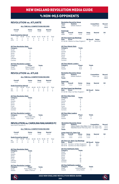### vs non-mls opponents

### **REVOLUTION vs. ATLANTE**

#### **ALL-TIME ALL-COMPETITIONS RECORD**

| Overall<br>$1 - 0 - 0$ |          | Home<br>$1 - 0 - 0$             |           | Away<br>$1 - 0 - 0$ |  | <b>Neutral</b><br>$0 - 0 - 0$ |    |       |
|------------------------|----------|---------------------------------|-----------|---------------------|--|-------------------------------|----|-------|
|                        |          | <b>Goals Scored by Interval</b> |           |                     |  |                               |    |       |
|                        | $1 - 15$ | $16 - 30$                       | $31 - 45$ | $46 - 60$           |  | 61-75 76-90                   | ΩT | Total |
| <b>NF</b>              | 0        |                                 |           |                     |  |                               |    |       |
| <b>ATN</b>             |          |                                 |           |                     |  |                               |    |       |

#### **All-Time Revolution Stats**

| <b>Category</b> | <b>Totals</b>  |  |
|-----------------|----------------|--|
| Goals           |                |  |
| Assists         |                |  |
| Shots           | 17             |  |
| Saves           | 4              |  |
| Fouls           | 17             |  |
| Offsides        | $\overline{2}$ |  |
| Corners         | $\mathfrak{p}$ |  |
|                 |                |  |

#### **All-Time Revolution Leaders**

| Category | <b>Player</b>        | <b>Totals</b> |  |
|----------|----------------------|---------------|--|
| Goals    | Shalrie Joseph       |               |  |
| Assists  | <b>Steve Ralston</b> |               |  |

### **REVOLUTION vs. ATLAS**

#### **ALL-TIME ALL-COMPETITIONS RECORD**

| Overall     |          |                                 | Home        |           | Away        |             | <b>Neutral</b> |       |
|-------------|----------|---------------------------------|-------------|-----------|-------------|-------------|----------------|-------|
| $1 - 0 - 0$ |          |                                 | $1 - 0 - 0$ |           | $0 - 0 - 0$ |             | $0 - 0 - 0$    |       |
|             |          | <b>Goals Scored by Interval</b> |             |           |             |             |                |       |
|             | $1 - 15$ | $16 - 30$                       | $31 - 45$   | $46 - 60$ |             | 61-75 76-90 | ΩT             | Total |
| <b>NF</b>   | 0        |                                 |             |           |             |             |                |       |
| ΔTΙ         | Ω        |                                 |             |           |             |             |                |       |

#### **All-Time Revolution Stats**

| Category | <b>Totals</b> |
|----------|---------------|
| Goals    |               |
| Assists  |               |
| Shots    | 6             |
| Saves    | 6             |
| Fouls    | 18            |
| Offsides | 1             |
| Corners  | 3             |

#### **All-Time Revolution Leaders**

| Category       | <b>Plaver</b>  | <b>Totals</b> |  |
|----------------|----------------|---------------|--|
| Goals          | Kenny Mansally |               |  |
| <b>Assists</b> | Kheli Dube     |               |  |

#### **REVOLUTION vs. CAROLINA RAILHAWKS FC** *Now North Carolina FC*

#### **ALL-TIME ALL-COMPETITIONS RECORD**

| Overall<br>$2 - 0 - 0$ |          |                                 | Home<br>$1 - 0 - 0$ |           | Away<br>$1 - 0 - 0$ |   | <b>Neutral</b><br>$0 - 0 - 0$ |       |
|------------------------|----------|---------------------------------|---------------------|-----------|---------------------|---|-------------------------------|-------|
|                        |          | <b>Goals Scored by Interval</b> |                     |           |                     |   |                               |       |
|                        | $1 - 15$ | $16 - 30$                       | $31 - 45$           | $46 - 60$ | 61-75 76-90         |   | ΩT                            | Total |
| <b>NF</b>              | Ω        | Ω                               |                     |           |                     | 0 |                               |       |
| ∩∆R                    |          |                                 |                     |           |                     |   |                               |       |

#### **All-Time Revolution Stats**

| Category       | <b>Totals</b> |
|----------------|---------------|
| Goals          | 3             |
| <b>Assists</b> | 3             |
| Shots          | 30            |
| Saves          | 10            |
| Fouls          | 32            |
| Offsides       | 11            |
| Corners        | 12            |

#### **All-Time Revolution Leaders**

| <b>Datchold</b> | .                  |   |
|-----------------|--------------------|---|
| Goals           | Three Players Tied |   |
| Assists         | Adam Cristman      | 2 |

| Category | Player             | <b>Totals</b> |
|----------|--------------------|---------------|
| Goals    | Three Players Tied |               |
| Assists  | Adam Cristman      |               |

| Years<br>2008       | <b>Revolution Record by Venue</b><br><b>Stadium</b> | Gillette Stadium                                                    |                     | <b>Competition</b><br>SuperLiga                                    | <b>Record</b><br>$1 - 0 - 0$ |
|---------------------|-----------------------------------------------------|---------------------------------------------------------------------|---------------------|--------------------------------------------------------------------|------------------------------|
| <b>Totals</b>       |                                                     |                                                                     |                     |                                                                    | $1 - 0 - 0$                  |
| SuperLiga           |                                                     |                                                                     |                     |                                                                    |                              |
| Year                | Overall                                             | Home                                                                | Away                | <b>Neutral</b>                                                     | SO                           |
| 2008                | $1 - 0 - 0$                                         | $1 - 0 - 0$                                                         | $0 - 0 - 0$         |                                                                    |                              |
|                     | <b>All-Time SuperLiga Meetings</b>                  |                                                                     |                     |                                                                    |                              |
| <b>Date</b>         | <b>Score</b>                                        |                                                                     | <b>NE Result</b>    | <b>Notes</b>                                                       |                              |
|                     |                                                     | 07/30/08 Atlante 0 at New England 1                                 | W                   | Semifinal                                                          |                              |
|                     |                                                     |                                                                     |                     |                                                                    |                              |
|                     | <b>All-Time Atlante Stats</b>                       |                                                                     |                     |                                                                    |                              |
| Category<br>Goals   |                                                     | <b>Totals</b><br>$\Omega$                                           |                     |                                                                    |                              |
| Assists             |                                                     | $\Omega$                                                            |                     |                                                                    |                              |
| Shots               |                                                     | $\mathbf{a}$                                                        |                     |                                                                    |                              |
| Saves<br>Fouls      |                                                     | 4<br>23                                                             |                     |                                                                    |                              |
| Offsides            |                                                     | 7                                                                   |                     |                                                                    |                              |
| Corners             |                                                     | 6                                                                   |                     |                                                                    |                              |
|                     |                                                     |                                                                     |                     |                                                                    |                              |
| Category            | <b>All-Time Atlante Leaders</b>                     | .<br>Player                                                         | <b>Totals</b>       |                                                                    |                              |
| Goals               |                                                     | N/A                                                                 | $\Omega$            |                                                                    |                              |
| Assists             |                                                     | N/A                                                                 | $\overline{0}$      |                                                                    |                              |
|                     | <b>Revolution Record by Venue</b>                   |                                                                     |                     |                                                                    |                              |
| Years               | <b>Stadium</b>                                      |                                                                     |                     | <b>Competition</b>                                                 | Record                       |
| 2008                |                                                     | Gillette Stadium                                                    |                     | SuperLiga                                                          | $1 - 0 - 0$                  |
| <b>Totals</b>       |                                                     |                                                                     |                     |                                                                    | $1 - 0 - 0$                  |
| <b>SuperLiga</b>    |                                                     |                                                                     |                     |                                                                    |                              |
| Year                | Overall                                             | Home                                                                | Away                | <b>Neutral</b>                                                     | <b>SO</b>                    |
| 2008                | $1 - 0 - 0$                                         | $1 - 0 - 0$                                                         | $0 - 0 - 0$         |                                                                    |                              |
|                     | <b>All-Time SuperLiga Meetings</b>                  |                                                                     |                     |                                                                    |                              |
| Date                | <b>Score</b>                                        |                                                                     | <b>NE Result</b>    | <b>Notes</b>                                                       |                              |
|                     |                                                     | 07/30/08 Atlas 0 at New England 1                                   | W                   |                                                                    |                              |
|                     | <b>All-Time Atlas Stats</b>                         |                                                                     |                     |                                                                    |                              |
| Category            |                                                     | <b>Totals</b>                                                       |                     |                                                                    |                              |
| Goals               |                                                     | $\mathbf 0$                                                         |                     |                                                                    |                              |
| Assists<br>Shots    |                                                     | $\Omega$<br>8                                                       |                     |                                                                    |                              |
| Saves               |                                                     | $\Delta$                                                            |                     |                                                                    |                              |
| Fouls               |                                                     | 23                                                                  |                     |                                                                    |                              |
| Offsides<br>Corners |                                                     | 7<br>6                                                              |                     |                                                                    |                              |
|                     |                                                     |                                                                     |                     |                                                                    |                              |
|                     | <b>All-Time Atlas Leaders</b>                       |                                                                     |                     |                                                                    |                              |
| Category<br>Goals   |                                                     | Player<br>N/A                                                       | <b>Totals</b><br>0  |                                                                    |                              |
| Assists             |                                                     | N/A                                                                 | $\overline{0}$      |                                                                    |                              |
|                     |                                                     |                                                                     |                     |                                                                    |                              |
|                     | <b>Revolution Record by Venue</b>                   |                                                                     |                     |                                                                    |                              |
| Years<br>2009       | Stadium                                             |                                                                     |                     | Competition<br>Veterans Stadium (New Britian, Conn.) U.S. Open Cup | Record<br>$1 - 0 - 0$        |
| 2016                |                                                     |                                                                     |                     | WakeMed Soccer Park (Cary, N.C.) U.S. Open Cup                     | $1 - 0 - 0$                  |
| <b>Totals</b>       |                                                     |                                                                     |                     |                                                                    | $2 - 0 - 0$                  |
|                     | amar Hunt U.S. Open Cup                             |                                                                     |                     |                                                                    |                              |
| Year<br>2007        | Overall<br>$1 - 0 - 0$                              | Home<br>$1 - 0 - 0$                                                 | Away<br>$0 - 0 - 0$ | <b>Neutral</b>                                                     | SO                           |
| 2016                | $1 - 0 - 0$                                         | $0 - 0 - 0$                                                         | $1 - 0 - 0$         |                                                                    |                              |
|                     |                                                     | All-Time U.S. Open Cup Meetings                                     |                     |                                                                    |                              |
| Date                | Score                                               |                                                                     | <b>NE Result</b>    | <b>Notes</b>                                                       |                              |
| 08/12/07            |                                                     | Carolina 1 at New England 2<br>06/15/16 Carolina 0 at New England 1 | W<br>W              | AET<br>AET                                                         |                              |
|                     |                                                     |                                                                     |                     |                                                                    |                              |
|                     | <b>All-Time RailHawks Stats</b>                     | <b>Totals</b>                                                       |                     |                                                                    |                              |
| Category<br>Goals   |                                                     | 1                                                                   |                     |                                                                    |                              |
| <b>Assists</b>      |                                                     | 1                                                                   |                     |                                                                    |                              |
| Shots<br>Saves      |                                                     | 26<br>7                                                             |                     |                                                                    |                              |
| Fouls               |                                                     | 26                                                                  |                     |                                                                    |                              |
| Offsides            |                                                     | 16                                                                  |                     |                                                                    |                              |
| Corners             |                                                     | 13                                                                  |                     |                                                                    |                              |
|                     | <b>All-Time RailHawks Leaders</b>                   |                                                                     |                     |                                                                    |                              |
| Category            |                                                     | Player                                                              | <b>Totals</b>       |                                                                    |                              |
| Goals<br>Assists    |                                                     | Anthony Maher<br>Jonny Steele                                       | 1<br>1              |                                                                    |                              |
|                     |                                                     |                                                                     |                     |                                                                    |                              |



R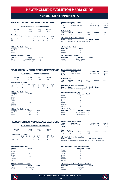### vs non-mls opponents

### **REVOLUTION vs. CHARLESTON BATTERY**

**ALL-TIME ALL-COMPETITIONS RECORD**

| Overall<br>$1 - 0 - 0$ |          |                                 | Home<br>$1 - 0 - 0$ |           | Away<br>$0 - 0 - 0$ |             | <b>Neutral</b><br>$0 - 0 - 0$ |       |
|------------------------|----------|---------------------------------|---------------------|-----------|---------------------|-------------|-------------------------------|-------|
|                        |          | <b>Goals Scored by Interval</b> |                     |           |                     |             |                               |       |
|                        | $1 - 15$ | $16 - 30$                       | $31 - 45$           | $46 - 60$ |                     | 61-75 76-90 | OT                            | Total |
| <b>NF</b>              | 0        |                                 |                     |           |                     |             |                               | 2     |
| CB                     | Λ        |                                 |                     |           |                     |             |                               |       |

|  | <b>All-Time Revolution Stats</b> |  |
|--|----------------------------------|--|
|  |                                  |  |

**Category Totals**<br>Goals 2 Goals 2<br>Assists 2 **Assists** 

#### **All-Time Revolution Leaders**

| Category       | Player             | <b>Totals</b> |
|----------------|--------------------|---------------|
| Goals          | S. Asad/J. Torres  |               |
| <b>Assists</b> | Steve Chronopolous |               |

| Years<br>2001<br><b>Totals</b> | <b>Stadium</b>         | Foxboro Stadium                                                           | <b>Competition</b><br>U.S. Open Cup | Record<br>$1 - 0 - 0$<br>$1 - 0 - 0$ |                |
|--------------------------------|------------------------|---------------------------------------------------------------------------|-------------------------------------|--------------------------------------|----------------|
| U.S. Open Cup<br>Year<br>2001  | Overall<br>$1 - 0 - 0$ | Home<br>$1 - 0 - 0$                                                       | Away<br>$0 - 0 - 0$                 | <b>Neutral</b>                       | <b>SO</b><br>۰ |
| Date<br>07/11/01               | Score                  | <b>All-Time U.S. Open Cup Meetings</b><br>Charlocton 1 at Now England 2 M | <b>NE Result</b>                    | <b>Notes</b>                         |                |

07/11/01 Charleston 1 at New England 2 W

**All-Time Battery Stats Category Totals** Goals 1<br>Assists 0 Assists 0

**Revolution Record by Venue**

| <b>All-Time Battery Leaders</b> |               |               |  |  |
|---------------------------------|---------------|---------------|--|--|
| Category                        | <b>Player</b> | <b>Totals</b> |  |  |
| Goals                           | Paul Conway   |               |  |  |
| Assists                         | N/A           | n             |  |  |

#### **ALL-TIME ALL-COMPETITIONS RECORD**

| Overall<br>$0 - 1 - 0$ |          | Home<br>$0 - 1 - 0$             |           | Away<br>$0 - 0 - 0$ |  | <b>Neutral</b><br>$0 - 0 - 0$ |    |       |
|------------------------|----------|---------------------------------|-----------|---------------------|--|-------------------------------|----|-------|
|                        |          | <b>Goals Scored by Interval</b> |           |                     |  |                               |    |       |
|                        | $1 - 15$ | $16 - 30$                       | $31 - 45$ | $46 - 60$           |  | 61-75 76-90                   | OT | Total |
| <b>NF</b>              |          | Ω                               |           | O                   |  |                               |    | Ω     |
|                        |          |                                 |           |                     |  |                               |    |       |

### **All-Time Revolution Stats**

| Category | <b>Totals</b>  |
|----------|----------------|
| Goals    | n              |
| Assists  | 0              |
| Shots    | 9              |
| Saves    | $\mathfrak{p}$ |
| Fouls    | 14             |
| Offsides | 1              |
| Corners  |                |
|          |                |

#### **All-Time Revolution Leaders Category Player Totals**

| ------  | .   | . |
|---------|-----|---|
| Goals   | N/A | 0 |
| Assists | N/A | 0 |
|         |     |   |

### **REVOLUTION vs. CRYSTAL PALACE BALTIMORE Revolution Record by Venue**

|     | Overall<br>$0 - 0 - 1$ |                                 | Home<br>$0 - 0 - 1$ |           | Away<br>$0 - 0 - 0$ |             | <b>Neutral</b><br>$0 - 0 - 0$ |       |
|-----|------------------------|---------------------------------|---------------------|-----------|---------------------|-------------|-------------------------------|-------|
|     |                        | <b>Goals Scored by Interval</b> |                     |           |                     |             |                               |       |
|     | $1 - 15$               | 16-30                           | $31 - 45$           | $46 - 60$ |                     | 61-75 76-90 | OT                            | Total |
| NF  |                        |                                 | 0                   | 0         | n                   |             |                               |       |
| CPR |                        |                                 |                     |           |                     |             |                               |       |

#### **All-Time Revolution Stats**

| Category       | <b>Totals</b> |
|----------------|---------------|
| Goals          |               |
| <b>Assists</b> |               |
| Shots          | 26            |
| Saves          | 5             |
| Fouls          | 11            |
| Offsides       | 4             |
| Corners        | 5             |
|                |               |

#### **All-Time Revolution Leaders**

| Category | <b>Player</b>        | <b>Totals</b> |
|----------|----------------------|---------------|
| Goals    | Kenny Mansally       |               |
| Assists  | <b>Brandon Tyler</b> |               |

|                                 |                                  |             | <b>REVOLUTION vs. CHARLOTTE INDEPENDENCE</b> |                       | <b>Revolution Record by Venue</b> |                |             |                    |                            |
|---------------------------------|----------------------------------|-------------|----------------------------------------------|-----------------------|-----------------------------------|----------------|-------------|--------------------|----------------------------|
|                                 |                                  |             |                                              | <b>Years</b>          | <b>Stadium</b>                    |                |             | <b>Competition</b> | Record                     |
|                                 | ALL-TIME ALL-COMPETITIONS RECORD |             |                                              | 2015<br><b>Totals</b> |                                   | Soldiers Field |             | U.S. Open Cup      | $0 - 1 - 0$<br>$0 - 1 - 0$ |
| Overall                         | Home                             | Away        | <b>Neutral</b>                               |                       |                                   |                |             |                    |                            |
| $0 - 1 - 0$                     | $0 - 1 - 0$                      | $0 - 0 - 0$ | $0 - 0 - 0$                                  |                       | <b>U.S. Open Cup</b>              |                |             |                    |                            |
|                                 |                                  |             |                                              | Year                  | Overall                           | Home           | Away        | <b>Neutral</b>     | <b>SO</b>                  |
| <b>Coale Scored by Interval</b> |                                  |             |                                              | 2015                  | $0 - 1 - 0$                       | $0 - 1 - 0$    | $0 - 0 - 0$ |                    |                            |

### **All-Time U.S. Open Cup Meetings**

**Date Score NE Result Notes** 06/17/15 Charlotte 1 at New England 0 L

| <b>All-Time Independence Stats</b>   |                 |               |  |  |  |
|--------------------------------------|-----------------|---------------|--|--|--|
|                                      | <b>Category</b> | <b>Totals</b> |  |  |  |
| Goals                                |                 |               |  |  |  |
| Assists                              |                 |               |  |  |  |
| Shots                                | 8               |               |  |  |  |
| Saves                                | $\overline{2}$  |               |  |  |  |
| Fouls                                | 12              |               |  |  |  |
| Offsides                             | 3               |               |  |  |  |
| Corners                              | 3               |               |  |  |  |
| <b>All-Time Independence Leaders</b> |                 |               |  |  |  |

#### **All-Time Independence Leaders Category Player Totals** Goals Jorge Herrera 1<br>Assists Alex Martinez 1 Alex Martinez

| Years                            | <b>Stadium</b> |  | <b>Competition</b> | <b>Record</b> |
|----------------------------------|----------------|--|--------------------|---------------|
| 2008                             | Soldiers Field |  | U.S. Open Cup      | $0 - 0 - 1$   |
| <b>Totals</b>                    |                |  |                    | $0 - 0 - 1$   |
| <b>U.S. Open Cup</b><br>$\cdots$ | . .            |  | .                  |               |

#### **Year Overall Home Away Neutral SO**  $0 - 0 - 1$

**All-Time U.S. Open Cup Meetings Date Score NE Result Notes** 07/08/08 Crystal Palace Balt. 1 at New England 1 T W in PKs, 5-3

### **All-Time Crystal Palace Baltimore Stats**

|          | Category | <b>Totals</b> |
|----------|----------|---------------|
| Goals    |          |               |
| Assists  |          |               |
| Shots    | 26       |               |
| Saves    |          |               |
| Fouls    | 26       |               |
| Offsides | 16       |               |
| Corners  | 13       |               |

### **All-Time Crystal Palace Baltimore Leaders**

**Category Player Totals** Goals Dan Lader 1 Goals **Dan Lader** 1<br>Assists **N/A** 0



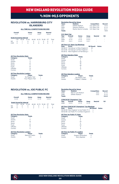### vs non-mls opponents

### **REVOLUTION vs. HARRISBURG CITY ISLANDERS**

#### **ALL-TIME ALL-COMPETITIONS RECORD**

|           | Overall<br>$1 - 1 - 1$ |                                 | Home<br>$1 - 1 - 0$ |           | Away<br>$0 - 0 - 1$ | <b>Neutral</b><br>$0 - 0 - 0$ |       |
|-----------|------------------------|---------------------------------|---------------------|-----------|---------------------|-------------------------------|-------|
|           |                        | <b>Goals Scored by Interval</b> |                     |           |                     |                               |       |
|           | $1 - 15$               | $16 - 30$                       | $31 - 45$           | $46 - 60$ | 61-75 76-90         | ΩT                            | Total |
| <b>NF</b> |                        |                                 |                     |           |                     | Ω                             | 2     |
| HAR       |                        |                                 |                     |           |                     |                               |       |

#### **All-Time Revolution Stats**

| Category | <b>Totals</b> |
|----------|---------------|
| Goals    | 6             |
| Assists  | 4             |
| Shots    | 41            |
| Saves    | 9             |
| Fouls    | 41            |
| Offsides | 14            |
| Corners  | 12            |

| <b>All-Time Revolution Leaders</b> |                   |               |  |  |  |
|------------------------------------|-------------------|---------------|--|--|--|
| Category                           | <b>Player</b>     | <b>Totals</b> |  |  |  |
| Goals                              | Six Players Tied  |               |  |  |  |
| <b>Assists</b>                     | Four Players Tied |               |  |  |  |

### **REVOLUTION vs. JOE PUBLIC FC**

#### **ALL-TIME ALL-COMPETITIONS RECORD**

|                                 | Overall<br>$0 - 2 - 0$ |           | Home<br>$0 - 1 - 0$ |           | Away<br>$0 - 1 - 0$ |             | <b>Neutral</b><br>$0 - 0 - 0$ |       |
|---------------------------------|------------------------|-----------|---------------------|-----------|---------------------|-------------|-------------------------------|-------|
| <b>Goals Scored by Interval</b> |                        |           |                     |           |                     |             |                               |       |
|                                 | $1 - 15$               | $16 - 30$ | $31 - 45$           | $46 - 60$ |                     | 61-75 76-90 | ΩT                            | Total |
| NF                              | 0                      | Ω         |                     |           |                     |             |                               |       |
| IPE                             | Ω                      |           |                     |           |                     |             |                               | ĥ     |

#### **All-Time Revolution Stats**

| Category | <b>Totals</b> |
|----------|---------------|
| Goals    |               |
| Assists  | 0             |
| Shots    | 15            |
| Saves    | 7             |
| Fouls    | 22            |
| Offsides | 3             |
| Corners  | 5             |

### **All-Time Revolution Leaders Category Player Totals**

| Goals   | Mauricio Castro |  |
|---------|-----------------|--|
| Assists | N/A             |  |

| <b>U.S. Open Cup</b><br>Overall | Gillette Stadium<br>Veterans Stadium<br>Skyline Sports Complex |             | U.S. Open Cup<br>U.S. Open Cup<br>U.S. Open Cup |                                          | $1 - 0 - 0$<br>$0 - 1 - 0$<br>$0 - 0 - 1$<br>$1 - 1 - 1$ |
|---------------------------------|----------------------------------------------------------------|-------------|-------------------------------------------------|------------------------------------------|----------------------------------------------------------|
|                                 |                                                                |             |                                                 |                                          |                                                          |
|                                 |                                                                |             |                                                 |                                          |                                                          |
|                                 |                                                                |             |                                                 |                                          |                                                          |
|                                 |                                                                |             |                                                 |                                          |                                                          |
|                                 | Home                                                           | Away        |                                                 | <b>Neutral</b>                           | SO                                                       |
| $1 - 0 - 0$                     | $1 - 0 - 0$                                                    | $0 - 0 - 0$ |                                                 |                                          | ۰                                                        |
| $0 - 1 - 0$                     | $0 - 1 - 0$                                                    | $0 - 0 - 0$ |                                                 |                                          | ۰                                                        |
|                                 | $0 - 0 - 0$                                                    |             |                                                 |                                          | ۰                                                        |
|                                 |                                                                |             |                                                 |                                          |                                                          |
|                                 | $0 - 0 - 1$                                                    |             | <b>All-Time U.S. Open Cup Meetings</b>          | $0 - 0 - 1$<br><b>NE Result</b><br>Score | <b>Notes</b>                                             |

#### **All-Time U.S. Ope**<br>Date Score

| ----- |                                        | -------- | 1.1.1.1.1 |
|-------|----------------------------------------|----------|-----------|
|       | 08/08/07 Harrisburg 1 at New England 2 | w        |           |
|       | 05/12/09 Harrisburg 2 at New England 1 | Ш        |           |
|       | 05/29/12 New England 3 at Harrisburg 3 | п        |           |
|       |                                        |          |           |

#### **All-Time Islanders Stats**

| Category | <b>Totals</b>  |
|----------|----------------|
| Goals    | 6              |
| Assists  | $\mathfrak{p}$ |
| Shots    | 36             |
| Saves    | 10             |
| Fouls    | 40             |
| Offsides | 9              |
| Corners  | 12             |

#### **All-Time Islanders Leaders**

| Category       | <b>Player</b>           | <b>Totals</b> |
|----------------|-------------------------|---------------|
| Goals          | Six Players Tied        |               |
| <b>Assists</b> | T. Mellor/ J. Pelletier | Ω             |

#### **Revolution Record by Venue**

| Years         | <b>Stadium</b>                 |           | <b>Competition</b>         | <b>Record</b> |
|---------------|--------------------------------|-----------|----------------------------|---------------|
| 2008          | Marvin Lee Stadium             |           | CCC                        | $0 - 1 - 0$   |
| 2008          | Gillette Stadium               |           | CCC                        | $0 - 1 - 0$   |
| <b>Totals</b> |                                |           |                            | $0 - 2 - 0$   |
|               | <b>CONCACAF Champions' Cup</b> |           |                            |               |
| $M = -$       | $11 - 12 = 12$                 | 1.1.1.1.1 | <b>Million Association</b> | $\sim$        |

### **Year Overall Home Away Neutral SO** 2008 0-2-0 0-1-0 0-1-0 - -

#### **All-Time CONCACAF Champions' Cup Meetings**

**Date Score NE Result Notes** 08/26/08 New England 1 at Joe Public FC 2 L 09/02/08 Joe Public FC 4 at New England 0 L

#### **All-Time Joe Public FC Stats**

| Category | <b>Totals</b> |
|----------|---------------|
| Goals    | 6             |
| Assists  | 5             |
| Shots    | 24            |
| Saves    | 6             |
| Fouls    | 24            |
| Offsides | 9             |
| Corners  | 6             |
|          |               |

### **All-Time Joe Public FC Leaders**

| Category | <b>Player</b>      | <b>Totals</b>            |
|----------|--------------------|--------------------------|
| Goals    | Gregory Richardson | 4                        |
| Assists  | Kerry Baptiste     | $\overline{\phantom{a}}$ |



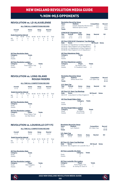### vs non-mls opponents

### **REVOLUTION vs. LD ALAJUELENSE**

**ALL-TIME ALL-COMPETITIONS RECORD**

|                                 | Overall<br>$1 - 2 - 1$ |           | Home<br>$0 - 1 - 1$ |           | Away<br>$1 - 1 - 0$ |             | <b>Neutral</b><br>$0 - 0 - 0$ |       |
|---------------------------------|------------------------|-----------|---------------------|-----------|---------------------|-------------|-------------------------------|-------|
| <b>Goals Scored by Interval</b> |                        |           |                     |           |                     |             |                               |       |
|                                 | $1 - 15$               | $16 - 30$ | $31 - 45$           | $46 - 60$ |                     | 61-75 76-90 | ΩT                            | Total |
| <b>NF</b>                       | 0                      |           |                     |           | Λ                   |             |                               | 3     |
| I DA                            |                        |           |                     |           |                     | з           |                               | 6     |

#### **All-Time Revolution Stats**

| Category                    | <b>Totals</b> |  |
|-----------------------------|---------------|--|
| Goals                       |               |  |
| Assists                     | Λ             |  |
| All-Time Pevelution Leaders |               |  |

| All-Tillie Hevolution Eeguels |                    |               |  |  |
|-------------------------------|--------------------|---------------|--|--|
| Category                      | <b>Player</b>      | <b>Totals</b> |  |  |
| Goals                         | Three Players Tied |               |  |  |
| <b>Assists</b>                | N/A                |               |  |  |

### **REVOLUTION vs. LONG ISLAND ROUGH RIDERS**

**ALL-TIME ALL-COMPETITIONS RECORD**

|           | Overall<br>$0 - 1 - 0$ |                                 | Home<br>$0 - 1 - 0$ |           | Away<br>$0 - 0 - 0$ |             | <b>Neutral</b><br>$0 - 0 - 0$ |       |
|-----------|------------------------|---------------------------------|---------------------|-----------|---------------------|-------------|-------------------------------|-------|
|           |                        | <b>Goals Scored by Interval</b> |                     |           |                     |             |                               |       |
|           | $1 - 15$               | $16 - 30$                       | $31 - 45$           | $46 - 60$ |                     | 61-75 76-90 | ΩT                            | Total |
| <b>NF</b> |                        |                                 | 0                   |           | 0                   | n           | Ω                             | 3     |
| I IR      | Ω                      | Ω                               |                     | Ω         |                     |             |                               | 4     |

**All-Time Revolution Stats Category Totals** Category Tota<br>Goals 3<br>Assists 3 **Assists** 

| <b>All-Time Revolution Leaders</b> |                    |               |  |  |  |
|------------------------------------|--------------------|---------------|--|--|--|
| Category                           | Player             | <b>Totals</b> |  |  |  |
| Goals                              | Three Players Tied |               |  |  |  |
| Assists                            | Joe-Max Moore      | っ             |  |  |  |

### **REVOLUTION vs. LOUISVILLE CITY FC**

#### **ALL-TIME ALL-COMPETITIONS RECORD**

|                                            | Overall<br>$0 - 1 - 0$ |                                              | Home<br>$0 - 0 - 0$ |                | Away<br>$0 - 1 - 0$ |                       | <b>Neutral</b><br>$0 - 0 - 0$ |                 |
|--------------------------------------------|------------------------|----------------------------------------------|---------------------|----------------|---------------------|-----------------------|-------------------------------|-----------------|
| <b>NF</b><br>$\overline{1}$ $\overline{0}$ | $1 - 15$               | <b>Goals Scored by Interval</b><br>$16 - 30$ | $31 - 45$<br>Ω      | $46 - 60$<br>o |                     | 61-75 76-90<br>n<br>O | ΩT<br>o                       | Total<br>2<br>3 |

| <b>All-Time Revolution Stats</b> |               |  |  |  |
|----------------------------------|---------------|--|--|--|
| Category                         | <b>Totals</b> |  |  |  |
| Goals                            | 2             |  |  |  |
| Assists                          | O             |  |  |  |

| <b>All-Time Revolution Leaders</b> |              |               |  |  |
|------------------------------------|--------------|---------------|--|--|
| Category                           | Player       | <b>Totals</b> |  |  |
| Goals                              | Mark Seabers |               |  |  |
| Assists                            | N/A          | Ω             |  |  |

| <b>Years</b>  |                                                  | <b>Stadium</b>                |             | <b>Competition</b> | Record       |
|---------------|--------------------------------------------------|-------------------------------|-------------|--------------------|--------------|
| 2003          |                                                  | Estadio Alejandro Morena Soto |             | <b>CCL</b>         | $1 - 2 - 0$  |
| 2006          |                                                  | National Sports Centre        |             | <b>CCL</b>         | $0 - 0 - 1$  |
| <b>Totals</b> |                                                  |                               |             |                    | $1 - 2 - 1$  |
|               | <b>CONCACAF Champions' Cup</b>                   |                               |             |                    |              |
| <b>Year</b>   | Overall                                          | Home                          | Awav        | <b>Neutral</b>     | so           |
| 2003          | $1 - 0 - 0$                                      | $1 - 0 - 0$                   | $0 - 0 - 0$ |                    |              |
| 2006          | $0 - 1 - 0$                                      | $0 - 1 - 0$                   | $0 - 0 - 0$ |                    |              |
|               | <b>All-Time CONCACAF Champions' Cup Meetings</b> |                               |             |                    |              |
| Date          | <b>Score</b>                                     |                               |             | <b>NF Result</b>   | <b>Notes</b> |
|               | 03/23/03 LD Alajuelense 4 at New England 0       |                               |             | L                  |              |
|               | 03/26/03 New England 3 at LD Alajuelense 1       |                               |             | W                  |              |
|               | 02/22/06 LD Alajuelense 0 at New England 0       |                               |             | T                  |              |
|               | 03/08/06 New England 0 at LD Alajuelense 1       |                               |             | L                  |              |
|               | <b>All-Time Alajuelense Stats</b>                |                               |             |                    |              |
| Category      |                                                  | <b>Totals</b>                 |             |                    |              |
|               |                                                  | 6                             |             |                    |              |
| Goals         |                                                  |                               |             |                    |              |

| <b>All-Time Anguerense Ecuders</b> |                     |               |  |  |
|------------------------------------|---------------------|---------------|--|--|
| Category                           | <b>Player</b>       | <b>Totals</b> |  |  |
| Goals                              | Six Players Tied    |               |  |  |
| Assists                            | R. Fonseca/E. Scott | 2             |  |  |

| Years         | <b>Stadium</b>           | <b>Competition</b> | <b>Record</b> |
|---------------|--------------------------|--------------------|---------------|
| 1997          | <b>Willow Brook Park</b> | U.S. Open Cup      | $0 - 1 - 0$   |
| <b>Totals</b> |                          |                    | $0 - 1 - 0$   |

| Year | Overall     | Home        | Away        | <b>Neutral</b> | <b>SO</b> |
|------|-------------|-------------|-------------|----------------|-----------|
| 1997 | $0 - 1 - 0$ | $0 - 1 - 0$ | $0 - 0 - 0$ | -              | ۰         |

# **All-Time U.S. Open Cup Meetings Date Score NE Result Notes** 08/01/97 Long Island 4 at New England 3 L

| <b>All-Time Rough Riders Stats</b> |          |               |
|------------------------------------|----------|---------------|
|                                    | Category | <b>Totals</b> |
| Goals                              |          |               |
| <b>Assists</b>                     | 3        |               |

| <b>All-Time Rough Riders Leaders</b> |               |               |
|--------------------------------------|---------------|---------------|
| Category                             | <b>Player</b> | <b>Totals</b> |
| Goals                                | Jim Rooney    | 2             |
| Assists                              | Ernest Inneh  | 2             |

|                      | <b>Revolution Record by Venue</b> |             |               |                    |           |
|----------------------|-----------------------------------|-------------|---------------|--------------------|-----------|
| Years                | <b>Stadium</b>                    |             |               | <b>Competition</b> | Record    |
| 2018                 | Lynn Stadium                      |             | U.S. Open Cup | $0 - 1 - 0$        |           |
| <b>Totals</b>        |                                   |             |               | $0 - 1 - 0$        |           |
| <b>U.S. Open Cup</b> |                                   |             |               |                    |           |
| Year                 | Overall                           | Home        | Away          | <b>Neutral</b>     | <b>SO</b> |
| 2018                 | $0 - 1 - 0$                       | $0 - 0 - 0$ | $0 - 1 - 0$   | ۰                  |           |

### **All-Time U.S. Open Cup Meetings**

**Date Score NE Result Notes** 06/05/18 New England 2 at Louisville City 3 L

#### **All-Time Louisville City Stats**

|         | Category | <b>Totals</b> |  |
|---------|----------|---------------|--|
| Goals   |          |               |  |
| Assists | σ        |               |  |

### **All-Time Louisville City Leaders**

| Category | Plaver               | <b>Totals</b> |
|----------|----------------------|---------------|
| Goals    | Three Players Tied   |               |
| Assists  | B. Ownby/G. Davis IV |               |



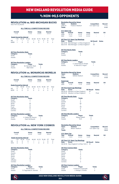### vs non-mls opponents

### **REVOLUTION vs. MID-MICHIGAN BUCKS**

*Now Flint City Bucks*

#### **ALL-TIME ALL-COMPETITIONS RECORD**

| Overall<br>$1 - 1 - 0$ |          | Home<br>$1 - 1 - 0$             |           | Away<br>$0 - 0 - 0$ |   | <b>Neutral</b><br>$0 - 0 - 0$ |    |       |
|------------------------|----------|---------------------------------|-----------|---------------------|---|-------------------------------|----|-------|
|                        |          | <b>Goals Scored by Interval</b> |           |                     |   |                               |    |       |
|                        | $1 - 15$ | $16 - 30$                       | $31 - 45$ | $46 - 60$           |   | 61-75 76-90                   | ΩT | Total |
| <b>NF</b>              |          |                                 |           |                     | Ω |                               | Ω  |       |
| MMR                    |          |                                 |           |                     | Ω |                               |    | 2     |

### **All-Time Revolution Stats Category Totals**

| Category       | Totals |
|----------------|--------|
| Goals          |        |
| <b>Assists</b> |        |

### **All-Time Revolution Leaders**

| Category | <b>Player</b>     | <b>Totals</b> |
|----------|-------------------|---------------|
| Goals    | W. Harris/M. Okoh |               |
| Assists  | Matt Okoh         |               |

### **REVOLUTION vs. MONARCAS MORELIA**

### **ALL-TIME ALL-COMPETITIONS RECORD**

| Overall<br>$1 - 1 - 0$ |          | Home<br>$1 - 1 - 0$             |           | Away<br>$0 - 0 - 0$ |  | <b>Neutral</b><br>$0 - 0 - 0$ |    |       |
|------------------------|----------|---------------------------------|-----------|---------------------|--|-------------------------------|----|-------|
|                        |          | <b>Goals Scored by Interval</b> |           |                     |  |                               |    |       |
|                        | $1 - 15$ | $16 - 30$                       | $31 - 45$ | $46 - 60$           |  | 61-75 76-90                   | OT | Total |
| NF                     | 0        |                                 | 0         |                     |  |                               |    | 2     |
| <b>MOR</b>             | n        |                                 |           |                     |  |                               |    | 2     |

#### **All-Time Revolution Stats**

| Category       | <b>Totals</b> |
|----------------|---------------|
| Goals          | 2             |
| <b>Assists</b> | 1             |
| Shots          | 20            |
| Saves          | 9             |
| Fouls          | 22            |
| Offsides       | 8             |
| Corners        | 5             |

#### **All-Time Revolution Leaders**

| Category       | <b>Player</b>        | <b>Totals</b> |
|----------------|----------------------|---------------|
| Goals          | K. Alston/M. Perovic |               |
| <b>Assists</b> | Zack Schilawski      |               |

### **REVOLUTION vs. NEW YORK COSMOS**

#### **ALL-TIME ALL-COMPETITIONS RECORD**

| Overall<br>$1 - 0 - 0$ |          | Home<br>$0 - 0 - 0$             |           | Away<br>$1 - 0 - 0$ |  | <b>Neutral</b><br>$0 - 0 - 0$ |    |       |
|------------------------|----------|---------------------------------|-----------|---------------------|--|-------------------------------|----|-------|
|                        |          | <b>Goals Scored by Interval</b> |           |                     |  |                               |    |       |
|                        | $1 - 15$ | $16 - 30$                       | $31 - 45$ | $46 - 60$           |  | 61-75 76-90                   | ΩT | Total |
| <b>NF</b>              | Ω        |                                 |           |                     |  |                               |    | 3     |
| <b>NIVC</b>            |          |                                 |           |                     |  |                               |    |       |

#### **All-Time Revolution Stats**

| Category       | <b>Totals</b>  |
|----------------|----------------|
| Goals          | 3              |
| <b>Assists</b> | $\overline{2}$ |
| Shots          | 9              |
| Saves          | 3              |
| Fouls          | 27             |
| Offsides       | 0              |
| Corners        | 7              |

#### **All-Time Revolution Leaders**

| Category | <b>Player</b>         | <b>Totals</b> |
|----------|-----------------------|---------------|
| Goals    | <b>Teal Bunbury</b>   |               |
| Assists  | D. Fagundez/K. Kamara |               |

| Years<br>2000-01<br><b>Totals</b>                                   | <b>Revolution Record by Venue</b><br><b>Stadium</b> | Foxboro Stadium                                                                                   |                  | <b>Competition</b><br>U.S. Open Cup  | Record<br>$1 - 1 - 0$<br>$1 - 1 - 0$ |
|---------------------------------------------------------------------|-----------------------------------------------------|---------------------------------------------------------------------------------------------------|------------------|--------------------------------------|--------------------------------------|
| U.S. Open Cup                                                       |                                                     |                                                                                                   |                  |                                      |                                      |
| Year                                                                | Overall                                             | Home                                                                                              | Away             | <b>Neutral</b>                       | <b>SO</b>                            |
| 2000                                                                | $0 - 1 - 0$                                         | $0 - 1 - 0$                                                                                       | $0 - 0 - 0$      |                                      |                                      |
| 2001                                                                | $1 - 0 - 0$                                         | $1 - 0 - 0$                                                                                       | $0 - 0 - 0$      |                                      |                                      |
| Date                                                                | <b>Score</b>                                        | <b>All-Time U.S. Open Cup Meetings</b>                                                            |                  | <b>NE Result</b>                     | <b>Notes</b>                         |
|                                                                     |                                                     | 06/14/00 Mid-Michigan 1 at New England 0                                                          |                  | L                                    |                                      |
|                                                                     |                                                     | 06/27/01 Mid-Michigan 1 at New England 7                                                          |                  | W                                    |                                      |
|                                                                     | <b>All-Time Bucks Stats</b>                         |                                                                                                   |                  |                                      |                                      |
| Category                                                            |                                                     | <b>Totals</b>                                                                                     |                  |                                      |                                      |
| Goals                                                               |                                                     | $\overline{\phantom{a}}$                                                                          |                  |                                      |                                      |
| <b>Assists</b>                                                      |                                                     | $\overline{c}$                                                                                    |                  |                                      |                                      |
| Category<br>Goals<br>Assists                                        | <b>All-Time Bucks Leaders</b>                       | Player<br>C. Schomaker/P. Snape<br>B. Maruti/E. Pogue                                             |                  | <b>Totals</b><br>$\overline{1}$<br>1 |                                      |
|                                                                     | <b>Revolution Record by Venue</b>                   |                                                                                                   |                  |                                      |                                      |
| Years                                                               | <b>Stadium</b>                                      |                                                                                                   |                  | <b>Competition</b>                   | Record                               |
| 2010                                                                |                                                     | Gillette Stadium                                                                                  |                  | SuperLiga                            | $1 - 1 - 0$                          |
| <b>Totals</b>                                                       |                                                     |                                                                                                   |                  |                                      | $1 - 1 - 0$                          |
| <b>SuperLiga</b>                                                    |                                                     |                                                                                                   |                  |                                      |                                      |
| Year                                                                | Overall                                             | Home                                                                                              | Away             | <b>Neutral</b>                       | <b>SO</b>                            |
| 2010                                                                | $1 - 1 - 0$                                         | $1 - 1 - 0$                                                                                       | $0 - 0 - 0$      |                                      |                                      |
| Category<br>Goals<br>Assists<br>Shots<br>Saves<br>Fouls<br>Offsides | <b>All-Time Morelia Stats</b>                       | 09/01/10 Morelia 2 at New England 1<br><b>Totals</b><br>$\overline{c}$<br>O<br>28<br>7<br>38<br>6 | L                | Final                                |                                      |
| Corners                                                             |                                                     | 8                                                                                                 |                  |                                      |                                      |
|                                                                     | <b>All-Time Morelia Leaders</b>                     |                                                                                                   |                  |                                      |                                      |
| Category                                                            |                                                     | Player                                                                                            | <b>Totals</b>    |                                      |                                      |
| Goals                                                               |                                                     | Miguel Sabah                                                                                      | $\overline{c}$   |                                      |                                      |
| Assists                                                             |                                                     | N/A                                                                                               | $\overline{0}$   |                                      |                                      |
|                                                                     | <b>Revolution Record by Venue</b>                   |                                                                                                   |                  |                                      |                                      |
| Years                                                               | <b>Stadium</b>                                      |                                                                                                   |                  | <b>Competition</b>                   | Record                               |
| 2016                                                                |                                                     | <b>Belson Stadium</b>                                                                             |                  | U.S. Open Cup                        | $1 - 0 - 0$                          |
| <b>Totals</b>                                                       |                                                     |                                                                                                   |                  |                                      | $1 - 0 - 0$                          |
| <b>U.S. Open Cup</b>                                                |                                                     |                                                                                                   |                  |                                      |                                      |
| Year                                                                | Overall                                             | Home                                                                                              | Away             | <b>Neutral</b>                       | SO                                   |
| 2016                                                                | $1 - 0 - 0$                                         | $0 - 0 - 0$                                                                                       | $1 - 0 - 0$      |                                      |                                      |
| Date                                                                | <b>Score</b>                                        | <b>All-Time U.S. Open Cup Meetings</b><br>06/29/16 New England 3 at New York 2 W                  | <b>NE Result</b> | <b>Notes</b>                         |                                      |
|                                                                     |                                                     |                                                                                                   |                  |                                      |                                      |
| Category                                                            | <b>All-Time Cosmos Stats</b>                        | <b>Totals</b>                                                                                     |                  |                                      |                                      |
| Goals                                                               |                                                     | $\overline{2}$                                                                                    |                  |                                      |                                      |
| Assists                                                             |                                                     | $\overline{a}$                                                                                    |                  |                                      |                                      |
| Shots                                                               |                                                     | $\overline{11}$                                                                                   |                  |                                      |                                      |
| Saves                                                               |                                                     | 2                                                                                                 |                  |                                      |                                      |
| Fouls                                                               |                                                     | 14                                                                                                |                  |                                      |                                      |
| Offsides                                                            |                                                     | 7                                                                                                 |                  |                                      |                                      |

### Corners 3 **All-Time Cosmos Leaders**

| Category       | <b>Player</b>         | <b>Totals</b> |
|----------------|-----------------------|---------------|
| Goals          | R. Bover/S. Guenzatti |               |
| <b>Assists</b> | J. Arango/J. Arrieta  | 2             |



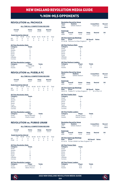### vs non-mls opponents

### **REVOLUTION vs. PACHUCA**

#### **ALL-TIME ALL-COMPETITIONS RECORD**

| Overall                         | Home        | Away        | <b>Neutral</b> |
|---------------------------------|-------------|-------------|----------------|
| $1 - 0 - 0$                     | $1 - 0 - 0$ | $0 - 0 - 0$ | $0 - 0 - 0$    |
| <b>Goals Scored by Interval</b> |             |             |                |

|  | 1-15 16-30 31-45 46-60 61-75 76-90 OT Total |  |  |  |
|--|---------------------------------------------|--|--|--|
|  | NF 0 0 0 0 0 1 0 1                          |  |  |  |
|  | PAC 0 0 0 0 0 0 0 0                         |  |  |  |

### **All-Time Revolution Stats Category Totals**

| <b>Cutcyory</b> | .              |
|-----------------|----------------|
| Goals           |                |
| Assists         | 0              |
| Shots           | 13             |
| Saves           | 4              |
| Fouls           | 12             |
| Offsides        | $\overline{c}$ |
| Corners         | 5              |
|                 |                |

#### **All-Time Revolution Leaders**

| Category       | <b>Player</b> | <b>Totals</b> |
|----------------|---------------|---------------|
| Goals          | Khano Smith   |               |
| <b>Assists</b> | N/A           | 0             |

### **REVOLUTION vs. PUEBLA FC**

#### **ALL-TIME ALL-COMPETITIONS RECORD**

| Overall<br>$0 - 0 - 1$ |          | Home<br>$0 - 0 - 1$             |           | Away<br>$0 - 0 - 0$ |  | <b>Neutral</b><br>$0 - 0 - 0$ |   |       |
|------------------------|----------|---------------------------------|-----------|---------------------|--|-------------------------------|---|-------|
|                        |          | <b>Goals Scored by Interval</b> |           |                     |  |                               |   |       |
|                        | $1 - 15$ | $16 - 30$                       | $31 - 45$ | $46 - 60$           |  | 61-75 76-90                   |   | Total |
| <b>NF</b>              | Ω        |                                 |           |                     |  |                               | Ω |       |
| PUF                    | Λ        |                                 |           |                     |  |                               |   |       |

#### **All-Time Revolution Stats**

| Category       | <b>Totals</b>            |  |  |  |
|----------------|--------------------------|--|--|--|
| Goals          |                          |  |  |  |
| <b>Assists</b> |                          |  |  |  |
| Shots          | 11                       |  |  |  |
| Saves          | 4                        |  |  |  |
| Fouls          | 14                       |  |  |  |
| Offsides       | $\overline{\phantom{a}}$ |  |  |  |
| Corners        | $\overline{a}$           |  |  |  |

#### **All-Time Revolution Leaders**

| Category       | <b>Player</b>  | <b>Totals</b> |  |
|----------------|----------------|---------------|--|
| Goals          | Kenny Mansally |               |  |
| <b>Assists</b> | Shalrie Joseph |               |  |

### **REVOLUTION vs. PUMAS UNAM**

#### **ALL-TIME ALL-COMPETITIONS RECORD**

| Overall<br>$1 - 0 - 0$ |          | Home<br>$1 - 0 - 0$             |           | Away<br>$0 - 0 - 0$ |  | <b>Neutral</b><br>$0 - 0 - 0$ |  |       |
|------------------------|----------|---------------------------------|-----------|---------------------|--|-------------------------------|--|-------|
|                        |          | <b>Goals Scored by Interval</b> |           |                     |  |                               |  |       |
|                        | $1 - 15$ | $16 - 30$                       | $31 - 45$ |                     |  | 46-60 61-75 76-90 OT          |  | Total |
|                        |          |                                 |           |                     |  |                               |  |       |

| NE 0 1 0 0 0 0 0 1  |  |  |  |  |
|---------------------|--|--|--|--|
| PUM 0 0 0 0 0 0 0 0 |  |  |  |  |

### **All-Time Revolution Stats Category Totals**

| calegory       | юнав |
|----------------|------|
| Goals          |      |
| <b>Assists</b> |      |
| Shots          | 11   |
| Saves          | 6    |
| Fouls          | 19   |
| Offsides       | 4    |
| Corners        | 4    |
|                |      |

#### **All-Time Revolution Leaders Category Player Totals** Goals Zack Schilawski 1

| Goals   | Zack Schilawski |  |
|---------|-----------------|--|
| Assists | Marko Perovic   |  |
|         |                 |  |

| Years               | <b>Stadium</b>                                      | <b>Revolution Record by Venue</b>                                    |                  | <b>Competition</b>            | Record                                            |
|---------------------|-----------------------------------------------------|----------------------------------------------------------------------|------------------|-------------------------------|---------------------------------------------------|
| 2008                |                                                     | Gillette Stadium                                                     |                  | SuperLiga                     | $1 - 0 - 0$                                       |
| <b>Totals</b>       |                                                     |                                                                      |                  |                               | $1 - 0 - 0$                                       |
| <b>SuperLiga</b>    |                                                     |                                                                      |                  |                               |                                                   |
| Year                | Overall                                             | Home                                                                 | Away             | <b>Neutral</b>                | SO                                                |
| 2008                | $1 - 0 - 0$                                         | $1 - 0 - 0$                                                          | $0 - 0 - 0$      |                               |                                                   |
|                     |                                                     |                                                                      |                  |                               |                                                   |
| Date                | <b>All-Time SuperLiga Meetings</b><br><b>Score</b>  |                                                                      | <b>NE Result</b> | <b>Notes</b>                  |                                                   |
|                     |                                                     | 07/16/08 Pachuca 0 at New England 1                                  | W                |                               |                                                   |
|                     |                                                     |                                                                      |                  |                               |                                                   |
| Category            | <b>All-Time Pachuca Stats</b>                       | <b>Totals</b>                                                        |                  |                               |                                                   |
| Goals               |                                                     | $\Omega$                                                             |                  |                               |                                                   |
| Assists             |                                                     | $\Omega$                                                             |                  |                               |                                                   |
| Shots               |                                                     | 10                                                                   |                  |                               |                                                   |
| Saves               |                                                     | 6                                                                    |                  |                               |                                                   |
| Fouls               |                                                     | 10                                                                   |                  |                               |                                                   |
| Offsides            |                                                     | 1                                                                    |                  |                               |                                                   |
| Corners             |                                                     | $\overline{4}$                                                       |                  |                               |                                                   |
|                     | <b>All-Time Pachuca Leaders</b>                     |                                                                      |                  |                               |                                                   |
| Category            |                                                     | Player                                                               | <b>Totals</b>    |                               |                                                   |
| Goals               |                                                     | N/A                                                                  | $\mathbf 0$      |                               |                                                   |
| Assists             |                                                     | N/A                                                                  | $\mathbf{0}$     |                               |                                                   |
|                     |                                                     |                                                                      |                  |                               |                                                   |
| Years               | <b>Revolution Record by Venue</b>                   | <b>Stadium</b>                                                       |                  | Competition                   | Record                                            |
| 2010                |                                                     | Gillette Stadium                                                     |                  | SuperLiga                     | $0 - 0 - 1$                                       |
| <b>Totals</b>       |                                                     |                                                                      |                  |                               | $0 - 0 - 1$                                       |
| <b>SuperLiga</b>    |                                                     |                                                                      |                  |                               |                                                   |
| Year                | Overall                                             | Home                                                                 | Away             | <b>Neutral</b>                | <b>SO</b>                                         |
| 2010                | $0 - 0 - 1$                                         | $0 - 0 - 1$                                                          | $0 - 0 - 0$      |                               |                                                   |
| Date<br>09/01/10    | <b>Score</b>                                        | <b>All-Time SuperLiga Meetings</b><br>Puebla FC 1 at New England 1 T | <b>NE Result</b> | <b>Notes</b><br>W in PKs, 5-3 |                                                   |
| Category            | <b>All-Time Puebla Stats</b>                        | <b>Totals</b>                                                        |                  |                               |                                                   |
| Goals               |                                                     | 1<br>1                                                               |                  |                               |                                                   |
| Assists             |                                                     | 15                                                                   |                  |                               |                                                   |
| Shots<br>Saves      |                                                     | 3                                                                    |                  |                               |                                                   |
| Fouls               |                                                     | 15                                                                   |                  |                               |                                                   |
| Offsides            |                                                     | 4                                                                    |                  |                               |                                                   |
| Corners             |                                                     | 7                                                                    |                  |                               |                                                   |
|                     |                                                     |                                                                      |                  |                               |                                                   |
| Category            | <b>All-Time Puebla Leaders</b>                      | Player                                                               | <b>Totals</b>    |                               |                                                   |
| Goals               |                                                     | Nicolás Olivera                                                      | 1                |                               |                                                   |
| Assists             |                                                     | Gabriel Pereyra                                                      | 1                |                               |                                                   |
|                     |                                                     |                                                                      |                  |                               |                                                   |
| Years               | <b>Revolution Record by Venue</b><br><b>Stadium</b> |                                                                      |                  | <b>Competition</b>            |                                                   |
| 2010                |                                                     | Gillette Stadium                                                     |                  | SuperLiga                     |                                                   |
| <b>Totals</b>       |                                                     |                                                                      |                  |                               |                                                   |
| <b>SuperLiga</b>    |                                                     |                                                                      |                  |                               |                                                   |
| Year                | Overall                                             | Home                                                                 | Away             | <b>Neutral</b>                | Record<br>$1 - 0 - 0$<br>$1 - 0 - 0$<br><b>SO</b> |
| 2016                | $1 - 0 - 0$                                         | $1 - 0 - 0$                                                          | $0 - 0 - 0$      |                               |                                                   |
|                     | <b>All-Time SuperLiga Meetings</b>                  |                                                                      |                  |                               |                                                   |
| Date                | <b>Score</b>                                        |                                                                      |                  | <b>NE Result Notes</b>        |                                                   |
|                     |                                                     | 07/14/16 Pumas UNAM 0 at New England 1 W                             |                  |                               |                                                   |
|                     |                                                     |                                                                      |                  |                               |                                                   |
|                     | <b>All-Time Pumas Stats</b>                         | <b>Totals</b>                                                        |                  |                               |                                                   |
| Category<br>Goals   |                                                     | 0                                                                    |                  |                               |                                                   |
| Assists             |                                                     | $\mathbf 0$                                                          |                  |                               |                                                   |
| Shots               |                                                     | 13                                                                   |                  |                               |                                                   |
| Saves               |                                                     | 5                                                                    |                  |                               |                                                   |
| Fouls               |                                                     | 4                                                                    |                  |                               |                                                   |
| Offsides<br>Corners |                                                     | 5<br>$\overline{6}$                                                  |                  |                               |                                                   |

| Category       | Player | <b>Totals</b> |
|----------------|--------|---------------|
| Goals          | N/A    | 0             |
| <b>Assists</b> | N/A    | 0             |

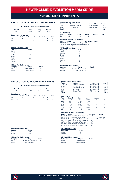### vs non-mls opponents

### **REVOLUTION vs. RICHMOND KICKERS**

**ALL-TIME ALL-COMPETITIONS RECORD**

|     | Overall<br>$2 - 0 - 0$ |                                 | Home<br>$1 - 0 - 0$ |           | <b>Neutral</b><br>Away<br>$1 - 0 - 0$<br>$0 - 0 - 0$ |             |    |       |
|-----|------------------------|---------------------------------|---------------------|-----------|------------------------------------------------------|-------------|----|-------|
|     |                        | <b>Goals Scored by Interval</b> |                     |           |                                                      |             |    |       |
|     | $1 - 15$               | $16 - 30$                       | $31 - 45$           | $46 - 60$ |                                                      | 61-75 76-90 | OT | Total |
| NF  |                        |                                 |                     |           |                                                      |             |    | 6     |
| RIC |                        |                                 |                     |           |                                                      |             |    |       |

#### **All-Time Revolution Stats**

| Category                           | <b>Totals</b>        |               |
|------------------------------------|----------------------|---------------|
| Goals                              | 6                    |               |
| Assists                            | 5                    |               |
| Shots                              | 23                   |               |
| Saves                              | 7                    |               |
| Fouls                              | 22                   |               |
| Offsides                           | 1                    |               |
| Corners                            | 6                    |               |
| <b>All-Time Revolution Leaders</b> |                      |               |
| Category                           | Player               | <b>Totals</b> |
| Goals                              | Six Players Tied     |               |
| Assists                            | <b>Chris Tierney</b> | 2             |

|               | <b>Revolution Record by Venue</b> |                  |             |                    |             |
|---------------|-----------------------------------|------------------|-------------|--------------------|-------------|
| <b>Years</b>  | <b>Stadium</b>                    |                  |             | <b>Competition</b> | Record      |
| 2008          |                                   | Veterans Stadium |             | U.S. Open Cup      | $1 - 0 - 0$ |
| 2014          | City Stadium                      |                  |             | U.S. Open Cup      | $1 - 0 - 0$ |
| <b>Totals</b> |                                   |                  |             |                    | $2 - 0 - 0$ |
|               | <b>U.S. Open Cup</b>              |                  |             |                    |             |
| Year          | Overall                           | Home             | Away        | <b>Neutral</b>     | <b>SO</b>   |
| 2008          | $2 - 0 - 0$                       | $1 - 0 - 0$      | $1 - 0 - 0$ | ٠                  | ٠           |
|               |                                   |                  |             |                    |             |

### **All-Time U.S. Open Cup Meetings Date Score NE Result Notes**

07/01/08 Richmond 0 at New England 3 W 06/18/14 New England 3 at Richmond 2 W

### **All-Time Kickers Stats**

| 2              |  |
|----------------|--|
|                |  |
| $\overline{2}$ |  |
| 19             |  |
| 4              |  |
| 21             |  |
| 9              |  |
| 12             |  |
|                |  |

### **All-Time Kickers Leaders**

| Category       | <b>Player</b>           | <b>Totals</b> |
|----------------|-------------------------|---------------|
| Goals          | G. Davis IV/M. Delicâte |               |
| <b>Assists</b> | G. Davis IV/J. Yeisley  |               |

### **REVOLUTION vs. ROCHESTER RHINOS**

### **ALL-TIME ALL-COMPETITIONS RECORD**

|                                 | Overall<br>$5 - 0 - 2$ |                | Home<br>$3 - 0 - 1$ |                | Away<br>$2 - 0 - 1$ | <b>Neutral</b><br>$0 - 0 - 0$ |         |                  |
|---------------------------------|------------------------|----------------|---------------------|----------------|---------------------|-------------------------------|---------|------------------|
| <b>Goals Scored by Interval</b> |                        |                |                     |                |                     |                               |         |                  |
| NF<br>ROC.                      | $1 - 15$<br>2          | $16 - 30$<br>4 | $31 - 45$<br>Ω      | $46 - 60$<br>4 |                     | 61-75 76-90<br>3<br>3         | OT<br>Ω | Total<br>17<br>6 |

#### **All-Time Revolution Stats Category Totals** Goals 17<br>Assists 10 **Assists**

| <b>All-Time Revolution Leaders</b> |                     |               |  |  |  |
|------------------------------------|---------------------|---------------|--|--|--|
| Category                           | <b>Player</b>       | <b>Totals</b> |  |  |  |
| Goals                              | K. Rowe/T. Twellman | 3             |  |  |  |
| Assists                            | 10 Players Tied     |               |  |  |  |

| <b>Revolution Record by Venue</b> |                    |                    |               |  |  |  |
|-----------------------------------|--------------------|--------------------|---------------|--|--|--|
| <b>Years</b>                      | <b>Stadium</b>     | <b>Competition</b> | <b>Record</b> |  |  |  |
| 2003-04                           | Lusitano Stadium   | U.S. Open Cup      | $1 - 0 - 1$   |  |  |  |
| 2006-07                           | <b>PAETEC Park</b> | U.S. Open Cup      | $1 - 0 - 1$   |  |  |  |
| 2013                              | Sahlen's Stadium   | U.S. Open Cup      | $1 - 0 - 0$   |  |  |  |
| 2014                              | Stevenson Field    | U.S. Open Cup      | $1 - 0 - 0$   |  |  |  |
| 2017                              | Chapey Field       | U.S. Open Cup      | $1 - 0 - 0$   |  |  |  |
| <b>Totals</b>                     |                    |                    | $5 - 0 - 2$   |  |  |  |
| $\cdots$ $\sim$ $\sim$            |                    |                    |               |  |  |  |

|      | <b>U.S. Upen Cup</b> |             |             |                |                          |
|------|----------------------|-------------|-------------|----------------|--------------------------|
| Year | Overall              | Home        | Away        | <b>Neutral</b> | SΟ                       |
| 2003 | $1 - 0 - 0$          | $1 - 0 - 0$ | $0 - 0 - 0$ | ٠              | $\overline{\phantom{m}}$ |
| 2004 | $0 - 0 - 1$          | $0 - 0 - 1$ | $0 - 0 - 0$ | ٠              | $\overline{\phantom{a}}$ |
| 2006 | $0 - 0 - 1$          | $0 - 0 - 0$ | $0 - 0 - 1$ | ٠              | ÷                        |
| 2007 | $1 - 0 - 0$          | $0 - 0 - 0$ | $1 - 0 - 0$ | ٠              | ÷                        |
| 2013 | $1 - 0 - 0$          | $0 - 0 - 0$ | $1 - 0 - 0$ | ٠              | $\overline{\phantom{m}}$ |
| 2014 | $1 - 0 - 0$          | $1 - 0 - 0$ | $0 - 0 - 0$ | ٠              | ÷                        |
| 2017 | $1 - 0 - 0$          | $1 - 0 - 0$ | $0 - 0 - 0$ | ٠              | ٠                        |

#### **All-Time U.S. Open Cup Meetings**

| Date | Score                                 | <b>NE Result</b> | <b>Notes</b>  |
|------|---------------------------------------|------------------|---------------|
|      | 08/06/03 Rochester 1 at New England 2 | W                |               |
|      | 07/20/04 Rochester 1 at New England 1 | T                | L in PKs. 1-3 |
|      | 08/02/06 New England 0 at Rochester 0 | T                | W in PKs. 5-4 |
|      | 07/10/07 New England 4 at Rochester 2 | W                |               |
|      | 05/28/13 New England 5 at Rochester 1 | W                |               |
|      | 06/25/14 Rochester 1 at New England 2 | W                |               |
|      | 06/14/17 Rochester 0 at New England 3 | W                |               |
|      |                                       |                  |               |

### **All-Time Rhinos Stats**

**Category Total**<br>Goals 6 Goals 6<br>Assists 5 Assists 5

| <b>All-Time Rhinos Leaders</b> |                          |                          |  |  |  |
|--------------------------------|--------------------------|--------------------------|--|--|--|
| Category                       | <b>Player</b>            | <b>Totals</b>            |  |  |  |
| Goals                          | <b>Hamed Diallo</b>      | $\overline{\phantom{a}}$ |  |  |  |
| <b>Assists</b>                 | <b>Five Players Tied</b> |                          |  |  |  |